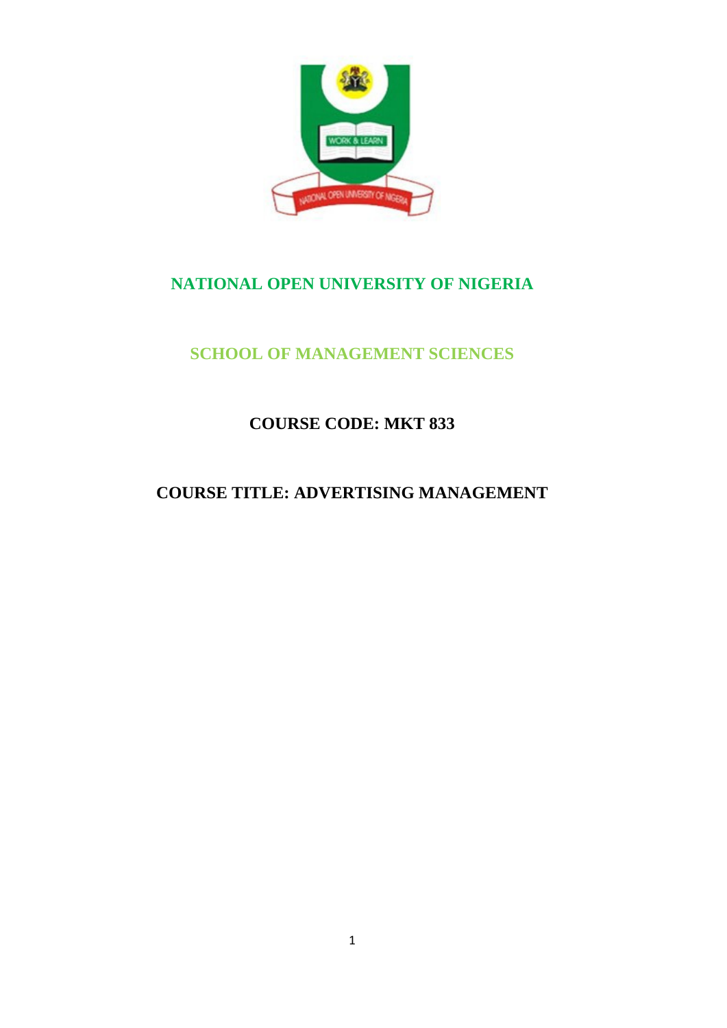

# **NATIONAL OPEN UNIVERSITY OF NIGERIA**

# **SCHOOL OF MANAGEMENT SCIENCES**

# **COURSE CODE: MKT 833**

# **COURSE TITLE: ADVERTISING MANAGEMENT**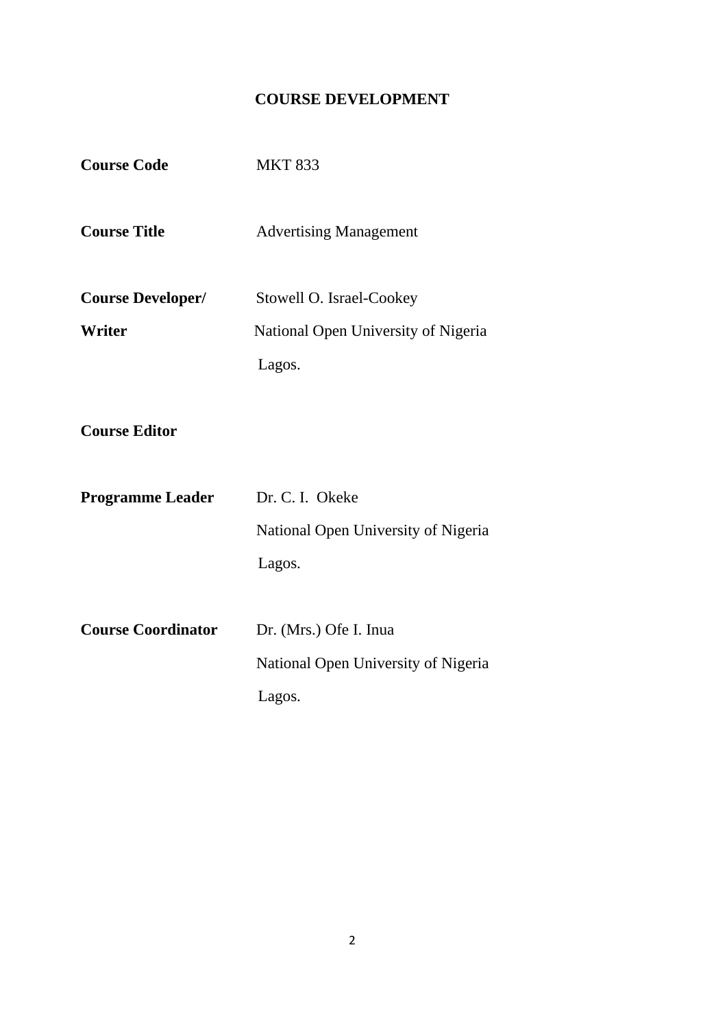## **COURSE DEVELOPMENT**

| <b>Course Code</b>        | <b>MKT 833</b>                      |  |  |
|---------------------------|-------------------------------------|--|--|
| <b>Course Title</b>       | <b>Advertising Management</b>       |  |  |
| <b>Course Developer/</b>  | Stowell O. Israel-Cookey            |  |  |
| <b>Writer</b>             | National Open University of Nigeria |  |  |
|                           | Lagos.                              |  |  |
|                           |                                     |  |  |
| <b>Course Editor</b>      |                                     |  |  |
|                           |                                     |  |  |
| <b>Programme Leader</b>   | Dr. C. I. Okeke                     |  |  |
|                           | National Open University of Nigeria |  |  |
|                           | Lagos.                              |  |  |
|                           |                                     |  |  |
| <b>Course Coordinator</b> | Dr. (Mrs.) Ofe I. Inua              |  |  |
|                           | National Open University of Nigeria |  |  |
|                           | Lagos.                              |  |  |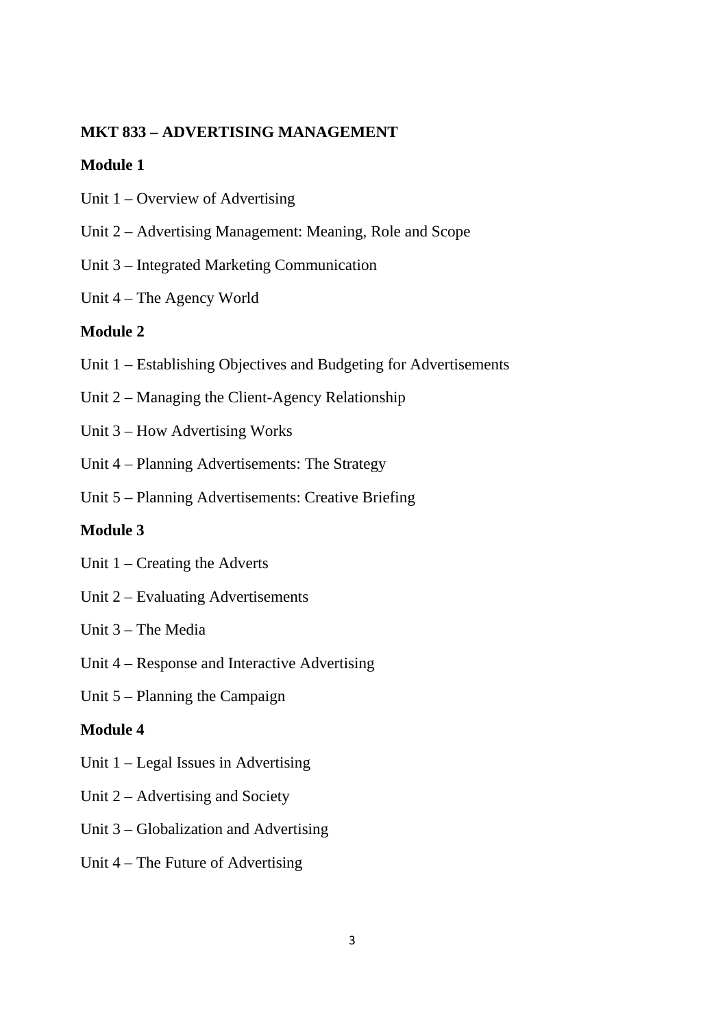#### **MKT 833 – ADVERTISING MANAGEMENT**

#### **Module 1**

- Unit 1 Overview of Advertising
- Unit 2 Advertising Management: Meaning, Role and Scope
- Unit 3 Integrated Marketing Communication
- Unit 4 The Agency World

#### **Module 2**

- Unit 1 Establishing Objectives and Budgeting for Advertisements
- Unit 2 Managing the Client-Agency Relationship
- Unit 3 How Advertising Works
- Unit 4 Planning Advertisements: The Strategy
- Unit 5 Planning Advertisements: Creative Briefing

## **Module 3**

- Unit 1 Creating the Adverts
- Unit 2 Evaluating Advertisements
- Unit 3 The Media
- Unit 4 Response and Interactive Advertising
- Unit 5 Planning the Campaign

#### **Module 4**

- Unit 1 Legal Issues in Advertising
- Unit 2 Advertising and Society
- Unit 3 Globalization and Advertising
- Unit 4 The Future of Advertising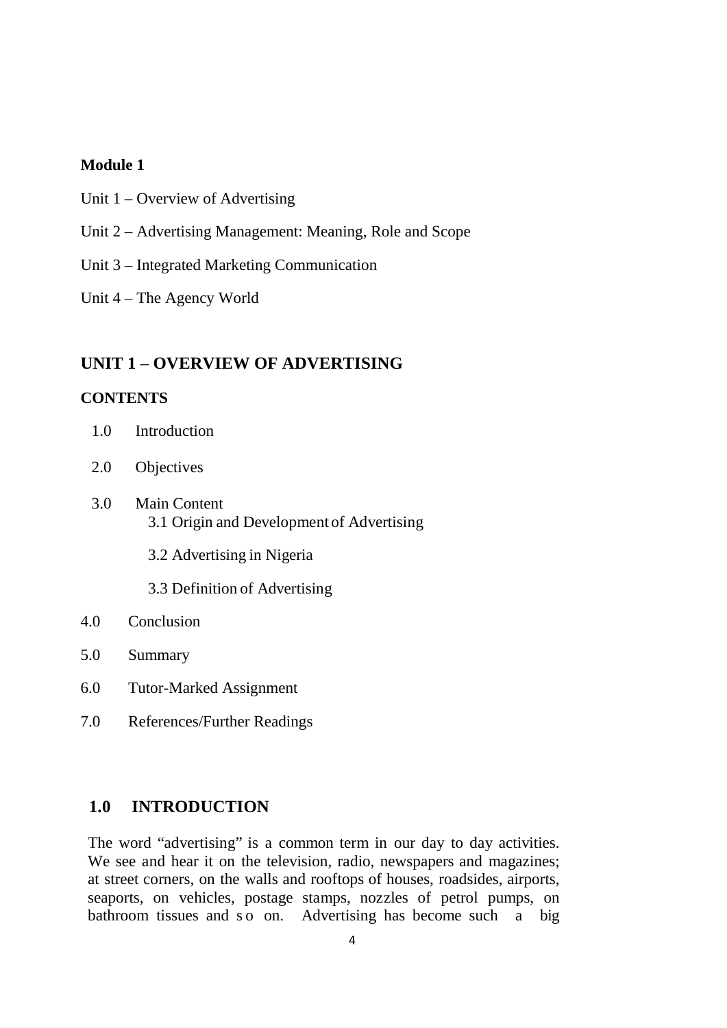#### **Module 1**

- Unit 1 Overview of Advertising
- Unit 2 Advertising Management: Meaning, Role and Scope
- Unit 3 Integrated Marketing Communication
- Unit 4 The Agency World

## **UNIT 1 – OVERVIEW OF ADVERTISING**

## **CONTENTS**

- 1.0 Introduction
- 2.0 Objectives
- 3.0 Main Content 3.1 Origin and Development of Advertising
	- 3.2 Advertising in Nigeria
	- 3.3 Definition of Advertising
- 4.0 Conclusion
- 5.0 Summary
- 6.0 Tutor-Marked Assignment
- 7.0 References/Further Readings

#### **1.0 INTRODUCTION**

The word "advertising" is a common term in our day to day activities. We see and hear it on the television, radio, newspapers and magazines; at street corners, on the walls and rooftops of houses, roadsides, airports, seaports, on vehicles, postage stamps, nozzles of petrol pumps, on bathroom tissues and so on. Advertising has become such a big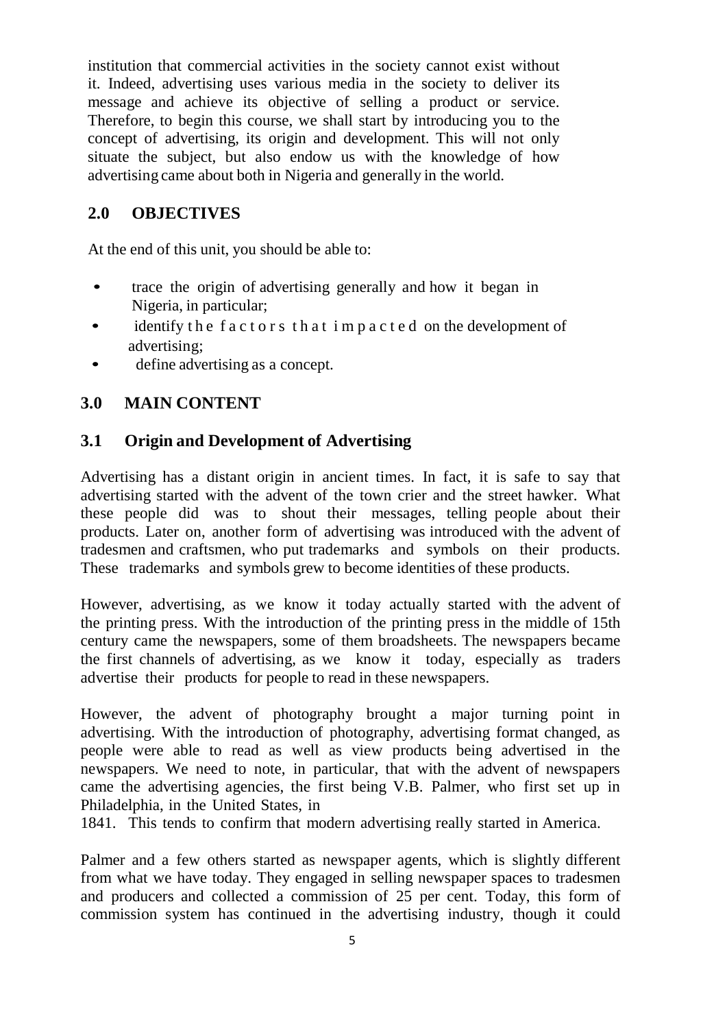institution that commercial activities in the society cannot exist without it. Indeed, advertising uses various media in the society to deliver its message and achieve its objective of selling a product or service. Therefore, to begin this course, we shall start by introducing you to the concept of advertising, its origin and development. This will not only situate the subject, but also endow us with the knowledge of how advertising came about both in Nigeria and generally in the world.

## **2.0 OBJECTIVES**

At the end of this unit, you should be able to:

- trace the origin of advertising generally and how it began in Nigeria, in particular;
- identify the factors that impacted on the development of advertising;
- define advertising as a concept.

## **3.0 MAIN CONTENT**

## **3.1 Origin and Development of Advertising**

Advertising has a distant origin in ancient times. In fact, it is safe to say that advertising started with the advent of the town crier and the street hawker. What these people did was to shout their messages, telling people about their products. Later on, another form of advertising was introduced with the advent of tradesmen and craftsmen, who put trademarks and symbols on their products. These trademarks and symbols grew to become identities of these products.

However, advertising, as we know it today actually started with the advent of the printing press. With the introduction of the printing press in the middle of 15th century came the newspapers, some of them broadsheets. The newspapers became the first channels of advertising, as we know it today, especially as traders advertise their products for people to read in these newspapers.

However, the advent of photography brought a major turning point in advertising. With the introduction of photography, advertising format changed, as people were able to read as well as view products being advertised in the newspapers. We need to note, in particular, that with the advent of newspapers came the advertising agencies, the first being V.B. Palmer, who first set up in Philadelphia, in the United States, in

1841. This tends to confirm that modern advertising really started in America.

Palmer and a few others started as newspaper agents, which is slightly different from what we have today. They engaged in selling newspaper spaces to tradesmen and producers and collected a commission of 25 per cent. Today, this form of commission system has continued in the advertising industry, though it could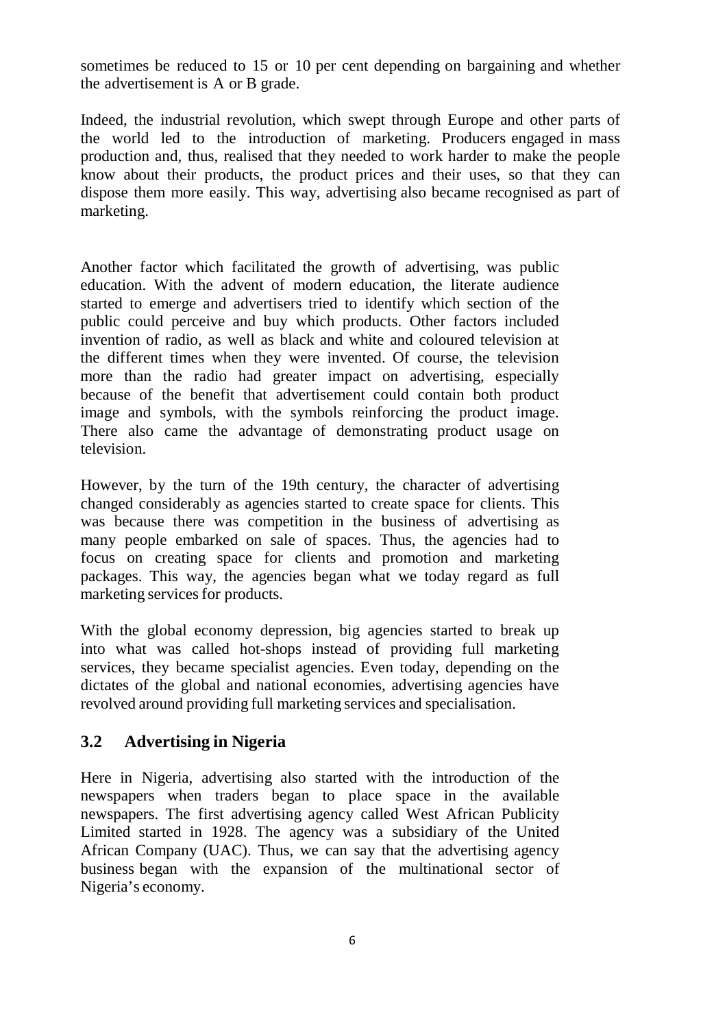sometimes be reduced to 15 or 10 per cent depending on bargaining and whether the advertisement is A or B grade.

Indeed, the industrial revolution, which swept through Europe and other parts of the world led to the introduction of marketing. Producers engaged in mass production and, thus, realised that they needed to work harder to make the people know about their products, the product prices and their uses, so that they can dispose them more easily. This way, advertising also became recognised as part of marketing.

Another factor which facilitated the growth of advertising, was public education. With the advent of modern education, the literate audience started to emerge and advertisers tried to identify which section of the public could perceive and buy which products. Other factors included invention of radio, as well as black and white and coloured television at the different times when they were invented. Of course, the television more than the radio had greater impact on advertising, especially because of the benefit that advertisement could contain both product image and symbols, with the symbols reinforcing the product image. There also came the advantage of demonstrating product usage on television.

However, by the turn of the 19th century, the character of advertising changed considerably as agencies started to create space for clients. This was because there was competition in the business of advertising as many people embarked on sale of spaces. Thus, the agencies had to focus on creating space for clients and promotion and marketing packages. This way, the agencies began what we today regard as full marketing services for products.

With the global economy depression, big agencies started to break up into what was called hot-shops instead of providing full marketing services, they became specialist agencies. Even today, depending on the dictates of the global and national economies, advertising agencies have revolved around providing full marketing services and specialisation.

## **3.2 Advertising in Nigeria**

Here in Nigeria, advertising also started with the introduction of the newspapers when traders began to place space in the available newspapers. The first advertising agency called West African Publicity Limited started in 1928. The agency was a subsidiary of the United African Company (UAC). Thus, we can say that the advertising agency business began with the expansion of the multinational sector of Nigeria's economy.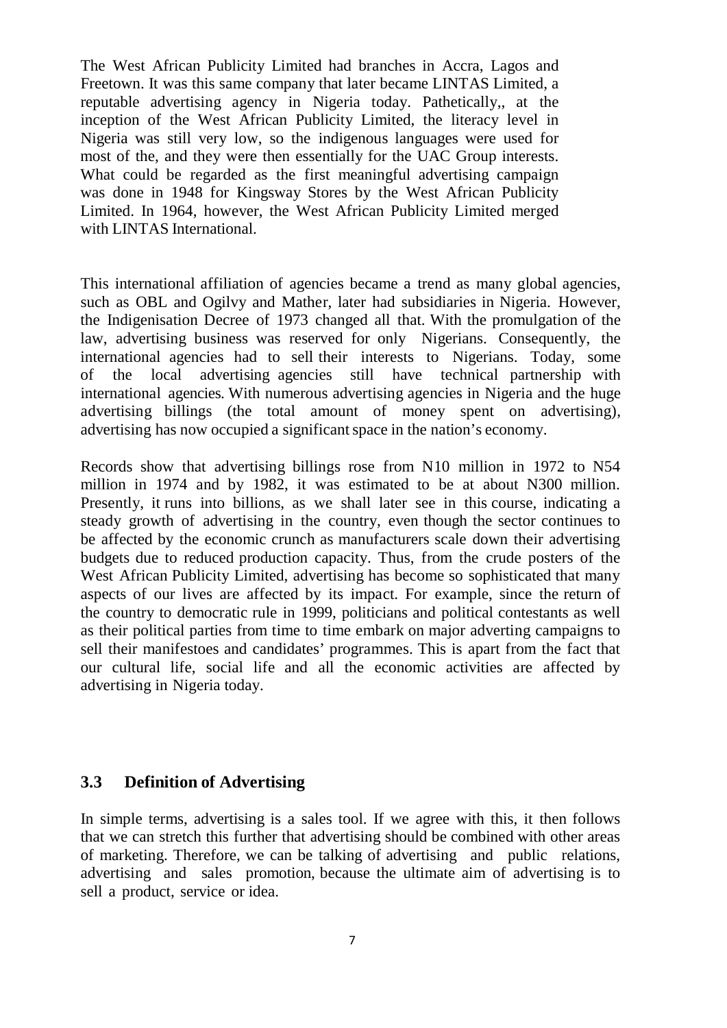The West African Publicity Limited had branches in Accra, Lagos and Freetown. It was this same company that later became LINTAS Limited, a reputable advertising agency in Nigeria today. Pathetically,, at the inception of the West African Publicity Limited, the literacy level in Nigeria was still very low, so the indigenous languages were used for most of the, and they were then essentially for the UAC Group interests. What could be regarded as the first meaningful advertising campaign was done in 1948 for Kingsway Stores by the West African Publicity Limited. In 1964, however, the West African Publicity Limited merged with LINTAS International.

This international affiliation of agencies became a trend as many global agencies, such as OBL and Ogilvy and Mather, later had subsidiaries in Nigeria. However, the Indigenisation Decree of 1973 changed all that. With the promulgation of the law, advertising business was reserved for only Nigerians. Consequently, the international agencies had to sell their interests to Nigerians. Today, some of the local advertising agencies still have technical partnership with international agencies. With numerous advertising agencies in Nigeria and the huge advertising billings (the total amount of money spent on advertising), advertising has now occupied a significant space in the nation's economy.

Records show that advertising billings rose from N10 million in 1972 to N54 million in 1974 and by 1982, it was estimated to be at about N300 million. Presently, it runs into billions, as we shall later see in this course, indicating a steady growth of advertising in the country, even though the sector continues to be affected by the economic crunch as manufacturers scale down their advertising budgets due to reduced production capacity. Thus, from the crude posters of the West African Publicity Limited, advertising has become so sophisticated that many aspects of our lives are affected by its impact. For example, since the return of the country to democratic rule in 1999, politicians and political contestants as well as their political parties from time to time embark on major adverting campaigns to sell their manifestoes and candidates' programmes. This is apart from the fact that our cultural life, social life and all the economic activities are affected by advertising in Nigeria today.

#### **3.3 Definition of Advertising**

In simple terms, advertising is a sales tool. If we agree with this, it then follows that we can stretch this further that advertising should be combined with other areas of marketing. Therefore, we can be talking of advertising and public relations, advertising and sales promotion, because the ultimate aim of advertising is to sell a product, service or idea.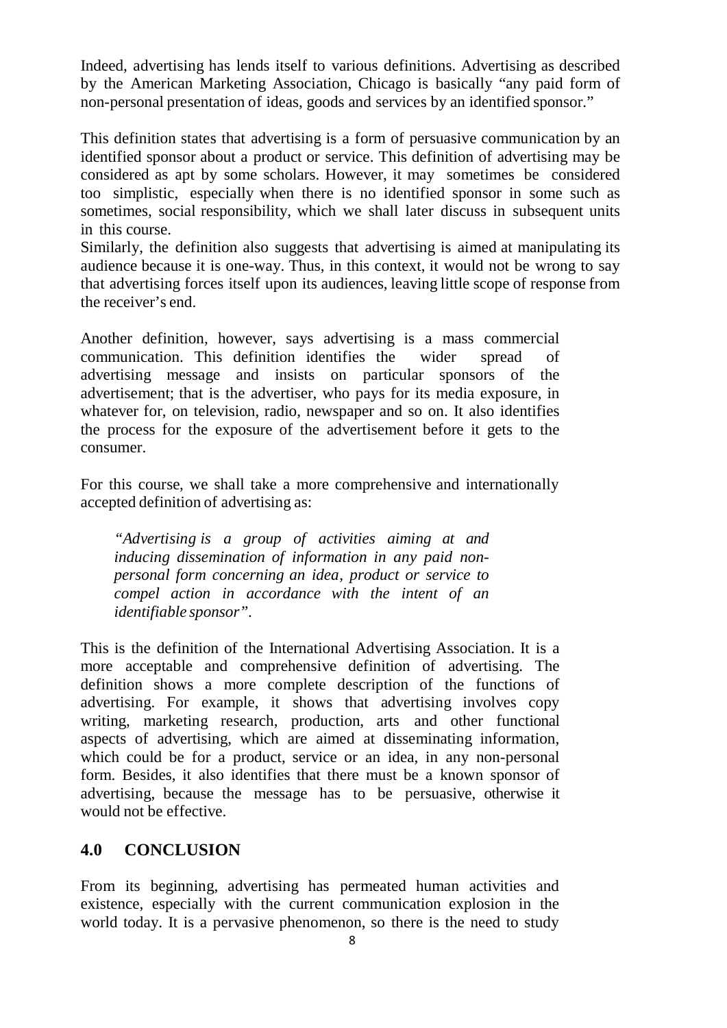Indeed, advertising has lends itself to various definitions. Advertising as described by the American Marketing Association, Chicago is basically "any paid form of non-personal presentation of ideas, goods and services by an identified sponsor."

This definition states that advertising is a form of persuasive communication by an identified sponsor about a product or service. This definition of advertising may be considered as apt by some scholars. However, it may sometimes be considered too simplistic, especially when there is no identified sponsor in some such as sometimes, social responsibility, which we shall later discuss in subsequent units in this course.

Similarly, the definition also suggests that advertising is aimed at manipulating its audience because it is one-way. Thus, in this context, it would not be wrong to say that advertising forces itself upon its audiences, leaving little scope of response from the receiver's end.

Another definition, however, says advertising is a mass commercial communication. This definition identifies the wider spread of advertising message and insists on particular sponsors of the advertisement; that is the advertiser, who pays for its media exposure, in whatever for, on television, radio, newspaper and so on. It also identifies the process for the exposure of the advertisement before it gets to the consumer.

For this course, we shall take a more comprehensive and internationally accepted definition of advertising as:

*"Advertising is a group of activities aiming at and inducing dissemination of information in any paid nonpersonal form concerning an idea, product or service to compel action in accordance with the intent of an identifiable sponsor".*

This is the definition of the International Advertising Association. It is a more acceptable and comprehensive definition of advertising. The definition shows a more complete description of the functions of advertising. For example, it shows that advertising involves copy writing, marketing research, production, arts and other functional aspects of advertising, which are aimed at disseminating information, which could be for a product, service or an idea, in any non-personal form. Besides, it also identifies that there must be a known sponsor of advertising, because the message has to be persuasive, otherwise it would not be effective.

## **4.0 CONCLUSION**

From its beginning, advertising has permeated human activities and existence, especially with the current communication explosion in the world today. It is a pervasive phenomenon, so there is the need to study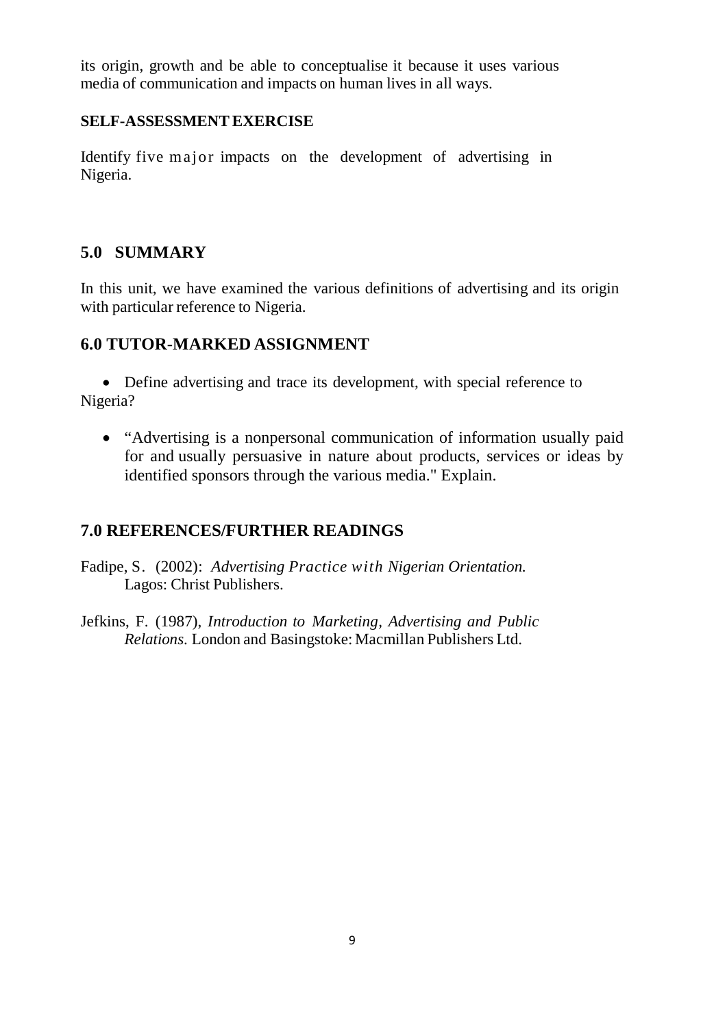its origin, growth and be able to conceptualise it because it uses various media of communication and impacts on human lives in all ways.

## **SELF-ASSESSMENTEXERCISE**

Identify five major impacts on the development of advertising in Nigeria.

## **5.0 SUMMARY**

In this unit, we have examined the various definitions of advertising and its origin with particular reference to Nigeria.

## **6.0 TUTOR-MARKED ASSIGNMENT**

• Define advertising and trace its development, with special reference to Nigeria?

• "Advertising is a nonpersonal communication of information usually paid for and usually persuasive in nature about products, services or ideas by identified sponsors through the various media." Explain.

## **7.0 REFERENCES/FURTHER READINGS**

Fadipe, S. (2002): *Advertising Practice with Nigerian Orientation.* Lagos: Christ Publishers.

Jefkins, F. (1987), *Introduction to Marketing, Advertising and Public Relations*. London and Basingstoke: Macmillan Publishers Ltd.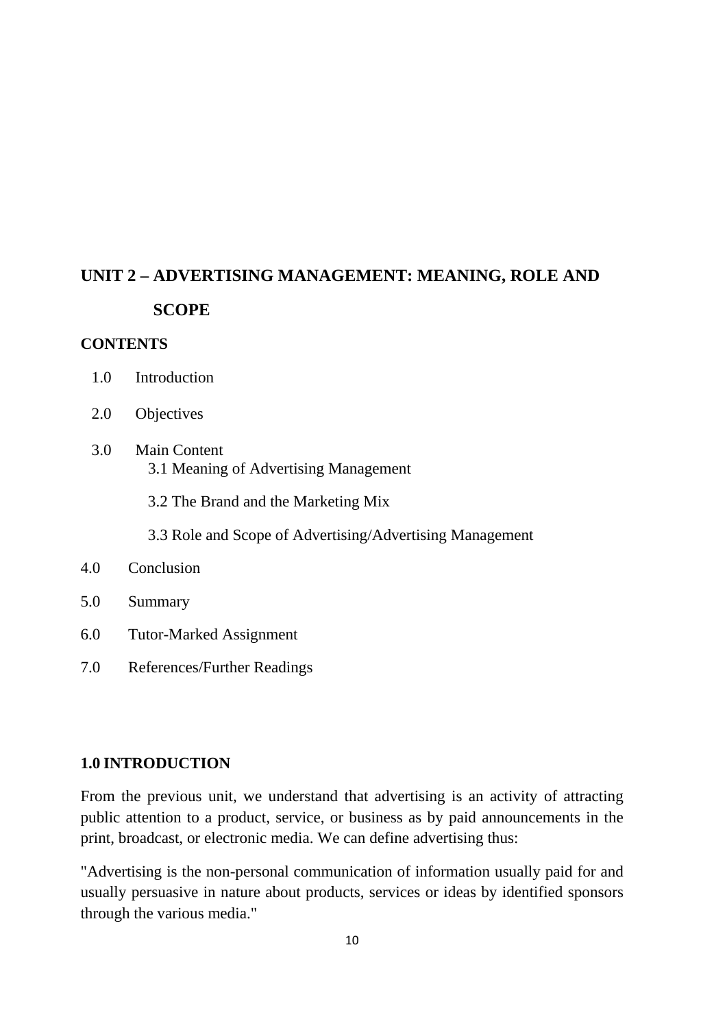# **UNIT 2 – ADVERTISING MANAGEMENT: MEANING, ROLE AND SCOPE**

#### **CONTENTS**

- 1.0 Introduction
- 2.0 Objectives
- 3.0 Main Content 3.1 Meaning of Advertising Management

3.2 The Brand and the Marketing Mix

3.3 Role and Scope of Advertising/Advertising Management

#### 4.0 Conclusion

- 5.0 Summary
- 6.0 Tutor-Marked Assignment
- 7.0 References/Further Readings

## **1.0 INTRODUCTION**

From the previous unit, we understand that advertising is an activity of attracting public attention to a product, service, or business as by paid announcements in the print, broadcast, or electronic media. We can define advertising thus:

"Advertising is the non-personal communication of information usually paid for and usually persuasive in nature about products, services or ideas by identified sponsors through the various media."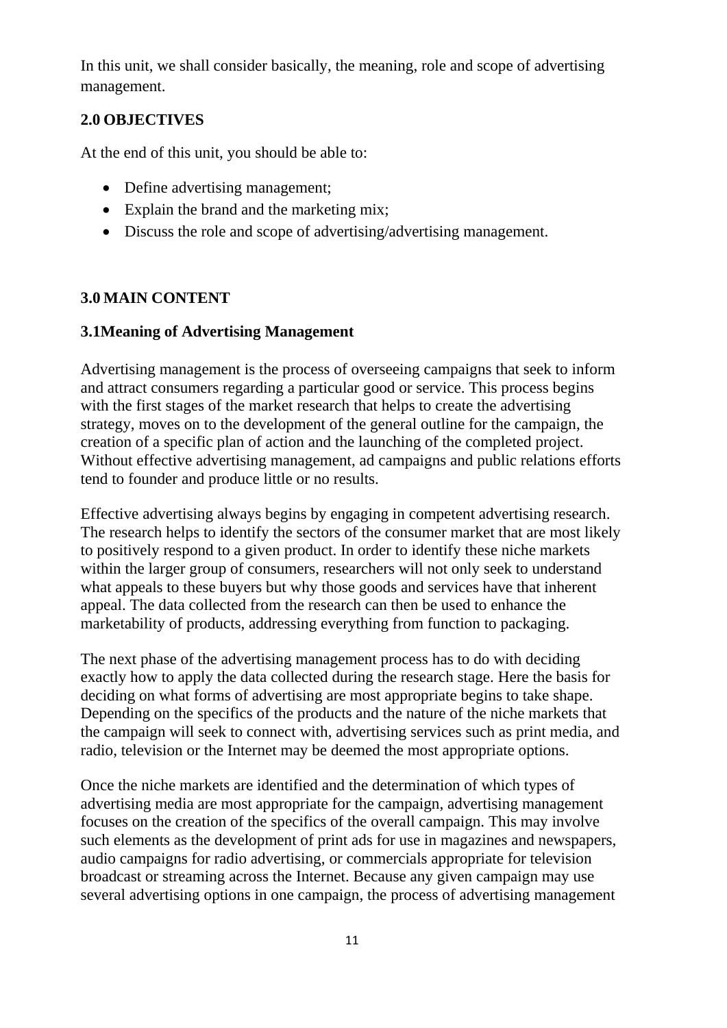In this unit, we shall consider basically, the meaning, role and scope of advertising management.

## **2.0 OBJECTIVES**

At the end of this unit, you should be able to:

- Define advertising management:
- Explain the brand and the marketing mix;
- Discuss the role and scope of advertising/advertising management.

## **3.0 MAIN CONTENT**

## **3.1Meaning of Advertising Management**

Advertising management is the process of overseeing campaigns that seek to inform and attract consumers regarding a particular good or service. This process begins with the first stages of the market research that helps to create the advertising strategy, moves on to the development of the general outline for the campaign, the creation of a specific plan of action and the launching of the completed project. Without effective advertising management, ad campaigns and public relations efforts tend to founder and produce little or no results.

Effective advertising always begins by engaging in competent advertising research. The research helps to identify the sectors of the consumer market that are most likely to positively respond to a given product. In order to identify these niche markets within the larger group of consumers, researchers will not only seek to understand what appeals to these buyers but why those goods and services have that inherent appeal. The data collected from the research can then be used to enhance the marketability of products, addressing everything from function to packaging.

The next phase of the advertising management process has to do with deciding exactly how to apply the data collected during the research stage. Here the basis for deciding on what forms of advertising are most appropriate begins to take shape. Depending on the specifics of the products and the nature of the niche markets that the campaign will seek to connect with, advertising services such as print media, and radio, television or the Internet may be deemed the most appropriate options.

Once the niche markets are identified and the determination of which types of advertising media are most appropriate for the campaign, advertising management focuses on the creation of the specifics of the overall campaign. This may involve such elements as the development of print ads for use in magazines and newspapers, audio campaigns for radio advertising, or commercials appropriate for television broadcast or streaming across the Internet. Because any given campaign may use several advertising options in one campaign, the process of advertising management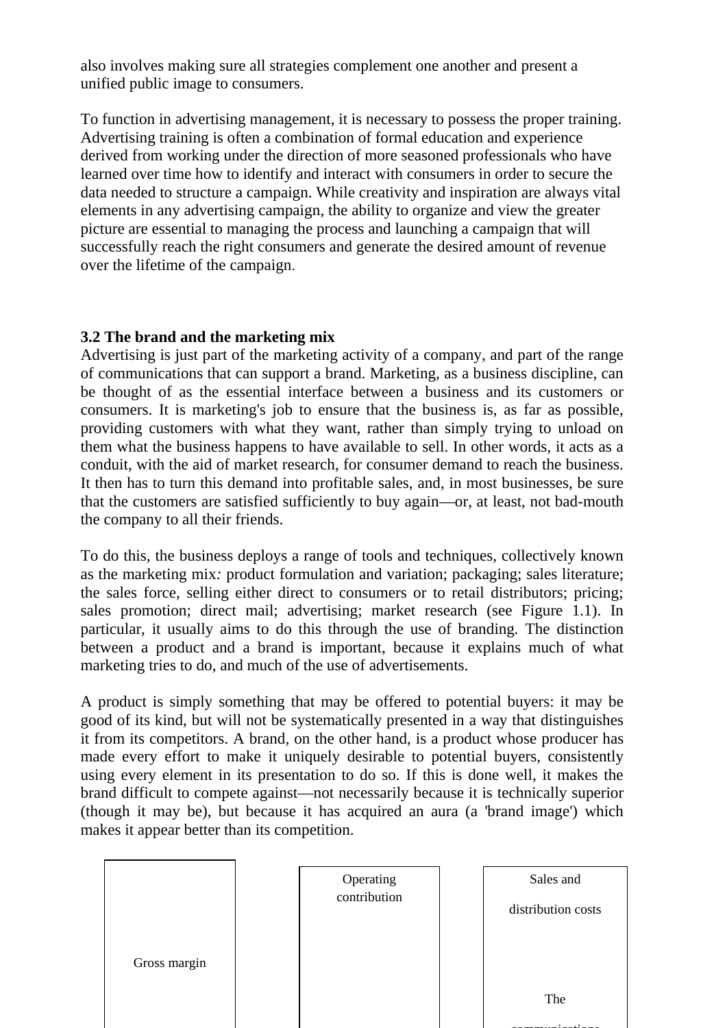also involves making sure all strategies complement one another and present a unified public image to consumers.

To function in advertising management, it is necessary to possess the proper training. Advertising training is often a combination of formal education and experience derived from working under the direction of more seasoned professionals who have learned over time how to identify and interact with consumers in order to secure the data needed to structure a campaign. While creativity and inspiration are always vital elements in any advertising campaign, the ability to organize and view the greater picture are essential to managing the process and launching a campaign that will successfully reach the right consumers and generate the desired amount of revenue over the lifetime of the campaign.

## **3.2 The brand and the marketing mix**

Advertising is just part of the marketing activity of a company, and part of the range of communications that can support a brand. Marketing, as a business discipline, can be thought of as the essential interface between a business and its customers or consumers. It is marketing's job to ensure that the business is, as far as possible, providing customers with what they want, rather than simply trying to unload on them what the business happens to have available to sell. In other words, it acts as a conduit, with the aid of market research, for consumer demand to reach the business. It then has to turn this demand into profitable sales, and, in most businesses, be sure that the customers are satisfied sufficiently to buy again—or, at least, not bad-mouth the company to all their friends.

To do this, the business deploys a range of tools and techniques, collectively known as the marketing mix*:* product formulation and variation; packaging; sales literature; the sales force, selling either direct to consumers or to retail distributors; pricing; sales promotion; direct mail; advertising; market research (see Figure 1.1). In particular, it usually aims to do this through the use of branding*.* The distinction between a product and a brand is important, because it explains much of what marketing tries to do, and much of the use of advertisements.

A product is simply something that may be offered to potential buyers: it may be good of its kind, but will not be systematically presented in a way that distinguishes it from its competitors. A brand*,* on the other hand, is a product whose producer has made every effort to make it uniquely desirable to potential buyers, consistently using every element in its presentation to do so. If this is done well, it makes the brand difficult to compete against—not necessarily because it is technically superior (though it may be), but because it has acquired an aura (a 'brand image') which makes it appear better than its competition.

|              | Operating    | Sales and          |
|--------------|--------------|--------------------|
|              | contribution | distribution costs |
| Gross margin |              |                    |
|              |              | The                |
|              |              |                    |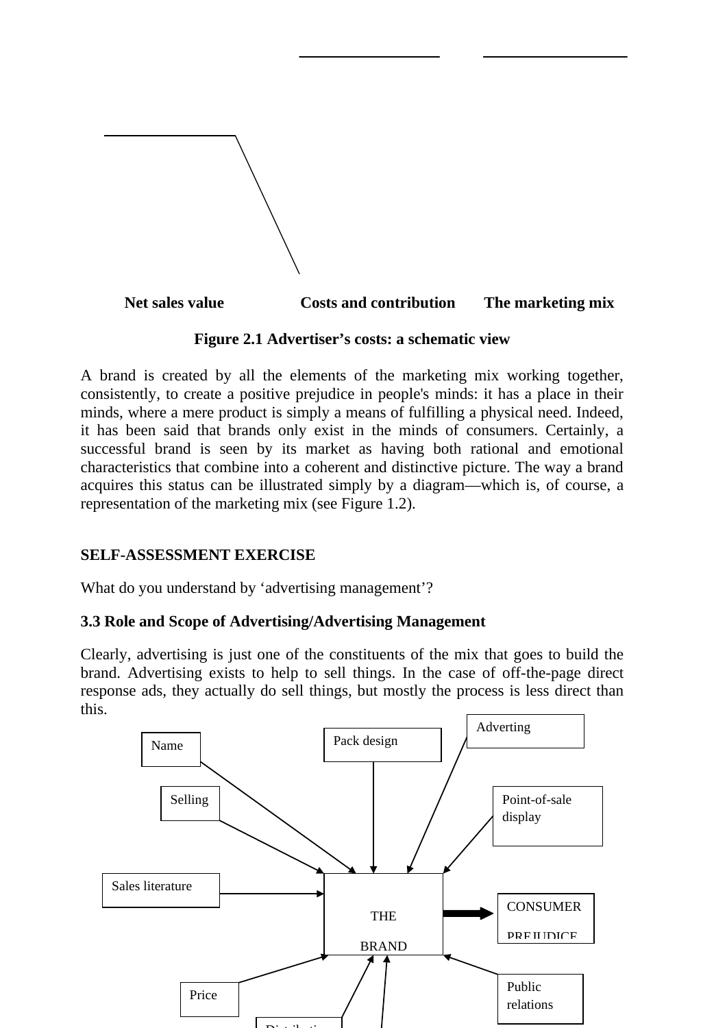

#### **Figure 2.1 Advertiser's costs: a schematic view**

A brand is created by all the elements of the marketing mix working together, consistently, to create a positive prejudice in people's minds: it has a place in their minds, where a mere product is simply a means of fulfilling a physical need. Indeed, it has been said that brands only exist in the minds of consumers. Certainly, a successful brand is seen by its market as having both rational and emotional characteristics that combine into a coherent and distinctive picture. The way a brand acquires this status can be illustrated simply by a diagram—which is, of course, a representation of the marketing mix (see Figure 1.2).

## **SELF-ASSESSMENT EXERCISE**

What do you understand by 'advertising management'?

## **3.3 Role and Scope of Advertising/Advertising Management**

Clearly, advertising is just one of the constituents of the mix that goes to build the brand. Advertising exists to help to sell things. In the case of off-the-page direct response ads, they actually do sell things, but mostly the process is less direct than this.

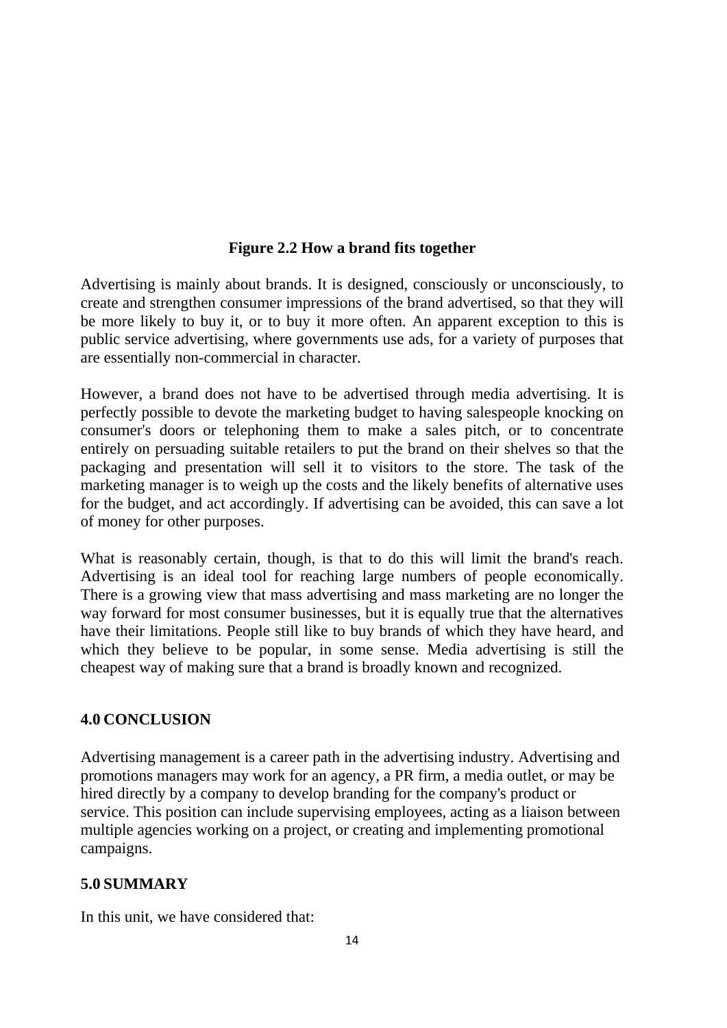## **Figure 2.2 How a brand fits together**

Advertising is mainly about brands. It is designed, consciously or unconsciously, to create and strengthen consumer impressions of the brand advertised, so that they will be more likely to buy it, or to buy it more often. An apparent exception to this is public service advertising, where governments use ads, for a variety of purposes that are essentially non-commercial in character.

However, a brand does not have to be advertised through media advertising. It is perfectly possible to devote the marketing budget to having salespeople knocking on consumer's doors or telephoning them to make a sales pitch, or to concentrate entirely on persuading suitable retailers to put the brand on their shelves so that the packaging and presentation will sell it to visitors to the store. The task of the marketing manager is to weigh up the costs and the likely benefits of alternative uses for the budget, and act accordingly. If advertising can be avoided, this can save a lot of money for other purposes.

What is reasonably certain, though, is that to do this will limit the brand's reach. Advertising is an ideal tool for reaching large numbers of people economically. There is a growing view that mass advertising and mass marketing are no longer the way forward for most consumer businesses, but it is equally true that the alternatives have their limitations. People still like to buy brands of which they have heard, and which they believe to be popular, in some sense. Media advertising is still the cheapest way of making sure that a brand is broadly known and recognized.

## **4.0 CONCLUSION**

Advertising management is a career path in the advertising industry. Advertising and promotions managers may work for an agency, a PR firm, a media outlet, or may be hired directly by a company to develop branding for the company's product or service. This position can include supervising employees, acting as a liaison between multiple agencies working on a project, or creating and implementing promotional campaigns.

## **5.0 SUMMARY**

In this unit, we have considered that: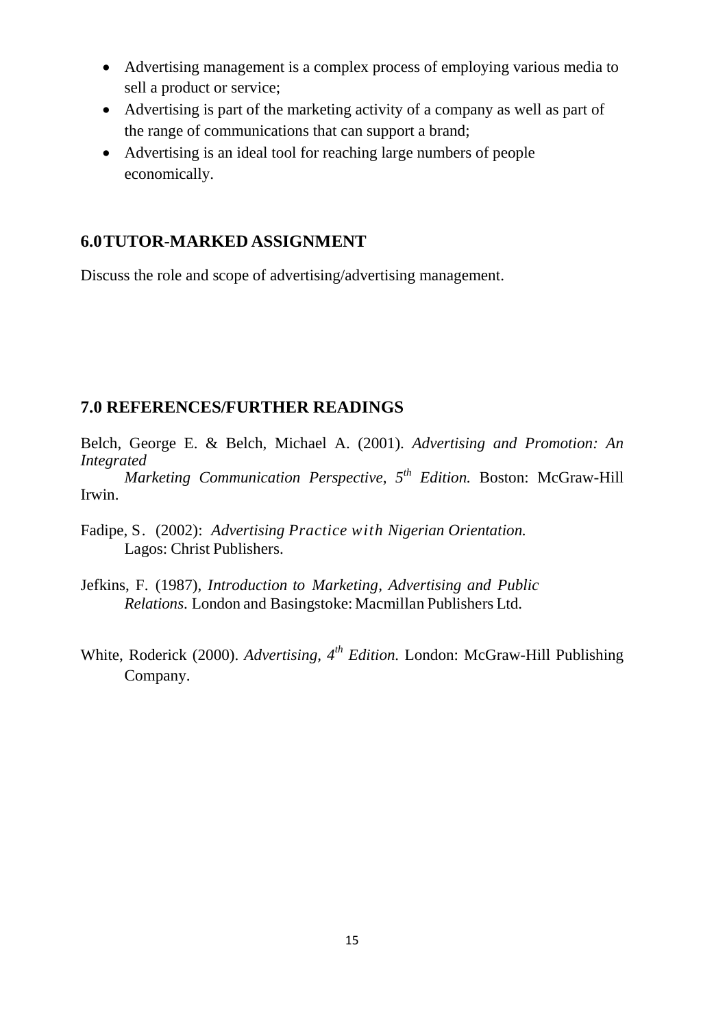- Advertising management is a complex process of employing various media to sell a product or service;
- Advertising is part of the marketing activity of a company as well as part of the range of communications that can support a brand;
- Advertising is an ideal tool for reaching large numbers of people economically.

## **6.0TUTOR-MARKED ASSIGNMENT**

Discuss the role and scope of advertising/advertising management.

## **7.0 REFERENCES/FURTHER READINGS**

Belch, George E. & Belch, Michael A. (2001). *Advertising and Promotion: An Integrated* 

*Marketing Communication Perspective, 5th Edition.* Boston: McGraw-Hill Irwin.

Fadipe, S. (2002): *Advertising Practice with Nigerian Orientation.* Lagos: Christ Publishers.

- Jefkins, F. (1987), *Introduction to Marketing, Advertising and Public Relations*. London and Basingstoke: Macmillan Publishers Ltd.
- White, Roderick (2000). *Advertising, 4th Edition.* London: McGraw-Hill Publishing Company.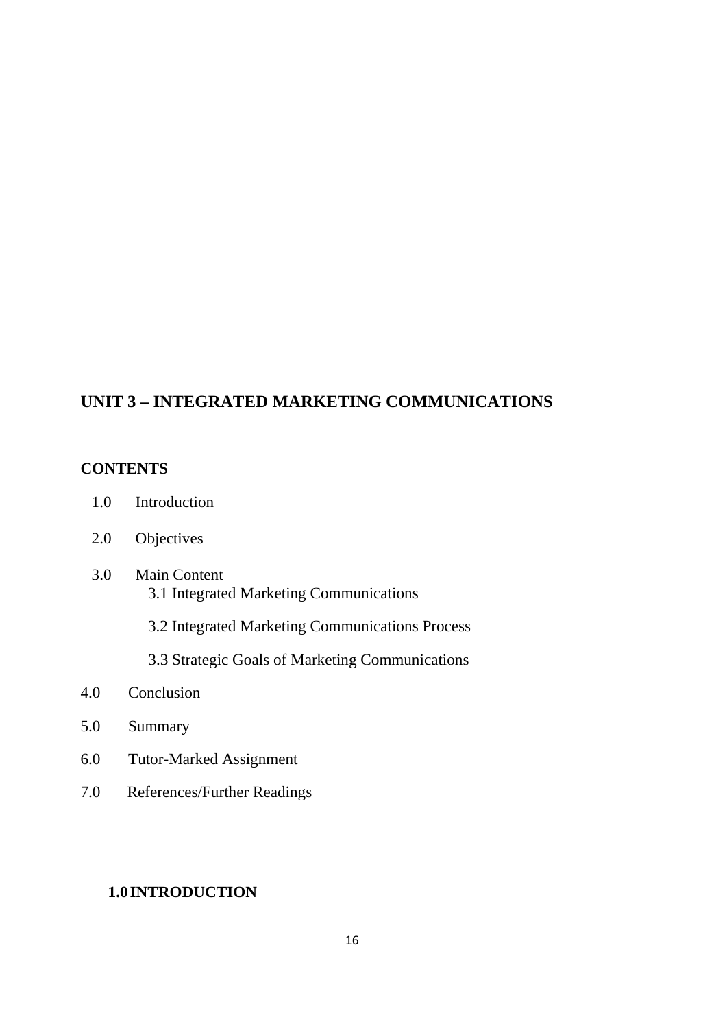## **UNIT 3 – INTEGRATED MARKETING COMMUNICATIONS**

#### **CONTENTS**

- 1.0 Introduction
- 2.0 Objectives
- 3.0 Main Content 3.1 Integrated Marketing Communications
	- 3.2 Integrated Marketing Communications Process
	- 3.3 Strategic Goals of Marketing Communications
- 4.0 Conclusion
- 5.0 Summary
- 6.0 Tutor-Marked Assignment
- 7.0 References/Further Readings

## **1.0 INTRODUCTION**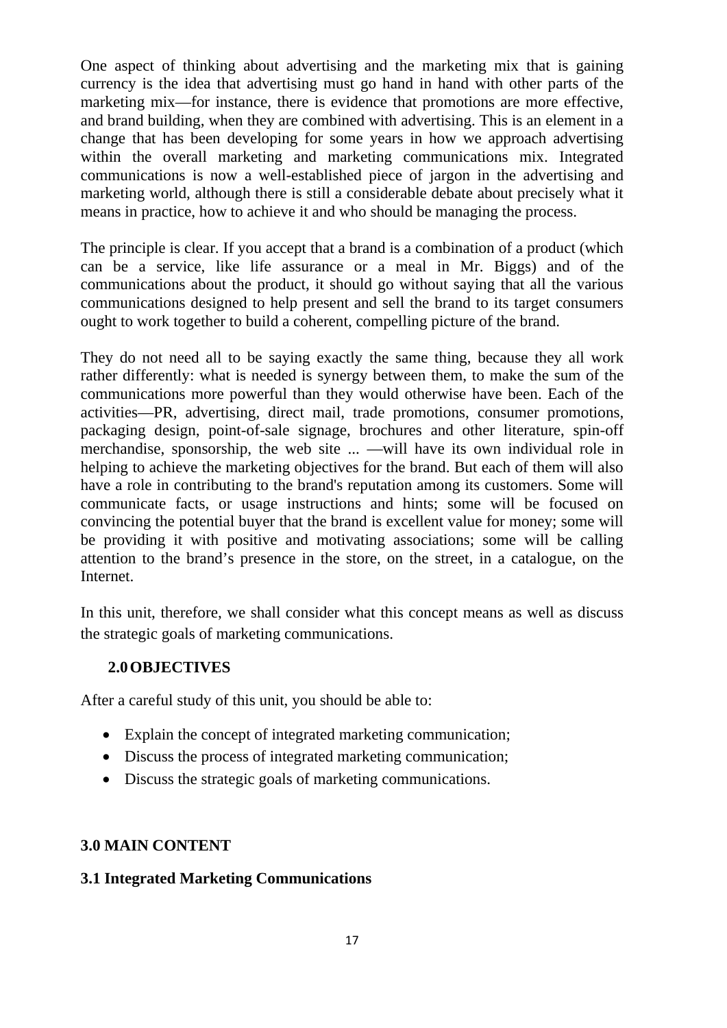One aspect of thinking about advertising and the marketing mix that is gaining currency is the idea that advertising must go hand in hand with other parts of the marketing mix—for instance, there is evidence that promotions are more effective, and brand building, when they are combined with advertising. This is an element in a change that has been developing for some years in how we approach advertising within the overall marketing and marketing communications mix. Integrated communications is now a well-established piece of jargon in the advertising and marketing world, although there is still a considerable debate about precisely what it means in practice, how to achieve it and who should be managing the process.

The principle is clear. If you accept that a brand is a combination of a product (which can be a service, like life assurance or a meal in Mr. Biggs) and of the communications about the product, it should go without saying that all the various communications designed to help present and sell the brand to its target consumers ought to work together to build a coherent, compelling picture of the brand.

They do not need all to be saying exactly the same thing, because they all work rather differently: what is needed is synergy between them, to make the sum of the communications more powerful than they would otherwise have been. Each of the activities—PR, advertising, direct mail, trade promotions, consumer promotions, packaging design, point-of-sale signage, brochures and other literature, spin-off merchandise, sponsorship, the web site ... —will have its own individual role in helping to achieve the marketing objectives for the brand. But each of them will also have a role in contributing to the brand's reputation among its customers. Some will communicate facts, or usage instructions and hints; some will be focused on convincing the potential buyer that the brand is excellent value for money; some will be providing it with positive and motivating associations; some will be calling attention to the brand's presence in the store, on the street, in a catalogue, on the Internet.

In this unit, therefore, we shall consider what this concept means as well as discuss the strategic goals of marketing communications.

## **2.0OBJECTIVES**

After a careful study of this unit, you should be able to:

- Explain the concept of integrated marketing communication;
- Discuss the process of integrated marketing communication:
- Discuss the strategic goals of marketing communications.

## **3.0 MAIN CONTENT**

## **3.1 Integrated Marketing Communications**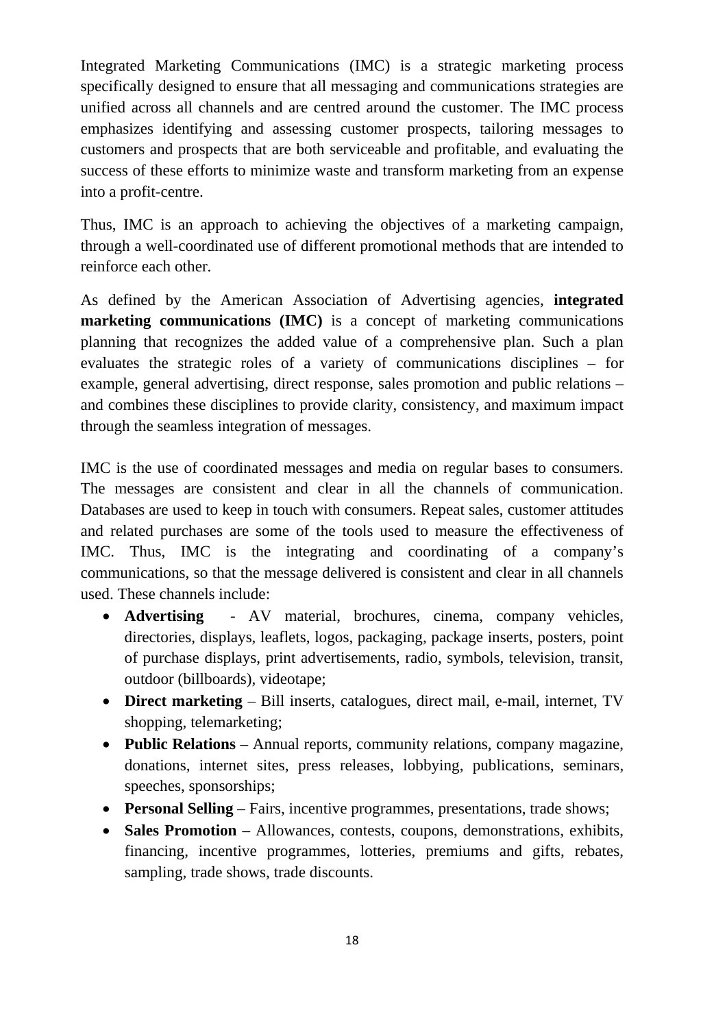Integrated Marketing Communications (IMC) is a strategic marketing process specifically designed to ensure that all messaging and communications strategies are unified across all channels and are centred around the customer. The IMC process emphasizes identifying and assessing customer prospects, tailoring messages to customers and prospects that are both serviceable and profitable, and evaluating the success of these efforts to minimize waste and transform marketing from an expense into a profit-centre.

Thus, IMC is an approach to achieving the objectives of a marketing campaign, through a well-coordinated use of different promotional methods that are intended to reinforce each other.

As defined by the American Association of Advertising agencies, **integrated marketing communications (IMC)** is a concept of marketing communications planning that recognizes the added value of a comprehensive plan. Such a plan evaluates the strategic roles of a variety of communications disciplines – for example, general advertising, direct response, sales promotion and public relations – and combines these disciplines to provide clarity, consistency, and maximum impact through the seamless integration of messages.

IMC is the use of coordinated messages and media on regular bases to consumers. The messages are consistent and clear in all the channels of communication. Databases are used to keep in touch with consumers. Repeat sales, customer attitudes and related purchases are some of the tools used to measure the effectiveness of IMC. Thus, IMC is the integrating and coordinating of a company's communications, so that the message delivered is consistent and clear in all channels used. These channels include:

- **Advertising**  AV material, brochures, cinema, company vehicles, directories, displays, leaflets, logos, packaging, package inserts, posters, point of purchase displays, print advertisements, radio, symbols, television, transit, outdoor (billboards), videotape;
- **Direct marketing** Bill inserts, catalogues, direct mail, e-mail, internet, TV shopping, telemarketing;
- **Public Relations**  Annual reports, community relations, company magazine, donations, internet sites, press releases, lobbying, publications, seminars, speeches, sponsorships;
- **Personal Selling**  Fairs, incentive programmes, presentations, trade shows;
- Sales Promotion Allowances, contests, coupons, demonstrations, exhibits, financing, incentive programmes, lotteries, premiums and gifts, rebates, sampling, trade shows, trade discounts.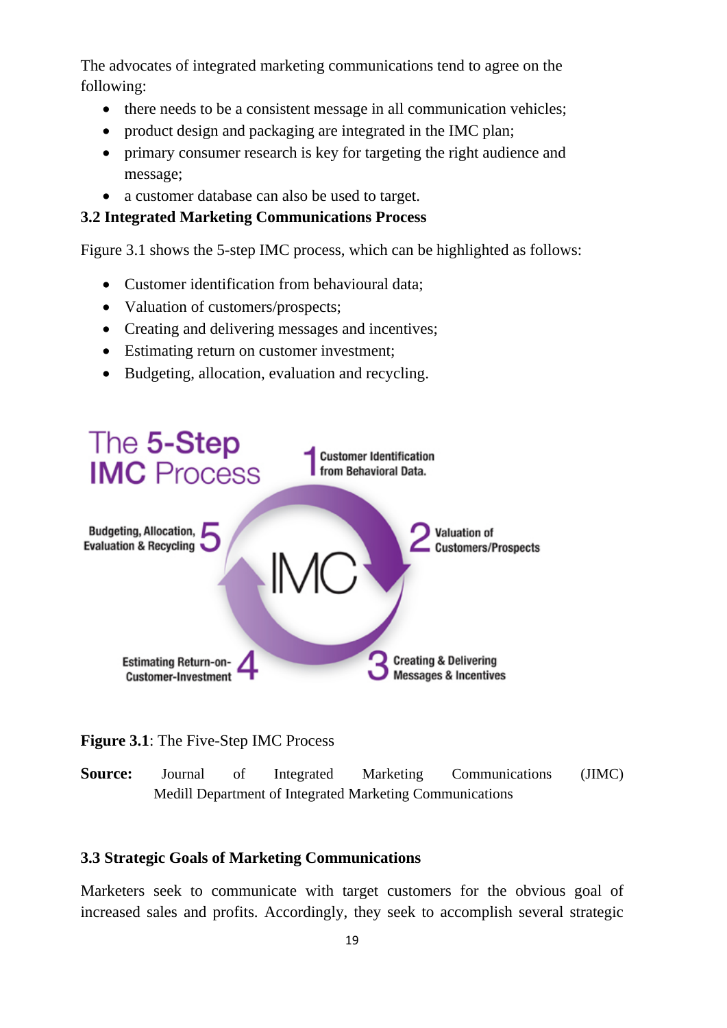The advocates of integrated marketing communications tend to agree on the following:

- there needs to be a consistent message in all communication vehicles;
- product design and packaging are integrated in the IMC plan;
- primary consumer research is key for targeting the right audience and message;
- a customer database can also be used to target.

#### **3.2 Integrated Marketing Communications Process**

Figure 3.1 shows the 5-step IMC process, which can be highlighted as follows:

- Customer identification from behavioural data;
- Valuation of customers/prospects;
- Creating and delivering messages and incentives;
- Estimating return on customer investment;
- Budgeting, allocation, evaluation and recycling.



**Figure 3.1**: The Five-Step IMC Process

**Source:** Journal of Integrated Marketing Communications (JIMC) Medill Department of Integrated Marketing Communications

#### **3.3 Strategic Goals of Marketing Communications**

Marketers seek to communicate with target customers for the obvious goal of increased sales and profits. Accordingly, they seek to accomplish several strategic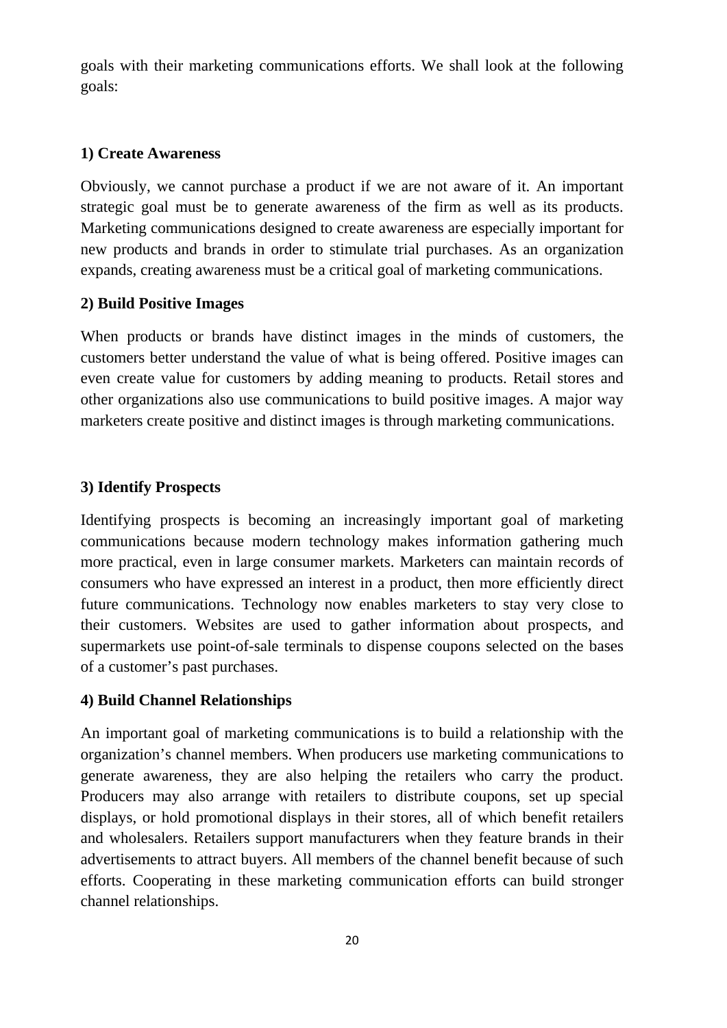goals with their marketing communications efforts. We shall look at the following goals:

## **1) Create Awareness**

Obviously, we cannot purchase a product if we are not aware of it. An important strategic goal must be to generate awareness of the firm as well as its products. Marketing communications designed to create awareness are especially important for new products and brands in order to stimulate trial purchases. As an organization expands, creating awareness must be a critical goal of marketing communications.

## **2) Build Positive Images**

When products or brands have distinct images in the minds of customers, the customers better understand the value of what is being offered. Positive images can even create value for customers by adding meaning to products. Retail stores and other organizations also use communications to build positive images. A major way marketers create positive and distinct images is through marketing communications.

## **3) Identify Prospects**

Identifying prospects is becoming an increasingly important goal of marketing communications because modern technology makes information gathering much more practical, even in large consumer markets. Marketers can maintain records of consumers who have expressed an interest in a product, then more efficiently direct future communications. Technology now enables marketers to stay very close to their customers. Websites are used to gather information about prospects, and supermarkets use point-of-sale terminals to dispense coupons selected on the bases of a customer's past purchases.

## **4) Build Channel Relationships**

An important goal of marketing communications is to build a relationship with the organization's channel members. When producers use marketing communications to generate awareness, they are also helping the retailers who carry the product. Producers may also arrange with retailers to distribute coupons, set up special displays, or hold promotional displays in their stores, all of which benefit retailers and wholesalers. Retailers support manufacturers when they feature brands in their advertisements to attract buyers. All members of the channel benefit because of such efforts. Cooperating in these marketing communication efforts can build stronger channel relationships.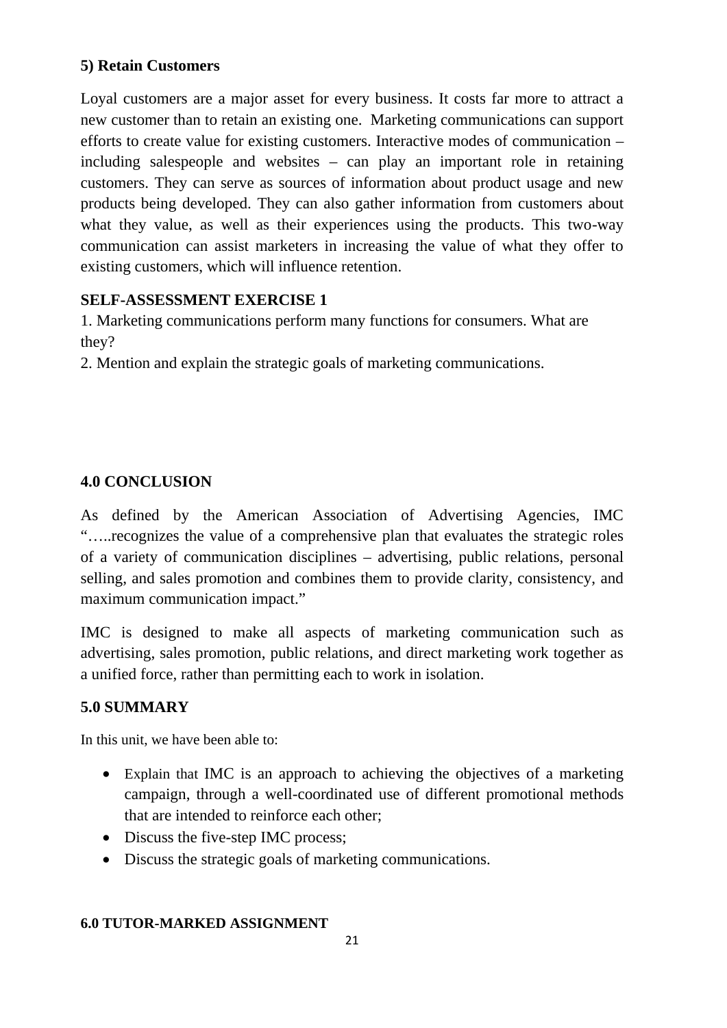## **5) Retain Customers**

Loyal customers are a major asset for every business. It costs far more to attract a new customer than to retain an existing one. Marketing communications can support efforts to create value for existing customers. Interactive modes of communication – including salespeople and websites – can play an important role in retaining customers. They can serve as sources of information about product usage and new products being developed. They can also gather information from customers about what they value, as well as their experiences using the products. This two-way communication can assist marketers in increasing the value of what they offer to existing customers, which will influence retention.

## **SELF-ASSESSMENT EXERCISE 1**

1. Marketing communications perform many functions for consumers. What are they?

2. Mention and explain the strategic goals of marketing communications.

## **4.0 CONCLUSION**

As defined by the American Association of Advertising Agencies, IMC "…..recognizes the value of a comprehensive plan that evaluates the strategic roles of a variety of communication disciplines – advertising, public relations, personal selling, and sales promotion and combines them to provide clarity, consistency, and maximum communication impact."

IMC is designed to make all aspects of marketing communication such as advertising, sales promotion, public relations, and direct marketing work together as a unified force, rather than permitting each to work in isolation.

## **5.0 SUMMARY**

In this unit, we have been able to:

- Explain that IMC is an approach to achieving the objectives of a marketing campaign, through a well-coordinated use of different promotional methods that are intended to reinforce each other;
- Discuss the five-step IMC process;
- Discuss the strategic goals of marketing communications.

## **6.0 TUTOR-MARKED ASSIGNMENT**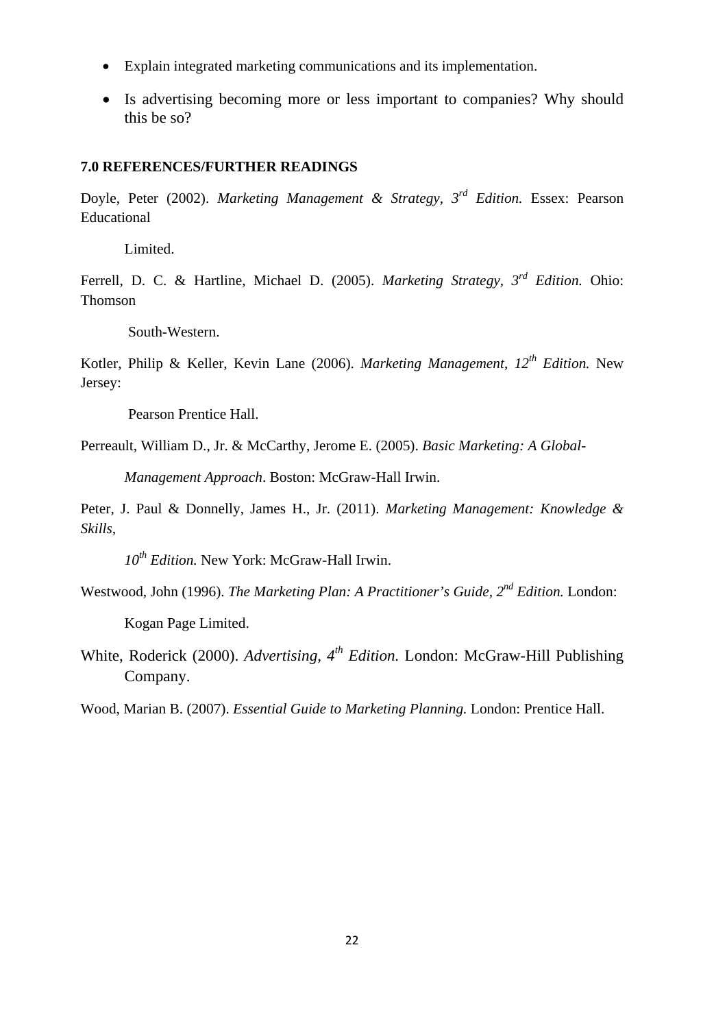- Explain integrated marketing communications and its implementation.
- Is advertising becoming more or less important to companies? Why should this be so?

#### **7.0 REFERENCES/FURTHER READINGS**

Doyle, Peter (2002). *Marketing Management & Strategy, 3rd Edition.* Essex: Pearson Educational

Limited.

Ferrell, D. C. & Hartline, Michael D. (2005). *Marketing Strategy, 3rd Edition.* Ohio: Thomson

South-Western.

Kotler, Philip & Keller, Kevin Lane (2006). *Marketing Management, 12th Edition.* New Jersey:

Pearson Prentice Hall.

Perreault, William D., Jr. & McCarthy, Jerome E. (2005). *Basic Marketing: A Global-*

*Management Approach*. Boston: McGraw-Hall Irwin.

Peter, J. Paul & Donnelly, James H., Jr. (2011). *Marketing Management: Knowledge & Skills,* 

*10th Edition.* New York: McGraw-Hall Irwin.

Westwood, John (1996). *The Marketing Plan: A Practitioner's Guide*, 2<sup>nd</sup> Edition. London:

Kogan Page Limited.

White, Roderick (2000). *Advertising, 4th Edition.* London: McGraw-Hill Publishing Company.

Wood, Marian B. (2007). *Essential Guide to Marketing Planning.* London: Prentice Hall.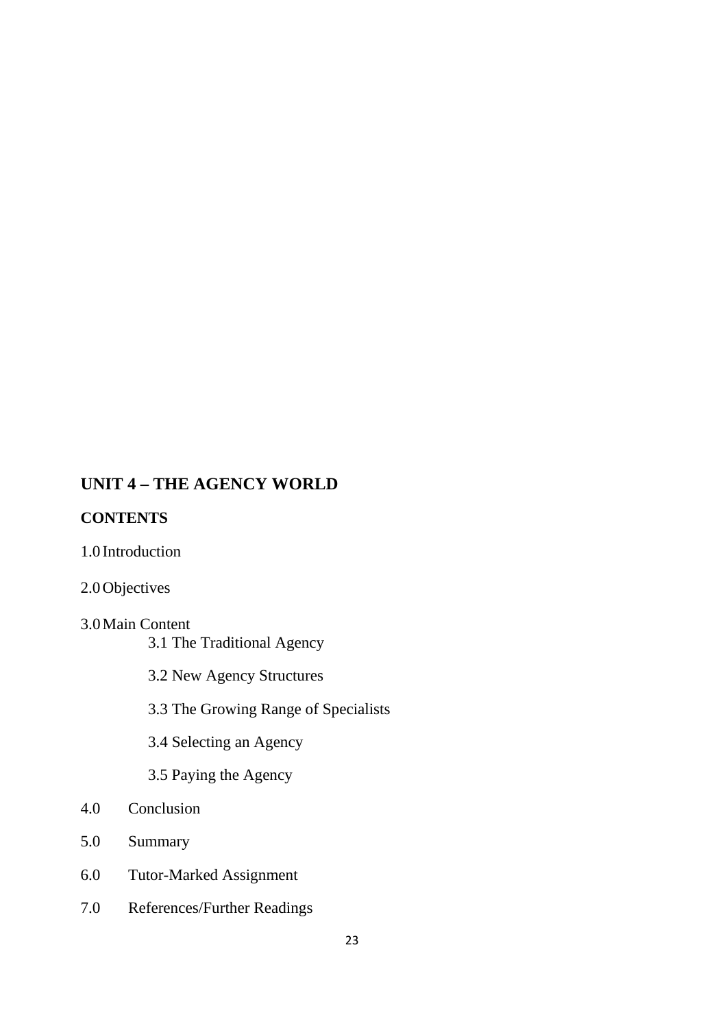# **UNIT 4 – THE AGENCY WORLD**

## **CONTENTS**

## 1.0 Introduction

## 2.0Objectives

# 3.0Main Content

3.1 The Traditional Agency

3.2 New Agency Structures

3.3 The Growing Range of Specialists

3.4 Selecting an Agency

3.5 Paying the Agency

- 4.0 Conclusion
- 5.0 Summary
- 6.0 Tutor-Marked Assignment
- 7.0 References/Further Readings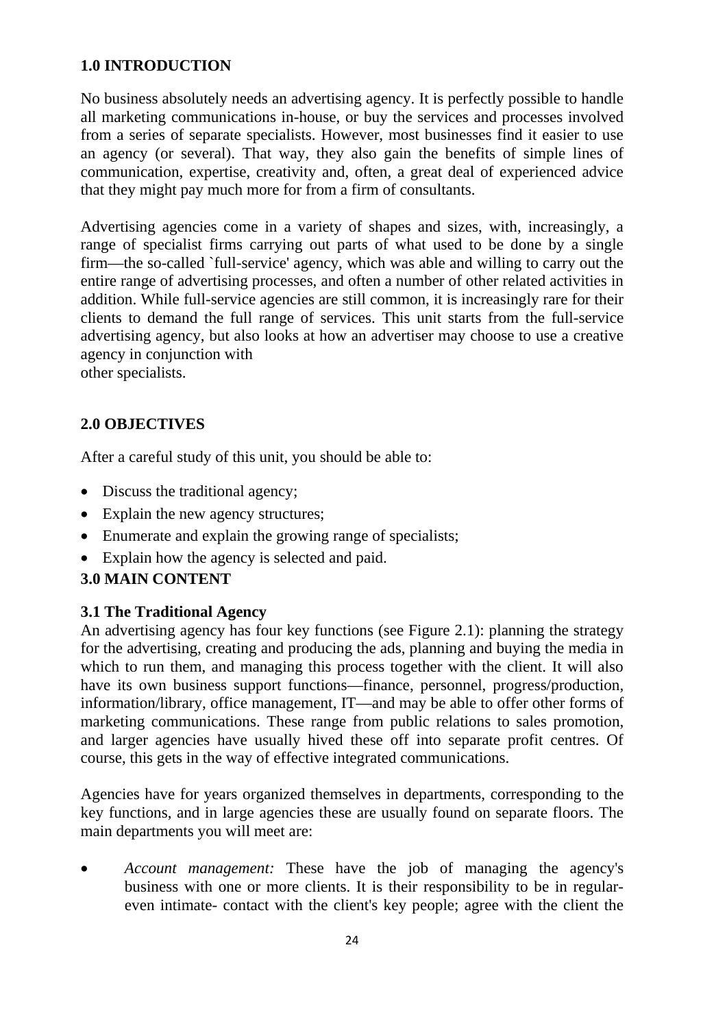## **1.0 INTRODUCTION**

No business absolutely needs an advertising agency. It is perfectly possible to handle all marketing communications in-house, or buy the services and processes involved from a series of separate specialists. However, most businesses find it easier to use an agency (or several). That way, they also gain the benefits of simple lines of communication, expertise, creativity and, often, a great deal of experienced advice that they might pay much more for from a firm of consultants.

Advertising agencies come in a variety of shapes and sizes, with, increasingly, a range of specialist firms carrying out parts of what used to be done by a single firm—the so-called `full-service' agency, which was able and willing to carry out the entire range of advertising processes, and often a number of other related activities in addition. While full-service agencies are still common, it is increasingly rare for their clients to demand the full range of services. This unit starts from the full-service advertising agency, but also looks at how an advertiser may choose to use a creative agency in conjunction with

other specialists.

## **2.0 OBJECTIVES**

After a careful study of this unit, you should be able to:

- Discuss the traditional agency;
- Explain the new agency structures;
- Enumerate and explain the growing range of specialists;
- Explain how the agency is selected and paid.

## **3.0 MAIN CONTENT**

#### **3.1 The Traditional Agency**

An advertising agency has four key functions (see Figure 2.1): planning the strategy for the advertising, creating and producing the ads, planning and buying the media in which to run them, and managing this process together with the client. It will also have its own business support functions—finance, personnel, progress/production, information/library, office management, IT—and may be able to offer other forms of marketing communications. These range from public relations to sales promotion, and larger agencies have usually hived these off into separate profit centres. Of course, this gets in the way of effective integrated communications.

Agencies have for years organized themselves in departments, corresponding to the key functions, and in large agencies these are usually found on separate floors. The main departments you will meet are:

• *Account management:* These have the job of managing the agency's business with one or more clients. It is their responsibility to be in regulareven intimate- contact with the client's key people; agree with the client the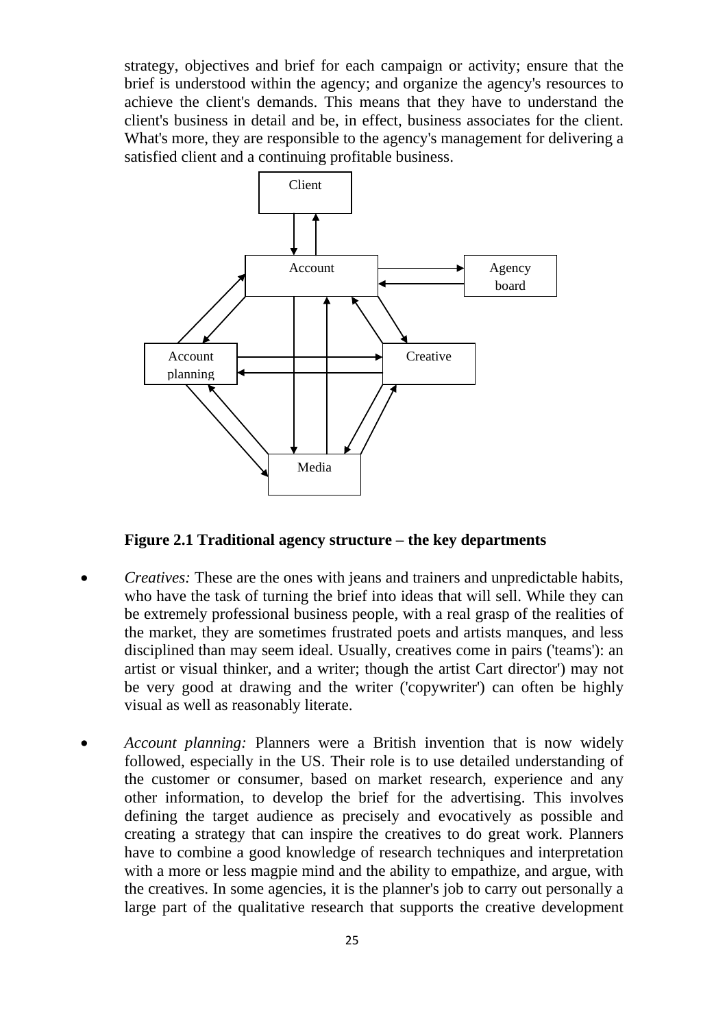strategy, objectives and brief for each campaign or activity; ensure that the brief is understood within the agency; and organize the agency's resources to achieve the client's demands. This means that they have to understand the client's business in detail and be, in effect, business associates for the client. What's more, they are responsible to the agency's management for delivering a satisfied client and a continuing profitable business.



**Figure 2.1 Traditional agency structure – the key departments**

- *Creatives:* These are the ones with jeans and trainers and unpredictable habits, who have the task of turning the brief into ideas that will sell. While they can be extremely professional business people, with a real grasp of the realities of the market, they are sometimes frustrated poets and artists manques, and less disciplined than may seem ideal. Usually, creatives come in pairs ('teams'): an artist or visual thinker, and a writer; though the artist Cart director') may not be very good at drawing and the writer ('copywriter') can often be highly visual as well as reasonably literate.
- *Account planning:* Planners were a British invention that is now widely followed, especially in the US. Their role is to use detailed understanding of the customer or consumer, based on market research, experience and any other information, to develop the brief for the advertising. This involves defining the target audience as precisely and evocatively as possible and creating a strategy that can inspire the creatives to do great work. Planners have to combine a good knowledge of research techniques and interpretation with a more or less magpie mind and the ability to empathize, and argue, with the creatives. In some agencies, it is the planner's job to carry out personally a large part of the qualitative research that supports the creative development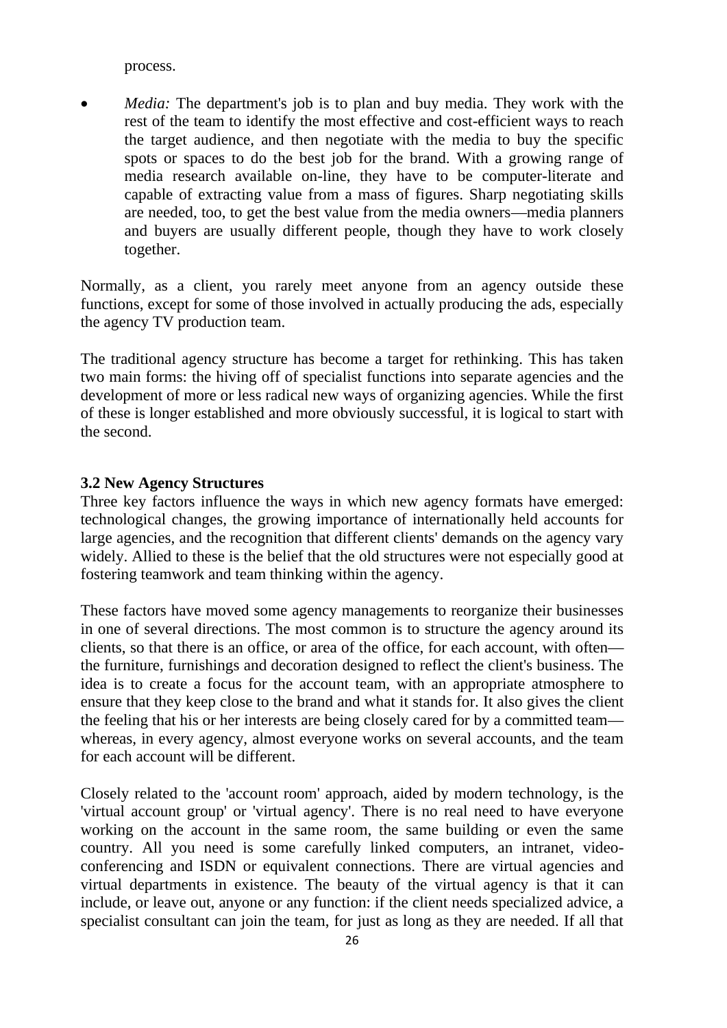process.

• *Media:* The department's job is to plan and buy media. They work with the rest of the team to identify the most effective and cost-efficient ways to reach the target audience, and then negotiate with the media to buy the specific spots or spaces to do the best job for the brand. With a growing range of media research available on-line, they have to be computer-literate and capable of extracting value from a mass of figures. Sharp negotiating skills are needed, too, to get the best value from the media owners—media planners and buyers are usually different people, though they have to work closely together.

Normally, as a client, you rarely meet anyone from an agency outside these functions, except for some of those involved in actually producing the ads, especially the agency TV production team.

The traditional agency structure has become a target for rethinking. This has taken two main forms: the hiving off of specialist functions into separate agencies and the development of more or less radical new ways of organizing agencies. While the first of these is longer established and more obviously successful, it is logical to start with the second.

#### **3.2 New Agency Structures**

Three key factors influence the ways in which new agency formats have emerged: technological changes, the growing importance of internationally held accounts for large agencies, and the recognition that different clients' demands on the agency vary widely. Allied to these is the belief that the old structures were not especially good at fostering teamwork and team thinking within the agency.

These factors have moved some agency managements to reorganize their businesses in one of several directions. The most common is to structure the agency around its clients, so that there is an office, or area of the office, for each account, with often the furniture, furnishings and decoration designed to reflect the client's business. The idea is to create a focus for the account team, with an appropriate atmosphere to ensure that they keep close to the brand and what it stands for. It also gives the client the feeling that his or her interests are being closely cared for by a committed team whereas, in every agency, almost everyone works on several accounts, and the team for each account will be different.

Closely related to the 'account room' approach, aided by modern technology, is the 'virtual account group' or 'virtual agency'. There is no real need to have everyone working on the account in the same room, the same building or even the same country. All you need is some carefully linked computers, an intranet, videoconferencing and ISDN or equivalent connections. There are virtual agencies and virtual departments in existence. The beauty of the virtual agency is that it can include, or leave out, anyone or any function: if the client needs specialized advice, a specialist consultant can join the team, for just as long as they are needed. If all that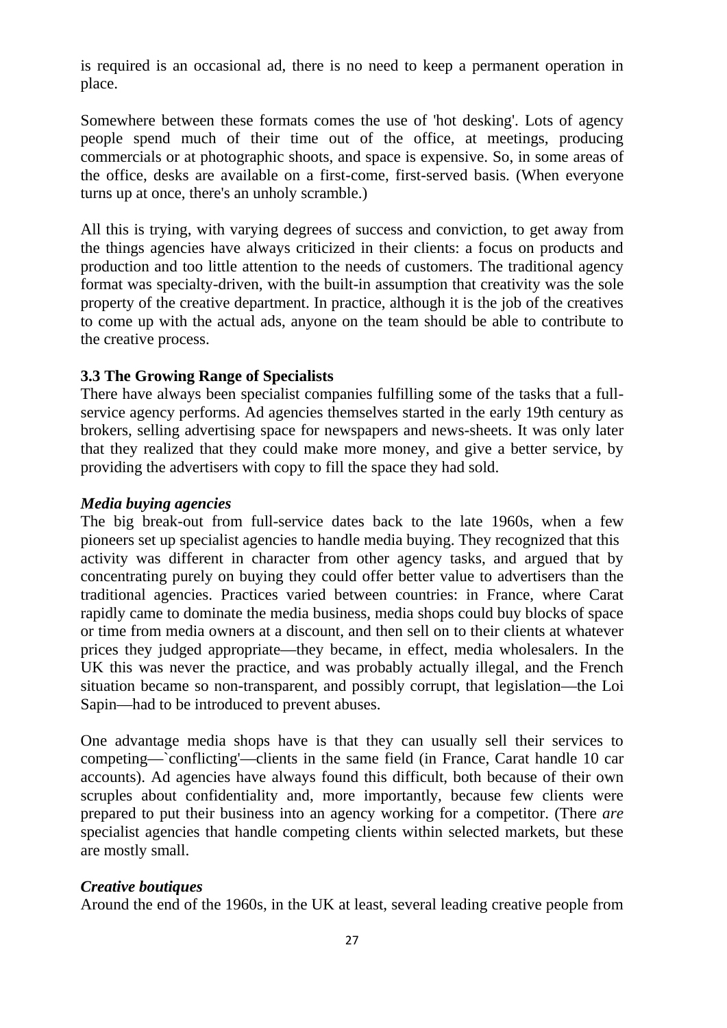is required is an occasional ad, there is no need to keep a permanent operation in place.

Somewhere between these formats comes the use of 'hot desking'. Lots of agency people spend much of their time out of the office, at meetings, producing commercials or at photographic shoots, and space is expensive. So, in some areas of the office, desks are available on a first-come, first-served basis. (When everyone turns up at once, there's an unholy scramble.)

All this is trying, with varying degrees of success and conviction, to get away from the things agencies have always criticized in their clients: a focus on products and production and too little attention to the needs of customers. The traditional agency format was specialty-driven, with the built-in assumption that creativity was the sole property of the creative department. In practice, although it is the job of the creatives to come up with the actual ads, anyone on the team should be able to contribute to the creative process.

#### **3.3 The Growing Range of Specialists**

There have always been specialist companies fulfilling some of the tasks that a fullservice agency performs. Ad agencies themselves started in the early 19th century as brokers, selling advertising space for newspapers and news-sheets. It was only later that they realized that they could make more money, and give a better service, by providing the advertisers with copy to fill the space they had sold.

#### *Media buying agencies*

The big break-out from full-service dates back to the late 1960s, when a few pioneers set up specialist agencies to handle media buying. They recognized that this activity was different in character from other agency tasks, and argued that by concentrating purely on buying they could offer better value to advertisers than the traditional agencies. Practices varied between countries: in France, where Carat rapidly came to dominate the media business, media shops could buy blocks of space or time from media owners at a discount, and then sell on to their clients at whatever prices they judged appropriate—they became, in effect, media wholesalers. In the UK this was never the practice, and was probably actually illegal, and the French situation became so non-transparent, and possibly corrupt, that legislation—the Loi Sapin—had to be introduced to prevent abuses.

One advantage media shops have is that they can usually sell their services to competing—`conflicting'—clients in the same field (in France, Carat handle 10 car accounts). Ad agencies have always found this difficult, both because of their own scruples about confidentiality and, more importantly, because few clients were prepared to put their business into an agency working for a competitor. (There *are*  specialist agencies that handle competing clients within selected markets, but these are mostly small.

#### *Creative boutiques*

Around the end of the 1960s, in the UK at least, several leading creative people from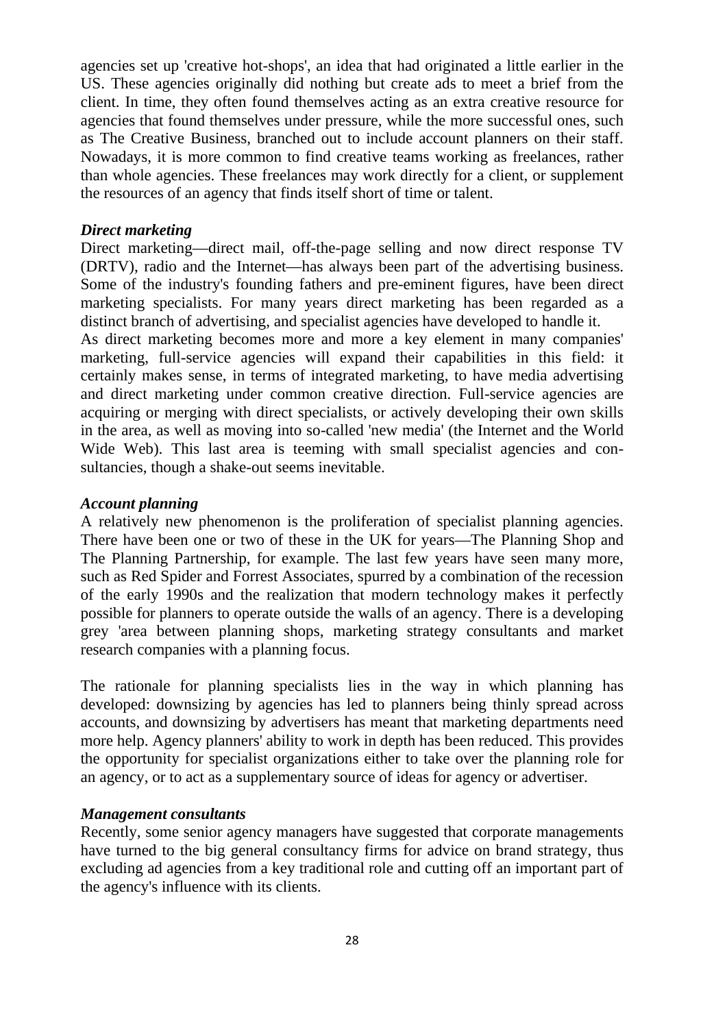agencies set up 'creative hot-shops', an idea that had originated a little earlier in the US. These agencies originally did nothing but create ads to meet a brief from the client. In time, they often found themselves acting as an extra creative resource for agencies that found themselves under pressure, while the more successful ones, such as The Creative Business, branched out to include account planners on their staff. Nowadays, it is more common to find creative teams working as freelances, rather than whole agencies. These freelances may work directly for a client, or supplement the resources of an agency that finds itself short of time or talent.

#### *Direct marketing*

Direct marketing—direct mail, off-the-page selling and now direct response TV (DRTV), radio and the Internet—has always been part of the advertising business. Some of the industry's founding fathers and pre-eminent figures, have been direct marketing specialists. For many years direct marketing has been regarded as a distinct branch of advertising, and specialist agencies have developed to handle it.

As direct marketing becomes more and more a key element in many companies' marketing, full-service agencies will expand their capabilities in this field: it certainly makes sense, in terms of integrated marketing, to have media advertising and direct marketing under common creative direction. Full-service agencies are acquiring or merging with direct specialists, or actively developing their own skills in the area, as well as moving into so-called 'new media' (the Internet and the World Wide Web). This last area is teeming with small specialist agencies and consultancies, though a shake-out seems inevitable.

#### *Account planning*

A relatively new phenomenon is the proliferation of specialist planning agencies. There have been one or two of these in the UK for years—The Planning Shop and The Planning Partnership, for example. The last few years have seen many more, such as Red Spider and Forrest Associates, spurred by a combination of the recession of the early 1990s and the realization that modern technology makes it perfectly possible for planners to operate outside the walls of an agency. There is a developing grey 'area between planning shops, marketing strategy consultants and market research companies with a planning focus.

The rationale for planning specialists lies in the way in which planning has developed: downsizing by agencies has led to planners being thinly spread across accounts, and downsizing by advertisers has meant that marketing departments need more help. Agency planners' ability to work in depth has been reduced. This provides the opportunity for specialist organizations either to take over the planning role for an agency, or to act as a supplementary source of ideas for agency or advertiser.

#### *Management consultants*

Recently, some senior agency managers have suggested that corporate managements have turned to the big general consultancy firms for advice on brand strategy, thus excluding ad agencies from a key traditional role and cutting off an important part of the agency's influence with its clients.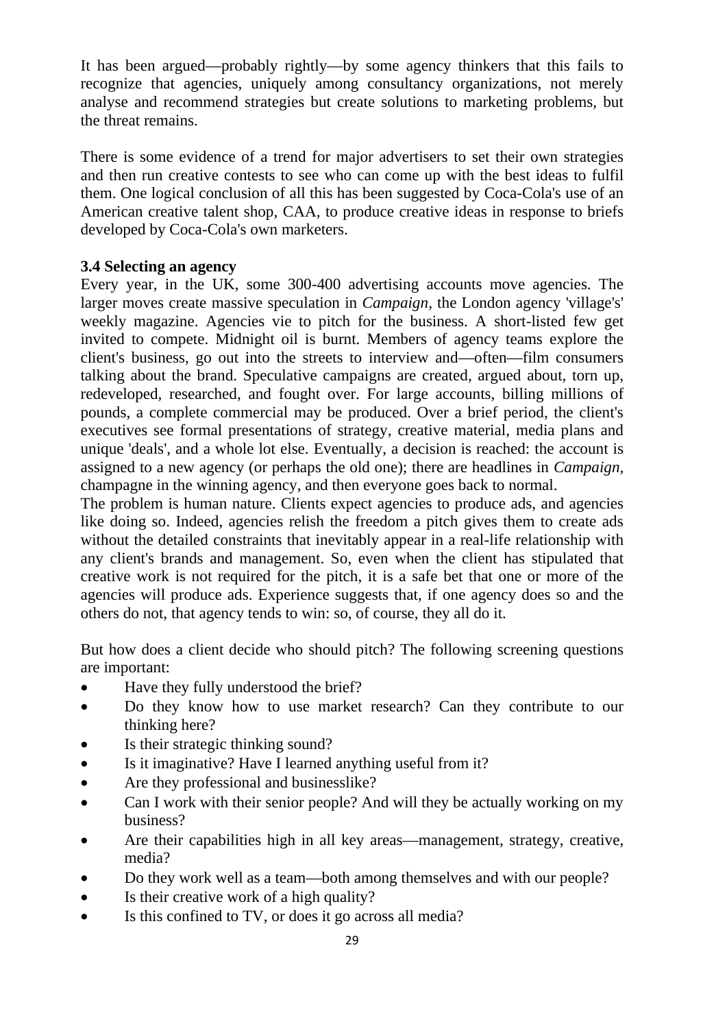It has been argued—probably rightly—by some agency thinkers that this fails to recognize that agencies, uniquely among consultancy organizations, not merely analyse and recommend strategies but create solutions to marketing problems, but the threat remains.

There is some evidence of a trend for major advertisers to set their own strategies and then run creative contests to see who can come up with the best ideas to fulfil them. One logical conclusion of all this has been suggested by Coca-Cola's use of an American creative talent shop, CAA, to produce creative ideas in response to briefs developed by Coca-Cola's own marketers.

#### **3.4 Selecting an agency**

Every year, in the UK, some 300-400 advertising accounts move agencies. The larger moves create massive speculation in *Campaign,* the London agency 'village's' weekly magazine. Agencies vie to pitch for the business. A short-listed few get invited to compete. Midnight oil is burnt. Members of agency teams explore the client's business, go out into the streets to interview and—often—film consumers talking about the brand. Speculative campaigns are created, argued about, torn up, redeveloped, researched, and fought over. For large accounts, billing millions of pounds, a complete commercial may be produced. Over a brief period, the client's executives see formal presentations of strategy, creative material, media plans and unique 'deals', and a whole lot else. Eventually, a decision is reached: the account is assigned to a new agency (or perhaps the old one); there are headlines in *Campaign,*  champagne in the winning agency, and then everyone goes back to normal.

The problem is human nature. Clients expect agencies to produce ads, and agencies like doing so. Indeed, agencies relish the freedom a pitch gives them to create ads without the detailed constraints that inevitably appear in a real-life relationship with any client's brands and management. So, even when the client has stipulated that creative work is not required for the pitch, it is a safe bet that one or more of the agencies will produce ads. Experience suggests that, if one agency does so and the others do not, that agency tends to win: so, of course, they all do it.

But how does a client decide who should pitch? The following screening questions are important:

- Have they fully understood the brief?
- Do they know how to use market research? Can they contribute to our thinking here?
- Is their strategic thinking sound?
- Is it imaginative? Have I learned anything useful from it?
- Are they professional and businesslike?
- Can I work with their senior people? And will they be actually working on my business?
- Are their capabilities high in all key areas—management, strategy, creative, media?
- Do they work well as a team—both among themselves and with our people?
- Is their creative work of a high quality?
- Is this confined to TV, or does it go across all media?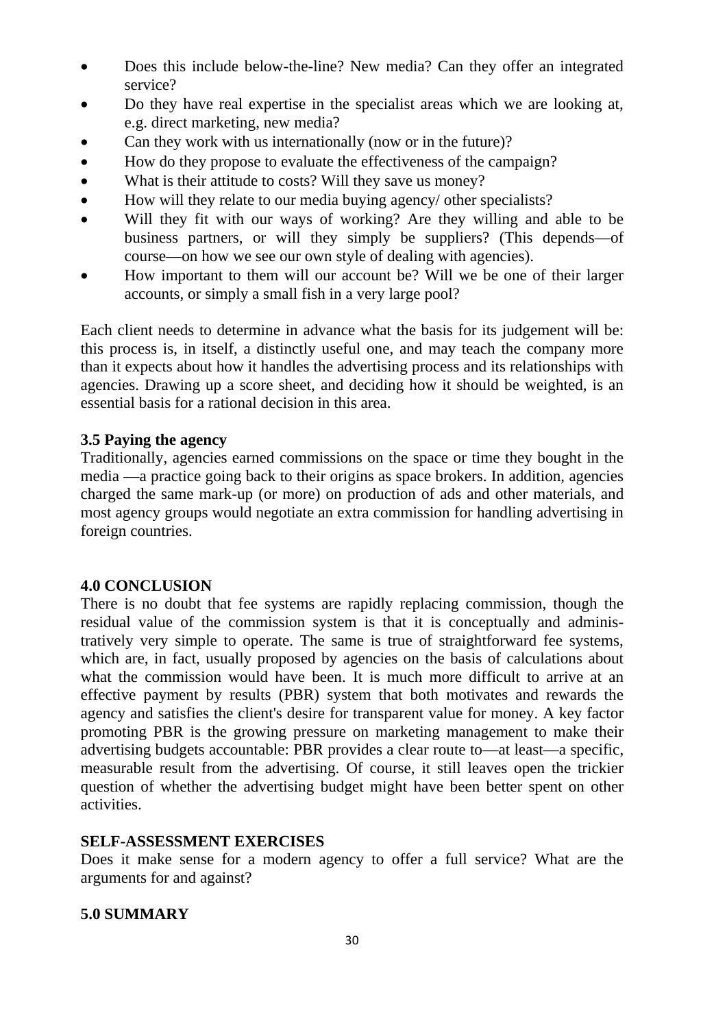- Does this include below-the-line? New media? Can they offer an integrated service?
- Do they have real expertise in the specialist areas which we are looking at, e.g. direct marketing, new media?
- Can they work with us internationally (now or in the future)?
- How do they propose to evaluate the effectiveness of the campaign?
- What is their attitude to costs? Will they save us money?
- How will they relate to our media buying agency/ other specialists?
- Will they fit with our ways of working? Are they willing and able to be business partners, or will they simply be suppliers? (This depends—of course—on how we see our own style of dealing with agencies).
- How important to them will our account be? Will we be one of their larger accounts, or simply a small fish in a very large pool?

Each client needs to determine in advance what the basis for its judgement will be: this process is, in itself, a distinctly useful one, and may teach the company more than it expects about how it handles the advertising process and its relationships with agencies. Drawing up a score sheet, and deciding how it should be weighted, is an essential basis for a rational decision in this area.

## **3.5 Paying the agency**

Traditionally, agencies earned commissions on the space or time they bought in the media —a practice going back to their origins as space brokers. In addition, agencies charged the same mark-up (or more) on production of ads and other materials, and most agency groups would negotiate an extra commission for handling advertising in foreign countries.

## **4.0 CONCLUSION**

There is no doubt that fee systems are rapidly replacing commission, though the residual value of the commission system is that it is conceptually and administratively very simple to operate. The same is true of straightforward fee systems, which are, in fact, usually proposed by agencies on the basis of calculations about what the commission would have been. It is much more difficult to arrive at an effective payment by results (PBR) system that both motivates and rewards the agency and satisfies the client's desire for transparent value for money. A key factor promoting PBR is the growing pressure on marketing management to make their advertising budgets accountable: PBR provides a clear route to—at least—a specific, measurable result from the advertising. Of course, it still leaves open the trickier question of whether the advertising budget might have been better spent on other activities.

## **SELF-ASSESSMENT EXERCISES**

Does it make sense for a modern agency to offer a full service? What are the arguments for and against?

## **5.0 SUMMARY**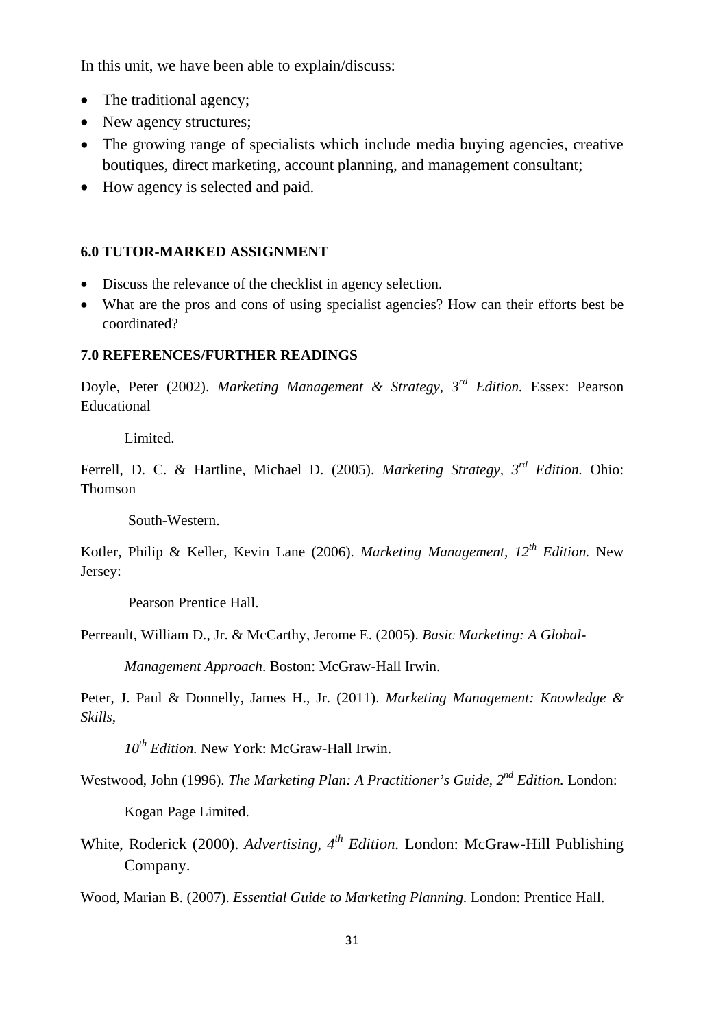In this unit, we have been able to explain/discuss:

- The traditional agency;
- New agency structures;
- The growing range of specialists which include media buying agencies, creative boutiques, direct marketing, account planning, and management consultant;
- How agency is selected and paid.

#### **6.0 TUTOR-MARKED ASSIGNMENT**

- Discuss the relevance of the checklist in agency selection.
- What are the pros and cons of using specialist agencies? How can their efforts best be coordinated?

#### **7.0 REFERENCES/FURTHER READINGS**

Doyle, Peter (2002). *Marketing Management & Strategy, 3rd Edition.* Essex: Pearson Educational

Limited.

Ferrell, D. C. & Hartline, Michael D. (2005). *Marketing Strategy, 3rd Edition.* Ohio: Thomson

South-Western.

Kotler, Philip & Keller, Kevin Lane (2006). *Marketing Management, 12th Edition.* New Jersey:

Pearson Prentice Hall.

Perreault, William D., Jr. & McCarthy, Jerome E. (2005). *Basic Marketing: A Global-*

*Management Approach*. Boston: McGraw-Hall Irwin.

Peter, J. Paul & Donnelly, James H., Jr. (2011). *Marketing Management: Knowledge & Skills,* 

*10th Edition.* New York: McGraw-Hall Irwin.

Westwood, John (1996). *The Marketing Plan: A Practitioner's Guide, 2nd Edition.* London:

Kogan Page Limited.

White, Roderick (2000). *Advertising, 4th Edition.* London: McGraw-Hill Publishing Company.

Wood, Marian B. (2007). *Essential Guide to Marketing Planning.* London: Prentice Hall.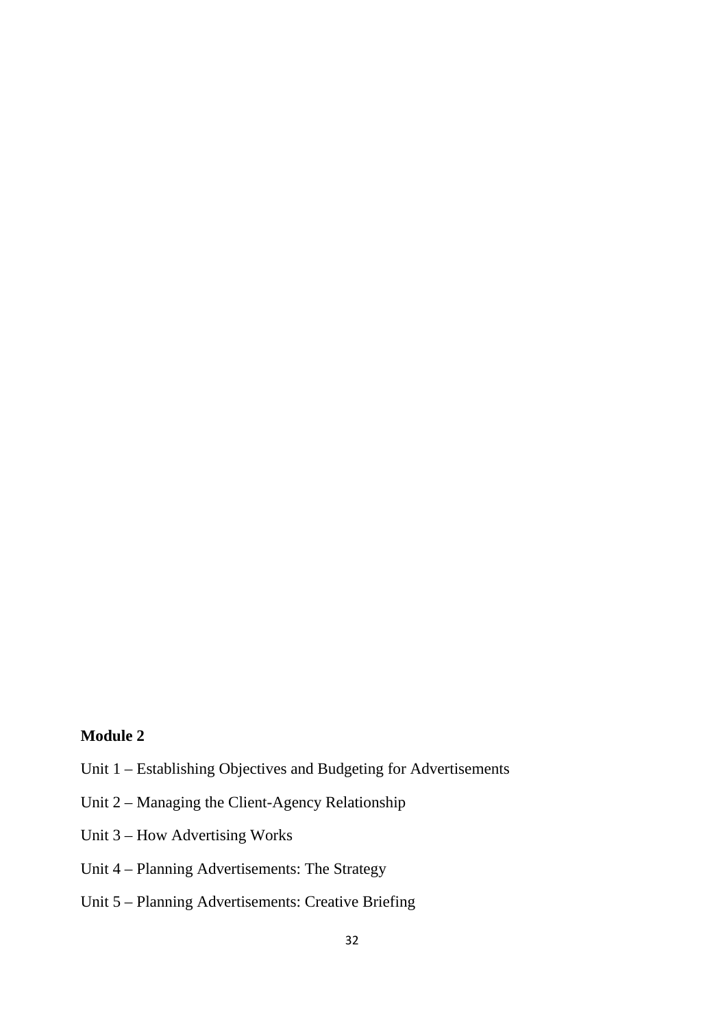## **Module 2**

- Unit 1 Establishing Objectives and Budgeting for Advertisements
- Unit 2 Managing the Client-Agency Relationship
- Unit 3 How Advertising Works
- Unit 4 Planning Advertisements: The Strategy
- Unit 5 Planning Advertisements: Creative Briefing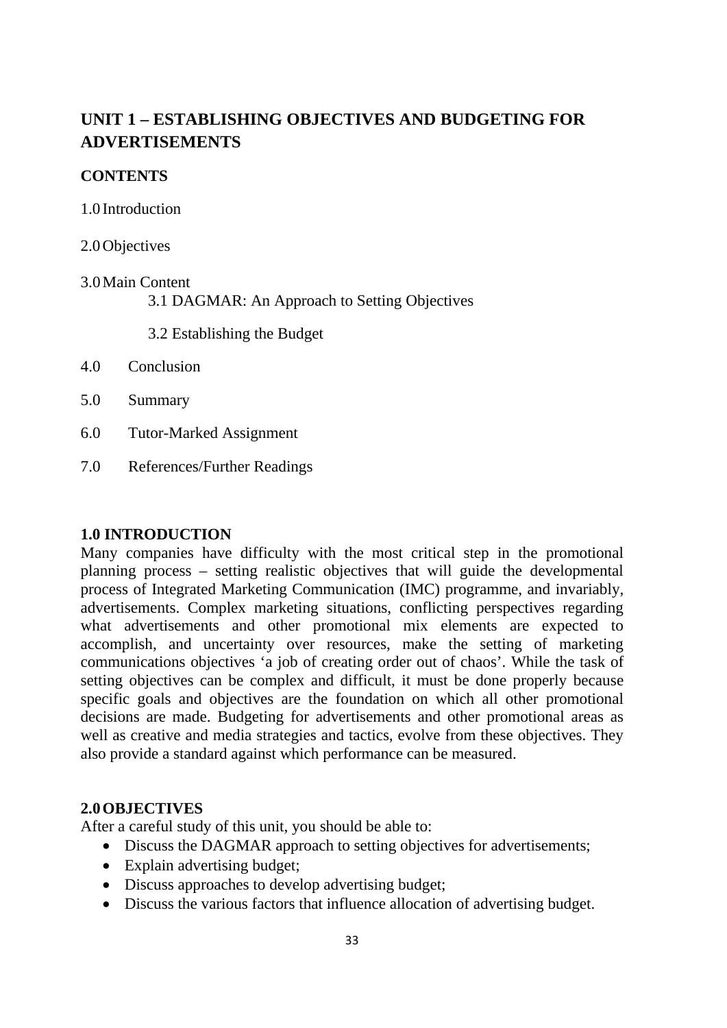# **UNIT 1 – ESTABLISHING OBJECTIVES AND BUDGETING FOR ADVERTISEMENTS**

#### **CONTENTS**

1.0 Introduction

2.0Objectives

#### 3.0Main Content

3.1 DAGMAR: An Approach to Setting Objectives

3.2 Establishing the Budget

- 4.0 Conclusion
- 5.0 Summary
- 6.0 Tutor-Marked Assignment
- 7.0 References/Further Readings

## **1.0 INTRODUCTION**

Many companies have difficulty with the most critical step in the promotional planning process – setting realistic objectives that will guide the developmental process of Integrated Marketing Communication (IMC) programme, and invariably, advertisements. Complex marketing situations, conflicting perspectives regarding what advertisements and other promotional mix elements are expected to accomplish, and uncertainty over resources, make the setting of marketing communications objectives 'a job of creating order out of chaos'. While the task of setting objectives can be complex and difficult, it must be done properly because specific goals and objectives are the foundation on which all other promotional decisions are made. Budgeting for advertisements and other promotional areas as well as creative and media strategies and tactics, evolve from these objectives. They also provide a standard against which performance can be measured.

## **2.0OBJECTIVES**

After a careful study of this unit, you should be able to:

- Discuss the DAGMAR approach to setting objectives for advertisements;
- Explain advertising budget;
- Discuss approaches to develop advertising budget;
- Discuss the various factors that influence allocation of advertising budget.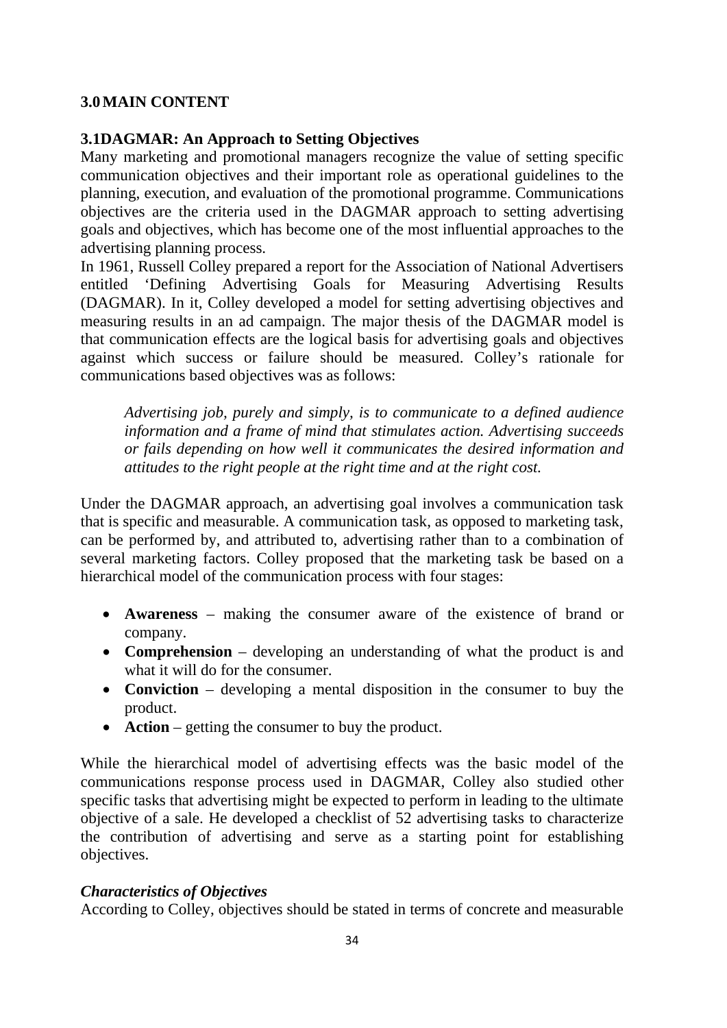#### **3.0MAIN CONTENT**

#### **3.1DAGMAR: An Approach to Setting Objectives**

Many marketing and promotional managers recognize the value of setting specific communication objectives and their important role as operational guidelines to the planning, execution, and evaluation of the promotional programme. Communications objectives are the criteria used in the DAGMAR approach to setting advertising goals and objectives, which has become one of the most influential approaches to the advertising planning process.

In 1961, Russell Colley prepared a report for the Association of National Advertisers entitled 'Defining Advertising Goals for Measuring Advertising Results (DAGMAR). In it, Colley developed a model for setting advertising objectives and measuring results in an ad campaign. The major thesis of the DAGMAR model is that communication effects are the logical basis for advertising goals and objectives against which success or failure should be measured. Colley's rationale for communications based objectives was as follows:

*Advertising job, purely and simply, is to communicate to a defined audience information and a frame of mind that stimulates action. Advertising succeeds or fails depending on how well it communicates the desired information and attitudes to the right people at the right time and at the right cost.*

Under the DAGMAR approach, an advertising goal involves a communication task that is specific and measurable. A communication task, as opposed to marketing task, can be performed by, and attributed to, advertising rather than to a combination of several marketing factors. Colley proposed that the marketing task be based on a hierarchical model of the communication process with four stages:

- **Awareness** making the consumer aware of the existence of brand or company.
- **Comprehension** developing an understanding of what the product is and what it will do for the consumer.
- **Conviction** developing a mental disposition in the consumer to buy the product.
- **Action** getting the consumer to buy the product.

While the hierarchical model of advertising effects was the basic model of the communications response process used in DAGMAR, Colley also studied other specific tasks that advertising might be expected to perform in leading to the ultimate objective of a sale. He developed a checklist of 52 advertising tasks to characterize the contribution of advertising and serve as a starting point for establishing objectives.

## *Characteristics of Objectives*

According to Colley, objectives should be stated in terms of concrete and measurable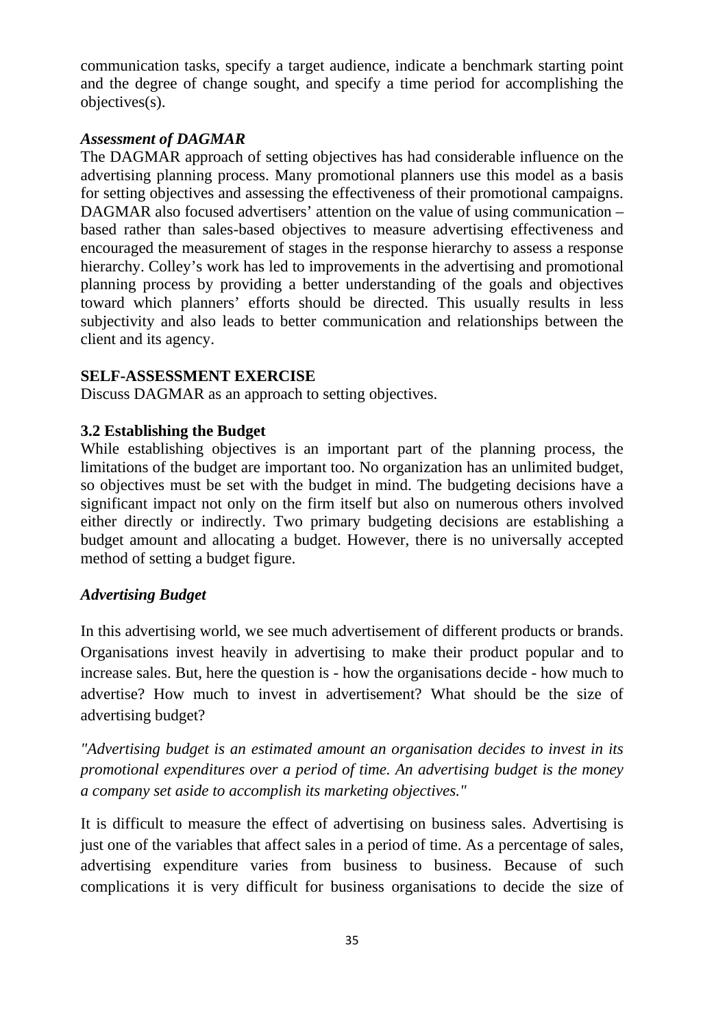communication tasks, specify a target audience, indicate a benchmark starting point and the degree of change sought, and specify a time period for accomplishing the objectives(s).

#### *Assessment of DAGMAR*

The DAGMAR approach of setting objectives has had considerable influence on the advertising planning process. Many promotional planners use this model as a basis for setting objectives and assessing the effectiveness of their promotional campaigns. DAGMAR also focused advertisers' attention on the value of using communication – based rather than sales-based objectives to measure advertising effectiveness and encouraged the measurement of stages in the response hierarchy to assess a response hierarchy. Colley's work has led to improvements in the advertising and promotional planning process by providing a better understanding of the goals and objectives toward which planners' efforts should be directed. This usually results in less subjectivity and also leads to better communication and relationships between the client and its agency.

## **SELF-ASSESSMENT EXERCISE**

Discuss DAGMAR as an approach to setting objectives.

## **3.2 Establishing the Budget**

While establishing objectives is an important part of the planning process, the limitations of the budget are important too. No organization has an unlimited budget, so objectives must be set with the budget in mind. The budgeting decisions have a significant impact not only on the firm itself but also on numerous others involved either directly or indirectly. Two primary budgeting decisions are establishing a budget amount and allocating a budget. However, there is no universally accepted method of setting a budget figure.

## *Advertising Budget*

In this advertising world, we see much advertisement of different products or brands. Organisations invest heavily in advertising to make their product popular and to increase sales. But, here the question is - how the organisations decide - how much to advertise? How much to invest in advertisement? What should be the size of advertising budget?

*"Advertising budget is an estimated amount an organisation decides to invest in its promotional expenditures over a period of time. An advertising budget is the money a company set aside to accomplish its marketing objectives."*

It is difficult to measure the effect of advertising on business sales. Advertising is just one of the variables that affect sales in a period of time. As a percentage of sales, advertising expenditure varies from business to business. Because of such complications it is very difficult for business organisations to decide the size of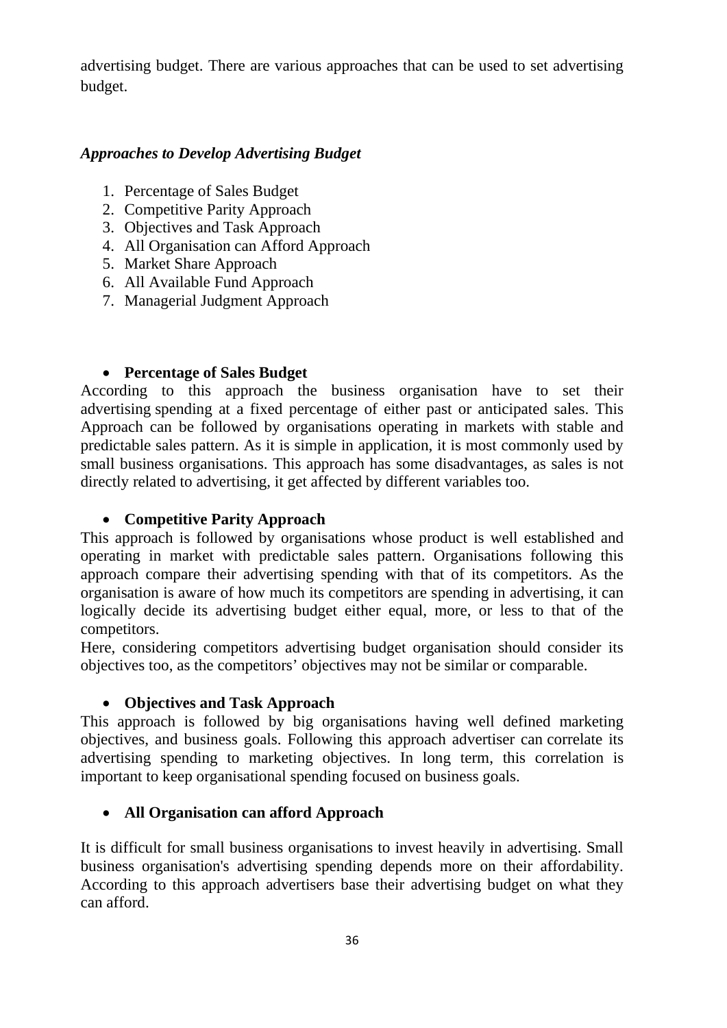advertising budget. There are various approaches that can be used to set advertising budget.

## *Approaches to Develop Advertising Budget*

- 1. Percentage of Sales Budget
- 2. Competitive Parity Approach
- 3. Objectives and Task Approach
- 4. All Organisation can Afford Approach
- 5. Market Share Approach
- 6. All Available Fund Approach
- 7. Managerial Judgment Approach

## • **Percentage of Sales Budget**

According to this approach the business organisation have to set their advertising spending at a fixed percentage of either past or anticipated sales. This Approach can be followed by organisations operating in markets with stable and predictable sales pattern. As it is simple in application, it is most commonly used by small business organisations. This approach has some disadvantages, as sales is not directly related to advertising, it get affected by different variables too.

## • **Competitive Parity Approach**

This approach is followed by organisations whose product is well established and operating in market with predictable sales pattern. Organisations following this approach compare their advertising spending with that of its competitors. As the organisation is aware of how much its competitors are spending in advertising, it can logically decide its advertising budget either equal, more, or less to that of the competitors.

Here, considering competitors advertising budget organisation should consider its objectives too, as the competitors' objectives may not be similar or comparable.

## • **Objectives and Task Approach**

This approach is followed by big organisations having well defined marketing objectives, and business goals. Following this approach advertiser can correlate its advertising spending to marketing objectives. In long term, this correlation is important to keep organisational spending focused on business goals.

## • **All Organisation can afford Approach**

It is difficult for small business organisations to invest heavily in advertising. Small business organisation's advertising spending depends more on their affordability. According to this approach advertisers base their advertising budget on what they can afford.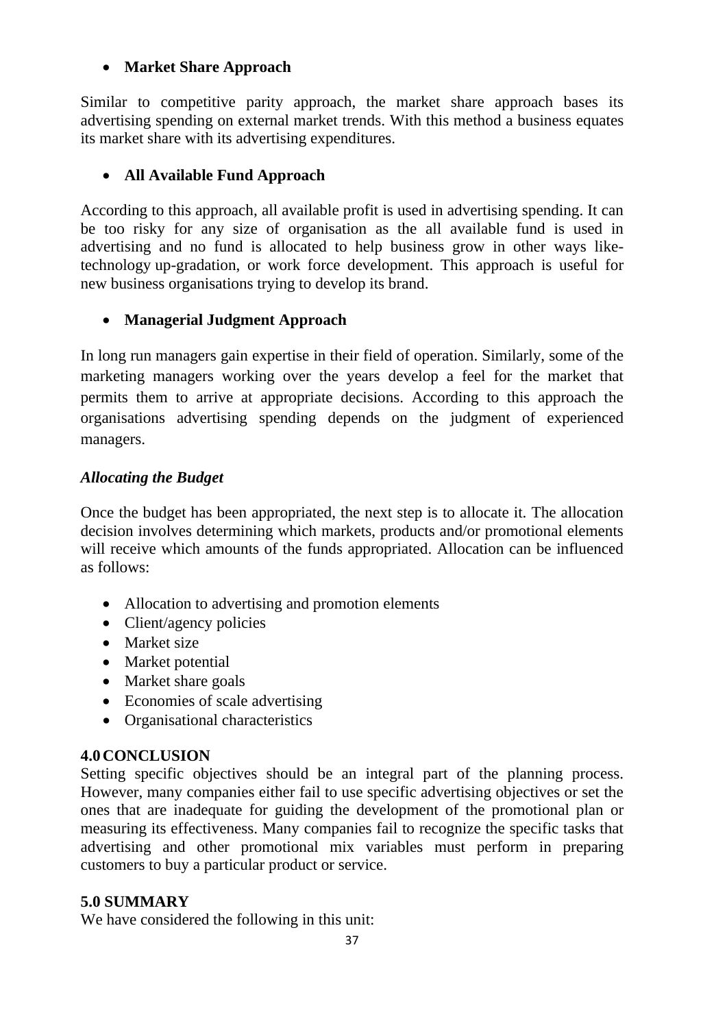## • **Market Share Approach**

Similar to competitive parity approach, the market share approach bases its advertising spending on external market trends. With this method a business equates its market share with its advertising expenditures.

# • **All Available Fund Approach**

According to this approach, all available profit is used in advertising spending. It can be too risky for any size of organisation as the all available fund is used in advertising and no fund is allocated to help business grow in other ways liketechnology up-gradation, or work force development. This approach is useful for new business organisations trying to develop its brand.

# • **Managerial Judgment Approach**

In long run managers gain expertise in their field of operation. Similarly, some of the marketing managers working over the years develop a feel for the market that permits them to arrive at appropriate decisions. According to this approach the organisations advertising spending depends on the judgment of experienced managers.

# *Allocating the Budget*

Once the budget has been appropriated, the next step is to allocate it. The allocation decision involves determining which markets, products and/or promotional elements will receive which amounts of the funds appropriated. Allocation can be influenced as follows:

- Allocation to advertising and promotion elements
- Client/agency policies
- Market size
- Market potential
- Market share goals
- Economies of scale advertising
- Organisational characteristics

# **4.0CONCLUSION**

Setting specific objectives should be an integral part of the planning process. However, many companies either fail to use specific advertising objectives or set the ones that are inadequate for guiding the development of the promotional plan or measuring its effectiveness. Many companies fail to recognize the specific tasks that advertising and other promotional mix variables must perform in preparing customers to buy a particular product or service.

# **5.0 SUMMARY**

We have considered the following in this unit: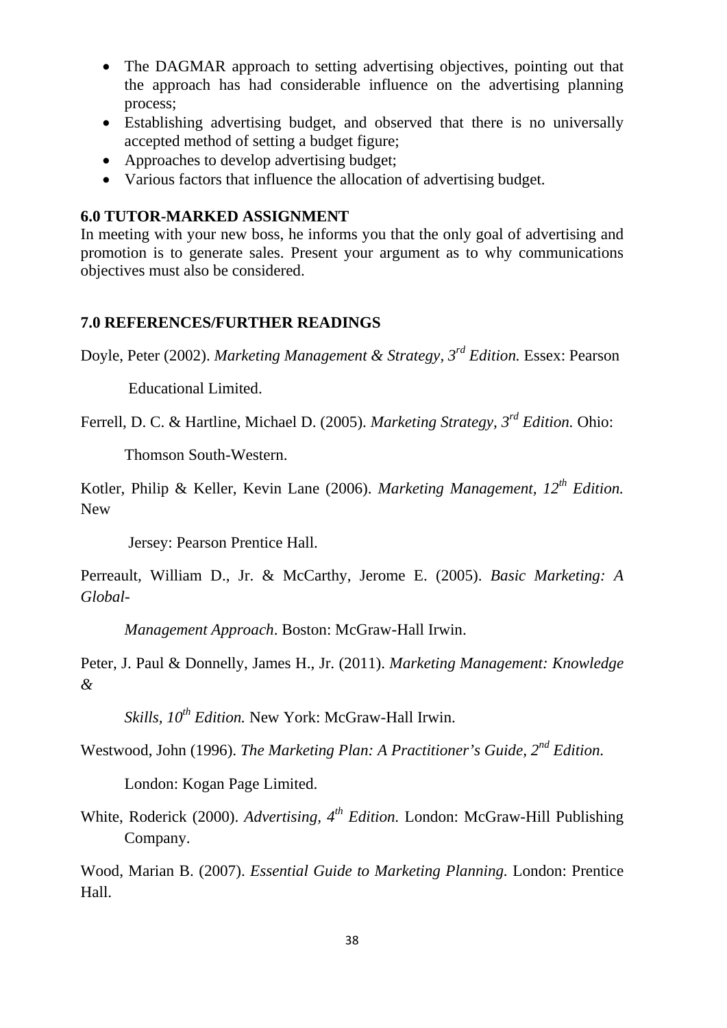- The DAGMAR approach to setting advertising objectives, pointing out that the approach has had considerable influence on the advertising planning process;
- Establishing advertising budget, and observed that there is no universally accepted method of setting a budget figure;
- Approaches to develop advertising budget;
- Various factors that influence the allocation of advertising budget.

## **6.0 TUTOR-MARKED ASSIGNMENT**

In meeting with your new boss, he informs you that the only goal of advertising and promotion is to generate sales. Present your argument as to why communications objectives must also be considered.

# **7.0 REFERENCES/FURTHER READINGS**

Doyle, Peter (2002). *Marketing Management & Strategy, 3rd Edition.* Essex: Pearson

Educational Limited.

Ferrell, D. C. & Hartline, Michael D. (2005). *Marketing Strategy, 3rd Edition.* Ohio:

Thomson South-Western.

Kotler, Philip & Keller, Kevin Lane (2006). *Marketing Management, 12th Edition.* New

Jersey: Pearson Prentice Hall.

Perreault, William D., Jr. & McCarthy, Jerome E. (2005). *Basic Marketing: A Global-*

*Management Approach*. Boston: McGraw-Hall Irwin.

Peter, J. Paul & Donnelly, James H., Jr. (2011). *Marketing Management: Knowledge &* 

*Skills, 10th Edition.* New York: McGraw-Hall Irwin.

Westwood, John (1996). *The Marketing Plan: A Practitioner's Guide, 2nd Edition.*

London: Kogan Page Limited.

White, Roderick (2000). *Advertising, 4th Edition.* London: McGraw-Hill Publishing Company.

Wood, Marian B. (2007). *Essential Guide to Marketing Planning.* London: Prentice Hall.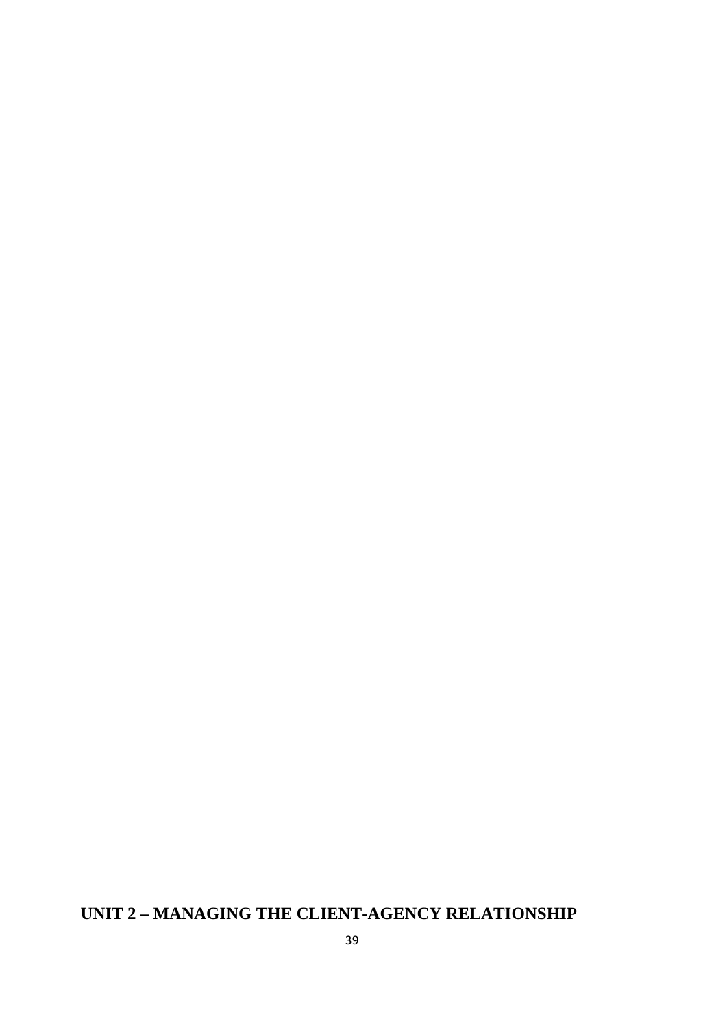# **UNIT 2 – MANAGING THE CLIENT-AGENCY RELATIONSHIP**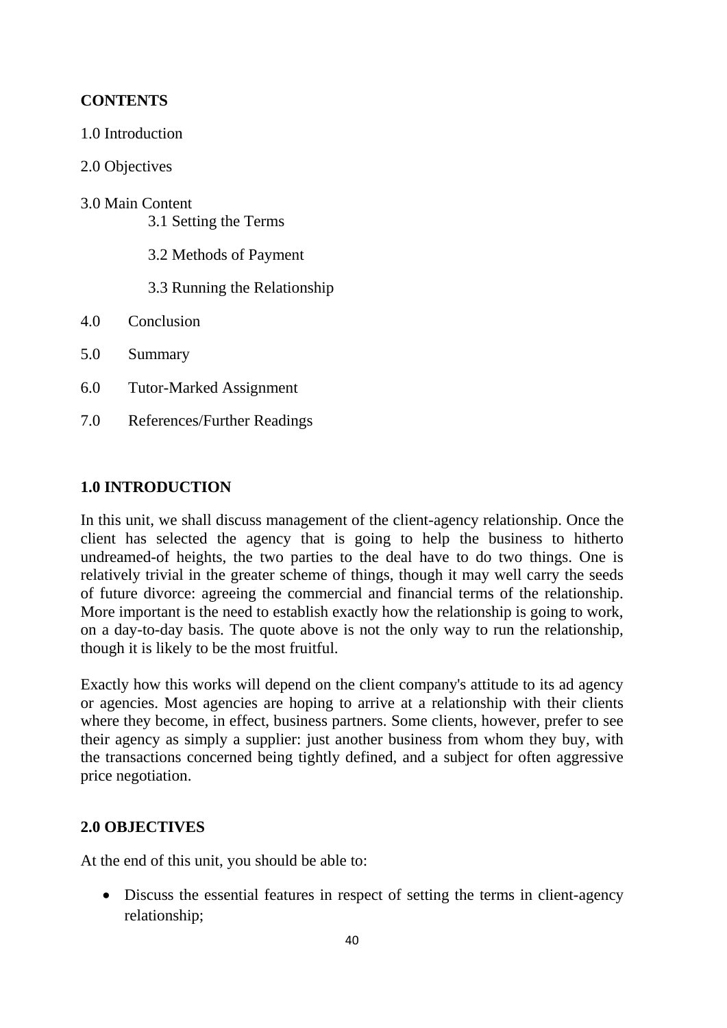# **CONTENTS**

- 1.0 Introduction
- 2.0 Objectives
- 3.0 Main Content 3.1 Setting the Terms
	-
	- 3.2 Methods of Payment
	- 3.3 Running the Relationship
- 4.0 Conclusion
- 5.0 Summary
- 6.0 Tutor-Marked Assignment
- 7.0 References/Further Readings

### **1.0 INTRODUCTION**

In this unit, we shall discuss management of the client-agency relationship. Once the client has selected the agency that is going to help the business to hitherto undreamed-of heights, the two parties to the deal have to do two things. One is relatively trivial in the greater scheme of things, though it may well carry the seeds of future divorce: agreeing the commercial and financial terms of the relationship. More important is the need to establish exactly how the relationship is going to work, on a day-to-day basis. The quote above is not the only way to run the relationship, though it is likely to be the most fruitful.

Exactly how this works will depend on the client company's attitude to its ad agency or agencies. Most agencies are hoping to arrive at a relationship with their clients where they become, in effect, business partners. Some clients, however, prefer to see their agency as simply a supplier: just another business from whom they buy, with the transactions concerned being tightly defined, and a subject for often aggressive price negotiation.

## **2.0 OBJECTIVES**

At the end of this unit, you should be able to:

• Discuss the essential features in respect of setting the terms in client-agency relationship;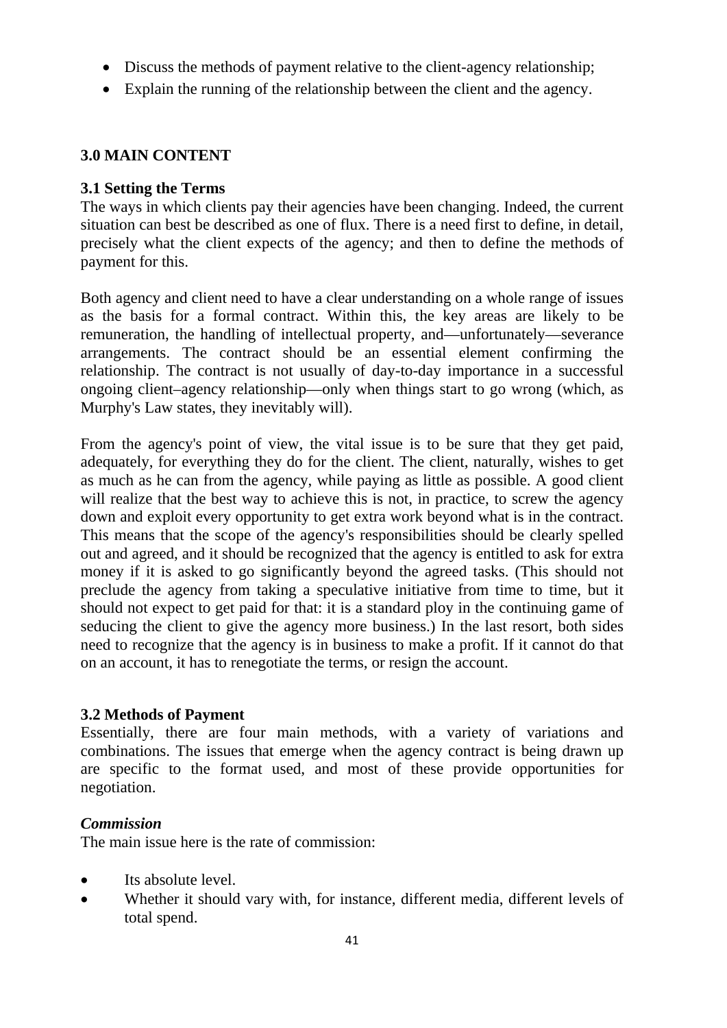- Discuss the methods of payment relative to the client-agency relationship;
- Explain the running of the relationship between the client and the agency.

# **3.0 MAIN CONTENT**

## **3.1 Setting the Terms**

The ways in which clients pay their agencies have been changing. Indeed, the current situation can best be described as one of flux. There is a need first to define, in detail, precisely what the client expects of the agency; and then to define the methods of payment for this.

Both agency and client need to have a clear understanding on a whole range of issues as the basis for a formal contract. Within this, the key areas are likely to be remuneration, the handling of intellectual property, and—unfortunately—severance arrangements. The contract should be an essential element confirming the relationship. The contract is not usually of day-to-day importance in a successful ongoing client–agency relationship—only when things start to go wrong (which, as Murphy's Law states, they inevitably will).

From the agency's point of view, the vital issue is to be sure that they get paid, adequately, for everything they do for the client. The client, naturally, wishes to get as much as he can from the agency, while paying as little as possible. A good client will realize that the best way to achieve this is not, in practice, to screw the agency down and exploit every opportunity to get extra work beyond what is in the contract. This means that the scope of the agency's responsibilities should be clearly spelled out and agreed, and it should be recognized that the agency is entitled to ask for extra money if it is asked to go significantly beyond the agreed tasks. (This should not preclude the agency from taking a speculative initiative from time to time, but it should not expect to get paid for that: it is a standard ploy in the continuing game of seducing the client to give the agency more business.) In the last resort, both sides need to recognize that the agency is in business to make a profit. If it cannot do that on an account, it has to renegotiate the terms, or resign the account.

## **3.2 Methods of Payment**

Essentially, there are four main methods, with a variety of variations and combinations. The issues that emerge when the agency contract is being drawn up are specific to the format used, and most of these provide opportunities for negotiation.

## *Commission*

The main issue here is the rate of commission:

- Its absolute level.
- Whether it should vary with, for instance, different media, different levels of total spend.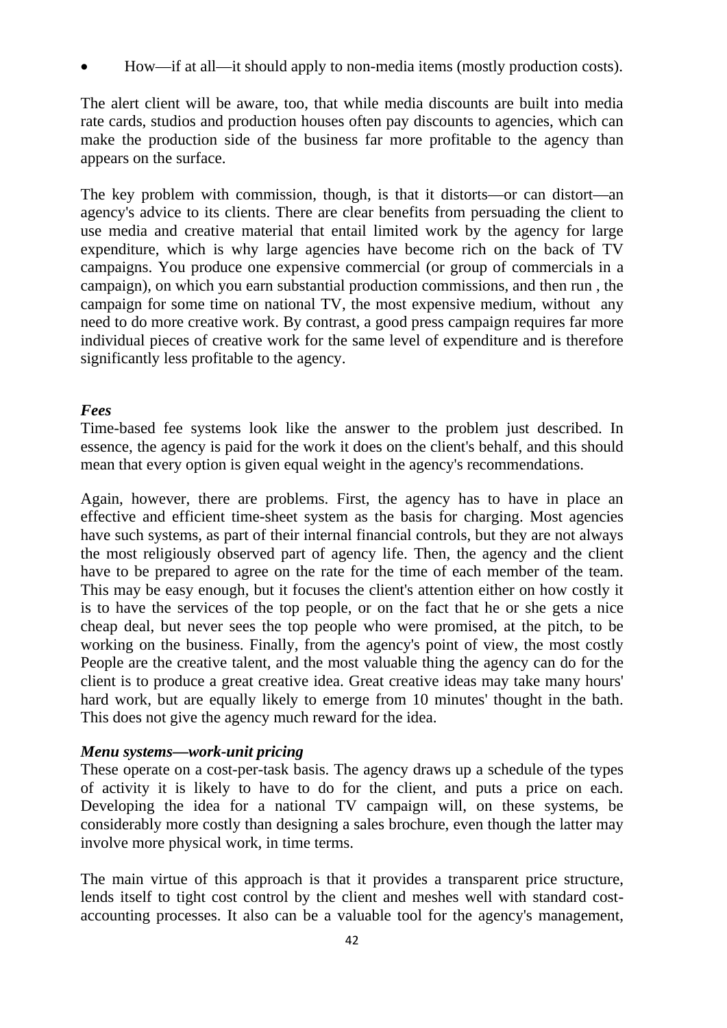• How—if at all—it should apply to non-media items (mostly production costs).

The alert client will be aware, too, that while media discounts are built into media rate cards, studios and production houses often pay discounts to agencies, which can make the production side of the business far more profitable to the agency than appears on the surface.

The key problem with commission, though, is that it distorts—or can distort—an agency's advice to its clients. There are clear benefits from persuading the client to use media and creative material that entail limited work by the agency for large expenditure, which is why large agencies have become rich on the back of TV campaigns. You produce one expensive commercial (or group of commercials in a campaign), on which you earn substantial production commissions, and then run , the campaign for some time on national TV, the most expensive medium, without any need to do more creative work. By contrast, a good press campaign requires far more individual pieces of creative work for the same level of expenditure and is therefore significantly less profitable to the agency.

### *Fees*

Time-based fee systems look like the answer to the problem just described. In essence, the agency is paid for the work it does on the client's behalf, and this should mean that every option is given equal weight in the agency's recommendations.

Again, however, there are problems. First, the agency has to have in place an effective and efficient time-sheet system as the basis for charging. Most agencies have such systems, as part of their internal financial controls, but they are not always the most religiously observed part of agency life. Then, the agency and the client have to be prepared to agree on the rate for the time of each member of the team. This may be easy enough, but it focuses the client's attention either on how costly it is to have the services of the top people, or on the fact that he or she gets a nice cheap deal, but never sees the top people who were promised, at the pitch, to be working on the business. Finally, from the agency's point of view, the most costly People are the creative talent, and the most valuable thing the agency can do for the client is to produce a great creative idea. Great creative ideas may take many hours' hard work, but are equally likely to emerge from 10 minutes' thought in the bath. This does not give the agency much reward for the idea.

### *Menu systems—work-unit pricing*

These operate on a cost-per-task basis. The agency draws up a schedule of the types of activity it is likely to have to do for the client, and puts a price on each. Developing the idea for a national TV campaign will, on these systems, be considerably more costly than designing a sales brochure, even though the latter may involve more physical work, in time terms.

The main virtue of this approach is that it provides a transparent price structure, lends itself to tight cost control by the client and meshes well with standard costaccounting processes. It also can be a valuable tool for the agency's management,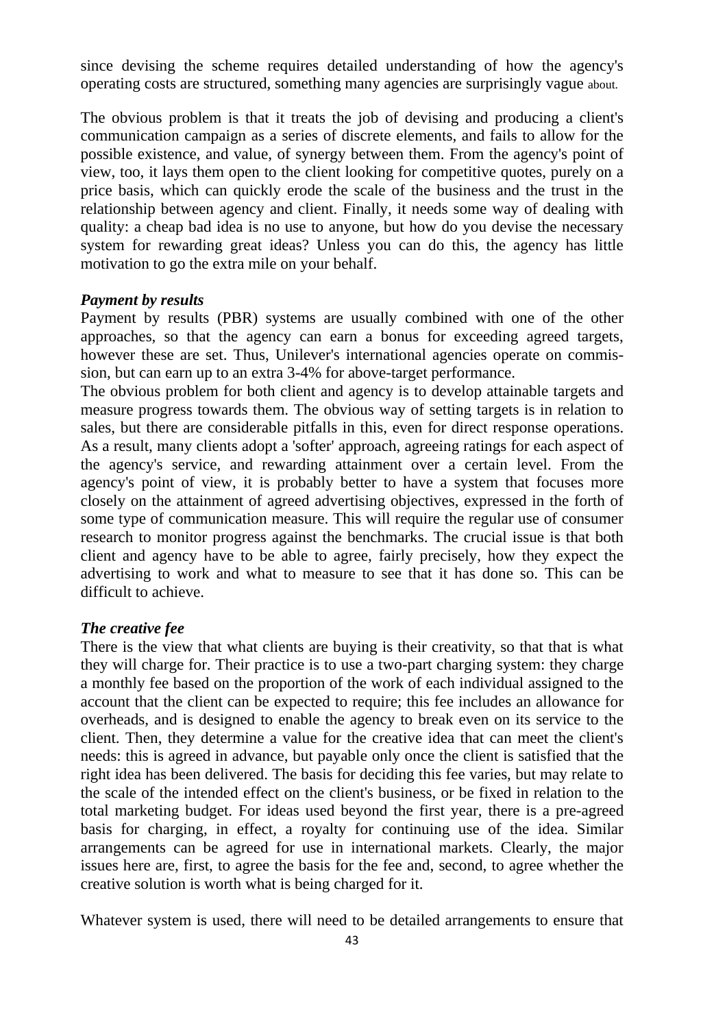since devising the scheme requires detailed understanding of how the agency's operating costs are structured, something many agencies are surprisingly vague about.

The obvious problem is that it treats the job of devising and producing a client's communication campaign as a series of discrete elements, and fails to allow for the possible existence, and value, of synergy between them. From the agency's point of view, too, it lays them open to the client looking for competitive quotes, purely on a price basis, which can quickly erode the scale of the business and the trust in the relationship between agency and client. Finally, it needs some way of dealing with quality: a cheap bad idea is no use to anyone, but how do you devise the necessary system for rewarding great ideas? Unless you can do this, the agency has little motivation to go the extra mile on your behalf.

#### *Payment by results*

Payment by results (PBR) systems are usually combined with one of the other approaches, so that the agency can earn a bonus for exceeding agreed targets, however these are set. Thus, Unilever's international agencies operate on commission, but can earn up to an extra 3-4% for above-target performance.

The obvious problem for both client and agency is to develop attainable targets and measure progress towards them. The obvious way of setting targets is in relation to sales, but there are considerable pitfalls in this, even for direct response operations. As a result, many clients adopt a 'softer' approach, agreeing ratings for each aspect of the agency's service, and rewarding attainment over a certain level. From the agency's point of view, it is probably better to have a system that focuses more closely on the attainment of agreed advertising objectives, expressed in the forth of some type of communication measure. This will require the regular use of consumer research to monitor progress against the benchmarks. The crucial issue is that both client and agency have to be able to agree, fairly precisely, how they expect the advertising to work and what to measure to see that it has done so. This can be difficult to achieve.

#### *The creative fee*

There is the view that what clients are buying is their creativity, so that that is what they will charge for. Their practice is to use a two-part charging system: they charge a monthly fee based on the proportion of the work of each individual assigned to the account that the client can be expected to require; this fee includes an allowance for overheads, and is designed to enable the agency to break even on its service to the client. Then, they determine a value for the creative idea that can meet the client's needs: this is agreed in advance, but payable only once the client is satisfied that the right idea has been delivered. The basis for deciding this fee varies, but may relate to the scale of the intended effect on the client's business, or be fixed in relation to the total marketing budget. For ideas used beyond the first year, there is a pre-agreed basis for charging, in effect, a royalty for continuing use of the idea. Similar arrangements can be agreed for use in international markets. Clearly, the major issues here are, first, to agree the basis for the fee and, second, to agree whether the creative solution is worth what is being charged for it.

Whatever system is used, there will need to be detailed arrangements to ensure that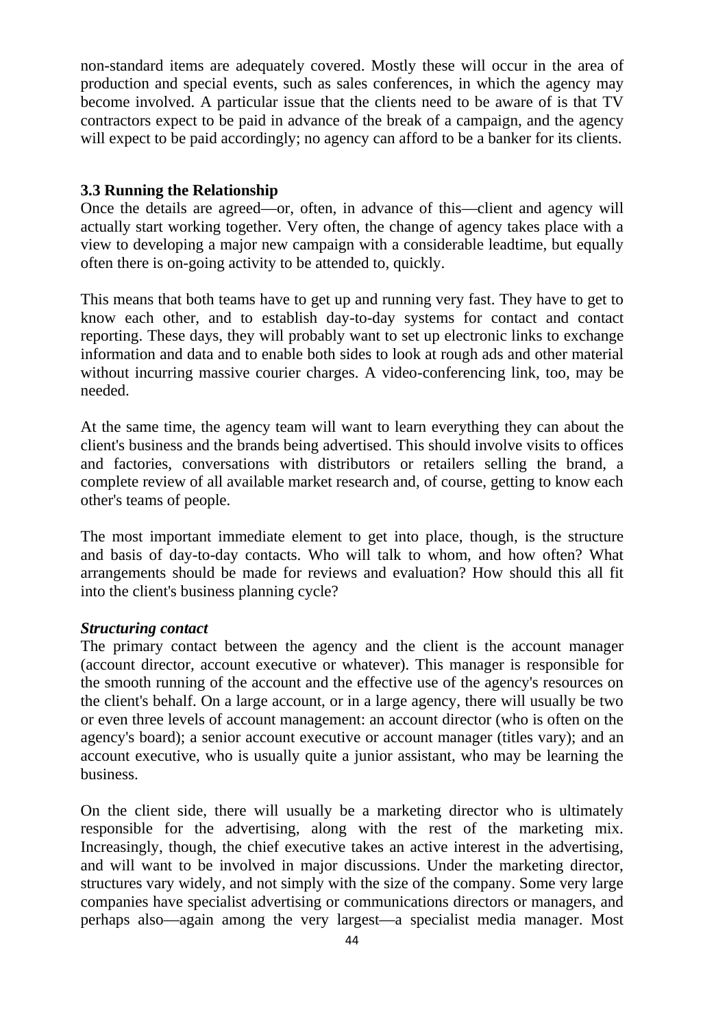non-standard items are adequately covered. Mostly these will occur in the area of production and special events, such as sales conferences, in which the agency may become involved. A particular issue that the clients need to be aware of is that TV contractors expect to be paid in advance of the break of a campaign, and the agency will expect to be paid accordingly; no agency can afford to be a banker for its clients.

### **3.3 Running the Relationship**

Once the details are agreed—or, often, in advance of this—client and agency will actually start working together. Very often, the change of agency takes place with a view to developing a major new campaign with a considerable leadtime, but equally often there is on-going activity to be attended to, quickly.

This means that both teams have to get up and running very fast. They have to get to know each other, and to establish day-to-day systems for contact and contact reporting. These days, they will probably want to set up electronic links to exchange information and data and to enable both sides to look at rough ads and other material without incurring massive courier charges. A video-conferencing link, too, may be needed.

At the same time, the agency team will want to learn everything they can about the client's business and the brands being advertised. This should involve visits to offices and factories, conversations with distributors or retailers selling the brand, a complete review of all available market research and, of course, getting to know each other's teams of people.

The most important immediate element to get into place, though, is the structure and basis of day-to-day contacts. Who will talk to whom, and how often? What arrangements should be made for reviews and evaluation? How should this all fit into the client's business planning cycle?

### *Structuring contact*

The primary contact between the agency and the client is the account manager (account director, account executive or whatever). This manager is responsible for the smooth running of the account and the effective use of the agency's resources on the client's behalf. On a large account, or in a large agency, there will usually be two or even three levels of account management: an account director (who is often on the agency's board); a senior account executive or account manager (titles vary); and an account executive, who is usually quite a junior assistant, who may be learning the business.

On the client side, there will usually be a marketing director who is ultimately responsible for the advertising, along with the rest of the marketing mix. Increasingly, though, the chief executive takes an active interest in the advertising, and will want to be involved in major discussions. Under the marketing director, structures vary widely, and not simply with the size of the company. Some very large companies have specialist advertising or communications directors or managers, and perhaps also—again among the very largest—a specialist media manager. Most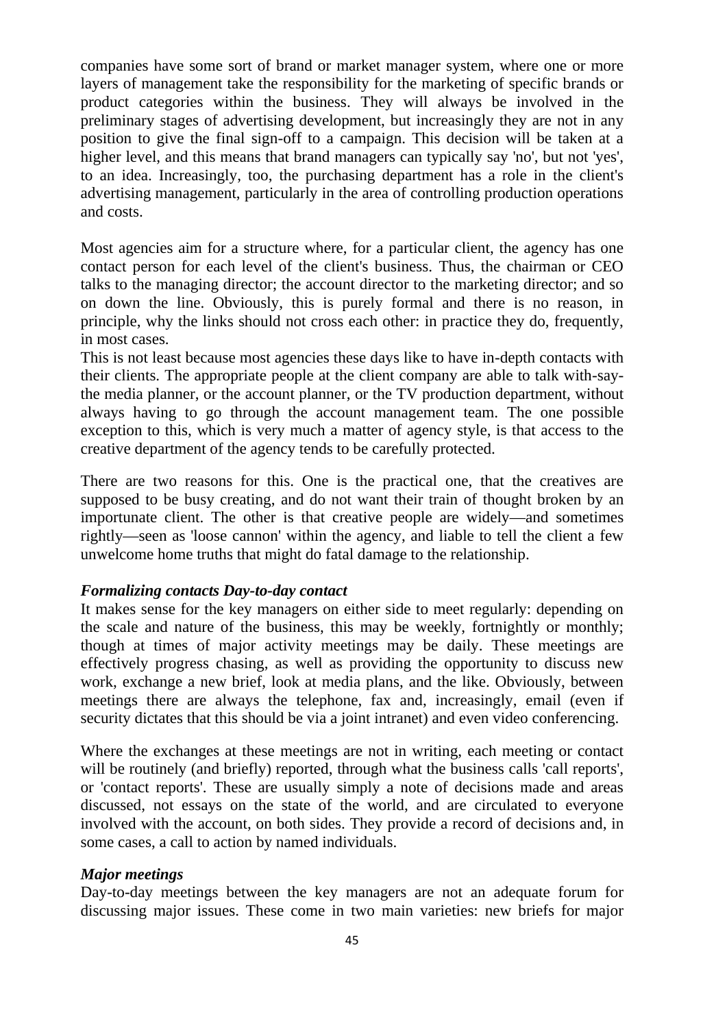companies have some sort of brand or market manager system, where one or more layers of management take the responsibility for the marketing of specific brands or product categories within the business. They will always be involved in the preliminary stages of advertising development, but increasingly they are not in any position to give the final sign-off to a campaign. This decision will be taken at a higher level, and this means that brand managers can typically say 'no', but not 'yes', to an idea. Increasingly, too, the purchasing department has a role in the client's advertising management, particularly in the area of controlling production operations and costs.

Most agencies aim for a structure where, for a particular client, the agency has one contact person for each level of the client's business. Thus, the chairman or CEO talks to the managing director; the account director to the marketing director; and so on down the line. Obviously, this is purely formal and there is no reason, in principle, why the links should not cross each other: in practice they do, frequently, in most cases.

This is not least because most agencies these days like to have in-depth contacts with their clients. The appropriate people at the client company are able to talk with-saythe media planner, or the account planner, or the TV production department, without always having to go through the account management team. The one possible exception to this, which is very much a matter of agency style, is that access to the creative department of the agency tends to be carefully protected.

There are two reasons for this. One is the practical one, that the creatives are supposed to be busy creating, and do not want their train of thought broken by an importunate client. The other is that creative people are widely—and sometimes rightly—seen as 'loose cannon' within the agency, and liable to tell the client a few unwelcome home truths that might do fatal damage to the relationship.

### *Formalizing contacts Day-to-day contact*

It makes sense for the key managers on either side to meet regularly: depending on the scale and nature of the business, this may be weekly, fortnightly or monthly; though at times of major activity meetings may be daily. These meetings are effectively progress chasing, as well as providing the opportunity to discuss new work, exchange a new brief, look at media plans, and the like. Obviously, between meetings there are always the telephone, fax and, increasingly, email (even if security dictates that this should be via a joint intranet) and even video conferencing.

Where the exchanges at these meetings are not in writing, each meeting or contact will be routinely (and briefly) reported, through what the business calls 'call reports', or 'contact reports'. These are usually simply a note of decisions made and areas discussed, not essays on the state of the world, and are circulated to everyone involved with the account, on both sides. They provide a record of decisions and, in some cases, a call to action by named individuals.

### *Major meetings*

Day-to-day meetings between the key managers are not an adequate forum for discussing major issues. These come in two main varieties: new briefs for major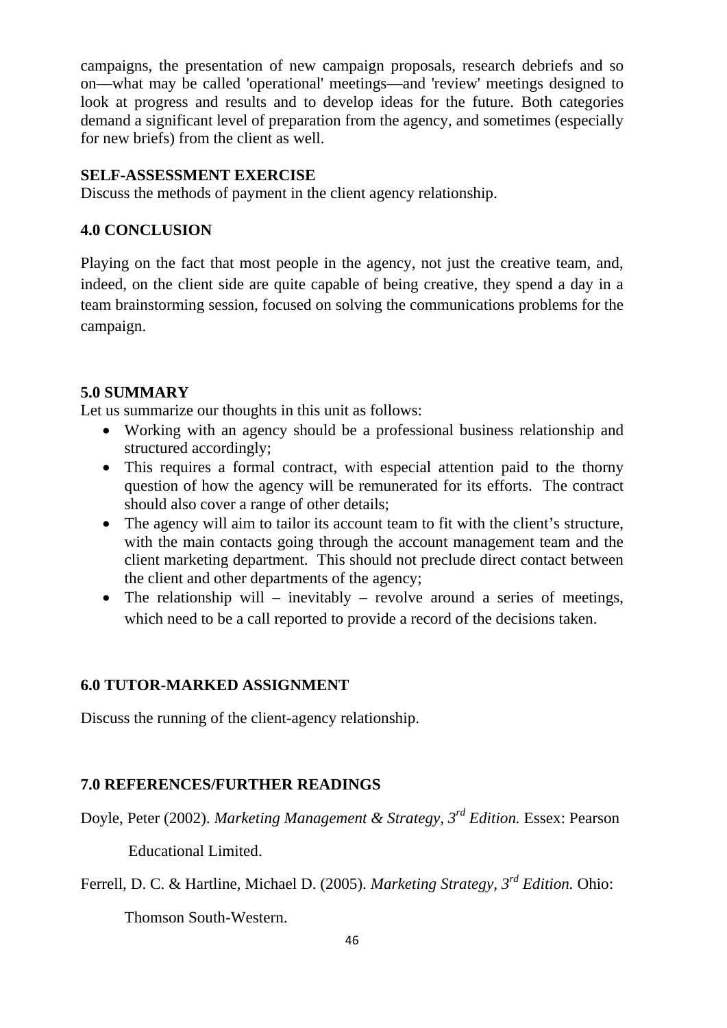campaigns, the presentation of new campaign proposals, research debriefs and so on—what may be called 'operational' meetings—and 'review' meetings designed to look at progress and results and to develop ideas for the future. Both categories demand a significant level of preparation from the agency, and sometimes (especially for new briefs) from the client as well.

### **SELF-ASSESSMENT EXERCISE**

Discuss the methods of payment in the client agency relationship.

### **4.0 CONCLUSION**

Playing on the fact that most people in the agency, not just the creative team, and, indeed, on the client side are quite capable of being creative, they spend a day in a team brainstorming session, focused on solving the communications problems for the campaign.

## **5.0 SUMMARY**

Let us summarize our thoughts in this unit as follows:

- Working with an agency should be a professional business relationship and structured accordingly;
- This requires a formal contract, with especial attention paid to the thorny question of how the agency will be remunerated for its efforts. The contract should also cover a range of other details;
- The agency will aim to tailor its account team to fit with the client's structure, with the main contacts going through the account management team and the client marketing department. This should not preclude direct contact between the client and other departments of the agency;
- The relationship will inevitably revolve around a series of meetings, which need to be a call reported to provide a record of the decisions taken.

## **6.0 TUTOR-MARKED ASSIGNMENT**

Discuss the running of the client-agency relationship.

## **7.0 REFERENCES/FURTHER READINGS**

Doyle, Peter (2002). *Marketing Management & Strategy, 3rd Edition.* Essex: Pearson

Educational Limited.

Ferrell, D. C. & Hartline, Michael D. (2005). *Marketing Strategy, 3rd Edition.* Ohio:

Thomson South-Western.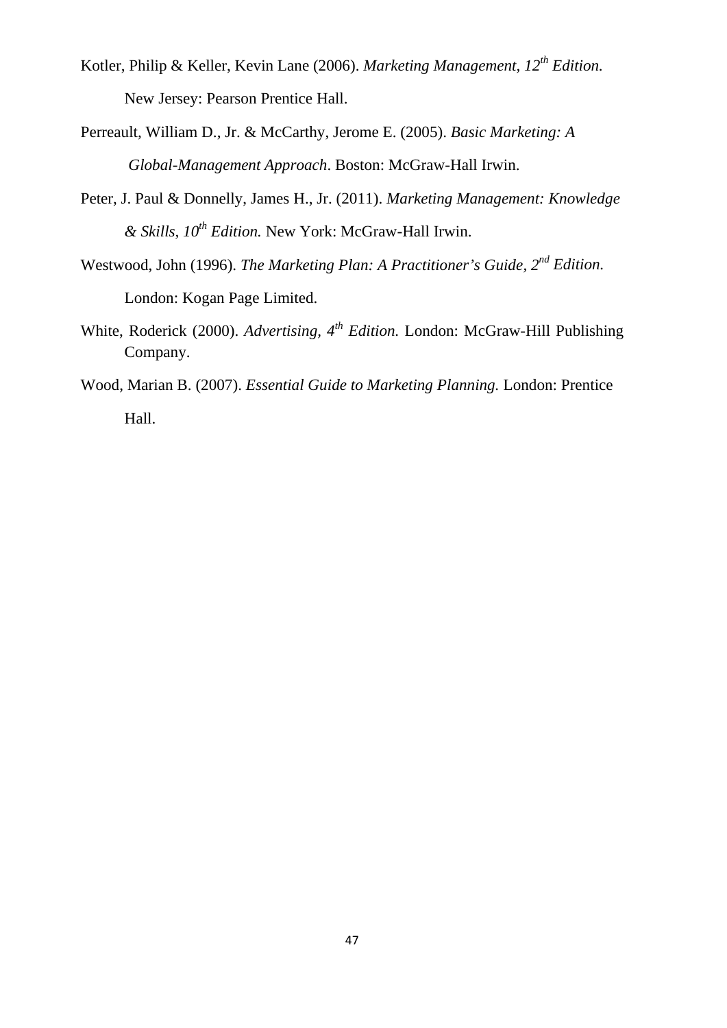- Kotler, Philip & Keller, Kevin Lane (2006). *Marketing Management, 12th Edition.* New Jersey: Pearson Prentice Hall.
- Perreault, William D., Jr. & McCarthy, Jerome E. (2005). *Basic Marketing: A Global-Management Approach*. Boston: McGraw-Hall Irwin.
- Peter, J. Paul & Donnelly, James H., Jr. (2011). *Marketing Management: Knowledge & Skills, 10th Edition.* New York: McGraw-Hall Irwin.
- Westwood, John (1996). *The Marketing Plan: A Practitioner's Guide, 2nd Edition.* London: Kogan Page Limited.
- White, Roderick (2000). *Advertising, 4th Edition.* London: McGraw-Hill Publishing Company.
- Wood, Marian B. (2007). *Essential Guide to Marketing Planning.* London: Prentice Hall.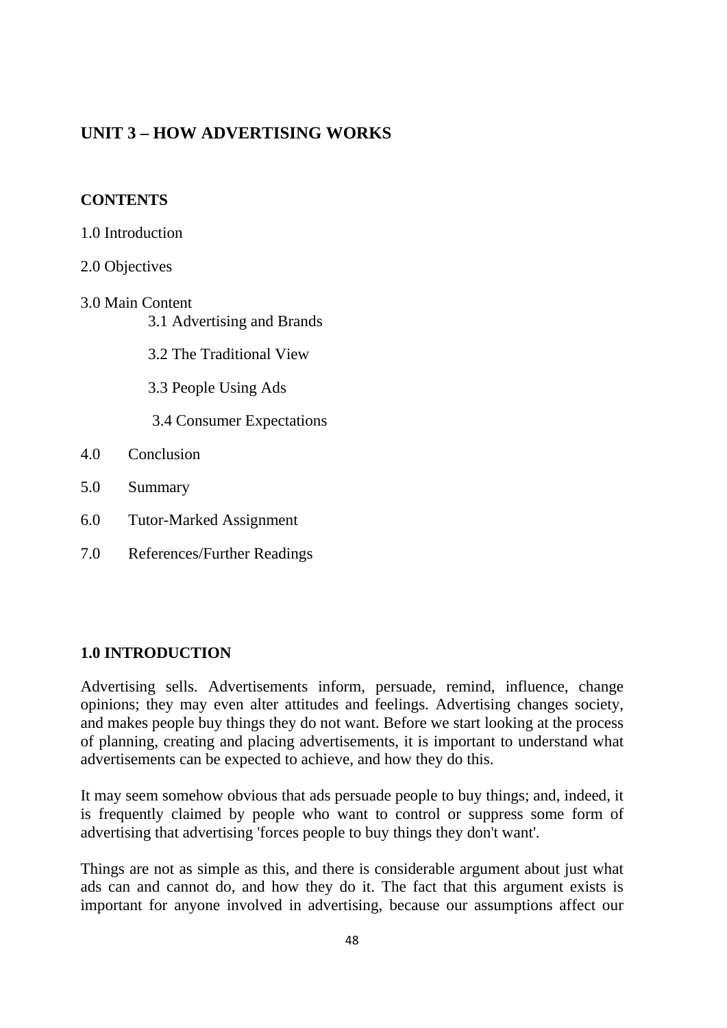# **UNIT 3 – HOW ADVERTISING WORKS**

## **CONTENTS**

- 1.0 Introduction
- 2.0 Objectives
- 3.0 Main Content 3.1 Advertising and Brands

3.2 The Traditional View

3.3 People Using Ads

3.4 Consumer Expectations

- 4.0 Conclusion
- 5.0 Summary
- 6.0 Tutor-Marked Assignment
- 7.0 References/Further Readings

## **1.0 INTRODUCTION**

Advertising sells. Advertisements inform, persuade, remind, influence, change opinions; they may even alter attitudes and feelings. Advertising changes society, and makes people buy things they do not want. Before we start looking at the process of planning, creating and placing advertisements, it is important to understand what advertisements can be expected to achieve, and how they do this.

It may seem somehow obvious that ads persuade people to buy things; and, indeed, it is frequently claimed by people who want to control or suppress some form of advertising that advertising 'forces people to buy things they don't want'.

Things are not as simple as this, and there is considerable argument about just what ads can and cannot do, and how they do it. The fact that this argument exists is important for anyone involved in advertising, because our assumptions affect our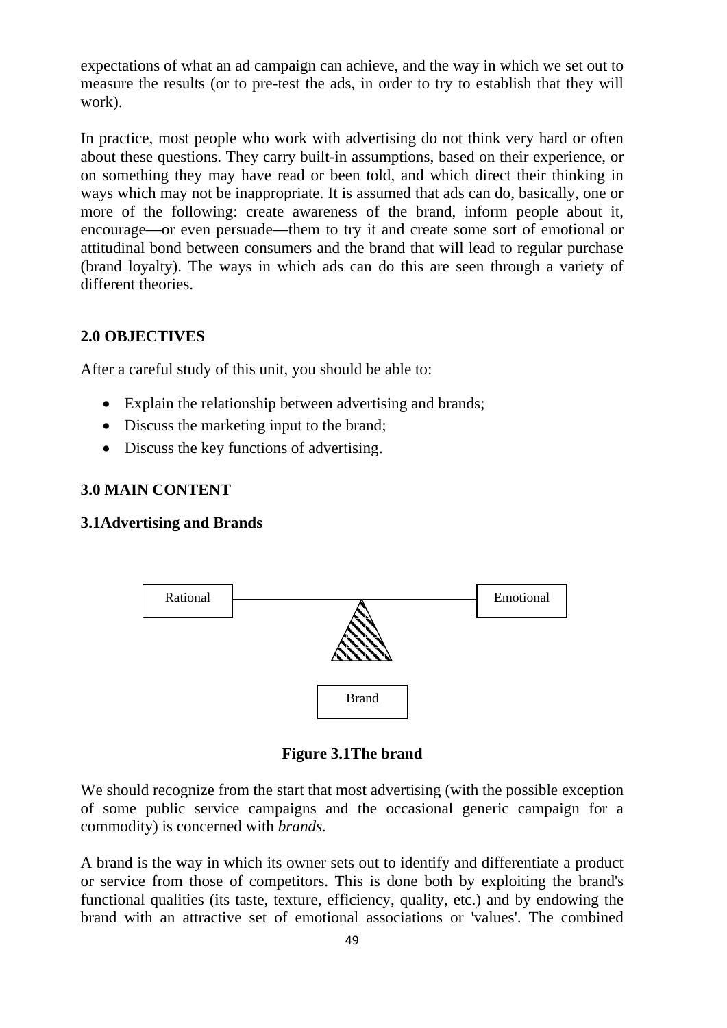expectations of what an ad campaign can achieve, and the way in which we set out to measure the results (or to pre-test the ads, in order to try to establish that they will work).

In practice, most people who work with advertising do not think very hard or often about these questions. They carry built-in assumptions, based on their experience, or on something they may have read or been told, and which direct their thinking in ways which may not be inappropriate. It is assumed that ads can do, basically, one or more of the following: create awareness of the brand, inform people about it, encourage—or even persuade—them to try it and create some sort of emotional or attitudinal bond between consumers and the brand that will lead to regular purchase (brand loyalty). The ways in which ads can do this are seen through a variety of different theories.

#### **2.0 OBJECTIVES**

After a careful study of this unit, you should be able to:

- Explain the relationship between advertising and brands;
- Discuss the marketing input to the brand;
- Discuss the key functions of advertising.

### **3.0 MAIN CONTENT**

#### **3.1Advertising and Brands**



**Figure 3.1The brand**

We should recognize from the start that most advertising (with the possible exception of some public service campaigns and the occasional generic campaign for a commodity) is concerned with *brands.*

A brand is the way in which its owner sets out to identify and differentiate a product or service from those of competitors. This is done both by exploiting the brand's functional qualities (its taste, texture, efficiency, quality, etc.) and by endowing the brand with an attractive set of emotional associations or 'values'. The combined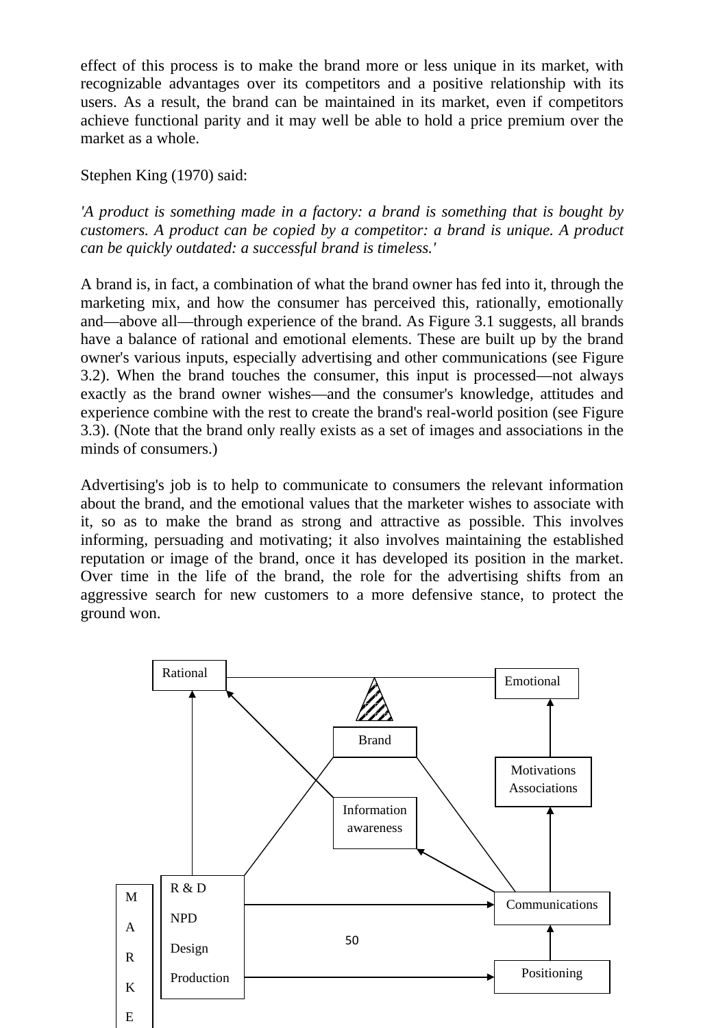effect of this process is to make the brand more or less unique in its market, with recognizable advantages over its competitors and a positive relationship with its users. As a result, the brand can be maintained in its market, even if competitors achieve functional parity and it may well be able to hold a price premium over the market as a whole.

### Stephen King (1970) said:

*'A product is something made in a factory: a brand is something that is bought by customers. A product can be copied by a competitor: a brand is unique. A product can be quickly outdated: a successful brand is timeless.'* 

A brand is, in fact, a combination of what the brand owner has fed into it, through the marketing mix, and how the consumer has perceived this, rationally, emotionally and—above all—through experience of the brand. As Figure 3.1 suggests, all brands have a balance of rational and emotional elements. These are built up by the brand owner's various inputs, especially advertising and other communications (see Figure 3.2). When the brand touches the consumer, this input is processed—not always exactly as the brand owner wishes—and the consumer's knowledge, attitudes and experience combine with the rest to create the brand's real-world position (see Figure 3.3). (Note that the brand only really exists as a set of images and associations in the minds of consumers.)

Advertising's job is to help to communicate to consumers the relevant information about the brand, and the emotional values that the marketer wishes to associate with it, so as to make the brand as strong and attractive as possible. This involves informing, persuading and motivating; it also involves maintaining the established reputation or image of the brand, once it has developed its position in the market. Over time in the life of the brand, the role for the advertising shifts from an aggressive search for new customers to a more defensive stance, to protect the ground won.

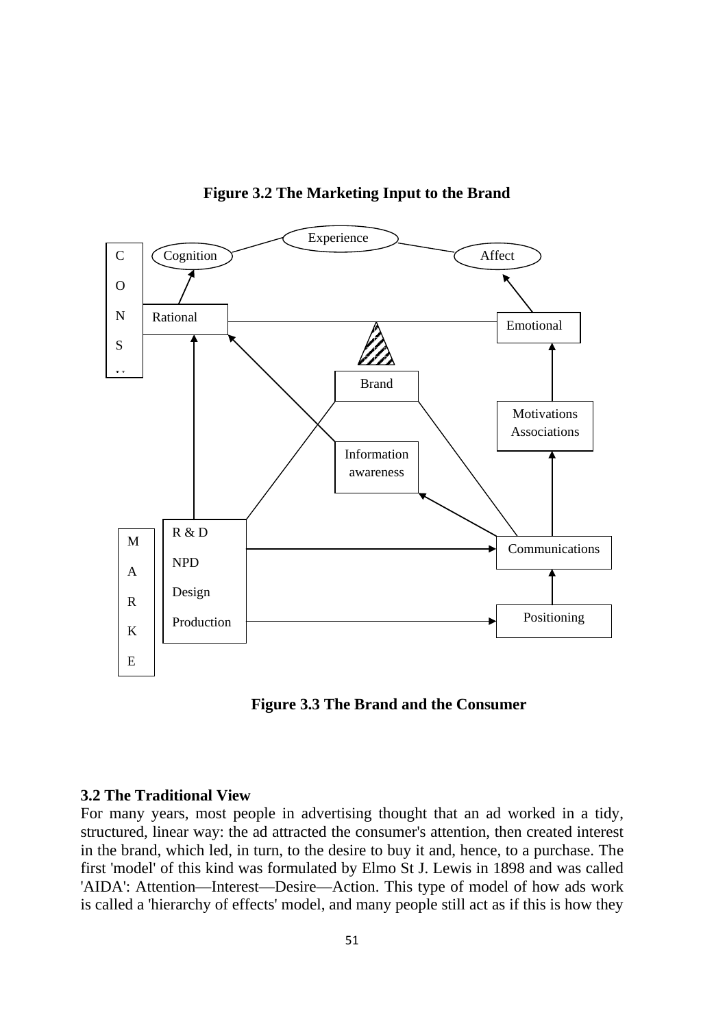

**Figure 3.2 The Marketing Input to the Brand**

 **Figure 3.3 The Brand and the Consumer**

### **3.2 The Traditional View**

For many years, most people in advertising thought that an ad worked in a tidy, structured, linear way: the ad attracted the consumer's attention, then created interest in the brand, which led, in turn, to the desire to buy it and, hence, to a purchase. The first 'model' of this kind was formulated by Elmo St J. Lewis in 1898 and was called 'AIDA': Attention—Interest—Desire—Action. This type of model of how ads work is called a 'hierarchy of effects' model, and many people still act as if this is how they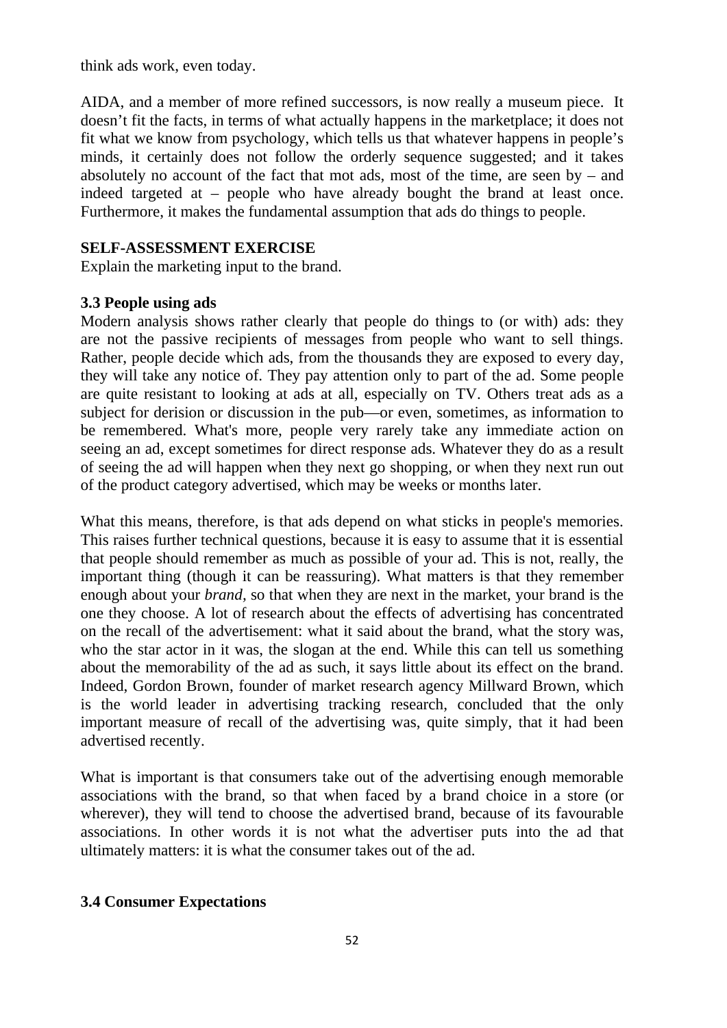think ads work, even today.

AIDA, and a member of more refined successors, is now really a museum piece. It doesn't fit the facts, in terms of what actually happens in the marketplace; it does not fit what we know from psychology, which tells us that whatever happens in people's minds, it certainly does not follow the orderly sequence suggested; and it takes absolutely no account of the fact that mot ads, most of the time, are seen by  $-$  and indeed targeted at – people who have already bought the brand at least once. Furthermore, it makes the fundamental assumption that ads do things to people.

### **SELF-ASSESSMENT EXERCISE**

Explain the marketing input to the brand.

### **3.3 People using ads**

Modern analysis shows rather clearly that people do things to (or with) ads: they are not the passive recipients of messages from people who want to sell things. Rather, people decide which ads, from the thousands they are exposed to every day, they will take any notice of. They pay attention only to part of the ad. Some people are quite resistant to looking at ads at all, especially on TV. Others treat ads as a subject for derision or discussion in the pub—or even, sometimes, as information to be remembered. What's more, people very rarely take any immediate action on seeing an ad, except sometimes for direct response ads. Whatever they do as a result of seeing the ad will happen when they next go shopping, or when they next run out of the product category advertised, which may be weeks or months later.

What this means, therefore, is that ads depend on what sticks in people's memories. This raises further technical questions, because it is easy to assume that it is essential that people should remember as much as possible of your ad. This is not, really, the important thing (though it can be reassuring). What matters is that they remember enough about your *brand,* so that when they are next in the market, your brand is the one they choose. A lot of research about the effects of advertising has concentrated on the recall of the advertisement: what it said about the brand, what the story was, who the star actor in it was, the slogan at the end. While this can tell us something about the memorability of the ad as such, it says little about its effect on the brand. Indeed, Gordon Brown, founder of market research agency Millward Brown, which is the world leader in advertising tracking research, concluded that the only important measure of recall of the advertising was, quite simply, that it had been advertised recently.

What is important is that consumers take out of the advertising enough memorable associations with the brand, so that when faced by a brand choice in a store (or wherever), they will tend to choose the advertised brand, because of its favourable associations. In other words it is not what the advertiser puts into the ad that ultimately matters: it is what the consumer takes out of the ad.

## **3.4 Consumer Expectations**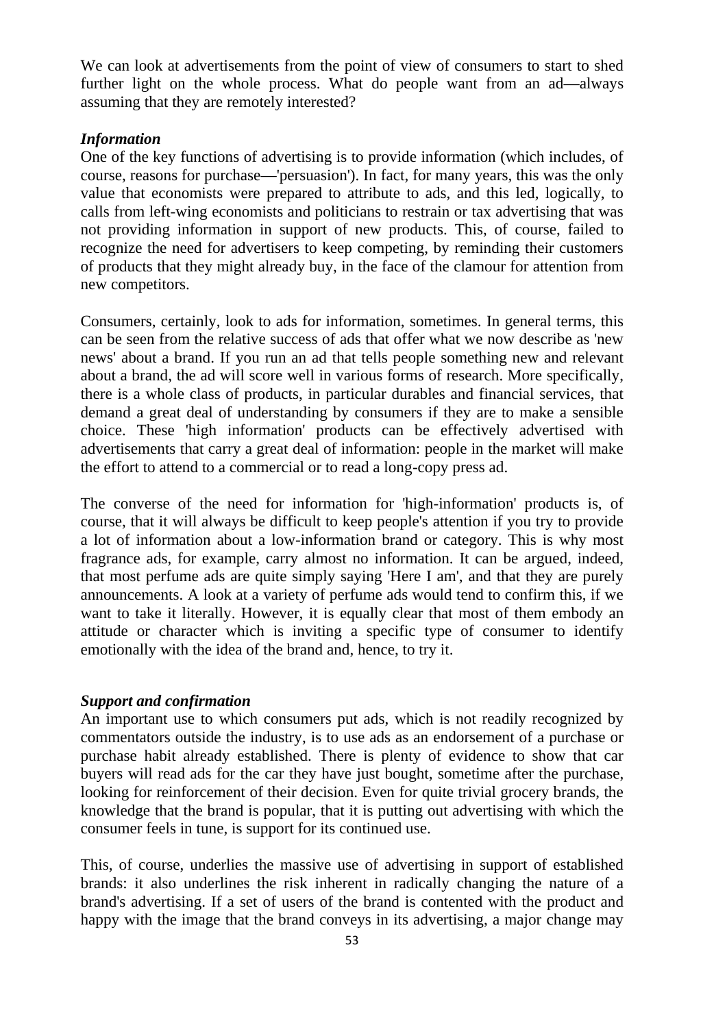We can look at advertisements from the point of view of consumers to start to shed further light on the whole process. What do people want from an ad—always assuming that they are remotely interested?

#### *Information*

One of the key functions of advertising is to provide information (which includes, of course, reasons for purchase—'persuasion'). In fact, for many years, this was the only value that economists were prepared to attribute to ads, and this led, logically, to calls from left-wing economists and politicians to restrain or tax advertising that was not providing information in support of new products. This, of course, failed to recognize the need for advertisers to keep competing, by reminding their customers of products that they might already buy, in the face of the clamour for attention from new competitors.

Consumers, certainly, look to ads for information, sometimes. In general terms, this can be seen from the relative success of ads that offer what we now describe as 'new news' about a brand. If you run an ad that tells people something new and relevant about a brand, the ad will score well in various forms of research. More specifically, there is a whole class of products, in particular durables and financial services, that demand a great deal of understanding by consumers if they are to make a sensible choice. These 'high information' products can be effectively advertised with advertisements that carry a great deal of information: people in the market will make the effort to attend to a commercial or to read a long-copy press ad.

The converse of the need for information for 'high-information' products is, of course, that it will always be difficult to keep people's attention if you try to provide a lot of information about a low-information brand or category. This is why most fragrance ads, for example, carry almost no information. It can be argued, indeed, that most perfume ads are quite simply saying 'Here I am', and that they are purely announcements. A look at a variety of perfume ads would tend to confirm this, if we want to take it literally. However, it is equally clear that most of them embody an attitude or character which is inviting a specific type of consumer to identify emotionally with the idea of the brand and, hence, to try it.

### *Support and confirmation*

An important use to which consumers put ads, which is not readily recognized by commentators outside the industry, is to use ads as an endorsement of a purchase or purchase habit already established. There is plenty of evidence to show that car buyers will read ads for the car they have just bought, sometime after the purchase, looking for reinforcement of their decision. Even for quite trivial grocery brands, the knowledge that the brand is popular, that it is putting out advertising with which the consumer feels in tune, is support for its continued use.

This, of course, underlies the massive use of advertising in support of established brands: it also underlines the risk inherent in radically changing the nature of a brand's advertising. If a set of users of the brand is contented with the product and happy with the image that the brand conveys in its advertising, a major change may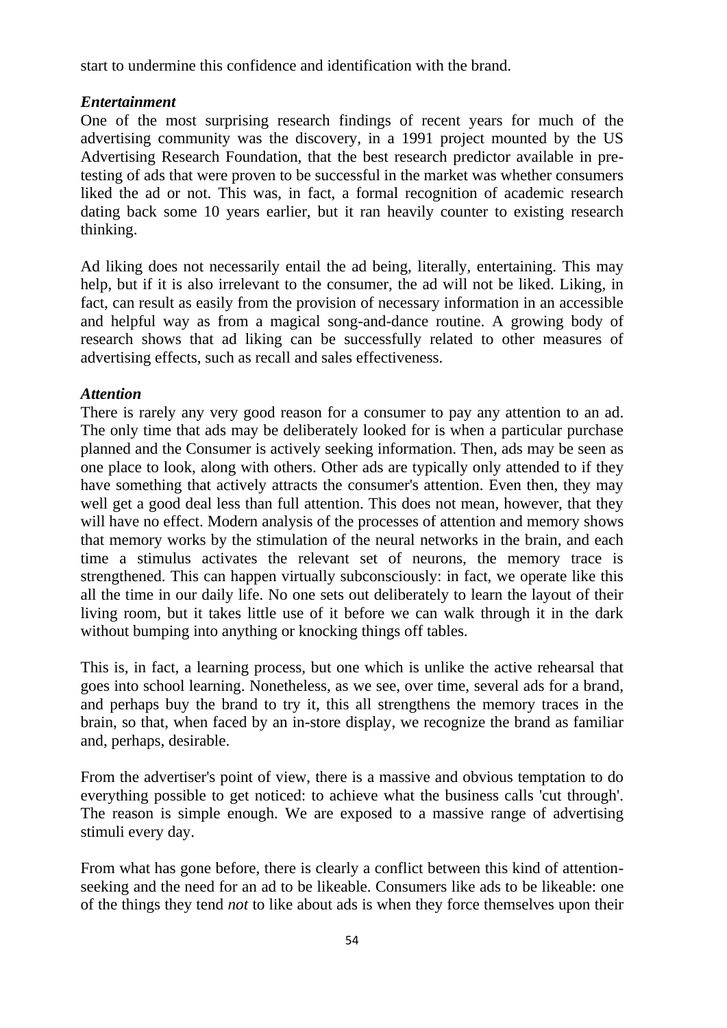start to undermine this confidence and identification with the brand.

### *Entertainment*

One of the most surprising research findings of recent years for much of the advertising community was the discovery, in a 1991 project mounted by the US Advertising Research Foundation, that the best research predictor available in pretesting of ads that were proven to be successful in the market was whether consumers liked the ad or not. This was, in fact, a formal recognition of academic research dating back some 10 years earlier, but it ran heavily counter to existing research thinking.

Ad liking does not necessarily entail the ad being, literally, entertaining. This may help, but if it is also irrelevant to the consumer, the ad will not be liked. Liking, in fact, can result as easily from the provision of necessary information in an accessible and helpful way as from a magical song-and-dance routine. A growing body of research shows that ad liking can be successfully related to other measures of advertising effects, such as recall and sales effectiveness.

### *Attention*

There is rarely any very good reason for a consumer to pay any attention to an ad. The only time that ads may be deliberately looked for is when a particular purchase planned and the Consumer is actively seeking information. Then, ads may be seen as one place to look, along with others. Other ads are typically only attended to if they have something that actively attracts the consumer's attention. Even then, they may well get a good deal less than full attention. This does not mean, however, that they will have no effect. Modern analysis of the processes of attention and memory shows that memory works by the stimulation of the neural networks in the brain, and each time a stimulus activates the relevant set of neurons, the memory trace is strengthened. This can happen virtually subconsciously: in fact, we operate like this all the time in our daily life. No one sets out deliberately to learn the layout of their living room, but it takes little use of it before we can walk through it in the dark without bumping into anything or knocking things off tables.

This is, in fact, a learning process, but one which is unlike the active rehearsal that goes into school learning. Nonetheless, as we see, over time, several ads for a brand, and perhaps buy the brand to try it, this all strengthens the memory traces in the brain, so that, when faced by an in-store display, we recognize the brand as familiar and, perhaps, desirable.

From the advertiser's point of view, there is a massive and obvious temptation to do everything possible to get noticed: to achieve what the business calls 'cut through'. The reason is simple enough. We are exposed to a massive range of advertising stimuli every day.

From what has gone before, there is clearly a conflict between this kind of attentionseeking and the need for an ad to be likeable. Consumers like ads to be likeable: one of the things they tend *not* to like about ads is when they force themselves upon their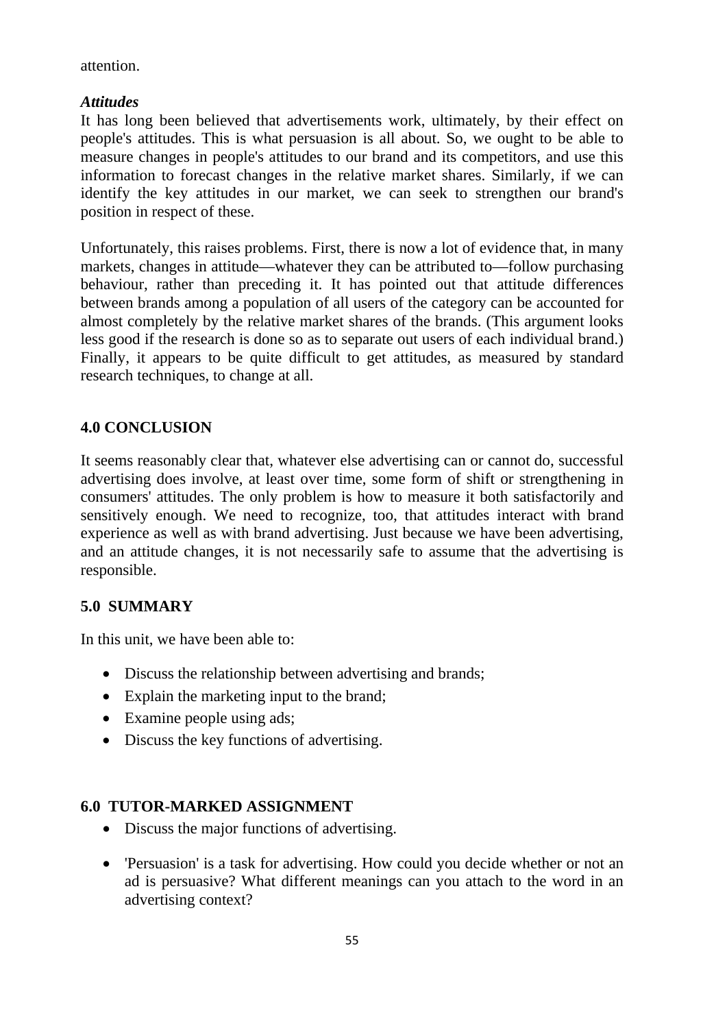attention.

### *Attitudes*

It has long been believed that advertisements work, ultimately, by their effect on people's attitudes. This is what persuasion is all about. So, we ought to be able to measure changes in people's attitudes to our brand and its competitors, and use this information to forecast changes in the relative market shares. Similarly, if we can identify the key attitudes in our market, we can seek to strengthen our brand's position in respect of these.

Unfortunately, this raises problems. First, there is now a lot of evidence that, in many markets, changes in attitude—whatever they can be attributed to—follow purchasing behaviour, rather than preceding it. It has pointed out that attitude differences between brands among a population of all users of the category can be accounted for almost completely by the relative market shares of the brands. (This argument looks less good if the research is done so as to separate out users of each individual brand.) Finally, it appears to be quite difficult to get attitudes, as measured by standard research techniques, to change at all.

## **4.0 CONCLUSION**

It seems reasonably clear that, whatever else advertising can or cannot do, successful advertising does involve, at least over time, some form of shift or strengthening in consumers' attitudes. The only problem is how to measure it both satisfactorily and sensitively enough. We need to recognize, too, that attitudes interact with brand experience as well as with brand advertising. Just because we have been advertising, and an attitude changes, it is not necessarily safe to assume that the advertising is responsible.

## **5.0 SUMMARY**

In this unit, we have been able to:

- Discuss the relationship between advertising and brands;
- Explain the marketing input to the brand;
- Examine people using ads;
- Discuss the key functions of advertising.

## **6.0 TUTOR-MARKED ASSIGNMENT**

- Discuss the major functions of advertising.
- 'Persuasion' is a task for advertising. How could you decide whether or not an ad is persuasive? What different meanings can you attach to the word in an advertising context?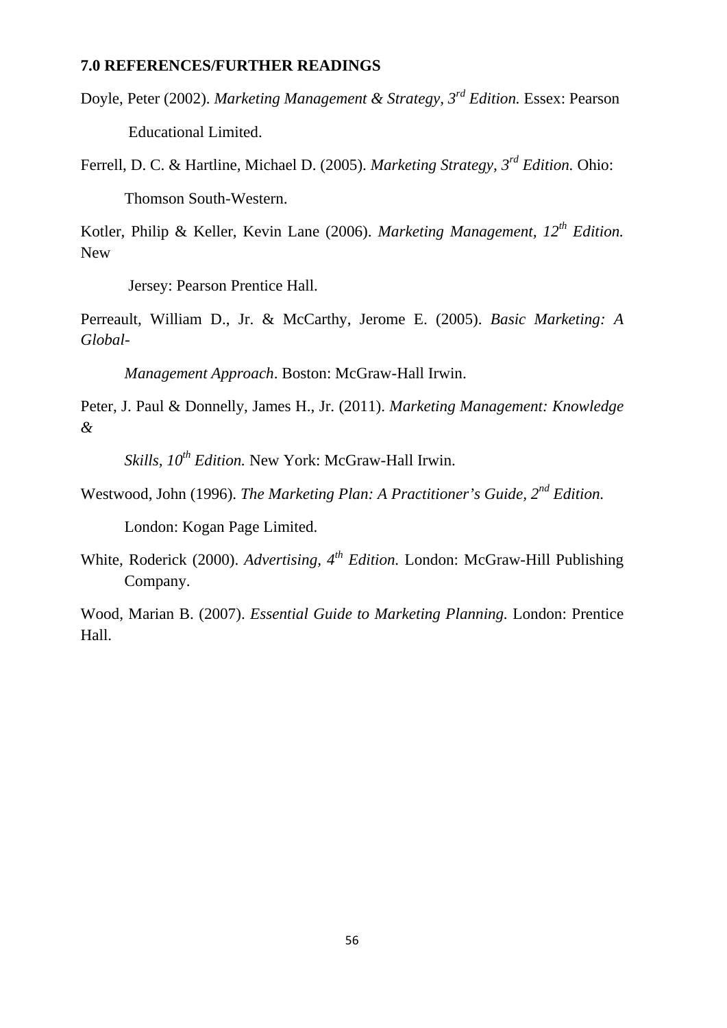#### **7.0 REFERENCES/FURTHER READINGS**

Doyle, Peter (2002). *Marketing Management & Strategy, 3rd Edition.* Essex: Pearson Educational Limited.

Ferrell, D. C. & Hartline, Michael D. (2005). *Marketing Strategy, 3rd Edition.* Ohio: Thomson South-Western.

Kotler, Philip & Keller, Kevin Lane (2006). *Marketing Management, 12th Edition.* New

Jersey: Pearson Prentice Hall.

Perreault, William D., Jr. & McCarthy, Jerome E. (2005). *Basic Marketing: A Global-*

*Management Approach*. Boston: McGraw-Hall Irwin.

Peter, J. Paul & Donnelly, James H., Jr. (2011). *Marketing Management: Knowledge &* 

*Skills, 10th Edition.* New York: McGraw-Hall Irwin.

Westwood, John (1996). *The Marketing Plan: A Practitioner's Guide, 2nd Edition.*

London: Kogan Page Limited.

White, Roderick (2000). *Advertising, 4th Edition.* London: McGraw-Hill Publishing Company.

Wood, Marian B. (2007). *Essential Guide to Marketing Planning.* London: Prentice Hall.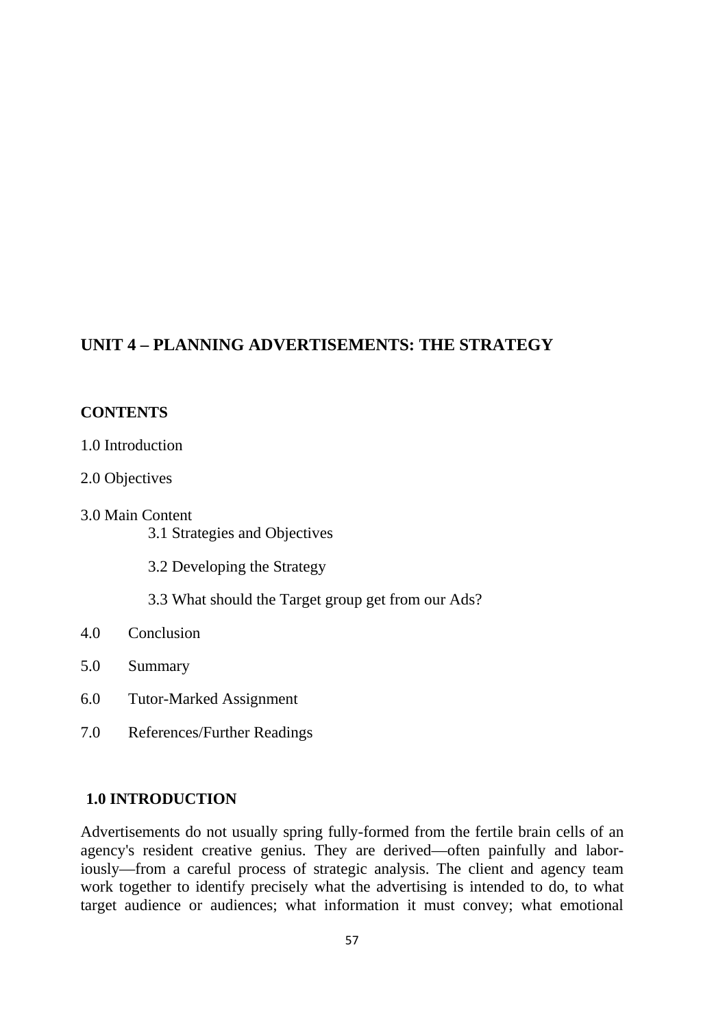## **UNIT 4 – PLANNING ADVERTISEMENTS: THE STRATEGY**

### **CONTENTS**

- 1.0 Introduction
- 2.0 Objectives
- 3.0 Main Content 3.1 Strategies and Objectives
	- 3.2 Developing the Strategy
	- 3.3 What should the Target group get from our Ads?

### 4.0 Conclusion

- 5.0 Summary
- 6.0 Tutor-Marked Assignment
- 7.0 References/Further Readings

### **1.0 INTRODUCTION**

Advertisements do not usually spring fully-formed from the fertile brain cells of an agency's resident creative genius. They are derived—often painfully and laboriously—from a careful process of strategic analysis. The client and agency team work together to identify precisely what the advertising is intended to do, to what target audience or audiences; what information it must convey; what emotional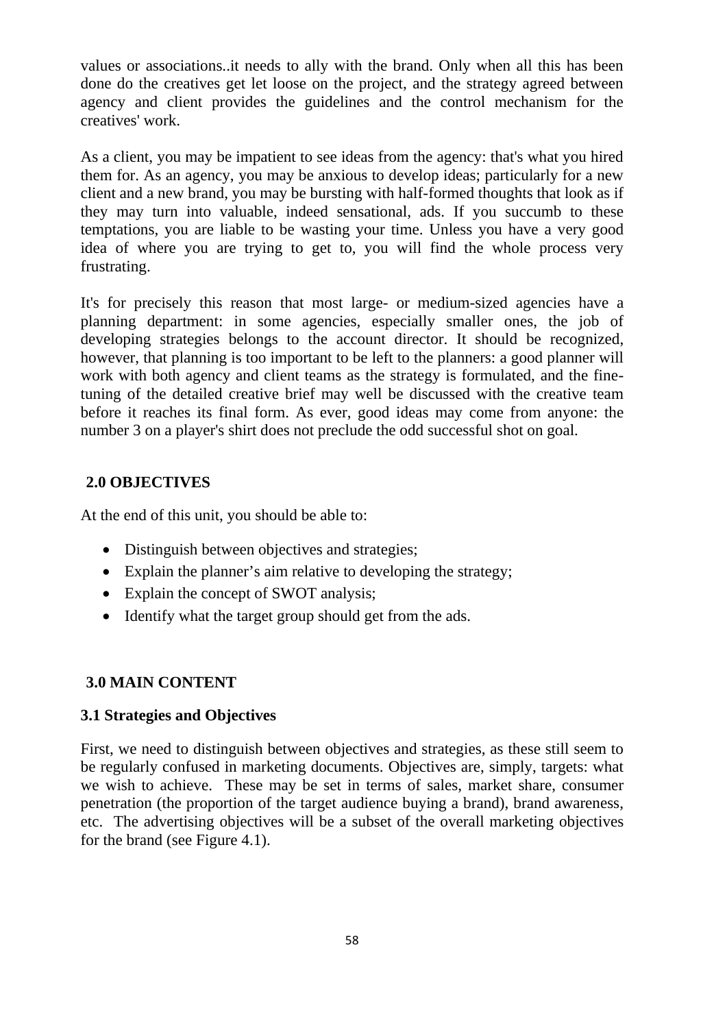values or associations..it needs to ally with the brand. Only when all this has been done do the creatives get let loose on the project, and the strategy agreed between agency and client provides the guidelines and the control mechanism for the creatives' work.

As a client, you may be impatient to see ideas from the agency: that's what you hired them for. As an agency, you may be anxious to develop ideas; particularly for a new client and a new brand, you may be bursting with half-formed thoughts that look as if they may turn into valuable, indeed sensational, ads. If you succumb to these temptations, you are liable to be wasting your time. Unless you have a very good idea of where you are trying to get to, you will find the whole process very frustrating.

It's for precisely this reason that most large- or medium-sized agencies have a planning department: in some agencies, especially smaller ones, the job of developing strategies belongs to the account director. It should be recognized, however, that planning is too important to be left to the planners: a good planner will work with both agency and client teams as the strategy is formulated, and the finetuning of the detailed creative brief may well be discussed with the creative team before it reaches its final form. As ever, good ideas may come from anyone: the number 3 on a player's shirt does not preclude the odd successful shot on goal.

## **2.0 OBJECTIVES**

At the end of this unit, you should be able to:

- Distinguish between objectives and strategies;
- Explain the planner's aim relative to developing the strategy;
- Explain the concept of SWOT analysis;
- Identify what the target group should get from the ads.

## **3.0 MAIN CONTENT**

## **3.1 Strategies and Objectives**

First, we need to distinguish between objectives and strategies, as these still seem to be regularly confused in marketing documents. Objectives are, simply, targets: what we wish to achieve. These may be set in terms of sales, market share, consumer penetration (the proportion of the target audience buying a brand), brand awareness, etc. The advertising objectives will be a subset of the overall marketing objectives for the brand (see Figure 4.1).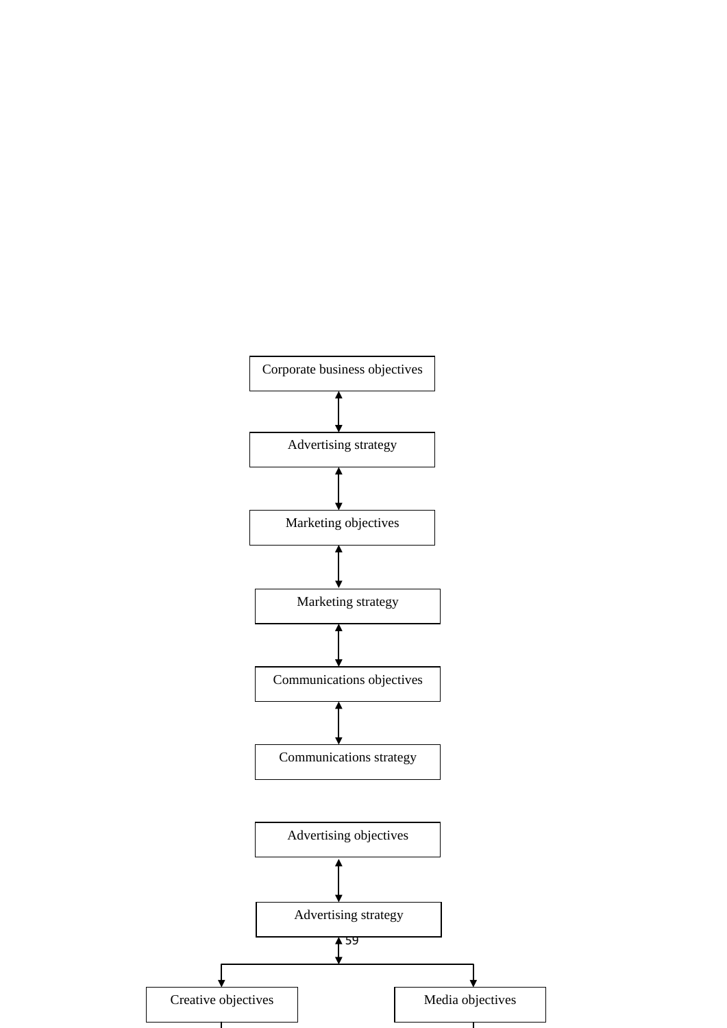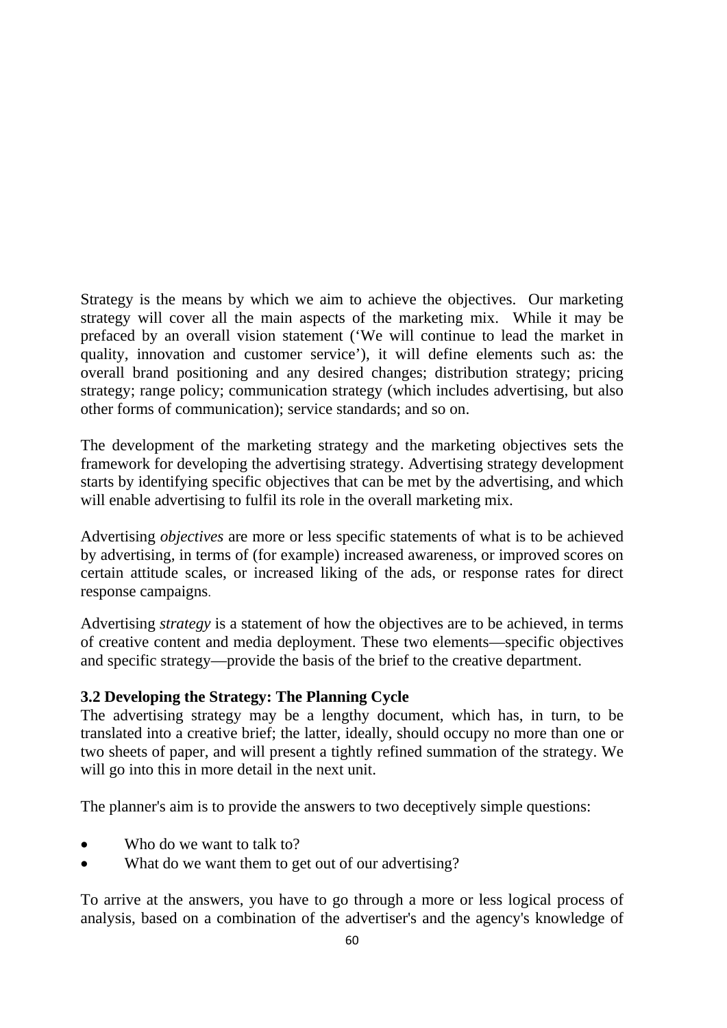Strategy is the means by which we aim to achieve the objectives. Our marketing strategy will cover all the main aspects of the marketing mix. While it may be prefaced by an overall vision statement ('We will continue to lead the market in quality, innovation and customer service'), it will define elements such as: the overall brand positioning and any desired changes; distribution strategy; pricing strategy; range policy; communication strategy (which includes advertising, but also other forms of communication); service standards; and so on.

The development of the marketing strategy and the marketing objectives sets the framework for developing the advertising strategy. Advertising strategy development starts by identifying specific objectives that can be met by the advertising, and which will enable advertising to fulfil its role in the overall marketing mix.

Advertising *objectives* are more or less specific statements of what is to be achieved by advertising, in terms of (for example) increased awareness, or improved scores on certain attitude scales, or increased liking of the ads, or response rates for direct response campaigns.

Advertising *strategy* is a statement of how the objectives are to be achieved, in terms of creative content and media deployment. These two elements—specific objectives and specific strategy—provide the basis of the brief to the creative department.

## **3.2 Developing the Strategy: The Planning Cycle**

The advertising strategy may be a lengthy document, which has, in turn, to be translated into a creative brief; the latter, ideally, should occupy no more than one or two sheets of paper, and will present a tightly refined summation of the strategy. We will go into this in more detail in the next unit.

The planner's aim is to provide the answers to two deceptively simple questions:

- Who do we want to talk to?
- What do we want them to get out of our advertising?

To arrive at the answers, you have to go through a more or less logical process of analysis, based on a combination of the advertiser's and the agency's knowledge of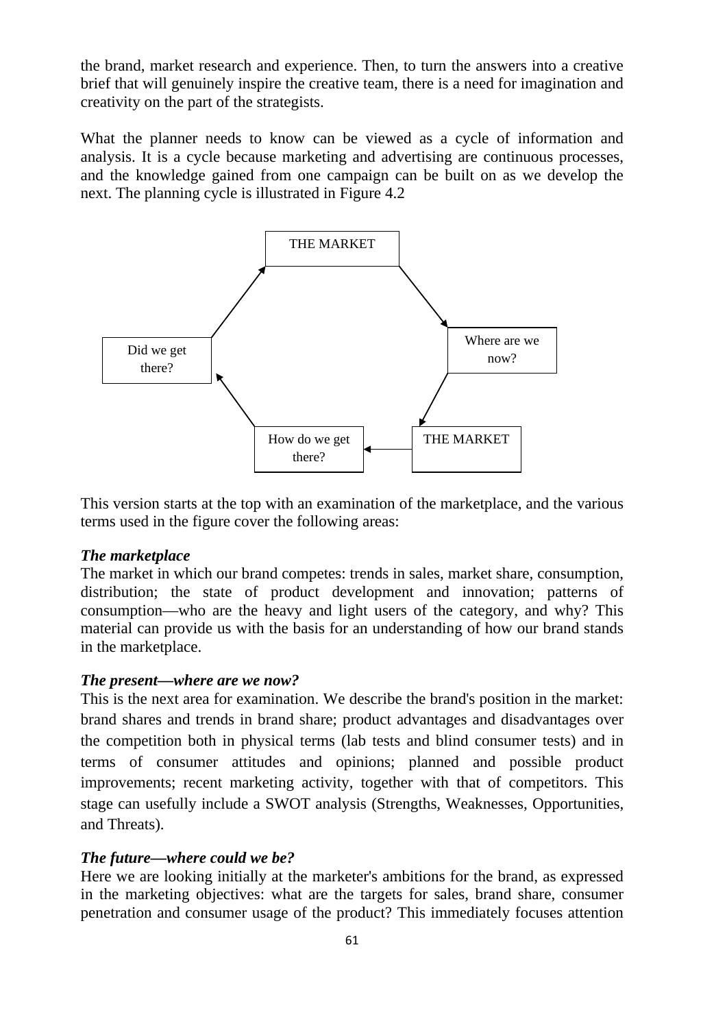the brand, market research and experience. Then, to turn the answers into a creative brief that will genuinely inspire the creative team, there is a need for imagination and creativity on the part of the strategists.

What the planner needs to know can be viewed as a cycle of information and analysis. It is a cycle because marketing and advertising are continuous processes, and the knowledge gained from one campaign can be built on as we develop the next. The planning cycle is illustrated in Figure 4.2



This version starts at the top with an examination of the marketplace, and the various terms used in the figure cover the following areas:

### *The marketplace*

The market in which our brand competes: trends in sales, market share, consumption, distribution; the state of product development and innovation; patterns of consumption—who are the heavy and light users of the category, and why? This material can provide us with the basis for an understanding of how our brand stands in the marketplace.

#### *The present—where are we now?*

This is the next area for examination. We describe the brand's position in the market: brand shares and trends in brand share; product advantages and disadvantages over the competition both in physical terms (lab tests and blind consumer tests) and in terms of consumer attitudes and opinions; planned and possible product improvements; recent marketing activity, together with that of competitors. This stage can usefully include a SWOT analysis (Strengths, Weaknesses, Opportunities, and Threats).

### *The future—where could we be?*

Here we are looking initially at the marketer's ambitions for the brand, as expressed in the marketing objectives: what are the targets for sales, brand share, consumer penetration and consumer usage of the product? This immediately focuses attention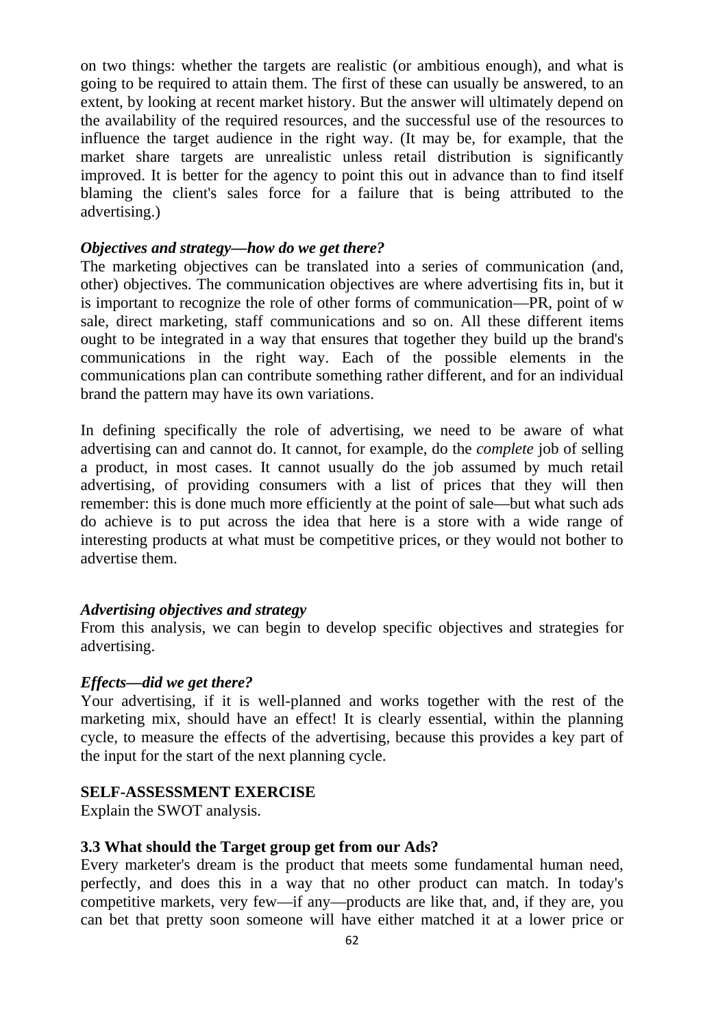on two things: whether the targets are realistic (or ambitious enough), and what is going to be required to attain them. The first of these can usually be answered, to an extent, by looking at recent market history. But the answer will ultimately depend on the availability of the required resources, and the successful use of the resources to influence the target audience in the right way. (It may be, for example, that the market share targets are unrealistic unless retail distribution is significantly improved. It is better for the agency to point this out in advance than to find itself blaming the client's sales force for a failure that is being attributed to the advertising.)

### *Objectives and strategy—how do we get there?*

The marketing objectives can be translated into a series of communication (and, other) objectives. The communication objectives are where advertising fits in, but it is important to recognize the role of other forms of communication—PR, point of w sale, direct marketing, staff communications and so on. All these different items ought to be integrated in a way that ensures that together they build up the brand's communications in the right way. Each of the possible elements in the communications plan can contribute something rather different, and for an individual brand the pattern may have its own variations.

In defining specifically the role of advertising, we need to be aware of what advertising can and cannot do. It cannot, for example, do the *complete* job of selling a product, in most cases. It cannot usually do the job assumed by much retail advertising, of providing consumers with a list of prices that they will then remember: this is done much more efficiently at the point of sale—but what such ads do achieve is to put across the idea that here is a store with a wide range of interesting products at what must be competitive prices, or they would not bother to advertise them.

#### *Advertising objectives and strategy*

From this analysis, we can begin to develop specific objectives and strategies for advertising.

#### *Effects—did we get there?*

Your advertising, if it is well-planned and works together with the rest of the marketing mix, should have an effect! It is clearly essential, within the planning cycle, to measure the effects of the advertising, because this provides a key part of the input for the start of the next planning cycle.

#### **SELF-ASSESSMENT EXERCISE**

Explain the SWOT analysis.

#### **3.3 What should the Target group get from our Ads?**

Every marketer's dream is the product that meets some fundamental human need, perfectly, and does this in a way that no other product can match. In today's competitive markets, very few—if any—products are like that, and, if they are, you can bet that pretty soon someone will have either matched it at a lower price or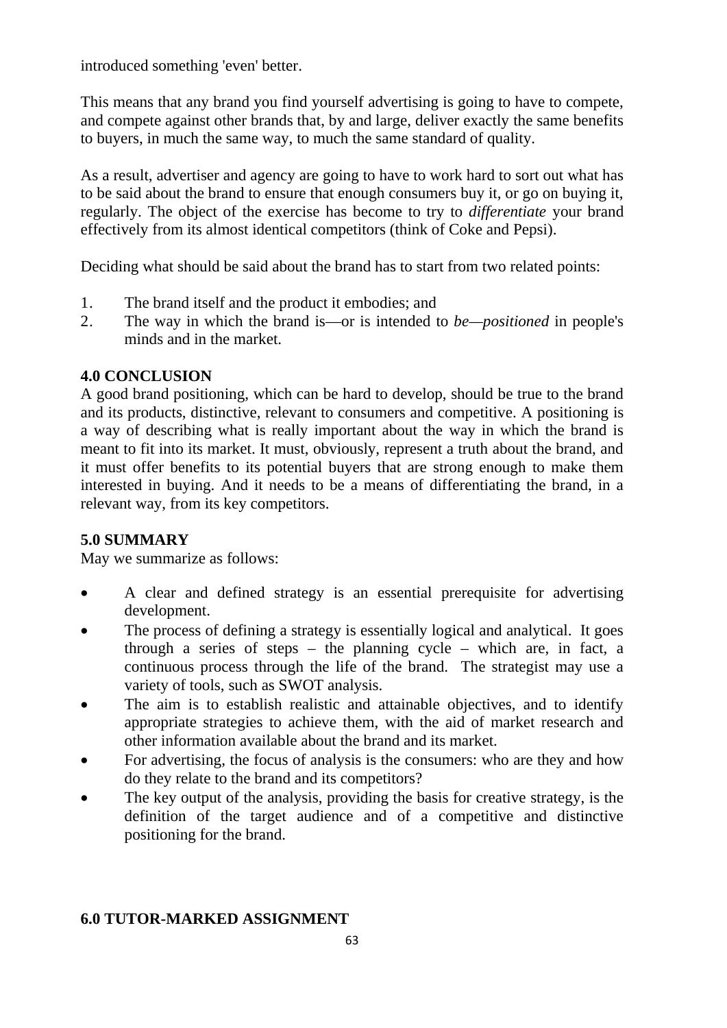introduced something 'even' better.

This means that any brand you find yourself advertising is going to have to compete, and compete against other brands that, by and large, deliver exactly the same benefits to buyers, in much the same way, to much the same standard of quality.

As a result, advertiser and agency are going to have to work hard to sort out what has to be said about the brand to ensure that enough consumers buy it, or go on buying it, regularly. The object of the exercise has become to try to *differentiate* your brand effectively from its almost identical competitors (think of Coke and Pepsi).

Deciding what should be said about the brand has to start from two related points:

- 1. The brand itself and the product it embodies; and
- 2. The way in which the brand is—or is intended to *be—positioned* in people's minds and in the market.

# **4.0 CONCLUSION**

A good brand positioning, which can be hard to develop, should be true to the brand and its products, distinctive, relevant to consumers and competitive. A positioning is a way of describing what is really important about the way in which the brand is meant to fit into its market. It must, obviously, represent a truth about the brand, and it must offer benefits to its potential buyers that are strong enough to make them interested in buying. And it needs to be a means of differentiating the brand, in a relevant way, from its key competitors.

# **5.0 SUMMARY**

May we summarize as follows:

- A clear and defined strategy is an essential prerequisite for advertising development.
- The process of defining a strategy is essentially logical and analytical. It goes through a series of steps – the planning cycle – which are, in fact, a continuous process through the life of the brand. The strategist may use a variety of tools, such as SWOT analysis.
- The aim is to establish realistic and attainable objectives, and to identify appropriate strategies to achieve them, with the aid of market research and other information available about the brand and its market.
- For advertising, the focus of analysis is the consumers: who are they and how do they relate to the brand and its competitors?
- The key output of the analysis, providing the basis for creative strategy, is the definition of the target audience and of a competitive and distinctive positioning for the brand.

# **6.0 TUTOR-MARKED ASSIGNMENT**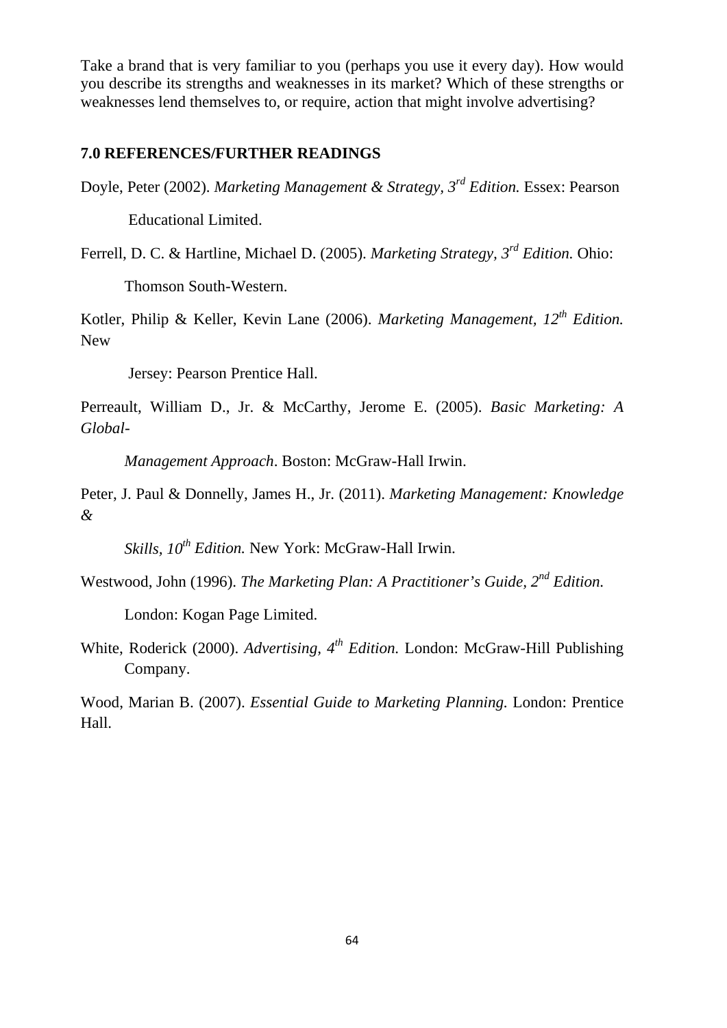Take a brand that is very familiar to you (perhaps you use it every day). How would you describe its strengths and weaknesses in its market? Which of these strengths or weaknesses lend themselves to, or require, action that might involve advertising?

#### **7.0 REFERENCES/FURTHER READINGS**

Doyle, Peter (2002). *Marketing Management & Strategy, 3rd Edition.* Essex: Pearson

Educational Limited.

Ferrell, D. C. & Hartline, Michael D. (2005). *Marketing Strategy, 3rd Edition.* Ohio:

Thomson South-Western.

Kotler, Philip & Keller, Kevin Lane (2006). *Marketing Management, 12th Edition.* New

Jersey: Pearson Prentice Hall.

Perreault, William D., Jr. & McCarthy, Jerome E. (2005). *Basic Marketing: A Global-*

*Management Approach*. Boston: McGraw-Hall Irwin.

Peter, J. Paul & Donnelly, James H., Jr. (2011). *Marketing Management: Knowledge &* 

*Skills, 10th Edition.* New York: McGraw-Hall Irwin.

Westwood, John (1996). *The Marketing Plan: A Practitioner's Guide, 2nd Edition.*

London: Kogan Page Limited.

White, Roderick (2000). *Advertising, 4th Edition.* London: McGraw-Hill Publishing Company.

Wood, Marian B. (2007). *Essential Guide to Marketing Planning.* London: Prentice Hall.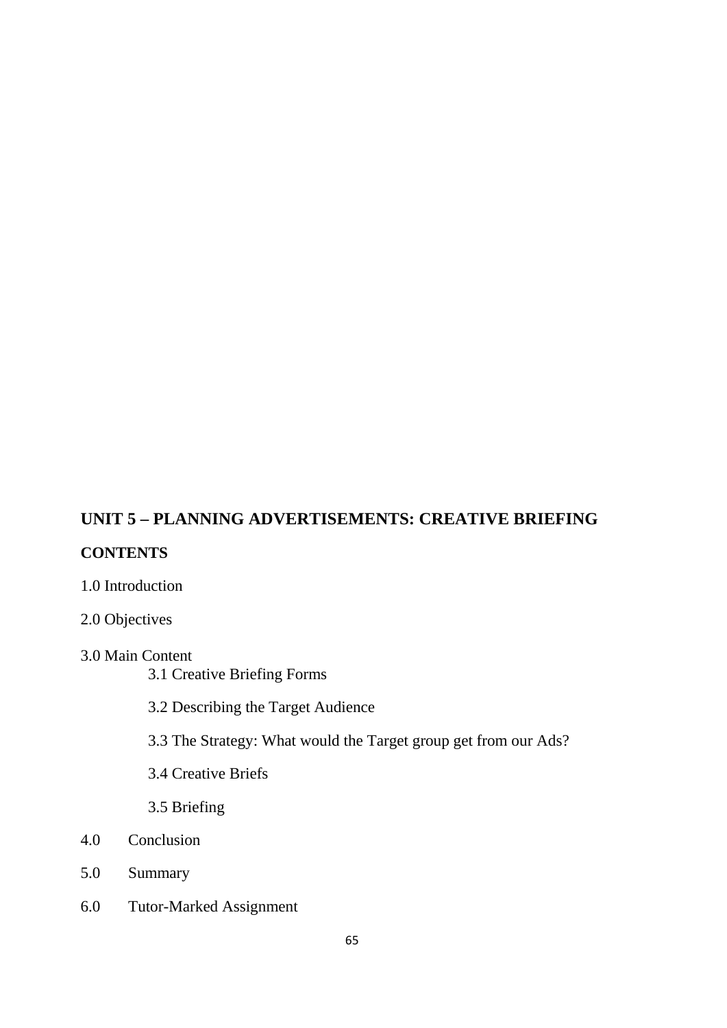# **UNIT 5 – PLANNING ADVERTISEMENTS: CREATIVE BRIEFING**

### **CONTENTS**

- 1.0 Introduction
- 2.0 Objectives
- 3.0 Main Content
	- 3.1 Creative Briefing Forms
	- 3.2 Describing the Target Audience
	- 3.3 The Strategy: What would the Target group get from our Ads?
	- 3.4 Creative Briefs
	- 3.5 Briefing
- 4.0 Conclusion
- 5.0 Summary
- 6.0 Tutor-Marked Assignment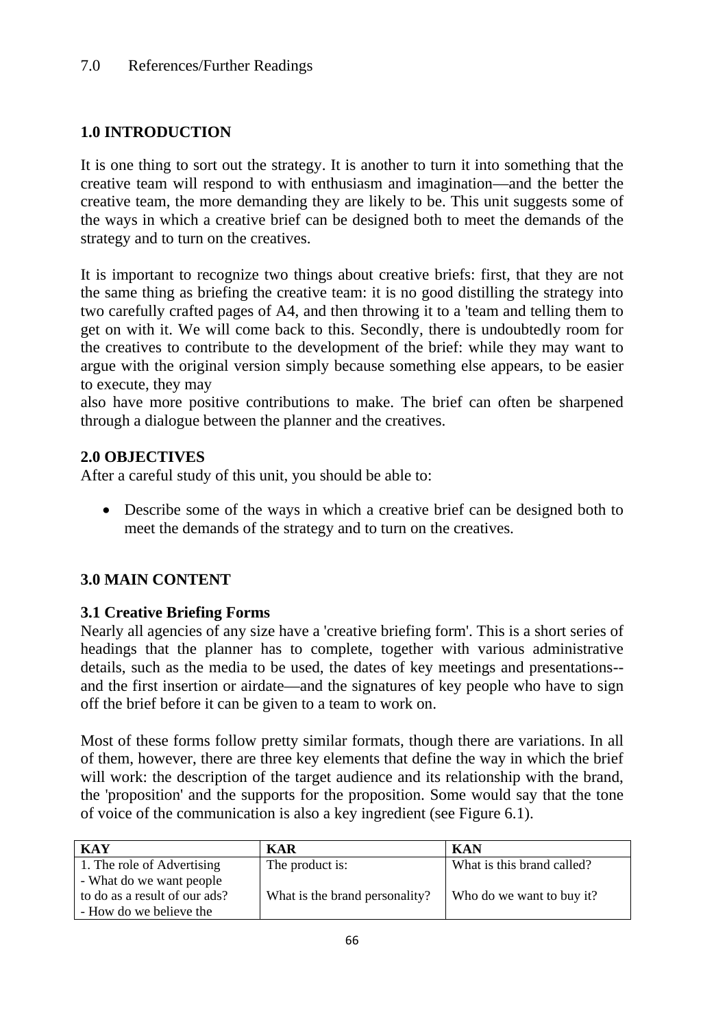# **1.0 INTRODUCTION**

It is one thing to sort out the strategy. It is another to turn it into something that the creative team will respond to with enthusiasm and imagination—and the better the creative team, the more demanding they are likely to be. This unit suggests some of the ways in which a creative brief can be designed both to meet the demands of the strategy and to turn on the creatives.

It is important to recognize two things about creative briefs: first, that they are not the same thing as briefing the creative team: it is no good distilling the strategy into two carefully crafted pages of A4, and then throwing it to a 'team and telling them to get on with it. We will come back to this. Secondly, there is undoubtedly room for the creatives to contribute to the development of the brief: while they may want to argue with the original version simply because something else appears, to be easier to execute, they may

also have more positive contributions to make. The brief can often be sharpened through a dialogue between the planner and the creatives.

## **2.0 OBJECTIVES**

After a careful study of this unit, you should be able to:

• Describe some of the ways in which a creative brief can be designed both to meet the demands of the strategy and to turn on the creatives.

# **3.0 MAIN CONTENT**

## **3.1 Creative Briefing Forms**

Nearly all agencies of any size have a 'creative briefing form'. This is a short series of headings that the planner has to complete, together with various administrative details, such as the media to be used, the dates of key meetings and presentations- and the first insertion or airdate—and the signatures of key people who have to sign off the brief before it can be given to a team to work on.

Most of these forms follow pretty similar formats, though there are variations. In all of them, however, there are three key elements that define the way in which the brief will work: the description of the target audience and its relationship with the brand, the 'proposition' and the supports for the proposition. Some would say that the tone of voice of the communication is also a key ingredient (see Figure 6.1).

| <b>KAY</b>                    | <b>KAR</b>                     | <b>KAN</b>                 |
|-------------------------------|--------------------------------|----------------------------|
| 1. The role of Advertising    | The product is:                | What is this brand called? |
| - What do we want people      |                                |                            |
| to do as a result of our ads? | What is the brand personality? | Who do we want to buy it?  |
| - How do we believe the       |                                |                            |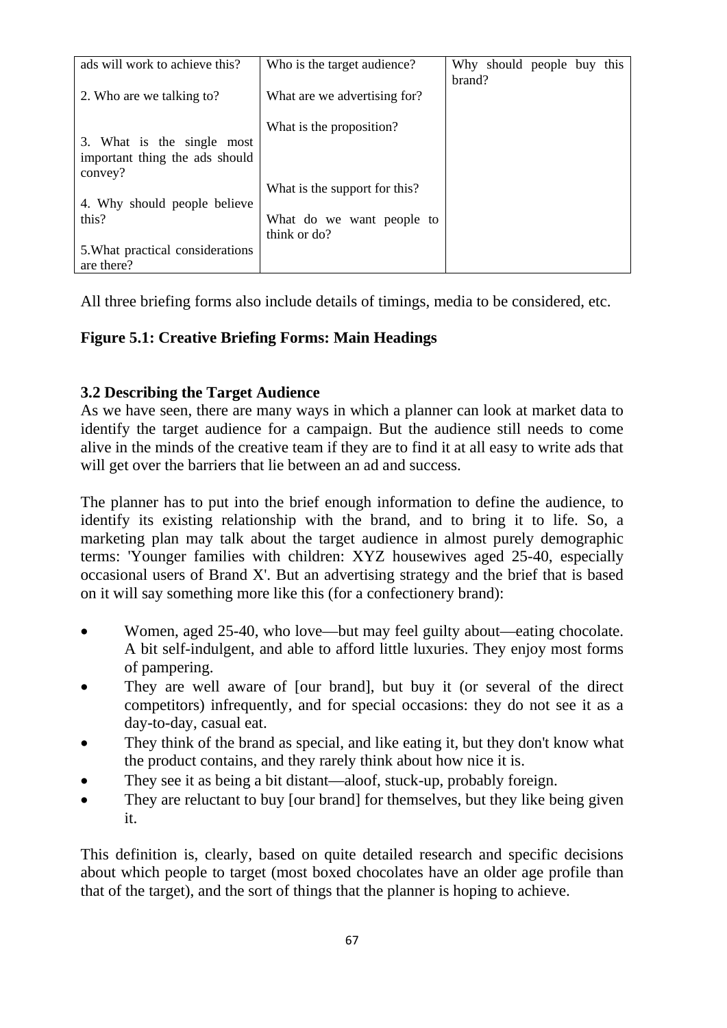| ads will work to achieve this?                                          | Who is the target audience?               | Why should people buy this |
|-------------------------------------------------------------------------|-------------------------------------------|----------------------------|
| 2. Who are we talking to?                                               | What are we advertising for?              | brand?                     |
| 3. What is the single most<br>important thing the ads should<br>convey? | What is the proposition?                  |                            |
|                                                                         | What is the support for this?             |                            |
| 4. Why should people believe                                            |                                           |                            |
| this?                                                                   | What do we want people to<br>think or do? |                            |
| 5. What practical considerations<br>are there?                          |                                           |                            |

All three briefing forms also include details of timings, media to be considered, etc.

# **Figure 5.1: Creative Briefing Forms: Main Headings**

# **3.2 Describing the Target Audience**

As we have seen, there are many ways in which a planner can look at market data to identify the target audience for a campaign. But the audience still needs to come alive in the minds of the creative team if they are to find it at all easy to write ads that will get over the barriers that lie between an ad and success.

The planner has to put into the brief enough information to define the audience, to identify its existing relationship with the brand, and to bring it to life. So, a marketing plan may talk about the target audience in almost purely demographic terms: 'Younger families with children: XYZ housewives aged 25-40, especially occasional users of Brand X'. But an advertising strategy and the brief that is based on it will say something more like this (for a confectionery brand):

- Women, aged 25-40, who love—but may feel guilty about—eating chocolate. A bit self-indulgent, and able to afford little luxuries. They enjoy most forms of pampering.
- They are well aware of [our brand], but buy it (or several of the direct competitors) infrequently, and for special occasions: they do not see it as a day-to-day, casual eat.
- They think of the brand as special, and like eating it, but they don't know what the product contains, and they rarely think about how nice it is.
- They see it as being a bit distant—aloof, stuck-up, probably foreign.
- They are reluctant to buy [our brand] for themselves, but they like being given it.

This definition is, clearly, based on quite detailed research and specific decisions about which people to target (most boxed chocolates have an older age profile than that of the target), and the sort of things that the planner is hoping to achieve.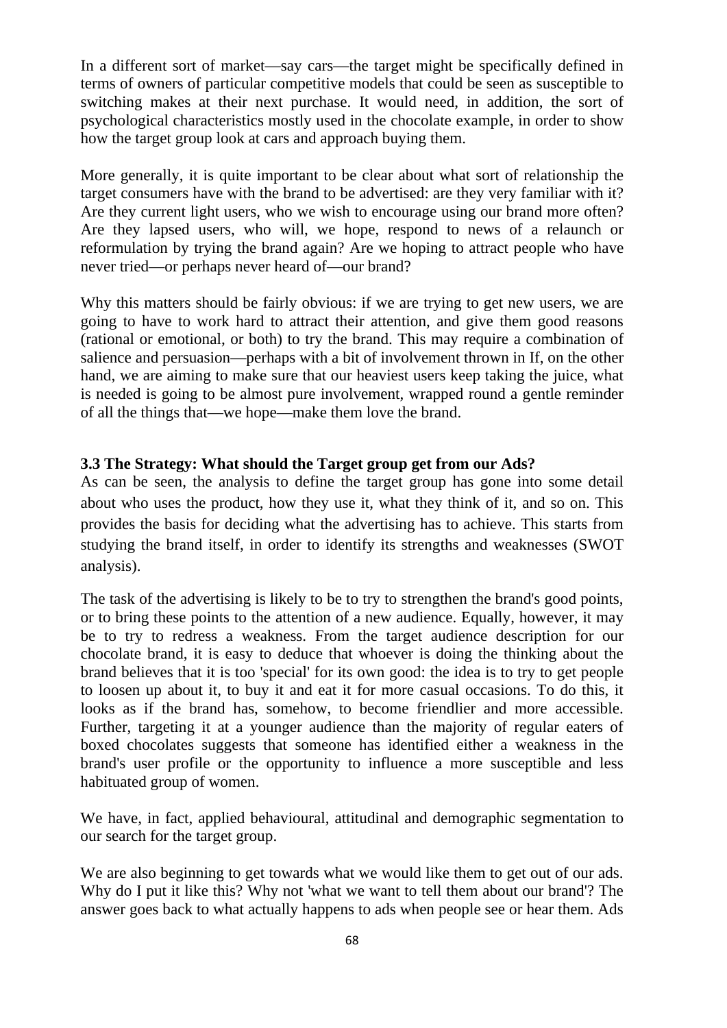In a different sort of market—say cars—the target might be specifically defined in terms of owners of particular competitive models that could be seen as susceptible to switching makes at their next purchase. It would need, in addition, the sort of psychological characteristics mostly used in the chocolate example, in order to show how the target group look at cars and approach buying them.

More generally, it is quite important to be clear about what sort of relationship the target consumers have with the brand to be advertised: are they very familiar with it? Are they current light users, who we wish to encourage using our brand more often? Are they lapsed users, who will, we hope, respond to news of a relaunch or reformulation by trying the brand again? Are we hoping to attract people who have never tried—or perhaps never heard of—our brand?

Why this matters should be fairly obvious: if we are trying to get new users, we are going to have to work hard to attract their attention, and give them good reasons (rational or emotional, or both) to try the brand. This may require a combination of salience and persuasion—perhaps with a bit of involvement thrown in If, on the other hand, we are aiming to make sure that our heaviest users keep taking the juice, what is needed is going to be almost pure involvement, wrapped round a gentle reminder of all the things that—we hope—make them love the brand.

### **3.3 The Strategy: What should the Target group get from our Ads?**

As can be seen, the analysis to define the target group has gone into some detail about who uses the product, how they use it, what they think of it, and so on. This provides the basis for deciding what the advertising has to achieve. This starts from studying the brand itself, in order to identify its strengths and weaknesses (SWOT analysis).

The task of the advertising is likely to be to try to strengthen the brand's good points, or to bring these points to the attention of a new audience. Equally, however, it may be to try to redress a weakness. From the target audience description for our chocolate brand, it is easy to deduce that whoever is doing the thinking about the brand believes that it is too 'special' for its own good: the idea is to try to get people to loosen up about it, to buy it and eat it for more casual occasions. To do this, it looks as if the brand has, somehow, to become friendlier and more accessible. Further, targeting it at a younger audience than the majority of regular eaters of boxed chocolates suggests that someone has identified either a weakness in the brand's user profile or the opportunity to influence a more susceptible and less habituated group of women.

We have, in fact, applied behavioural, attitudinal and demographic segmentation to our search for the target group.

We are also beginning to get towards what we would like them to get out of our ads. Why do I put it like this? Why not 'what we want to tell them about our brand'? The answer goes back to what actually happens to ads when people see or hear them. Ads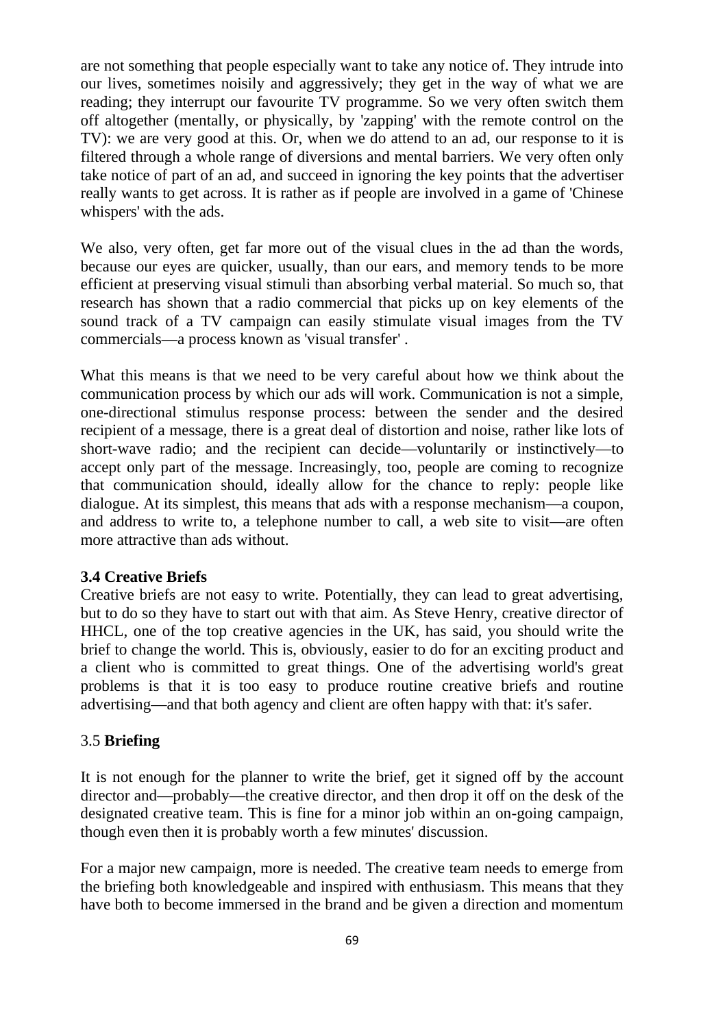are not something that people especially want to take any notice of. They intrude into our lives, sometimes noisily and aggressively; they get in the way of what we are reading; they interrupt our favourite TV programme. So we very often switch them off altogether (mentally, or physically, by 'zapping' with the remote control on the TV): we are very good at this. Or, when we do attend to an ad, our response to it is filtered through a whole range of diversions and mental barriers. We very often only take notice of part of an ad, and succeed in ignoring the key points that the advertiser really wants to get across. It is rather as if people are involved in a game of 'Chinese whispers' with the ads.

We also, very often, get far more out of the visual clues in the ad than the words, because our eyes are quicker, usually, than our ears, and memory tends to be more efficient at preserving visual stimuli than absorbing verbal material. So much so, that research has shown that a radio commercial that picks up on key elements of the sound track of a TV campaign can easily stimulate visual images from the TV commercials—a process known as 'visual transfer' .

What this means is that we need to be very careful about how we think about the communication process by which our ads will work. Communication is not a simple, one-directional stimulus response process: between the sender and the desired recipient of a message, there is a great deal of distortion and noise, rather like lots of short-wave radio; and the recipient can decide—voluntarily or instinctively—to accept only part of the message. Increasingly, too, people are coming to recognize that communication should, ideally allow for the chance to reply: people like dialogue. At its simplest, this means that ads with a response mechanism—a coupon, and address to write to, a telephone number to call, a web site to visit—are often more attractive than ads without.

### **3.4 Creative Briefs**

Creative briefs are not easy to write. Potentially, they can lead to great advertising, but to do so they have to start out with that aim. As Steve Henry, creative director of HHCL, one of the top creative agencies in the UK, has said, you should write the brief to change the world. This is, obviously, easier to do for an exciting product and a client who is committed to great things. One of the advertising world's great problems is that it is too easy to produce routine creative briefs and routine advertising—and that both agency and client are often happy with that: it's safer.

### 3.5 **Briefing**

It is not enough for the planner to write the brief, get it signed off by the account director and—probably—the creative director, and then drop it off on the desk of the designated creative team. This is fine for a minor job within an on-going campaign, though even then it is probably worth a few minutes' discussion.

For a major new campaign, more is needed. The creative team needs to emerge from the briefing both knowledgeable and inspired with enthusiasm. This means that they have both to become immersed in the brand and be given a direction and momentum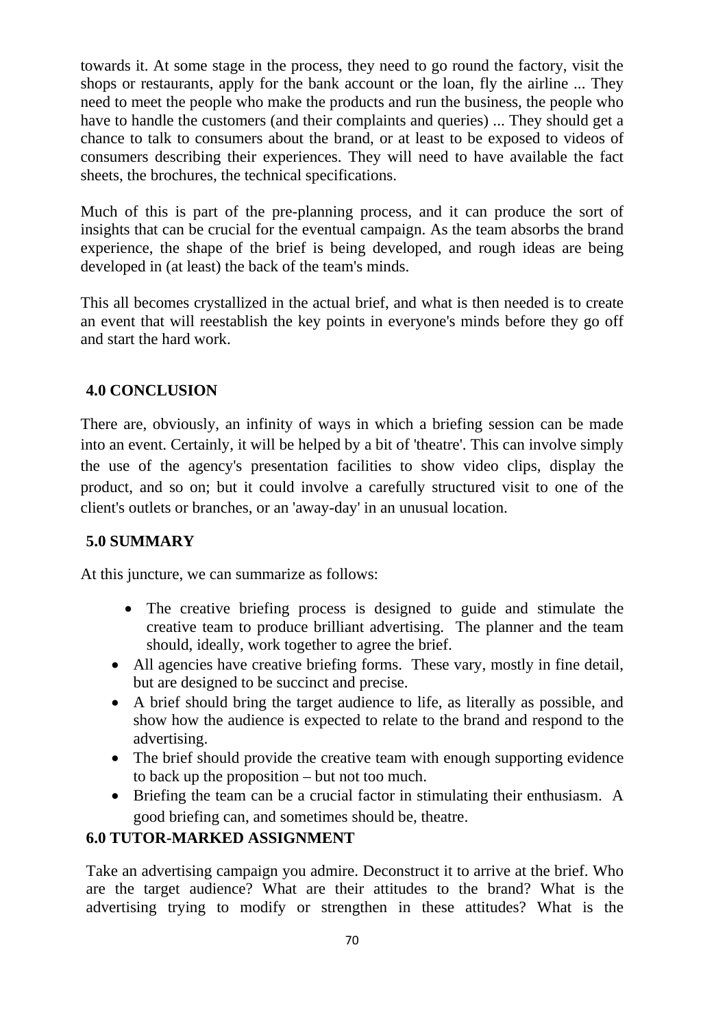towards it. At some stage in the process, they need to go round the factory, visit the shops or restaurants, apply for the bank account or the loan, fly the airline ... They need to meet the people who make the products and run the business, the people who have to handle the customers (and their complaints and queries) ... They should get a chance to talk to consumers about the brand, or at least to be exposed to videos of consumers describing their experiences. They will need to have available the fact sheets, the brochures, the technical specifications.

Much of this is part of the pre-planning process, and it can produce the sort of insights that can be crucial for the eventual campaign. As the team absorbs the brand experience, the shape of the brief is being developed, and rough ideas are being developed in (at least) the back of the team's minds.

This all becomes crystallized in the actual brief, and what is then needed is to create an event that will reestablish the key points in everyone's minds before they go off and start the hard work.

## **4.0 CONCLUSION**

There are, obviously, an infinity of ways in which a briefing session can be made into an event. Certainly, it will be helped by a bit of 'theatre'. This can involve simply the use of the agency's presentation facilities to show video clips, display the product, and so on; but it could involve a carefully structured visit to one of the client's outlets or branches, or an 'away-day' in an unusual location.

## **5.0 SUMMARY**

At this juncture, we can summarize as follows:

- The creative briefing process is designed to guide and stimulate the creative team to produce brilliant advertising. The planner and the team should, ideally, work together to agree the brief.
- All agencies have creative briefing forms. These vary, mostly in fine detail, but are designed to be succinct and precise.
- A brief should bring the target audience to life, as literally as possible, and show how the audience is expected to relate to the brand and respond to the advertising.
- The brief should provide the creative team with enough supporting evidence to back up the proposition – but not too much.
- Briefing the team can be a crucial factor in stimulating their enthusiasm. A good briefing can, and sometimes should be, theatre.

## **6.0 TUTOR-MARKED ASSIGNMENT**

Take an advertising campaign you admire. Deconstruct it to arrive at the brief. Who are the target audience? What are their attitudes to the brand? What is the advertising trying to modify or strengthen in these attitudes? What is the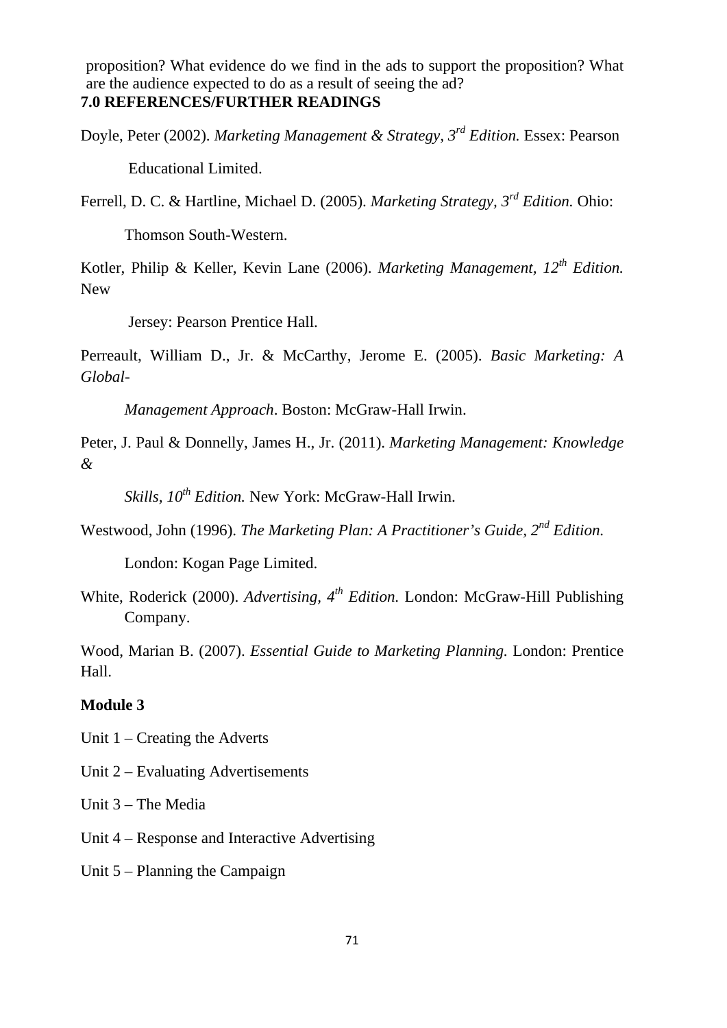proposition? What evidence do we find in the ads to support the proposition? What are the audience expected to do as a result of seeing the ad? **7.0 REFERENCES/FURTHER READINGS**

Doyle, Peter (2002). *Marketing Management & Strategy, 3rd Edition.* Essex: Pearson

Educational Limited.

Ferrell, D. C. & Hartline, Michael D. (2005). *Marketing Strategy, 3rd Edition.* Ohio:

Thomson South-Western.

Kotler, Philip & Keller, Kevin Lane (2006). *Marketing Management, 12th Edition.* New

Jersey: Pearson Prentice Hall.

Perreault, William D., Jr. & McCarthy, Jerome E. (2005). *Basic Marketing: A Global-*

*Management Approach*. Boston: McGraw-Hall Irwin.

Peter, J. Paul & Donnelly, James H., Jr. (2011). *Marketing Management: Knowledge &* 

*Skills, 10th Edition.* New York: McGraw-Hall Irwin.

Westwood, John (1996). *The Marketing Plan: A Practitioner's Guide, 2nd Edition.*

London: Kogan Page Limited.

White, Roderick (2000). *Advertising, 4th Edition.* London: McGraw-Hill Publishing Company.

Wood, Marian B. (2007). *Essential Guide to Marketing Planning.* London: Prentice Hall.

### **Module 3**

Unit 1 – Creating the Adverts

Unit 2 – Evaluating Advertisements

Unit 3 – The Media

Unit 4 – Response and Interactive Advertising

Unit 5 – Planning the Campaign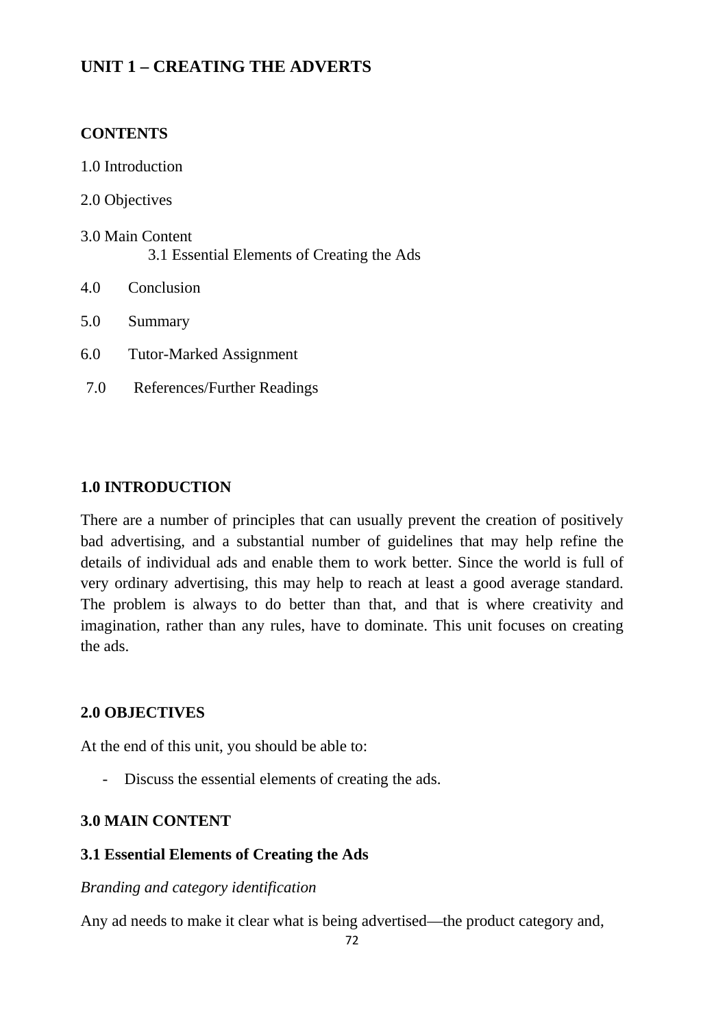# **UNIT 1 – CREATING THE ADVERTS**

### **CONTENTS**

- 1.0 Introduction
- 2.0 Objectives
- 3.0 Main Content 3.1 Essential Elements of Creating the Ads
- 4.0 Conclusion
- 5.0 Summary
- 6.0 Tutor-Marked Assignment
- 7.0 References/Further Readings

#### **1.0 INTRODUCTION**

There are a number of principles that can usually prevent the creation of positively bad advertising, and a substantial number of guidelines that may help refine the details of individual ads and enable them to work better. Since the world is full of very ordinary advertising, this may help to reach at least a good average standard. The problem is always to do better than that, and that is where creativity and imagination, rather than any rules, have to dominate. This unit focuses on creating the ads.

### **2.0 OBJECTIVES**

At the end of this unit, you should be able to:

- Discuss the essential elements of creating the ads.

### **3.0 MAIN CONTENT**

### **3.1 Essential Elements of Creating the Ads**

#### *Branding and category identification*

Any ad needs to make it clear what is being advertised—the product category and,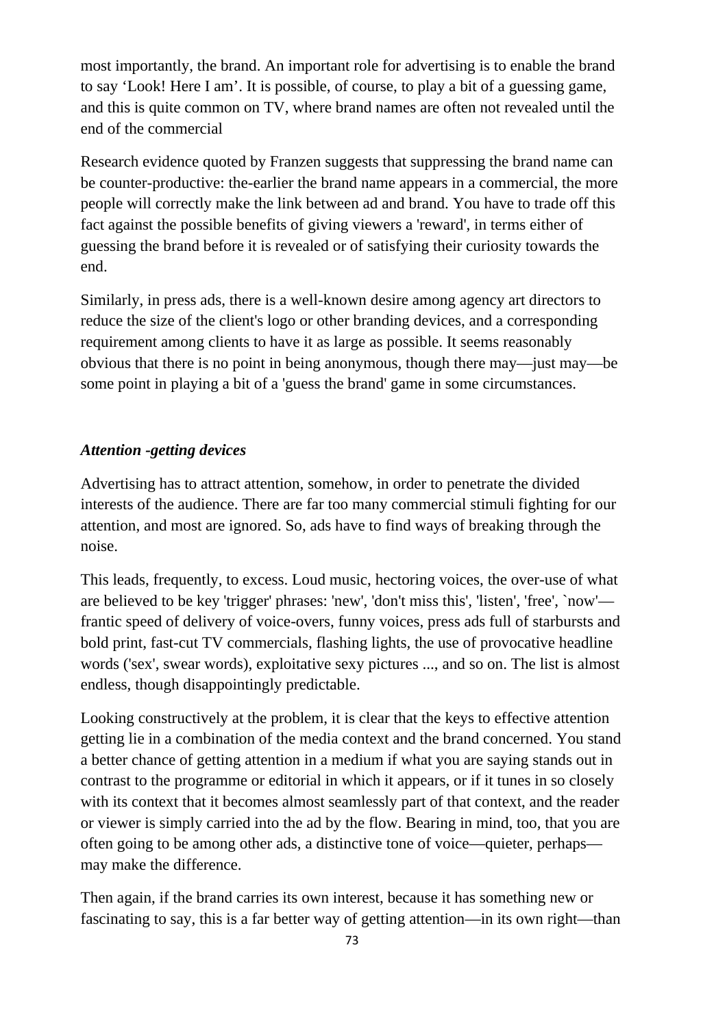most importantly, the brand. An important role for advertising is to enable the brand to say 'Look! Here I am'. It is possible, of course, to play a bit of a guessing game, and this is quite common on TV, where brand names are often not revealed until the end of the commercial

Research evidence quoted by Franzen suggests that suppressing the brand name can be counter-productive: the-earlier the brand name appears in a commercial, the more people will correctly make the link between ad and brand. You have to trade off this fact against the possible benefits of giving viewers a 'reward', in terms either of guessing the brand before it is revealed or of satisfying their curiosity towards the end.

Similarly, in press ads, there is a well-known desire among agency art directors to reduce the size of the client's logo or other branding devices, and a corresponding requirement among clients to have it as large as possible. It seems reasonably obvious that there is no point in being anonymous, though there may—just may—be some point in playing a bit of a 'guess the brand' game in some circumstances.

### *Attention -getting devices*

Advertising has to attract attention, somehow, in order to penetrate the divided interests of the audience. There are far too many commercial stimuli fighting for our attention, and most are ignored. So, ads have to find ways of breaking through the noise.

This leads, frequently, to excess. Loud music, hectoring voices, the over-use of what are believed to be key 'trigger' phrases: 'new', 'don't miss this', 'listen', 'free', `now' frantic speed of delivery of voice-overs, funny voices, press ads full of starbursts and bold print, fast-cut TV commercials, flashing lights, the use of provocative headline words ('sex', swear words), exploitative sexy pictures ..., and so on. The list is almost endless, though disappointingly predictable.

Looking constructively at the problem, it is clear that the keys to effective attention getting lie in a combination of the media context and the brand concerned. You stand a better chance of getting attention in a medium if what you are saying stands out in contrast to the programme or editorial in which it appears, or if it tunes in so closely with its context that it becomes almost seamlessly part of that context, and the reader or viewer is simply carried into the ad by the flow. Bearing in mind, too, that you are often going to be among other ads, a distinctive tone of voice—quieter, perhaps may make the difference.

Then again, if the brand carries its own interest, because it has something new or fascinating to say, this is a far better way of getting attention—in its own right—than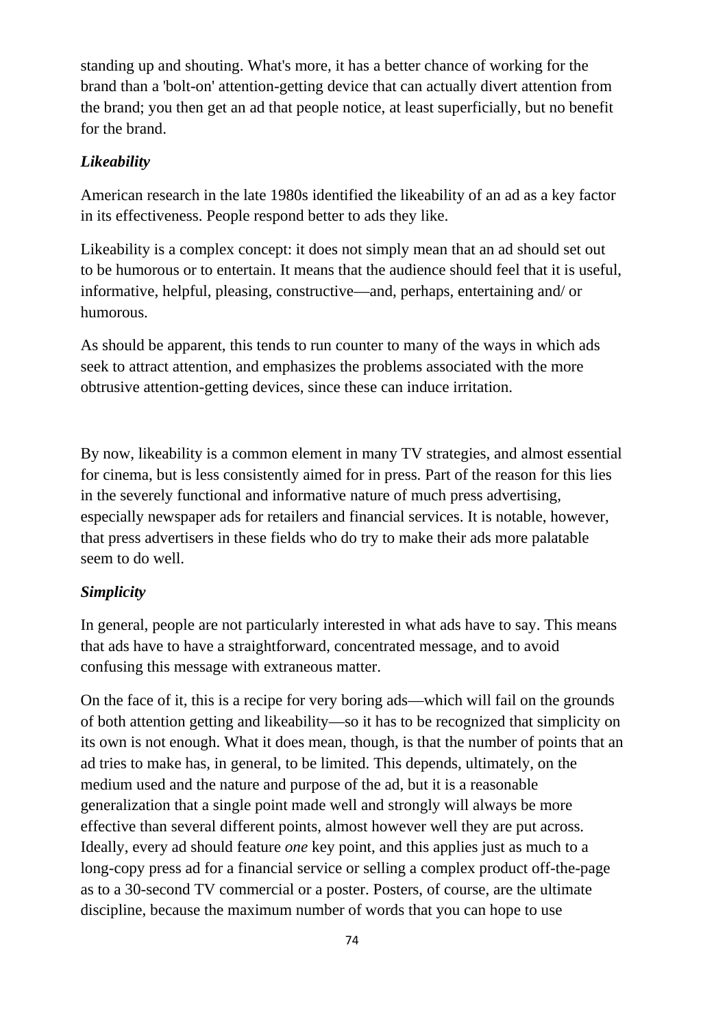standing up and shouting. What's more, it has a better chance of working for the brand than a 'bolt-on' attention-getting device that can actually divert attention from the brand; you then get an ad that people notice, at least superficially, but no benefit for the brand.

### *Likeability*

American research in the late 1980s identified the likeability of an ad as a key factor in its effectiveness. People respond better to ads they like.

Likeability is a complex concept: it does not simply mean that an ad should set out to be humorous or to entertain. It means that the audience should feel that it is useful, informative, helpful, pleasing, constructive—and, perhaps, entertaining and/ or humorous.

As should be apparent, this tends to run counter to many of the ways in which ads seek to attract attention, and emphasizes the problems associated with the more obtrusive attention-getting devices, since these can induce irritation.

By now, likeability is a common element in many TV strategies, and almost essential for cinema, but is less consistently aimed for in press. Part of the reason for this lies in the severely functional and informative nature of much press advertising, especially newspaper ads for retailers and financial services. It is notable, however, that press advertisers in these fields who do try to make their ads more palatable seem to do well.

#### *Simplicity*

In general, people are not particularly interested in what ads have to say. This means that ads have to have a straightforward, concentrated message, and to avoid confusing this message with extraneous matter.

On the face of it, this is a recipe for very boring ads—which will fail on the grounds of both attention getting and likeability—so it has to be recognized that simplicity on its own is not enough. What it does mean, though, is that the number of points that an ad tries to make has, in general, to be limited. This depends, ultimately, on the medium used and the nature and purpose of the ad, but it is a reasonable generalization that a single point made well and strongly will always be more effective than several different points, almost however well they are put across. Ideally, every ad should feature *one* key point, and this applies just as much to a long-copy press ad for a financial service or selling a complex product off-the-page as to a 30-second TV commercial or a poster. Posters, of course, are the ultimate discipline, because the maximum number of words that you can hope to use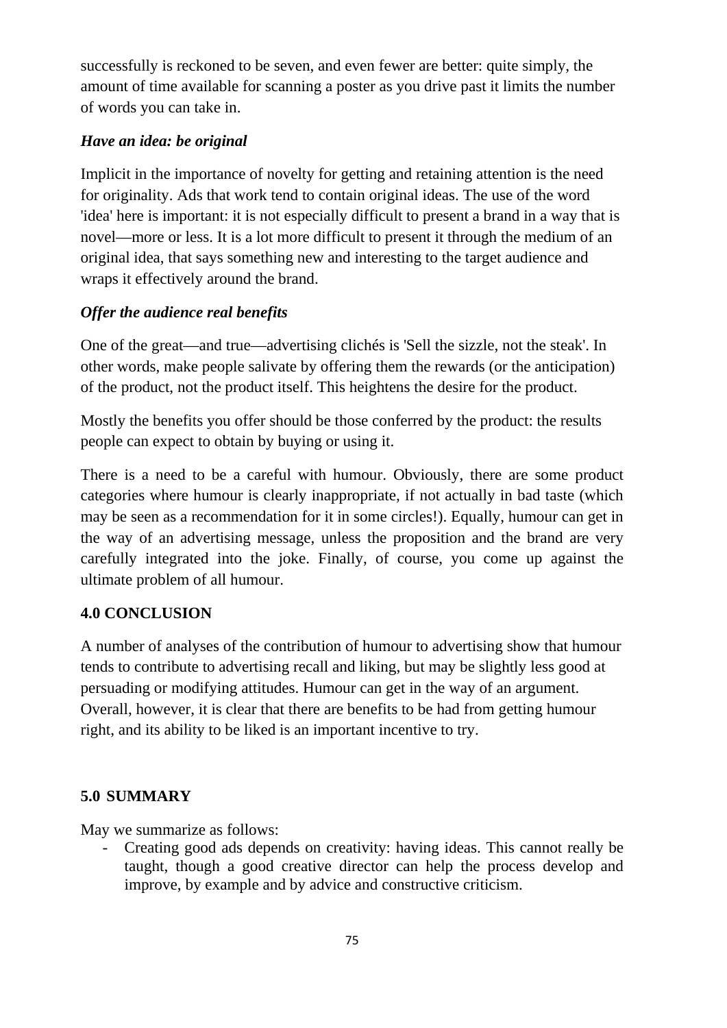successfully is reckoned to be seven, and even fewer are better: quite simply, the amount of time available for scanning a poster as you drive past it limits the number of words you can take in.

# *Have an idea: be original*

Implicit in the importance of novelty for getting and retaining attention is the need for originality. Ads that work tend to contain original ideas. The use of the word 'idea' here is important: it is not especially difficult to present a brand in a way that is novel—more or less. It is a lot more difficult to present it through the medium of an original idea, that says something new and interesting to the target audience and wraps it effectively around the brand.

# *Offer the audience real benefits*

One of the great—and true—advertising clichés is 'Sell the sizzle, not the steak'. In other words, make people salivate by offering them the rewards (or the anticipation) of the product, not the product itself. This heightens the desire for the product.

Mostly the benefits you offer should be those conferred by the product: the results people can expect to obtain by buying or using it.

There is a need to be a careful with humour. Obviously, there are some product categories where humour is clearly inappropriate, if not actually in bad taste (which may be seen as a recommendation for it in some circles!). Equally, humour can get in the way of an advertising message, unless the proposition and the brand are very carefully integrated into the joke. Finally, of course, you come up against the ultimate problem of all humour.

# **4.0 CONCLUSION**

A number of analyses of the contribution of humour to advertising show that humour tends to contribute to advertising recall and liking, but may be slightly less good at persuading or modifying attitudes. Humour can get in the way of an argument. Overall, however, it is clear that there are benefits to be had from getting humour right, and its ability to be liked is an important incentive to try.

# **5.0 SUMMARY**

May we summarize as follows:

- Creating good ads depends on creativity: having ideas. This cannot really be taught, though a good creative director can help the process develop and improve, by example and by advice and constructive criticism.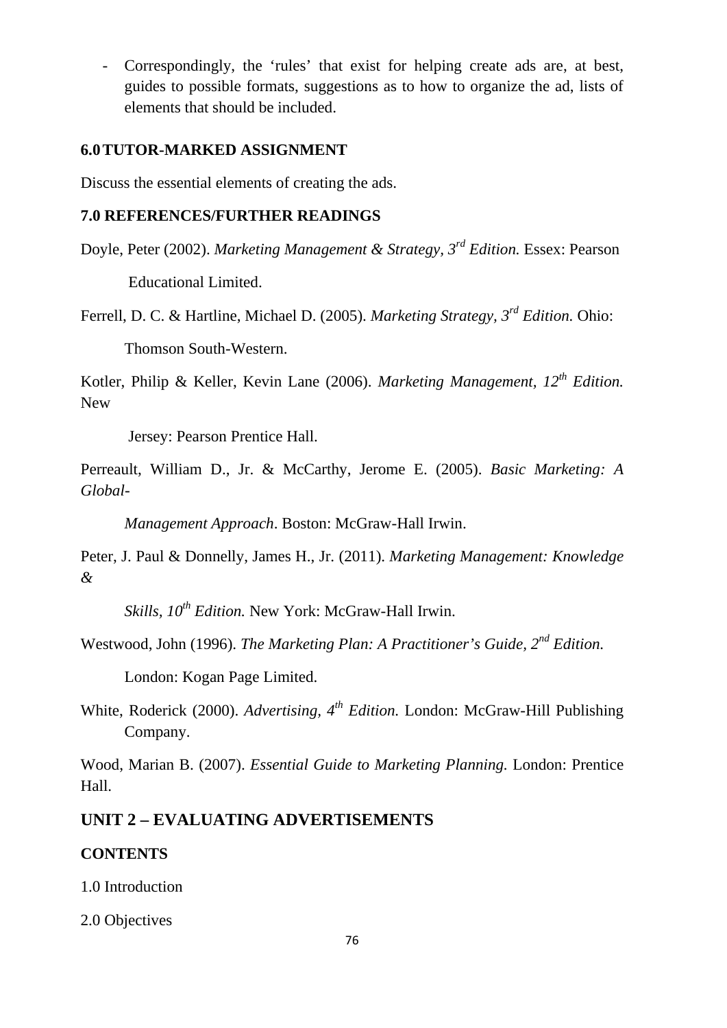- Correspondingly, the 'rules' that exist for helping create ads are, at best, guides to possible formats, suggestions as to how to organize the ad, lists of elements that should be included.

### **6.0TUTOR-MARKED ASSIGNMENT**

Discuss the essential elements of creating the ads.

#### **7.0 REFERENCES/FURTHER READINGS**

Doyle, Peter (2002). *Marketing Management & Strategy, 3rd Edition.* Essex: Pearson

Educational Limited.

Ferrell, D. C. & Hartline, Michael D. (2005). *Marketing Strategy, 3rd Edition.* Ohio:

Thomson South-Western.

Kotler, Philip & Keller, Kevin Lane (2006). *Marketing Management, 12th Edition.* New

Jersey: Pearson Prentice Hall.

Perreault, William D., Jr. & McCarthy, Jerome E. (2005). *Basic Marketing: A Global-*

*Management Approach*. Boston: McGraw-Hall Irwin.

Peter, J. Paul & Donnelly, James H., Jr. (2011). *Marketing Management: Knowledge &* 

*Skills, 10th Edition.* New York: McGraw-Hall Irwin.

Westwood, John (1996). *The Marketing Plan: A Practitioner's Guide, 2nd Edition.*

London: Kogan Page Limited.

White, Roderick (2000). *Advertising, 4th Edition.* London: McGraw-Hill Publishing Company.

Wood, Marian B. (2007). *Essential Guide to Marketing Planning.* London: Prentice Hall.

# **UNIT 2 – EVALUATING ADVERTISEMENTS**

#### **CONTENTS**

1.0 Introduction

2.0 Objectives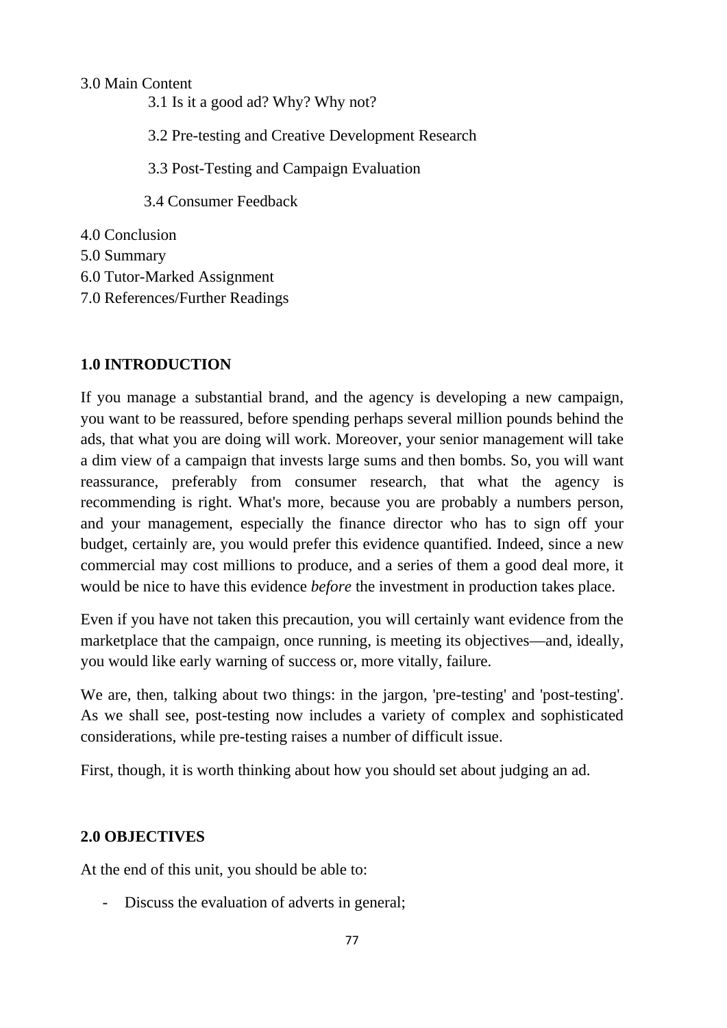3.0 Main Content

3.1 Is it a good ad? Why? Why not?

3.2 Pre-testing and Creative Development Research

3.3 Post-Testing and Campaign Evaluation

3.4 Consumer Feedback

4.0 Conclusion

5.0 Summary

6.0 Tutor-Marked Assignment

7.0 References/Further Readings

## **1.0 INTRODUCTION**

If you manage a substantial brand, and the agency is developing a new campaign, you want to be reassured, before spending perhaps several million pounds behind the ads, that what you are doing will work. Moreover, your senior management will take a dim view of a campaign that invests large sums and then bombs. So, you will want reassurance, preferably from consumer research, that what the agency is recommending is right. What's more, because you are probably a numbers person, and your management, especially the finance director who has to sign off your budget, certainly are, you would prefer this evidence quantified. Indeed, since a new commercial may cost millions to produce, and a series of them a good deal more, it would be nice to have this evidence *before* the investment in production takes place.

Even if you have not taken this precaution, you will certainly want evidence from the marketplace that the campaign, once running, is meeting its objectives—and, ideally, you would like early warning of success or, more vitally, failure.

We are, then, talking about two things: in the jargon, 'pre-testing' and 'post-testing'. As we shall see, post-testing now includes a variety of complex and sophisticated considerations, while pre-testing raises a number of difficult issue.

First, though, it is worth thinking about how you should set about judging an ad.

# **2.0 OBJECTIVES**

At the end of this unit, you should be able to:

- Discuss the evaluation of adverts in general;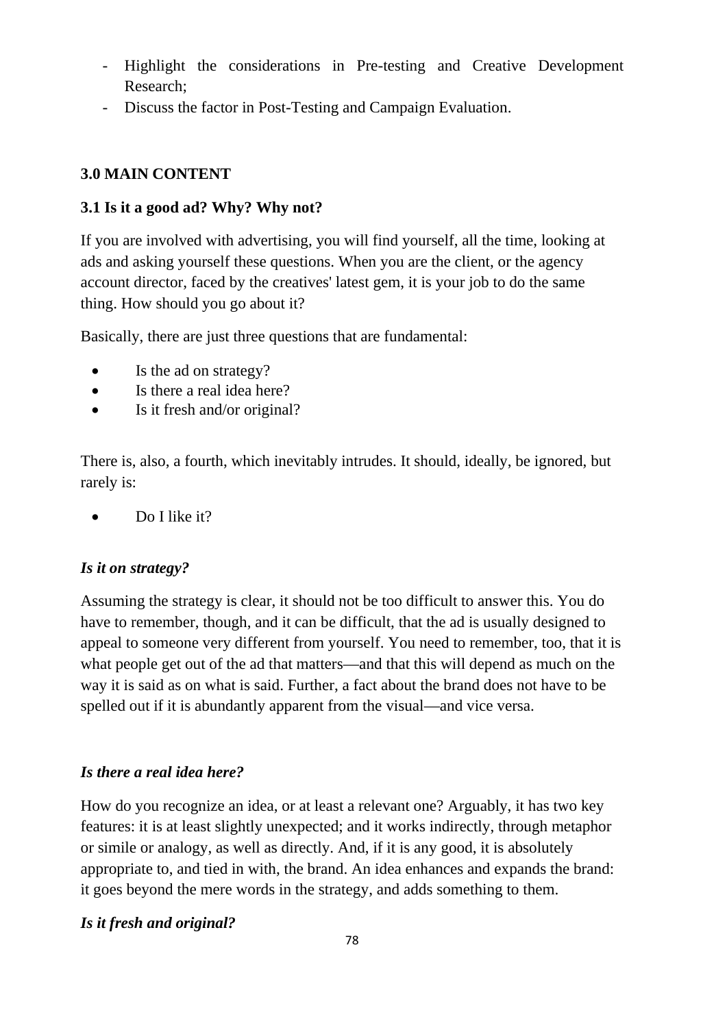- Highlight the considerations in Pre-testing and Creative Development Research;
- Discuss the factor in Post-Testing and Campaign Evaluation.

### **3.0 MAIN CONTENT**

## **3.1 Is it a good ad? Why? Why not?**

If you are involved with advertising, you will find yourself, all the time, looking at ads and asking yourself these questions. When you are the client, or the agency account director, faced by the creatives' latest gem, it is your job to do the same thing. How should you go about it?

Basically, there are just three questions that are fundamental:

- Is the ad on strategy?
- Is there a real idea here?
- Is it fresh and/or original?

There is, also, a fourth, which inevitably intrudes. It should, ideally, be ignored, but rarely is:

• Do I like it?

### *Is it on strategy?*

Assuming the strategy is clear, it should not be too difficult to answer this. You do have to remember, though, and it can be difficult, that the ad is usually designed to appeal to someone very different from yourself. You need to remember, too, that it is what people get out of the ad that matters—and that this will depend as much on the way it is said as on what is said. Further, a fact about the brand does not have to be spelled out if it is abundantly apparent from the visual—and vice versa.

# *Is there a real idea here?*

How do you recognize an idea, or at least a relevant one? Arguably, it has two key features: it is at least slightly unexpected; and it works indirectly, through metaphor or simile or analogy, as well as directly. And, if it is any good, it is absolutely appropriate to, and tied in with, the brand. An idea enhances and expands the brand: it goes beyond the mere words in the strategy, and adds something to them.

# *Is it fresh and original?*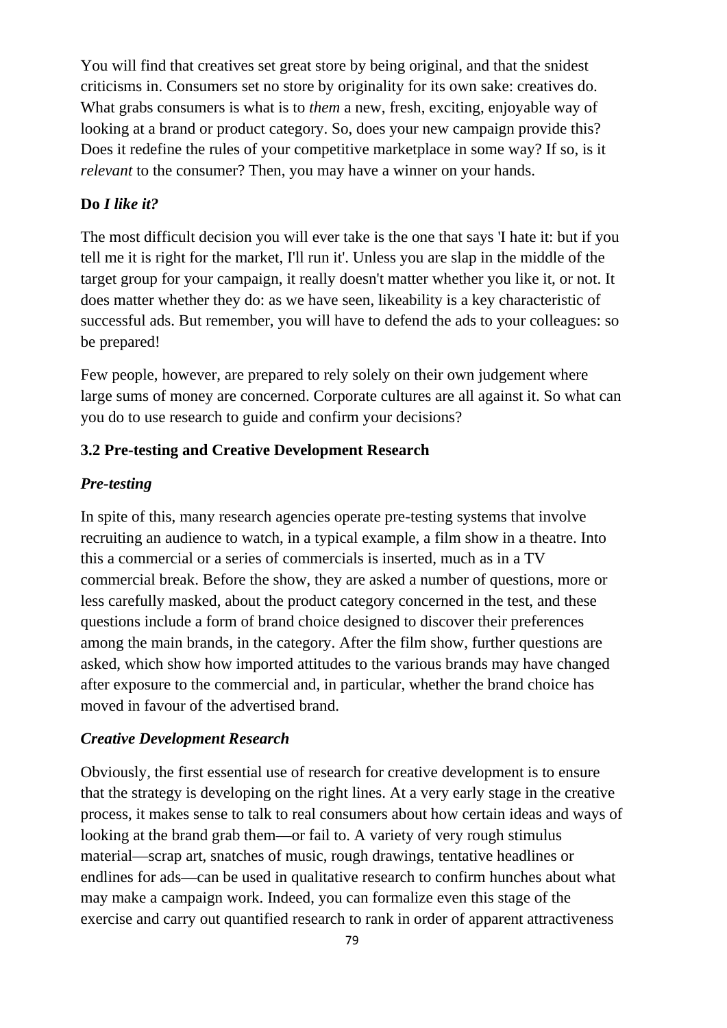You will find that creatives set great store by being original, and that the snidest criticisms in. Consumers set no store by originality for its own sake: creatives do. What grabs consumers is what is to *them* a new, fresh, exciting, enjoyable way of looking at a brand or product category. So, does your new campaign provide this? Does it redefine the rules of your competitive marketplace in some way? If so, is it *relevant* to the consumer? Then, you may have a winner on your hands.

#### **Do** *I like it?*

The most difficult decision you will ever take is the one that says 'I hate it: but if you tell me it is right for the market, I'll run it'. Unless you are slap in the middle of the target group for your campaign, it really doesn't matter whether you like it, or not. It does matter whether they do: as we have seen, likeability is a key characteristic of successful ads. But remember, you will have to defend the ads to your colleagues: so be prepared!

Few people, however, are prepared to rely solely on their own judgement where large sums of money are concerned. Corporate cultures are all against it. So what can you do to use research to guide and confirm your decisions?

#### **3.2 Pre-testing and Creative Development Research**

#### *Pre-testing*

In spite of this, many research agencies operate pre-testing systems that involve recruiting an audience to watch, in a typical example, a film show in a theatre. Into this a commercial or a series of commercials is inserted, much as in a TV commercial break. Before the show, they are asked a number of questions, more or less carefully masked, about the product category concerned in the test, and these questions include a form of brand choice designed to discover their preferences among the main brands, in the category. After the film show, further questions are asked, which show how imported attitudes to the various brands may have changed after exposure to the commercial and, in particular, whether the brand choice has moved in favour of the advertised brand.

#### *Creative Development Research*

Obviously, the first essential use of research for creative development is to ensure that the strategy is developing on the right lines. At a very early stage in the creative process, it makes sense to talk to real consumers about how certain ideas and ways of looking at the brand grab them—or fail to. A variety of very rough stimulus material—scrap art, snatches of music, rough drawings, tentative headlines or endlines for ads—can be used in qualitative research to confirm hunches about what may make a campaign work. Indeed, you can formalize even this stage of the exercise and carry out quantified research to rank in order of apparent attractiveness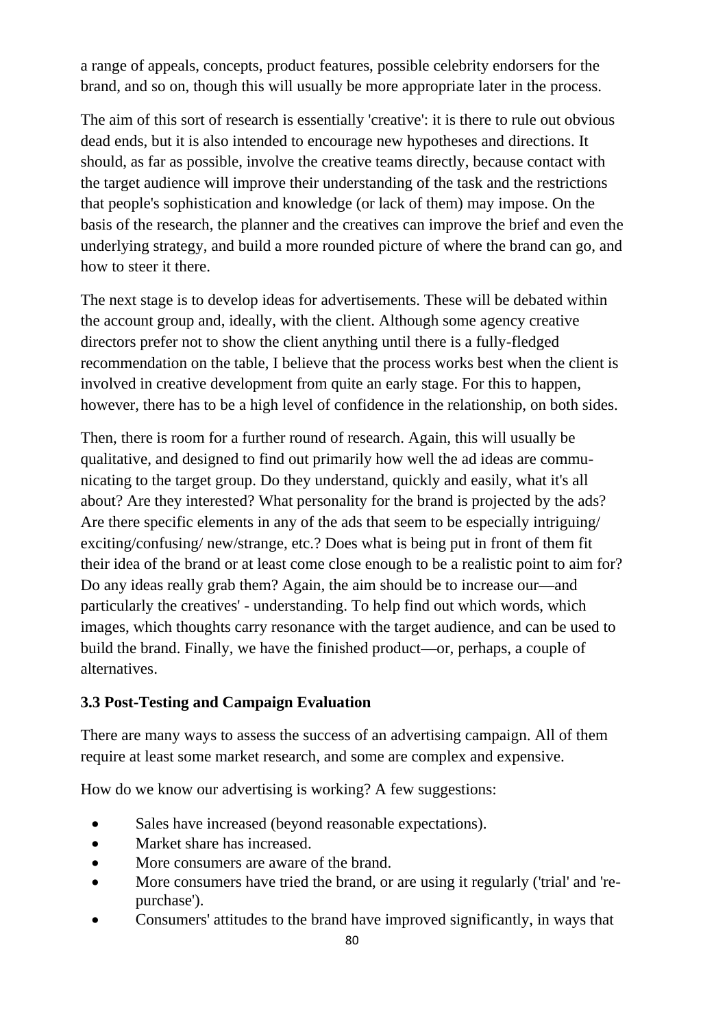a range of appeals, concepts, product features, possible celebrity endorsers for the brand, and so on, though this will usually be more appropriate later in the process.

The aim of this sort of research is essentially 'creative': it is there to rule out obvious dead ends, but it is also intended to encourage new hypotheses and directions. It should, as far as possible, involve the creative teams directly, because contact with the target audience will improve their understanding of the task and the restrictions that people's sophistication and knowledge (or lack of them) may impose. On the basis of the research, the planner and the creatives can improve the brief and even the underlying strategy, and build a more rounded picture of where the brand can go, and how to steer it there.

The next stage is to develop ideas for advertisements. These will be debated within the account group and, ideally, with the client. Although some agency creative directors prefer not to show the client anything until there is a fully-fledged recommendation on the table, I believe that the process works best when the client is involved in creative development from quite an early stage. For this to happen, however, there has to be a high level of confidence in the relationship, on both sides.

Then, there is room for a further round of research. Again, this will usually be qualitative, and designed to find out primarily how well the ad ideas are communicating to the target group. Do they understand, quickly and easily, what it's all about? Are they interested? What personality for the brand is projected by the ads? Are there specific elements in any of the ads that seem to be especially intriguing/ exciting/confusing/ new/strange, etc.? Does what is being put in front of them fit their idea of the brand or at least come close enough to be a realistic point to aim for? Do any ideas really grab them? Again, the aim should be to increase our—and particularly the creatives' - understanding. To help find out which words, which images, which thoughts carry resonance with the target audience, and can be used to build the brand. Finally, we have the finished product—or, perhaps, a couple of alternatives.

### **3.3 Post-Testing and Campaign Evaluation**

There are many ways to assess the success of an advertising campaign. All of them require at least some market research, and some are complex and expensive.

How do we know our advertising is working? A few suggestions:

- Sales have increased (beyond reasonable expectations).
- Market share has increased.
- More consumers are aware of the brand.
- More consumers have tried the brand, or are using it regularly ('trial' and 'repurchase').
- Consumers' attitudes to the brand have improved significantly, in ways that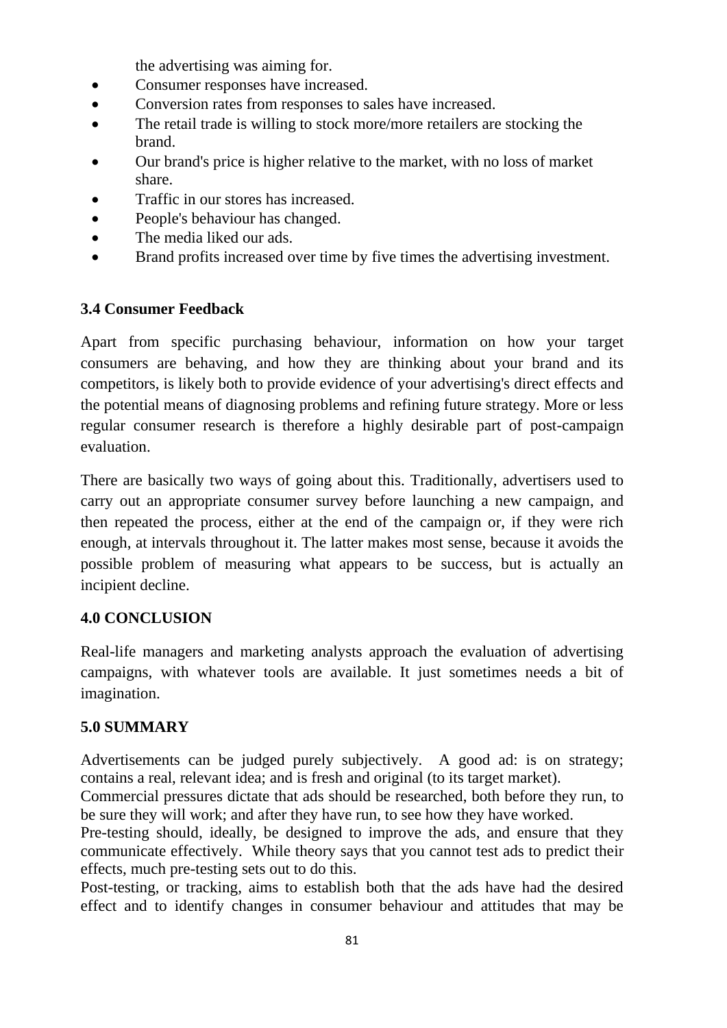the advertising was aiming for.

- Consumer responses have increased.
- Conversion rates from responses to sales have increased.
- The retail trade is willing to stock more/more retailers are stocking the brand.
- Our brand's price is higher relative to the market, with no loss of market share.
- Traffic in our stores has increased.
- People's behaviour has changed.
- The media liked our ads.
- Brand profits increased over time by five times the advertising investment.

#### **3.4 Consumer Feedback**

Apart from specific purchasing behaviour, information on how your target consumers are behaving, and how they are thinking about your brand and its competitors, is likely both to provide evidence of your advertising's direct effects and the potential means of diagnosing problems and refining future strategy. More or less regular consumer research is therefore a highly desirable part of post-campaign evaluation.

There are basically two ways of going about this. Traditionally, advertisers used to carry out an appropriate consumer survey before launching a new campaign, and then repeated the process, either at the end of the campaign or, if they were rich enough, at intervals throughout it. The latter makes most sense, because it avoids the possible problem of measuring what appears to be success, but is actually an incipient decline.

#### **4.0 CONCLUSION**

Real-life managers and marketing analysts approach the evaluation of advertising campaigns, with whatever tools are available. It just sometimes needs a bit of imagination.

#### **5.0 SUMMARY**

Advertisements can be judged purely subjectively. A good ad: is on strategy; contains a real, relevant idea; and is fresh and original (to its target market).

Commercial pressures dictate that ads should be researched, both before they run, to be sure they will work; and after they have run, to see how they have worked.

Pre-testing should, ideally, be designed to improve the ads, and ensure that they communicate effectively. While theory says that you cannot test ads to predict their effects, much pre-testing sets out to do this.

Post-testing, or tracking, aims to establish both that the ads have had the desired effect and to identify changes in consumer behaviour and attitudes that may be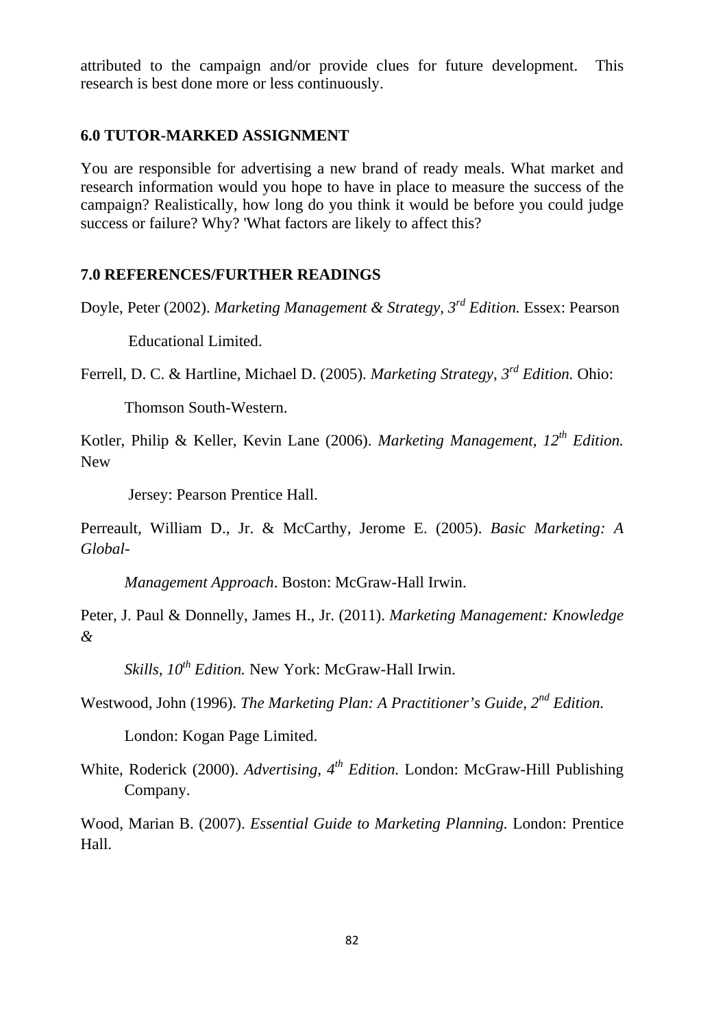attributed to the campaign and/or provide clues for future development. This research is best done more or less continuously.

#### **6.0 TUTOR-MARKED ASSIGNMENT**

You are responsible for advertising a new brand of ready meals. What market and research information would you hope to have in place to measure the success of the campaign? Realistically, how long do you think it would be before you could judge success or failure? Why? 'What factors are likely to affect this?

### **7.0 REFERENCES/FURTHER READINGS**

Doyle, Peter (2002). *Marketing Management & Strategy, 3rd Edition.* Essex: Pearson

Educational Limited.

Ferrell, D. C. & Hartline, Michael D. (2005). *Marketing Strategy, 3rd Edition.* Ohio:

Thomson South-Western.

Kotler, Philip & Keller, Kevin Lane (2006). *Marketing Management, 12th Edition.* New

Jersey: Pearson Prentice Hall.

Perreault, William D., Jr. & McCarthy, Jerome E. (2005). *Basic Marketing: A Global-*

*Management Approach*. Boston: McGraw-Hall Irwin.

Peter, J. Paul & Donnelly, James H., Jr. (2011). *Marketing Management: Knowledge &* 

*Skills, 10th Edition.* New York: McGraw-Hall Irwin.

Westwood, John (1996). *The Marketing Plan: A Practitioner's Guide, 2nd Edition.*

London: Kogan Page Limited.

White, Roderick (2000). *Advertising, 4th Edition.* London: McGraw-Hill Publishing Company.

Wood, Marian B. (2007). *Essential Guide to Marketing Planning.* London: Prentice Hall.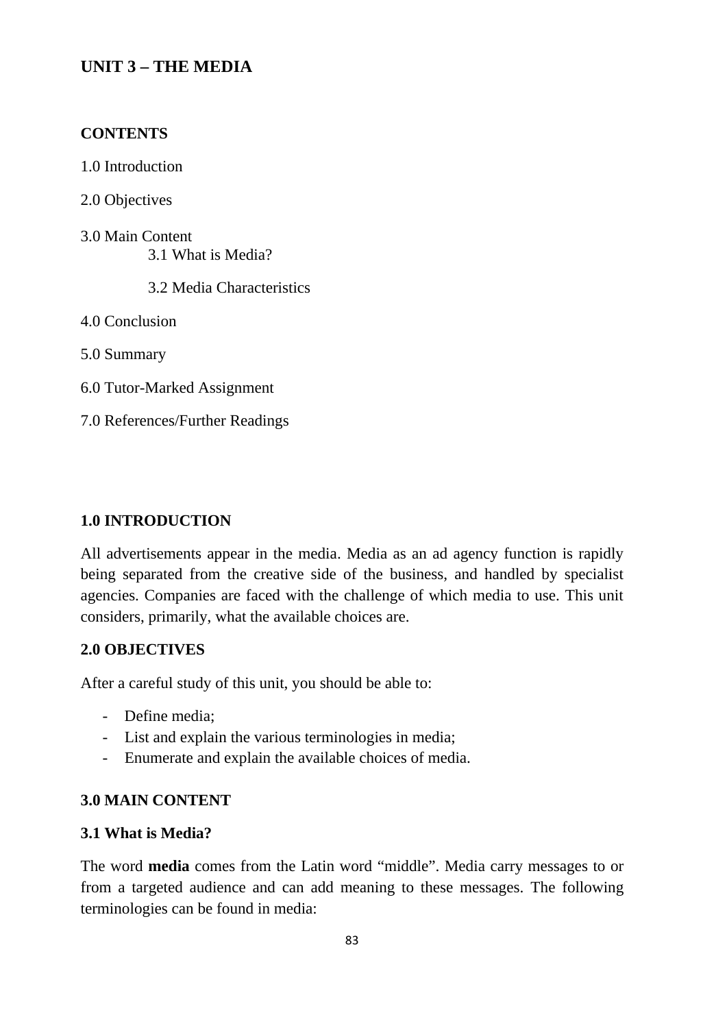# **UNIT 3 – THE MEDIA**

### **CONTENTS**

1.0 Introduction

2.0 Objectives

3.0 Main Content 3.1 What is Media?

3.2 Media Characteristics

4.0 Conclusion

5.0 Summary

6.0 Tutor-Marked Assignment

7.0 References/Further Readings

### **1.0 INTRODUCTION**

All advertisements appear in the media. Media as an ad agency function is rapidly being separated from the creative side of the business, and handled by specialist agencies. Companies are faced with the challenge of which media to use. This unit considers, primarily, what the available choices are.

### **2.0 OBJECTIVES**

After a careful study of this unit, you should be able to:

- Define media;
- List and explain the various terminologies in media;
- Enumerate and explain the available choices of media.

### **3.0 MAIN CONTENT**

### **3.1 What is Media?**

The word **media** comes from the Latin word "middle". Media carry messages to or from a targeted audience and can add meaning to these messages. The following terminologies can be found in media: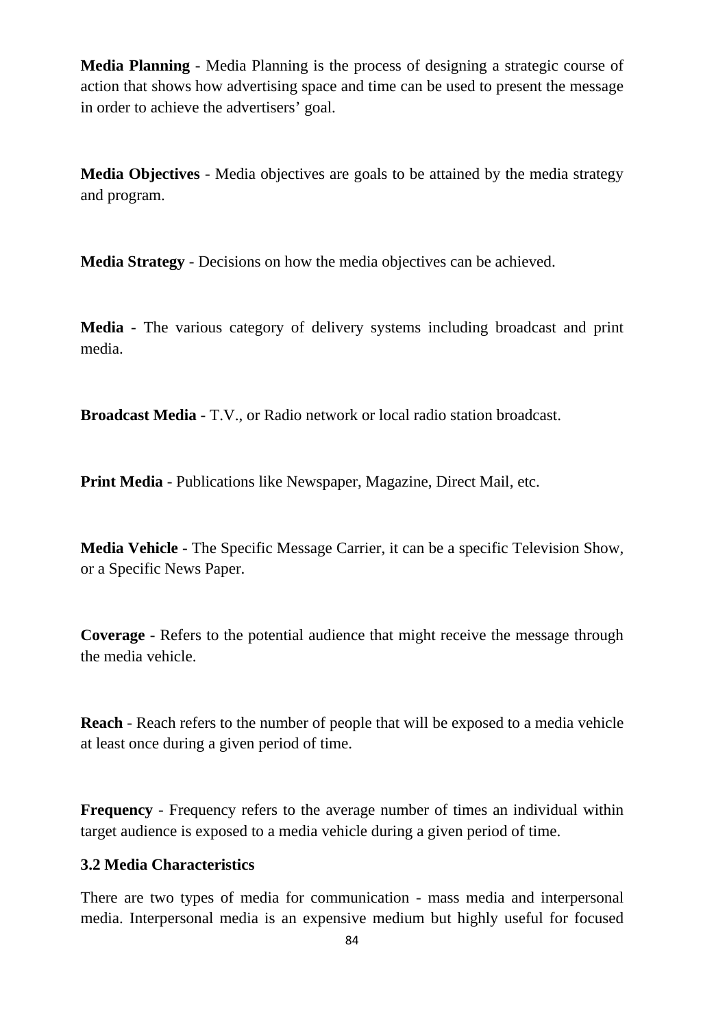**Media Planning** - Media Planning is the process of designing a strategic course of action that shows how advertising space and time can be used to present the message in order to achieve the advertisers' goal.

**Media Objectives** - Media objectives are goals to be attained by the media strategy and program.

**Media Strategy** - Decisions on how the media objectives can be achieved.

**Media** - The various category of delivery systems including broadcast and print media.

**Broadcast Media** - T.V., or Radio network or local radio station broadcast.

**Print Media** - Publications like Newspaper, Magazine, Direct Mail, etc.

**Media Vehicle** - The Specific Message Carrier, it can be a specific Television Show, or a Specific News Paper.

**Coverage** - Refers to the potential audience that might receive the message through the media vehicle.

**Reach** - Reach refers to the number of people that will be exposed to a media vehicle at least once during a given period of time.

**Frequency** - Frequency refers to the average number of times an individual within target audience is exposed to a media vehicle during a given period of time.

## **3.2 Media Characteristics**

There are two types of media for communication - mass media and interpersonal media. Interpersonal media is an expensive medium but highly useful for focused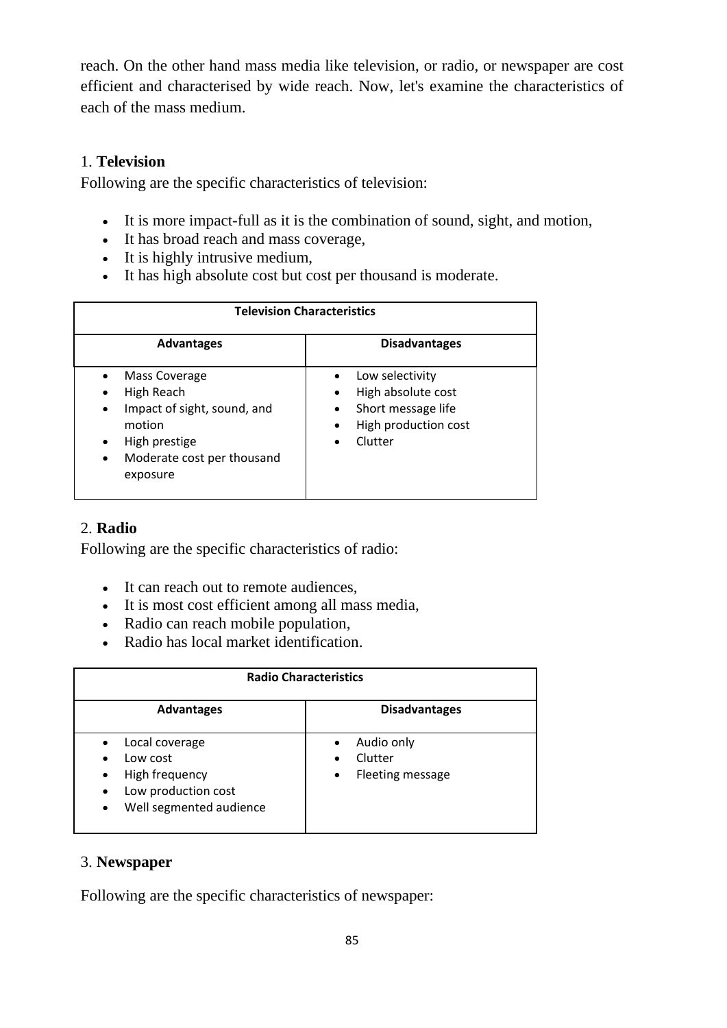reach. On the other hand mass media like television, or radio, or newspaper are cost efficient and characterised by wide reach. Now, let's examine the characteristics of each of the mass medium.

### 1. **Television**

Following are the specific characteristics of television:

- It is more impact-full as it is the combination of sound, sight, and motion,
- It has broad reach and mass coverage,
- It is highly intrusive medium,
- It has high absolute cost but cost per thousand is moderate.

| <b>Television Characteristics</b>                                                                                                                                                          |                                                                                                                                                                 |
|--------------------------------------------------------------------------------------------------------------------------------------------------------------------------------------------|-----------------------------------------------------------------------------------------------------------------------------------------------------------------|
| <b>Advantages</b>                                                                                                                                                                          | <b>Disadvantages</b>                                                                                                                                            |
| <b>Mass Coverage</b><br>$\bullet$<br>High Reach<br>Impact of sight, sound, and<br>$\bullet$<br>motion<br>High prestige<br>$\bullet$<br>Moderate cost per thousand<br>$\bullet$<br>exposure | Low selectivity<br>$\bullet$<br>High absolute cost<br>$\bullet$<br>Short message life<br>$\bullet$<br>High production cost<br>$\bullet$<br>Clutter<br>$\bullet$ |

# 2. **Radio**

Following are the specific characteristics of radio:

- It can reach out to remote audiences,
- It is most cost efficient among all mass media,
- Radio can reach mobile population,
- Radio has local market identification.

| <b>Radio Characteristics</b>                                                                                                                       |                                                |  |
|----------------------------------------------------------------------------------------------------------------------------------------------------|------------------------------------------------|--|
| <b>Advantages</b>                                                                                                                                  | <b>Disadvantages</b>                           |  |
| Local coverage<br>Low cost<br>$\bullet$<br>High frequency<br>$\bullet$<br>Low production cost<br>$\bullet$<br>Well segmented audience<br>$\bullet$ | Audio only<br>Clutter<br>Fleeting message<br>٠ |  |

### 3. **Newspaper**

Following are the specific characteristics of newspaper: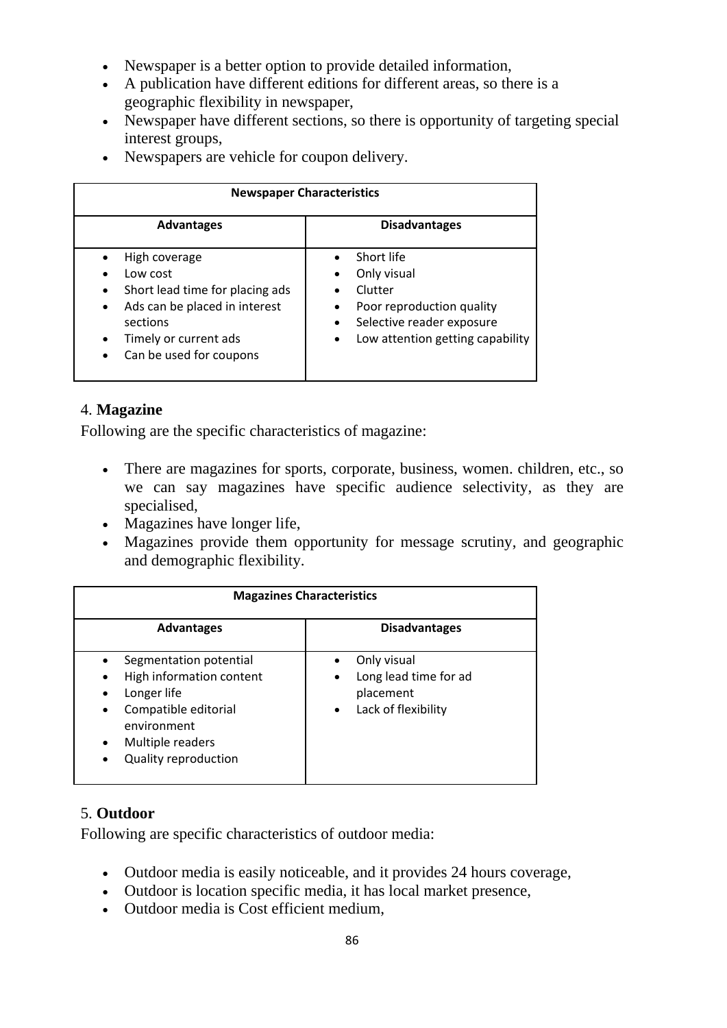- Newspaper is a better option to provide detailed information,
- A publication have different editions for different areas, so there is a geographic flexibility in newspaper,
- Newspaper have different sections, so there is opportunity of targeting special interest groups,
- Newspapers are vehicle for coupon delivery.

| <b>Newspaper Characteristics</b>                                                                                                                                                                                  |                                                                                                                                                 |
|-------------------------------------------------------------------------------------------------------------------------------------------------------------------------------------------------------------------|-------------------------------------------------------------------------------------------------------------------------------------------------|
| <b>Advantages</b>                                                                                                                                                                                                 | <b>Disadvantages</b>                                                                                                                            |
| High coverage<br>Low cost<br>$\bullet$<br>Short lead time for placing ads<br>$\bullet$<br>Ads can be placed in interest<br>$\bullet$<br>sections<br>Timely or current ads<br>$\bullet$<br>Can be used for coupons | Short life<br>Only visual<br>Clutter<br>Poor reproduction quality<br>Selective reader exposure<br>Low attention getting capability<br>$\bullet$ |

## 4. **Magazine**

Following are the specific characteristics of magazine:

- There are magazines for sports, corporate, business, women. children, etc., so we can say magazines have specific audience selectivity, as they are specialised,
- Magazines have longer life,
- Magazines provide them opportunity for message scrutiny, and geographic and demographic flexibility.

| <b>Magazines Characteristics</b>                                                                                                                                                                                |                                                                                            |
|-----------------------------------------------------------------------------------------------------------------------------------------------------------------------------------------------------------------|--------------------------------------------------------------------------------------------|
| <b>Advantages</b>                                                                                                                                                                                               | <b>Disadvantages</b>                                                                       |
| Segmentation potential<br>High information content<br>Longer life<br>$\bullet$<br>Compatible editorial<br>$\bullet$<br>environment<br>Multiple readers<br>$\bullet$<br><b>Quality reproduction</b><br>$\bullet$ | Only visual<br>Long lead time for ad<br>٠<br>placement<br>Lack of flexibility<br>$\bullet$ |

# 5. **Outdoor**

Following are specific characteristics of outdoor media:

- Outdoor media is easily noticeable, and it provides 24 hours coverage,
- Outdoor is location specific media, it has local market presence,
- Outdoor media is Cost efficient medium,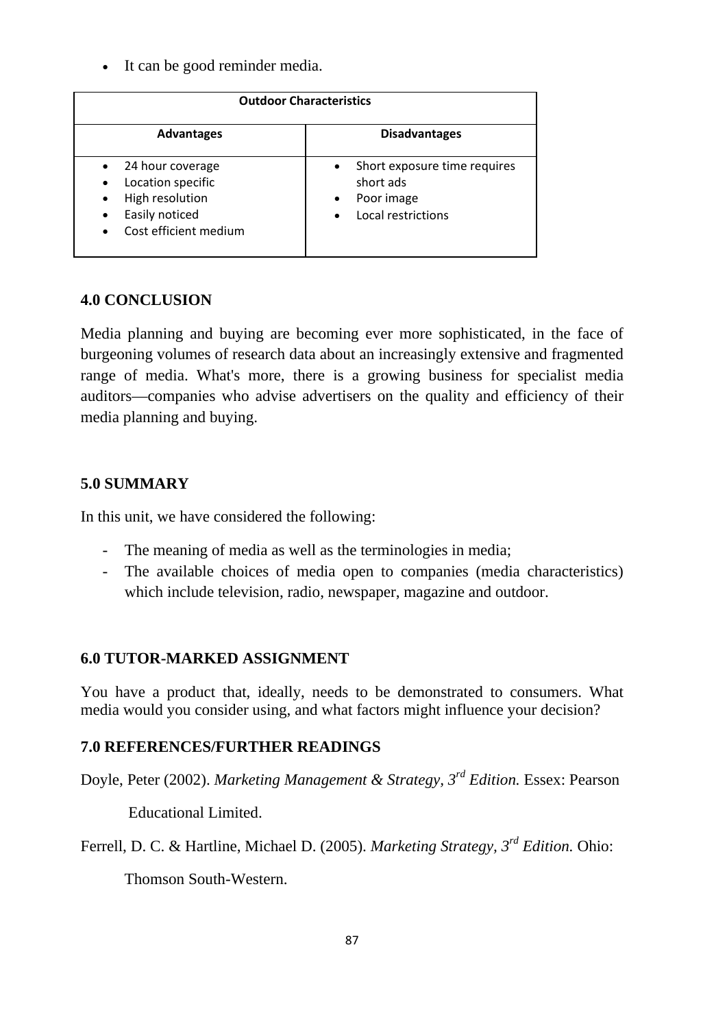It can be good reminder media.

| <b>Outdoor Characteristics</b>                                                                                                             |                                                                                                                      |  |
|--------------------------------------------------------------------------------------------------------------------------------------------|----------------------------------------------------------------------------------------------------------------------|--|
| <b>Advantages</b>                                                                                                                          | <b>Disadvantages</b>                                                                                                 |  |
| 24 hour coverage<br>Location specific<br>$\bullet$<br>High resolution<br>$\bullet$<br>Easily noticed<br>$\bullet$<br>Cost efficient medium | Short exposure time requires<br>$\bullet$<br>short ads<br>Poor image<br>$\bullet$<br>Local restrictions<br>$\bullet$ |  |

# **4.0 CONCLUSION**

Media planning and buying are becoming ever more sophisticated, in the face of burgeoning volumes of research data about an increasingly extensive and fragmented range of media. What's more, there is a growing business for specialist media auditors—companies who advise advertisers on the quality and efficiency of their media planning and buying.

# **5.0 SUMMARY**

In this unit, we have considered the following:

- The meaning of media as well as the terminologies in media;
- The available choices of media open to companies (media characteristics) which include television, radio, newspaper, magazine and outdoor.

# **6.0 TUTOR-MARKED ASSIGNMENT**

You have a product that, ideally, needs to be demonstrated to consumers. What media would you consider using, and what factors might influence your decision?

# **7.0 REFERENCES/FURTHER READINGS**

Doyle, Peter (2002). *Marketing Management & Strategy, 3rd Edition.* Essex: Pearson

Educational Limited.

Ferrell, D. C. & Hartline, Michael D. (2005). *Marketing Strategy, 3rd Edition.* Ohio:

Thomson South-Western.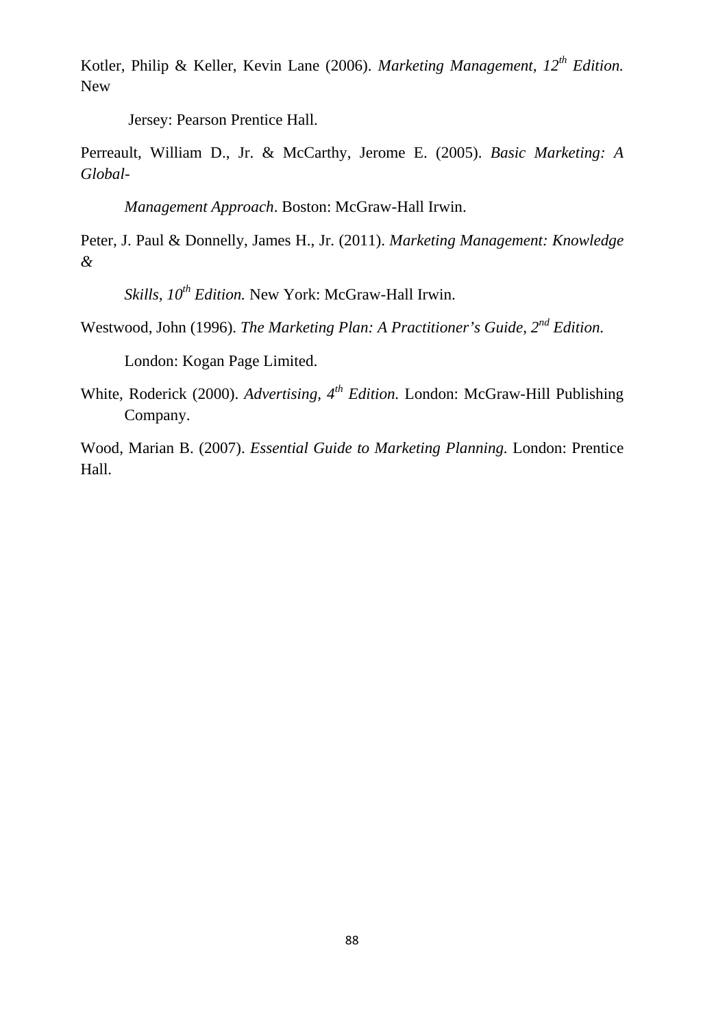Kotler, Philip & Keller, Kevin Lane (2006). *Marketing Management, 12th Edition.* New

Jersey: Pearson Prentice Hall.

Perreault, William D., Jr. & McCarthy, Jerome E. (2005). *Basic Marketing: A Global-*

*Management Approach*. Boston: McGraw-Hall Irwin.

Peter, J. Paul & Donnelly, James H., Jr. (2011). *Marketing Management: Knowledge &* 

*Skills, 10th Edition.* New York: McGraw-Hall Irwin.

Westwood, John (1996). *The Marketing Plan: A Practitioner's Guide, 2nd Edition.*

London: Kogan Page Limited.

White, Roderick (2000). *Advertising, 4th Edition.* London: McGraw-Hill Publishing Company.

Wood, Marian B. (2007). *Essential Guide to Marketing Planning.* London: Prentice Hall.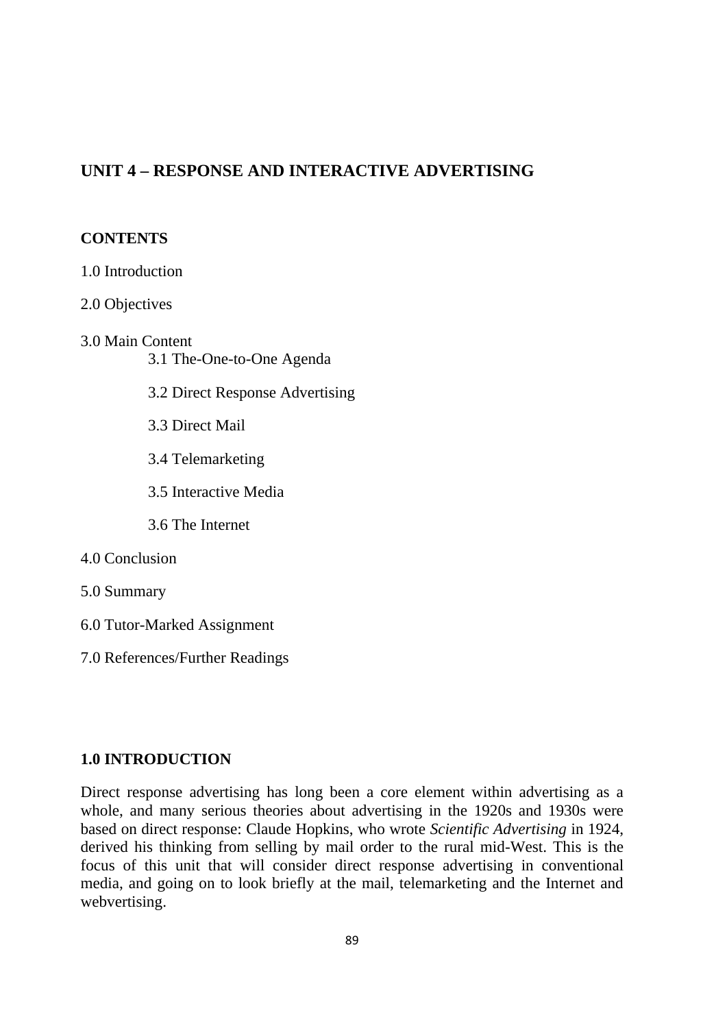# **UNIT 4 – RESPONSE AND INTERACTIVE ADVERTISING**

#### **CONTENTS**

1.0 Introduction 2.0 Objectives 3.0 Main Content 3.1 The-One-to-One Agenda 3.2 Direct Response Advertising 3.3 Direct Mail 3.4 Telemarketing 3.5 Interactive Media 3.6 The Internet 4.0 Conclusion 5.0 Summary 6.0 Tutor-Marked Assignment 7.0 References/Further Readings

### **1.0 INTRODUCTION**

Direct response advertising has long been a core element within advertising as a whole, and many serious theories about advertising in the 1920s and 1930s were based on direct response: Claude Hopkins, who wrote *Scientific Advertising* in 1924, derived his thinking from selling by mail order to the rural mid-West. This is the focus of this unit that will consider direct response advertising in conventional media, and going on to look briefly at the mail, telemarketing and the Internet and webvertising.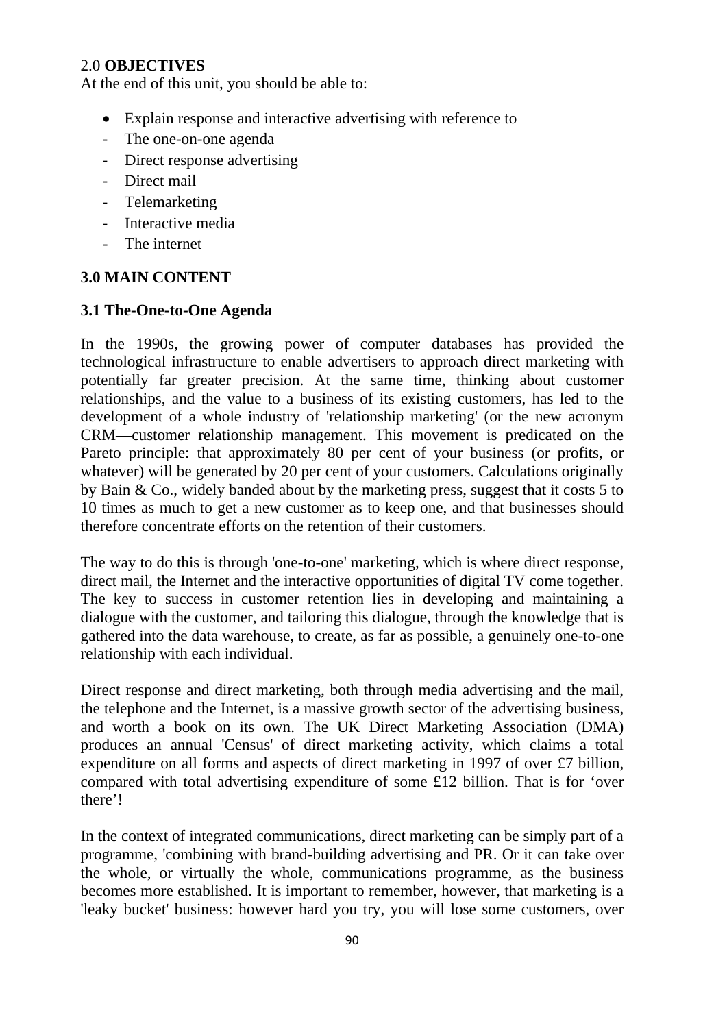### 2.0 **OBJECTIVES**

At the end of this unit, you should be able to:

- Explain response and interactive advertising with reference to
- The one-on-one agenda
- Direct response advertising
- Direct mail
- Telemarketing
- Interactive media
- The internet

### **3.0 MAIN CONTENT**

## **3.1 The-One-to-One Agenda**

In the 1990s, the growing power of computer databases has provided the technological infrastructure to enable advertisers to approach direct marketing with potentially far greater precision. At the same time, thinking about customer relationships, and the value to a business of its existing customers, has led to the development of a whole industry of 'relationship marketing' (or the new acronym CRM—customer relationship management. This movement is predicated on the Pareto principle: that approximately 80 per cent of your business (or profits, or whatever) will be generated by 20 per cent of your customers. Calculations originally by Bain & Co., widely banded about by the marketing press, suggest that it costs 5 to 10 times as much to get a new customer as to keep one, and that businesses should therefore concentrate efforts on the retention of their customers.

The way to do this is through 'one-to-one' marketing, which is where direct response, direct mail, the Internet and the interactive opportunities of digital TV come together. The key to success in customer retention lies in developing and maintaining a dialogue with the customer, and tailoring this dialogue, through the knowledge that is gathered into the data warehouse, to create, as far as possible, a genuinely one-to-one relationship with each individual.

Direct response and direct marketing, both through media advertising and the mail, the telephone and the Internet, is a massive growth sector of the advertising business, and worth a book on its own. The UK Direct Marketing Association (DMA) produces an annual 'Census' of direct marketing activity, which claims a total expenditure on all forms and aspects of direct marketing in 1997 of over £7 billion, compared with total advertising expenditure of some £12 billion. That is for 'over there'!

In the context of integrated communications, direct marketing can be simply part of a programme, 'combining with brand-building advertising and PR. Or it can take over the whole, or virtually the whole, communications programme, as the business becomes more established. It is important to remember, however, that marketing is a 'leaky bucket' business: however hard you try, you will lose some customers, over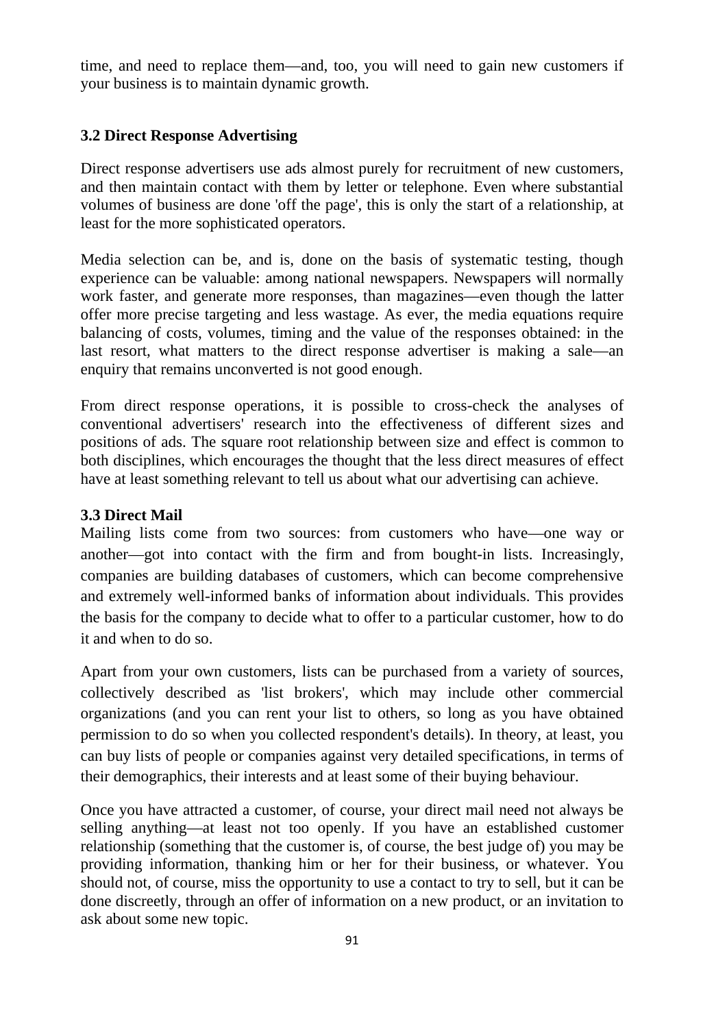time, and need to replace them—and, too, you will need to gain new customers if your business is to maintain dynamic growth.

### **3.2 Direct Response Advertising**

Direct response advertisers use ads almost purely for recruitment of new customers, and then maintain contact with them by letter or telephone. Even where substantial volumes of business are done 'off the page', this is only the start of a relationship, at least for the more sophisticated operators.

Media selection can be, and is, done on the basis of systematic testing, though experience can be valuable: among national newspapers. Newspapers will normally work faster, and generate more responses, than magazines—even though the latter offer more precise targeting and less wastage. As ever, the media equations require balancing of costs, volumes, timing and the value of the responses obtained: in the last resort, what matters to the direct response advertiser is making a sale—an enquiry that remains unconverted is not good enough.

From direct response operations, it is possible to cross-check the analyses of conventional advertisers' research into the effectiveness of different sizes and positions of ads. The square root relationship between size and effect is common to both disciplines, which encourages the thought that the less direct measures of effect have at least something relevant to tell us about what our advertising can achieve.

#### **3.3 Direct Mail**

Mailing lists come from two sources: from customers who have—one way or another—got into contact with the firm and from bought-in lists. Increasingly, companies are building databases of customers, which can become comprehensive and extremely well-informed banks of information about individuals. This provides the basis for the company to decide what to offer to a particular customer, how to do it and when to do so.

Apart from your own customers, lists can be purchased from a variety of sources, collectively described as 'list brokers', which may include other commercial organizations (and you can rent your list to others, so long as you have obtained permission to do so when you collected respondent's details). In theory, at least, you can buy lists of people or companies against very detailed specifications, in terms of their demographics, their interests and at least some of their buying behaviour.

Once you have attracted a customer, of course, your direct mail need not always be selling anything—at least not too openly. If you have an established customer relationship (something that the customer is, of course, the best judge of) you may be providing information, thanking him or her for their business, or whatever. You should not, of course, miss the opportunity to use a contact to try to sell, but it can be done discreetly, through an offer of information on a new product, or an invitation to ask about some new topic.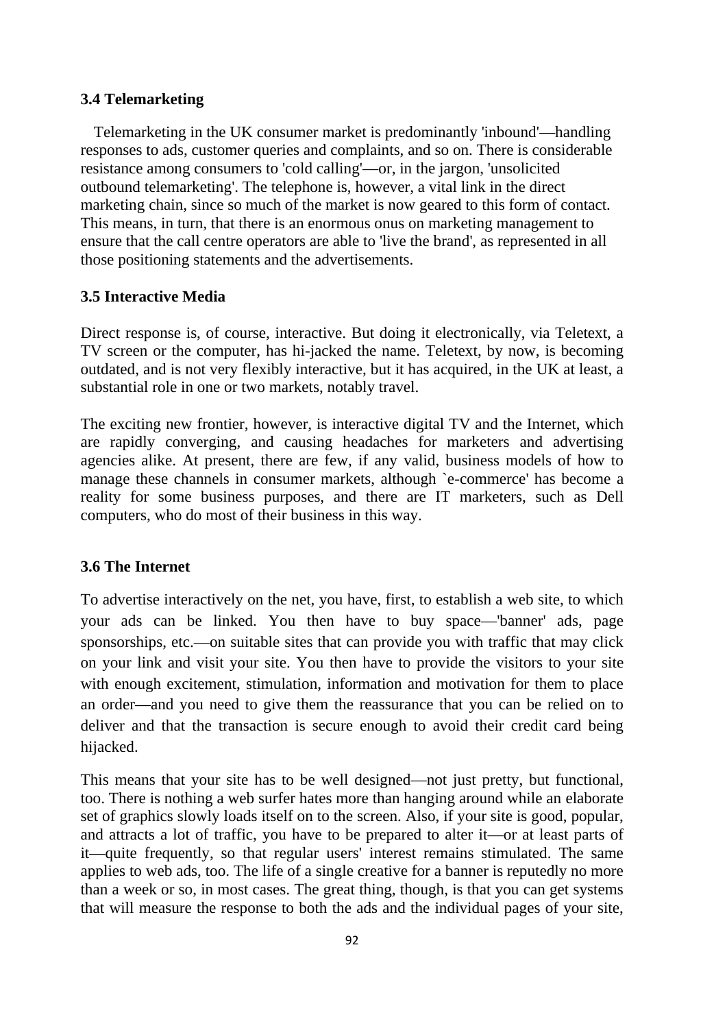#### **3.4 Telemarketing**

Telemarketing in the UK consumer market is predominantly 'inbound'—handling responses to ads, customer queries and complaints, and so on. There is considerable resistance among consumers to 'cold calling'—or, in the jargon, 'unsolicited outbound telemarketing'. The telephone is, however, a vital link in the direct marketing chain, since so much of the market is now geared to this form of contact. This means, in turn, that there is an enormous onus on marketing management to ensure that the call centre operators are able to 'live the brand', as represented in all those positioning statements and the advertisements.

#### **3.5 Interactive Media**

Direct response is, of course, interactive. But doing it electronically, via Teletext, a TV screen or the computer, has hi-jacked the name. Teletext, by now, is becoming outdated, and is not very flexibly interactive, but it has acquired, in the UK at least, a substantial role in one or two markets, notably travel.

The exciting new frontier, however, is interactive digital TV and the Internet, which are rapidly converging, and causing headaches for marketers and advertising agencies alike. At present, there are few, if any valid, business models of how to manage these channels in consumer markets, although `e-commerce' has become a reality for some business purposes, and there are IT marketers, such as Dell computers, who do most of their business in this way.

### **3.6 The Internet**

To advertise interactively on the net, you have, first, to establish a web site, to which your ads can be linked. You then have to buy space—'banner' ads, page sponsorships, etc.—on suitable sites that can provide you with traffic that may click on your link and visit your site. You then have to provide the visitors to your site with enough excitement, stimulation, information and motivation for them to place an order—and you need to give them the reassurance that you can be relied on to deliver and that the transaction is secure enough to avoid their credit card being hijacked.

This means that your site has to be well designed—not just pretty, but functional, too. There is nothing a web surfer hates more than hanging around while an elaborate set of graphics slowly loads itself on to the screen. Also, if your site is good, popular, and attracts a lot of traffic, you have to be prepared to alter it—or at least parts of it—quite frequently, so that regular users' interest remains stimulated. The same applies to web ads, too. The life of a single creative for a banner is reputedly no more than a week or so, in most cases. The great thing, though, is that you can get systems that will measure the response to both the ads and the individual pages of your site,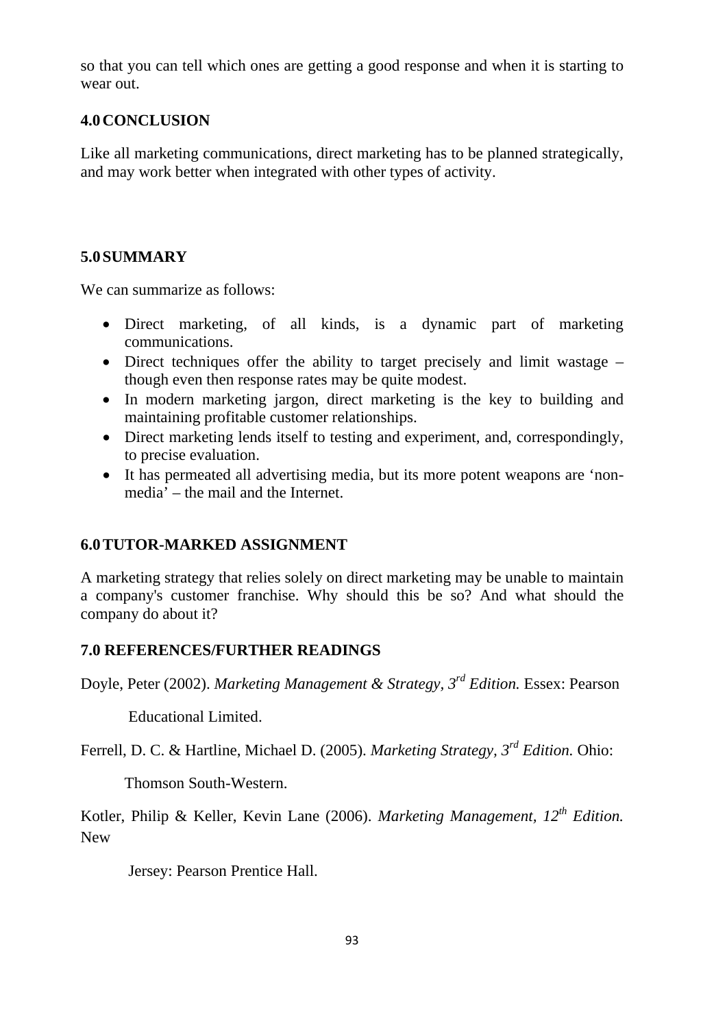so that you can tell which ones are getting a good response and when it is starting to wear out.

## **4.0CONCLUSION**

Like all marketing communications, direct marketing has to be planned strategically, and may work better when integrated with other types of activity.

# **5.0SUMMARY**

We can summarize as follows:

- Direct marketing, of all kinds, is a dynamic part of marketing communications.
- Direct techniques offer the ability to target precisely and limit wastage though even then response rates may be quite modest.
- In modern marketing jargon, direct marketing is the key to building and maintaining profitable customer relationships.
- Direct marketing lends itself to testing and experiment, and, correspondingly, to precise evaluation.
- It has permeated all advertising media, but its more potent weapons are 'nonmedia' – the mail and the Internet.

# **6.0TUTOR-MARKED ASSIGNMENT**

A marketing strategy that relies solely on direct marketing may be unable to maintain a company's customer franchise. Why should this be so? And what should the company do about it?

# **7.0 REFERENCES/FURTHER READINGS**

Doyle, Peter (2002). *Marketing Management & Strategy, 3rd Edition.* Essex: Pearson

Educational Limited.

Ferrell, D. C. & Hartline, Michael D. (2005). *Marketing Strategy, 3rd Edition.* Ohio:

Thomson South-Western.

Kotler, Philip & Keller, Kevin Lane (2006). *Marketing Management, 12th Edition.* New

Jersey: Pearson Prentice Hall.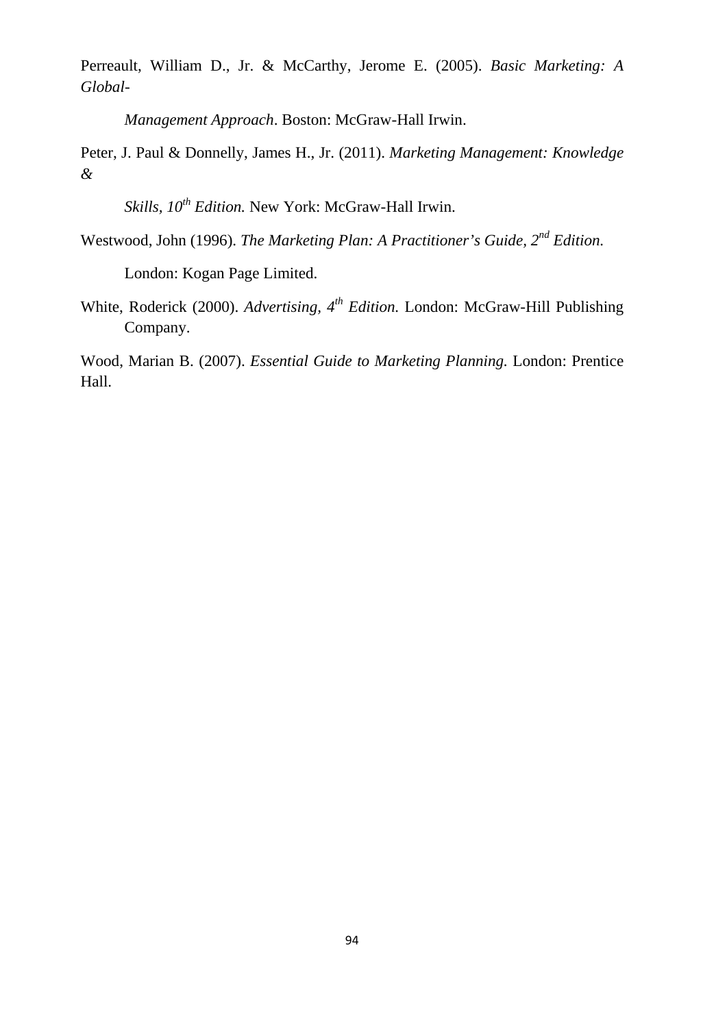Perreault, William D., Jr. & McCarthy, Jerome E. (2005). *Basic Marketing: A Global-*

*Management Approach*. Boston: McGraw-Hall Irwin.

Peter, J. Paul & Donnelly, James H., Jr. (2011). *Marketing Management: Knowledge &* 

*Skills, 10th Edition.* New York: McGraw-Hall Irwin.

Westwood, John (1996). *The Marketing Plan: A Practitioner's Guide, 2nd Edition.*

London: Kogan Page Limited.

White, Roderick (2000). *Advertising, 4th Edition.* London: McGraw-Hill Publishing Company.

Wood, Marian B. (2007). *Essential Guide to Marketing Planning.* London: Prentice Hall.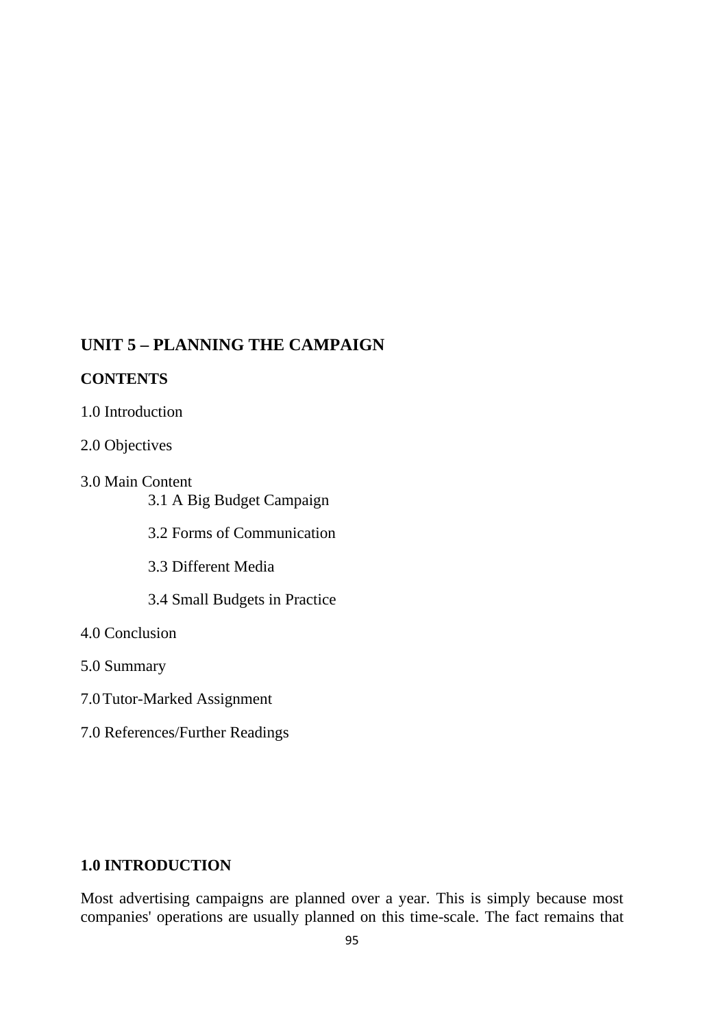# **UNIT 5 – PLANNING THE CAMPAIGN**

#### **CONTENTS**

- 1.0 Introduction
- 2.0 Objectives
- 3.0 Main Content 3.1 A Big Budget Campaign
	- 3.2 Forms of Communication
	- 3.3 Different Media
	- 3.4 Small Budgets in Practice
- 4.0 Conclusion
- 5.0 Summary
- 7.0Tutor-Marked Assignment
- 7.0 References/Further Readings

### **1.0 INTRODUCTION**

Most advertising campaigns are planned over a year. This is simply because most companies' operations are usually planned on this time-scale. The fact remains that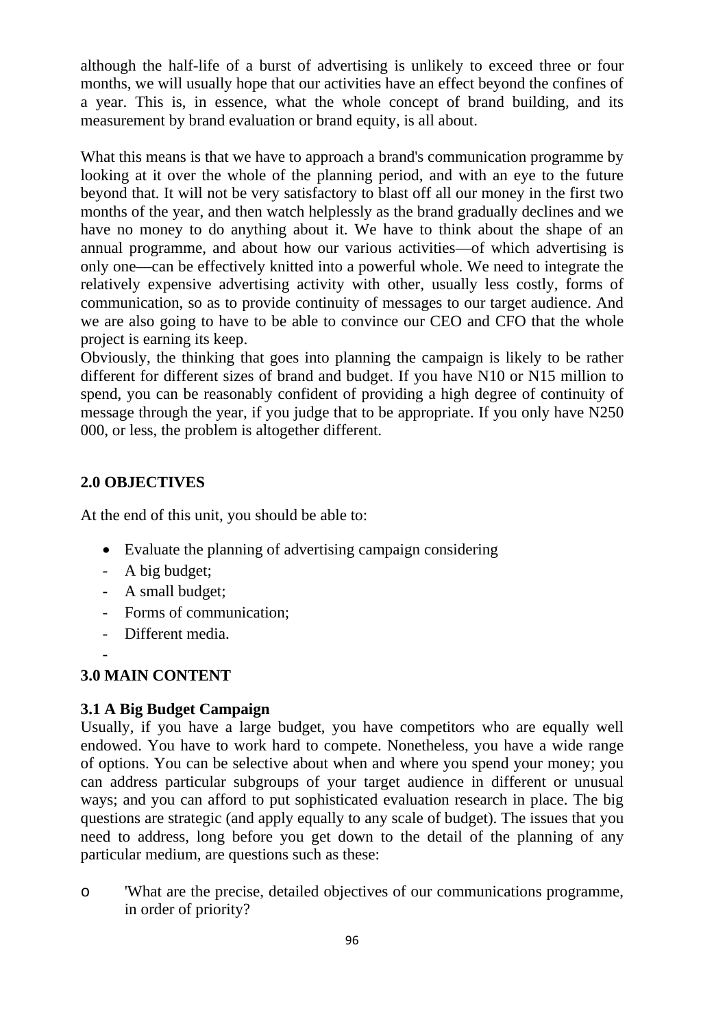although the half-life of a burst of advertising is unlikely to exceed three or four months, we will usually hope that our activities have an effect beyond the confines of a year. This is, in essence, what the whole concept of brand building, and its measurement by brand evaluation or brand equity, is all about.

What this means is that we have to approach a brand's communication programme by looking at it over the whole of the planning period, and with an eye to the future beyond that. It will not be very satisfactory to blast off all our money in the first two months of the year, and then watch helplessly as the brand gradually declines and we have no money to do anything about it. We have to think about the shape of an annual programme, and about how our various activities—of which advertising is only one—can be effectively knitted into a powerful whole. We need to integrate the relatively expensive advertising activity with other, usually less costly, forms of communication, so as to provide continuity of messages to our target audience. And we are also going to have to be able to convince our CEO and CFO that the whole project is earning its keep.

Obviously, the thinking that goes into planning the campaign is likely to be rather different for different sizes of brand and budget. If you have N10 or N15 million to spend, you can be reasonably confident of providing a high degree of continuity of message through the year, if you judge that to be appropriate. If you only have N250 000, or less, the problem is altogether different.

# **2.0 OBJECTIVES**

At the end of this unit, you should be able to:

- Evaluate the planning of advertising campaign considering
- A big budget;
- A small budget;
- Forms of communication;
- Different media.

## -

# **3.0 MAIN CONTENT**

# **3.1 A Big Budget Campaign**

Usually, if you have a large budget, you have competitors who are equally well endowed. You have to work hard to compete. Nonetheless, you have a wide range of options. You can be selective about when and where you spend your money; you can address particular subgroups of your target audience in different or unusual ways; and you can afford to put sophisticated evaluation research in place. The big questions are strategic (and apply equally to any scale of budget). The issues that you need to address, long before you get down to the detail of the planning of any particular medium, are questions such as these:

o 'What are the precise, detailed objectives of our communications programme, in order of priority?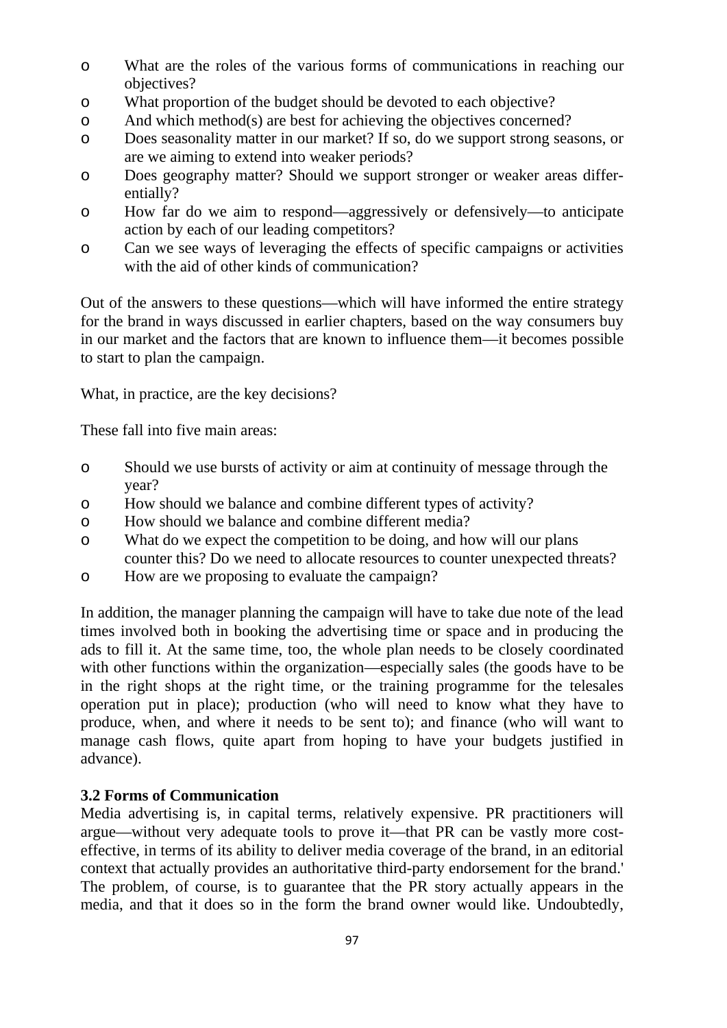- o What are the roles of the various forms of communications in reaching our objectives?
- o What proportion of the budget should be devoted to each objective?
- o And which method(s) are best for achieving the objectives concerned?
- o Does seasonality matter in our market? If so, do we support strong seasons, or are we aiming to extend into weaker periods?
- o Does geography matter? Should we support stronger or weaker areas differentially?
- o How far do we aim to respond—aggressively or defensively—to anticipate action by each of our leading competitors?
- o Can we see ways of leveraging the effects of specific campaigns or activities with the aid of other kinds of communication?

Out of the answers to these questions—which will have informed the entire strategy for the brand in ways discussed in earlier chapters, based on the way consumers buy in our market and the factors that are known to influence them—it becomes possible to start to plan the campaign.

What, in practice, are the key decisions?

These fall into five main areas:

- o Should we use bursts of activity or aim at continuity of message through the year?
- o How should we balance and combine different types of activity?
- o How should we balance and combine different media?
- o What do we expect the competition to be doing, and how will our plans counter this? Do we need to allocate resources to counter unexpected threats?
- o How are we proposing to evaluate the campaign?

In addition, the manager planning the campaign will have to take due note of the lead times involved both in booking the advertising time or space and in producing the ads to fill it. At the same time, too, the whole plan needs to be closely coordinated with other functions within the organization—especially sales (the goods have to be in the right shops at the right time, or the training programme for the telesales operation put in place); production (who will need to know what they have to produce, when, and where it needs to be sent to); and finance (who will want to manage cash flows, quite apart from hoping to have your budgets justified in advance).

# **3.2 Forms of Communication**

Media advertising is, in capital terms, relatively expensive. PR practitioners will argue—without very adequate tools to prove it—that PR can be vastly more costeffective, in terms of its ability to deliver media coverage of the brand, in an editorial context that actually provides an authoritative third-party endorsement for the brand.' The problem, of course, is to guarantee that the PR story actually appears in the media, and that it does so in the form the brand owner would like. Undoubtedly,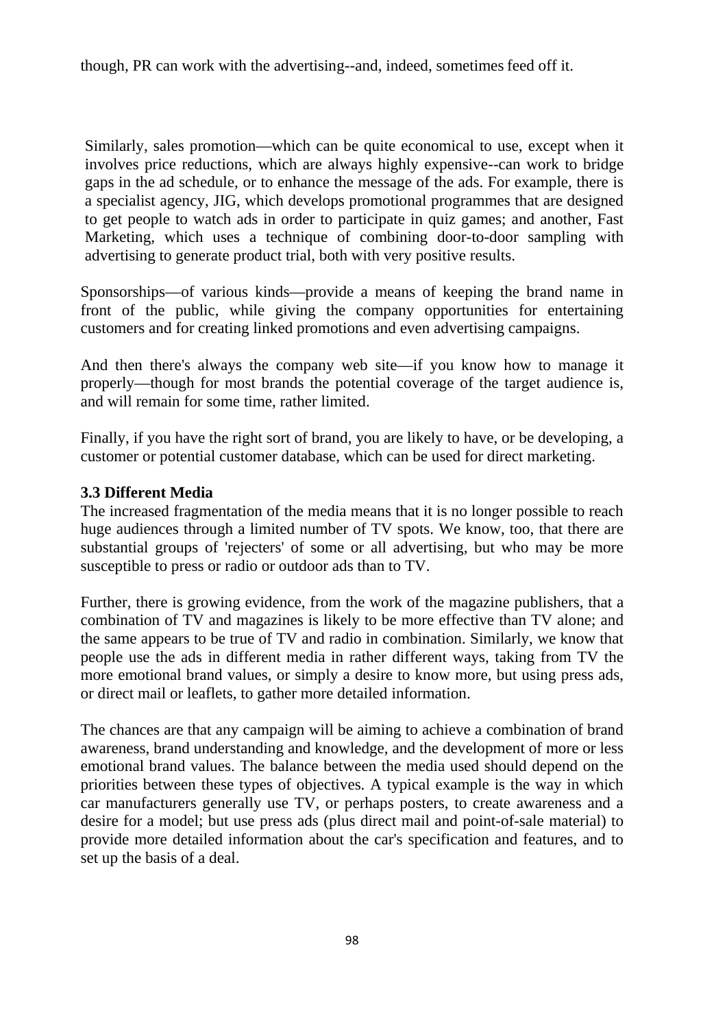though, PR can work with the advertising--and, indeed, sometimes feed off it.

Similarly, sales promotion—which can be quite economical to use, except when it involves price reductions, which are always highly expensive--can work to bridge gaps in the ad schedule, or to enhance the message of the ads. For example, there is a specialist agency, JIG, which develops promotional programmes that are designed to get people to watch ads in order to participate in quiz games; and another, Fast Marketing, which uses a technique of combining door-to-door sampling with advertising to generate product trial, both with very positive results.

Sponsorships—of various kinds—provide a means of keeping the brand name in front of the public, while giving the company opportunities for entertaining customers and for creating linked promotions and even advertising campaigns.

And then there's always the company web site—if you know how to manage it properly—though for most brands the potential coverage of the target audience is, and will remain for some time, rather limited.

Finally, if you have the right sort of brand, you are likely to have, or be developing, a customer or potential customer database, which can be used for direct marketing.

#### **3.3 Different Media**

The increased fragmentation of the media means that it is no longer possible to reach huge audiences through a limited number of TV spots. We know, too, that there are substantial groups of 'rejecters' of some or all advertising, but who may be more susceptible to press or radio or outdoor ads than to TV.

Further, there is growing evidence, from the work of the magazine publishers, that a combination of TV and magazines is likely to be more effective than TV alone; and the same appears to be true of TV and radio in combination. Similarly, we know that people use the ads in different media in rather different ways, taking from TV the more emotional brand values, or simply a desire to know more, but using press ads, or direct mail or leaflets, to gather more detailed information.

The chances are that any campaign will be aiming to achieve a combination of brand awareness, brand understanding and knowledge, and the development of more or less emotional brand values. The balance between the media used should depend on the priorities between these types of objectives. A typical example is the way in which car manufacturers generally use TV, or perhaps posters, to create awareness and a desire for a model; but use press ads (plus direct mail and point-of-sale material) to provide more detailed information about the car's specification and features, and to set up the basis of a deal.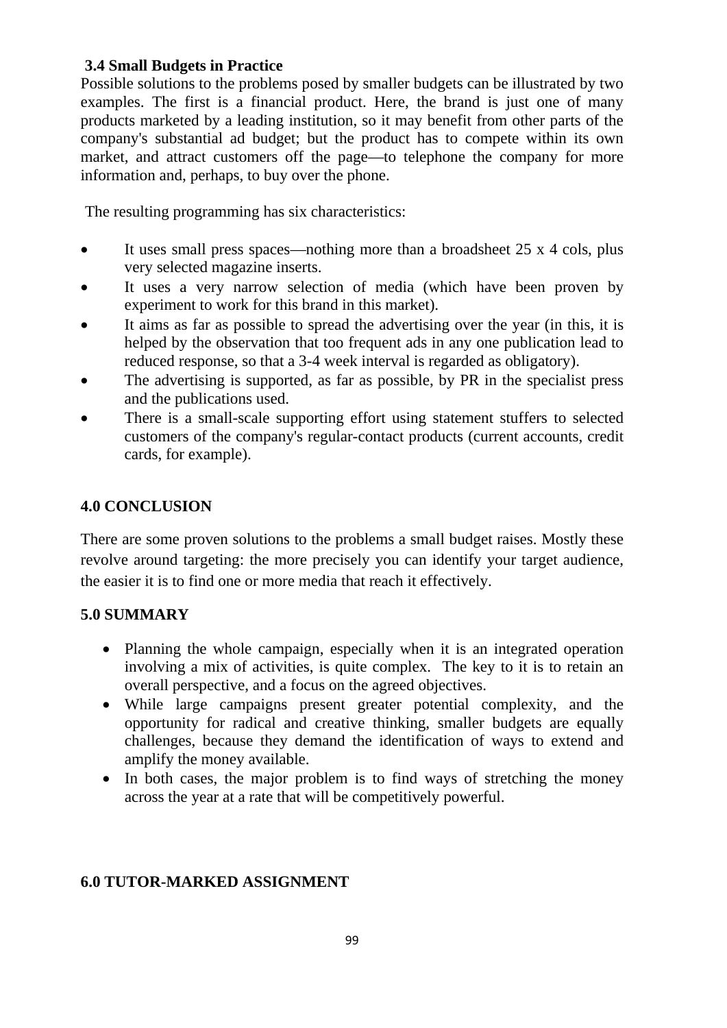## **3.4 Small Budgets in Practice**

Possible solutions to the problems posed by smaller budgets can be illustrated by two examples. The first is a financial product. Here, the brand is just one of many products marketed by a leading institution, so it may benefit from other parts of the company's substantial ad budget; but the product has to compete within its own market, and attract customers off the page—to telephone the company for more information and, perhaps, to buy over the phone.

The resulting programming has six characteristics:

- It uses small press spaces—nothing more than a broadsheet 25 x 4 cols, plus very selected magazine inserts.
- It uses a very narrow selection of media (which have been proven by experiment to work for this brand in this market).
- It aims as far as possible to spread the advertising over the year (in this, it is helped by the observation that too frequent ads in any one publication lead to reduced response, so that a 3-4 week interval is regarded as obligatory).
- The advertising is supported, as far as possible, by PR in the specialist press and the publications used.
- There is a small-scale supporting effort using statement stuffers to selected customers of the company's regular-contact products (current accounts, credit cards, for example).

# **4.0 CONCLUSION**

There are some proven solutions to the problems a small budget raises. Mostly these revolve around targeting: the more precisely you can identify your target audience, the easier it is to find one or more media that reach it effectively.

# **5.0 SUMMARY**

- Planning the whole campaign, especially when it is an integrated operation involving a mix of activities, is quite complex. The key to it is to retain an overall perspective, and a focus on the agreed objectives.
- While large campaigns present greater potential complexity, and the opportunity for radical and creative thinking, smaller budgets are equally challenges, because they demand the identification of ways to extend and amplify the money available.
- In both cases, the major problem is to find ways of stretching the money across the year at a rate that will be competitively powerful.

# **6.0 TUTOR-MARKED ASSIGNMENT**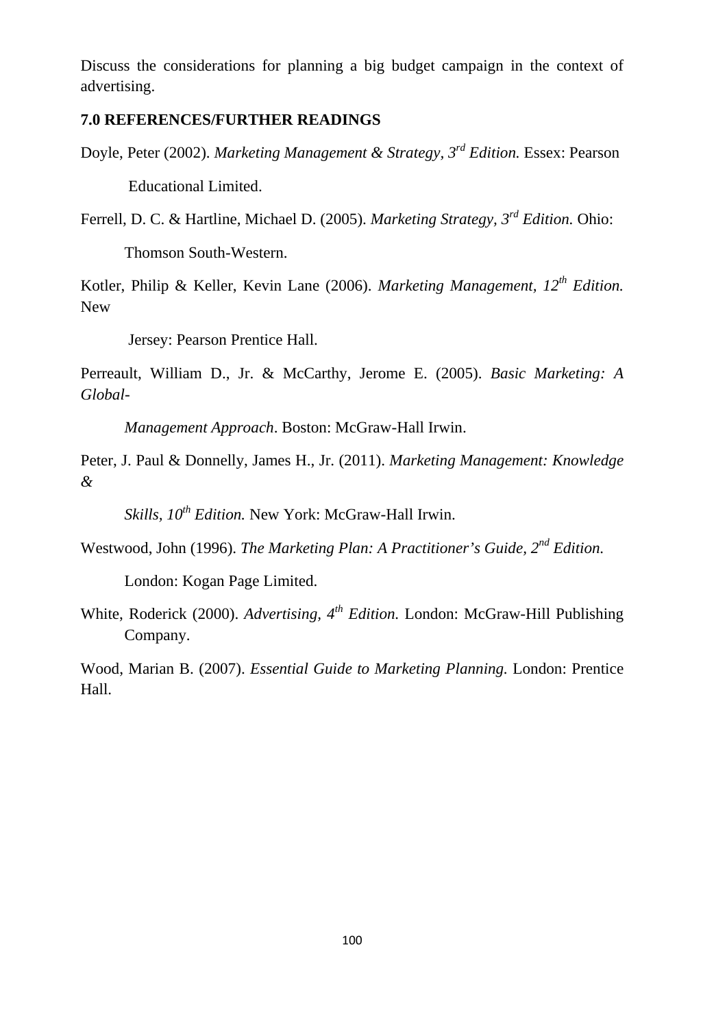Discuss the considerations for planning a big budget campaign in the context of advertising.

### **7.0 REFERENCES/FURTHER READINGS**

Doyle, Peter (2002). *Marketing Management & Strategy, 3rd Edition.* Essex: Pearson Educational Limited.

Ferrell, D. C. & Hartline, Michael D. (2005). *Marketing Strategy, 3rd Edition.* Ohio:

Thomson South-Western.

Kotler, Philip & Keller, Kevin Lane (2006). *Marketing Management, 12th Edition.* New

Jersey: Pearson Prentice Hall.

Perreault, William D., Jr. & McCarthy, Jerome E. (2005). *Basic Marketing: A Global-*

*Management Approach*. Boston: McGraw-Hall Irwin.

Peter, J. Paul & Donnelly, James H., Jr. (2011). *Marketing Management: Knowledge &* 

*Skills, 10th Edition.* New York: McGraw-Hall Irwin.

Westwood, John (1996). *The Marketing Plan: A Practitioner's Guide, 2nd Edition.*

London: Kogan Page Limited.

White, Roderick (2000). *Advertising, 4th Edition.* London: McGraw-Hill Publishing Company.

Wood, Marian B. (2007). *Essential Guide to Marketing Planning.* London: Prentice Hall.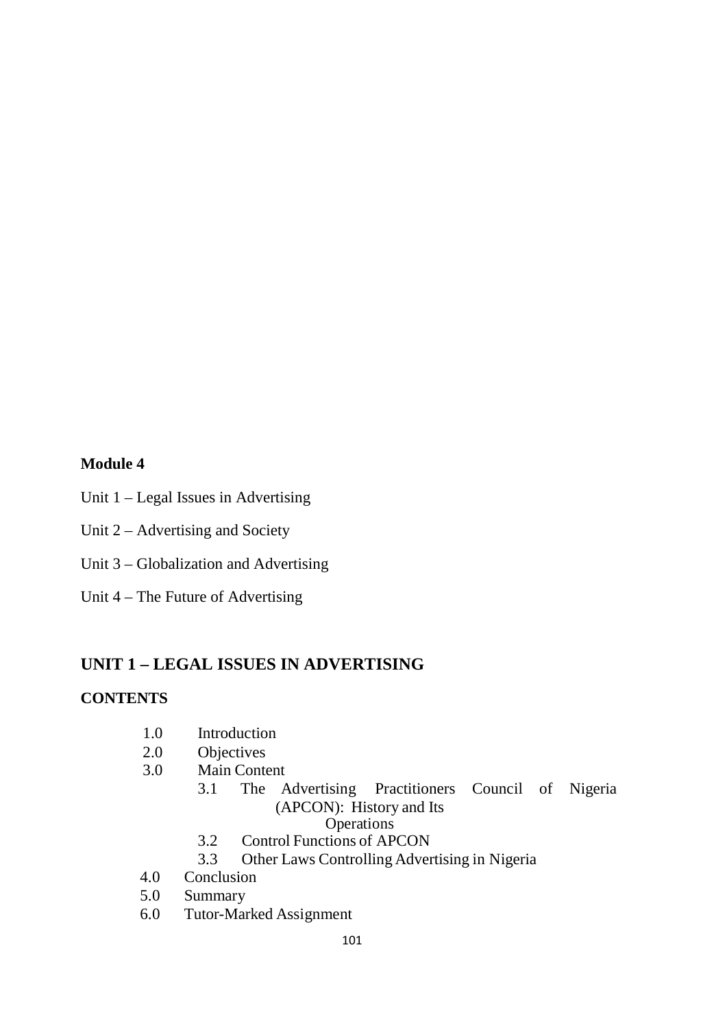#### **Module 4**

- Unit 1 Legal Issues in Advertising
- Unit 2 Advertising and Society
- Unit 3 Globalization and Advertising
- Unit 4 The Future of Advertising

# **UNIT 1 – LEGAL ISSUES IN ADVERTISING**

#### **CONTENTS**

- 1.0 Introduction
- 2.0 Objectives
- 3.0 Main Content
	- 3.1 The Advertising Practitioners Council of Nigeria (APCON): History and Its **Operations** 
		- 3.2 Control Functions of APCON
		- 3.3 Other Laws Controlling Advertising in Nigeria
- 4.0 Conclusion
- 5.0 Summary
- 6.0 Tutor-Marked Assignment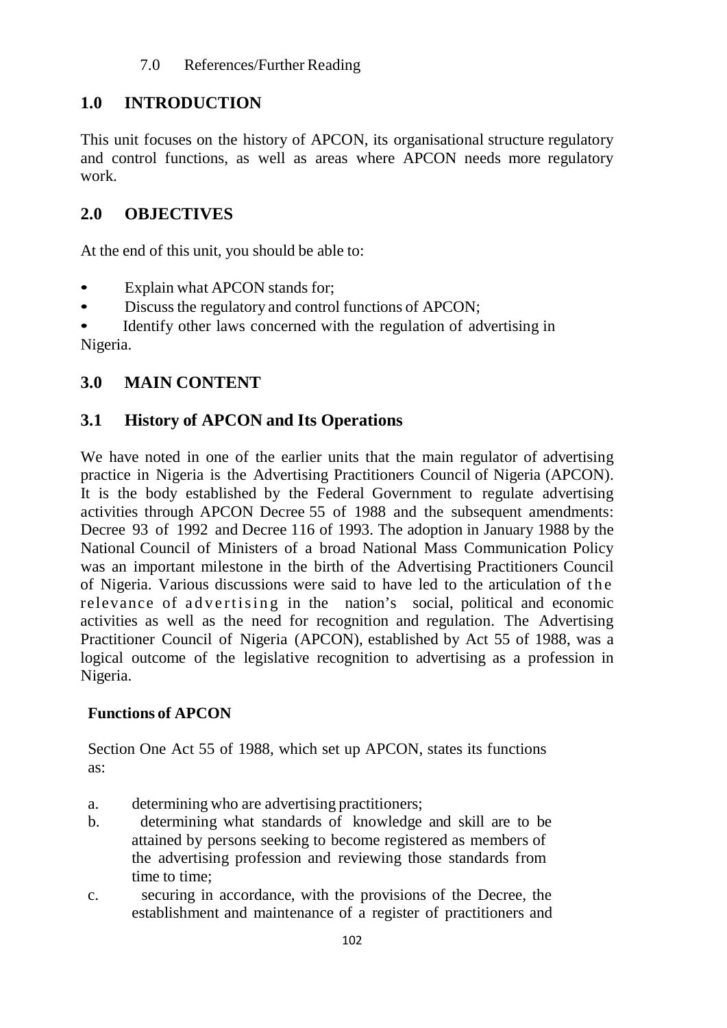# **1.0 INTRODUCTION**

This unit focuses on the history of APCON, its organisational structure regulatory and control functions, as well as areas where APCON needs more regulatory work.

# **2.0 OBJECTIVES**

At the end of this unit, you should be able to:

- Explain what APCON stands for;
- Discuss the regulatory and control functions of APCON;

Identify other laws concerned with the regulation of advertising in Nigeria.

# **3.0 MAIN CONTENT**

# **3.1 History of APCON and Its Operations**

We have noted in one of the earlier units that the main regulator of advertising practice in Nigeria is the Advertising Practitioners Council of Nigeria (APCON). It is the body established by the Federal Government to regulate advertising activities through APCON Decree 55 of 1988 and the subsequent amendments: Decree 93 of 1992 and Decree 116 of 1993. The adoption in January 1988 by the National Council of Ministers of a broad National Mass Communication Policy was an important milestone in the birth of the Advertising Practitioners Council of Nigeria. Various discussions were said to have led to the articulation of the relevance of advertising in the nation's social, political and economic activities as well as the need for recognition and regulation. The Advertising Practitioner Council of Nigeria (APCON), established by Act 55 of 1988, was a logical outcome of the legislative recognition to advertising as a profession in Nigeria.

# **Functions of APCON**

Section One Act 55 of 1988, which set up APCON, states its functions as:

- a. determining who are advertising practitioners;
- b. determining what standards of knowledge and skill are to be attained by persons seeking to become registered as members of the advertising profession and reviewing those standards from time to time;
- c. securing in accordance, with the provisions of the Decree, the establishment and maintenance of a register of practitioners and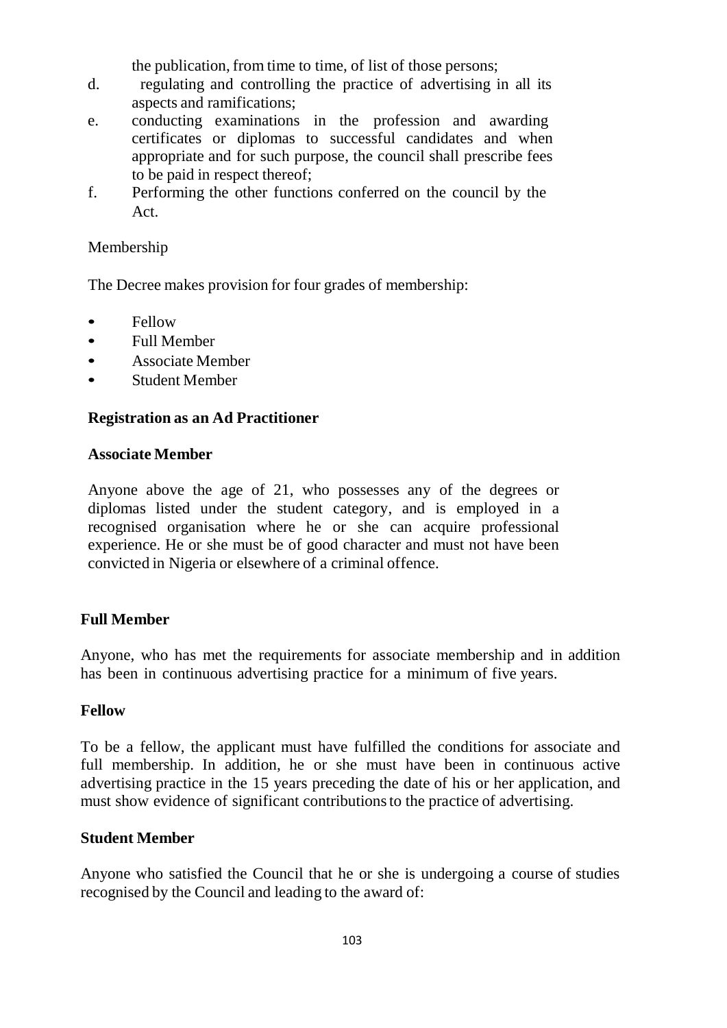the publication, from time to time, of list of those persons;

- d. regulating and controlling the practice of advertising in all its aspects and ramifications;
- e. conducting examinations in the profession and awarding certificates or diplomas to successful candidates and when appropriate and for such purpose, the council shall prescribe fees to be paid in respect thereof;
- f. Performing the other functions conferred on the council by the Act.

### Membership

The Decree makes provision for four grades of membership:

- Fellow
- Full Member
- Associate Member
- Student Member

#### **Registration as an Ad Practitioner**

#### **Associate Member**

Anyone above the age of 21, who possesses any of the degrees or diplomas listed under the student category, and is employed in a recognised organisation where he or she can acquire professional experience. He or she must be of good character and must not have been convicted in Nigeria or elsewhere of a criminal offence.

#### **Full Member**

Anyone, who has met the requirements for associate membership and in addition has been in continuous advertising practice for a minimum of five years.

#### **Fellow**

To be a fellow, the applicant must have fulfilled the conditions for associate and full membership. In addition, he or she must have been in continuous active advertising practice in the 15 years preceding the date of his or her application, and must show evidence of significant contributionsto the practice of advertising.

#### **Student Member**

Anyone who satisfied the Council that he or she is undergoing a course of studies recognised by the Council and leading to the award of: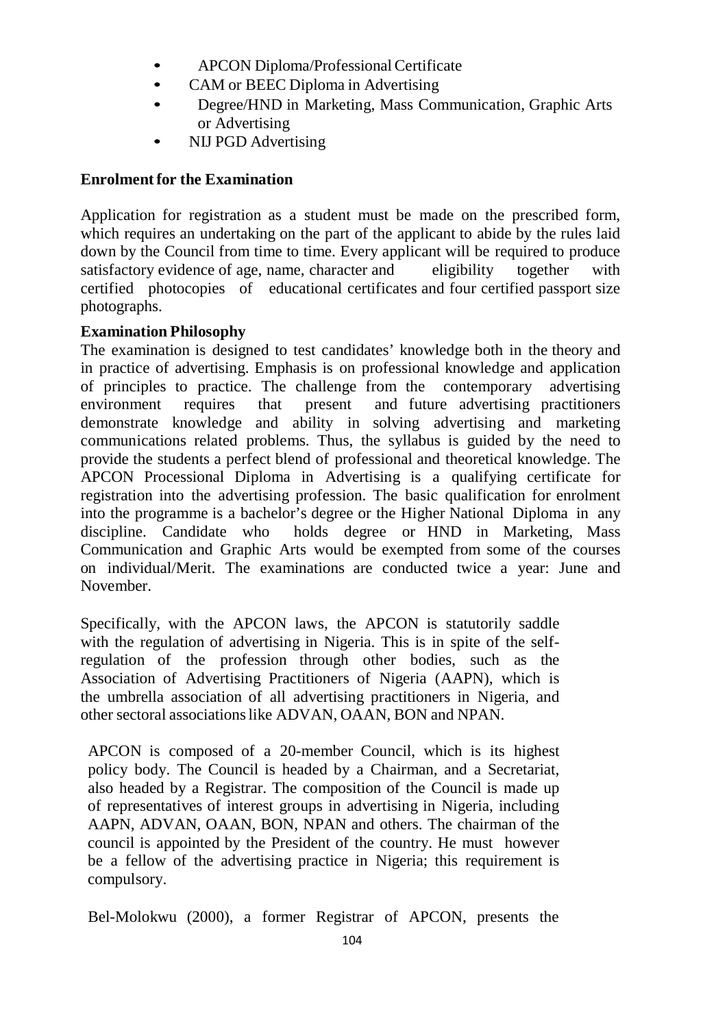- APCON Diploma/ProfessionalCertificate
- CAM or BEEC Diploma in Advertising
- Degree/HND in Marketing, Mass Communication, Graphic Arts or Advertising
- NIJ PGD Advertising

#### **Enrolment for the Examination**

Application for registration as a student must be made on the prescribed form, which requires an undertaking on the part of the applicant to abide by the rules laid down by the Council from time to time. Every applicant will be required to produce satisfactory evidence of age, name, character and eligibility together with certified photocopies of educational certificates and four certified passport size photographs.

#### **Examination Philosophy**

The examination is designed to test candidates' knowledge both in the theory and in practice of advertising. Emphasis is on professional knowledge and application of principles to practice. The challenge from the contemporary advertising environment requires that present and future advertising practitioners demonstrate knowledge and ability in solving advertising and marketing communications related problems. Thus, the syllabus is guided by the need to provide the students a perfect blend of professional and theoretical knowledge. The APCON Processional Diploma in Advertising is a qualifying certificate for registration into the advertising profession. The basic qualification for enrolment into the programme is a bachelor's degree or the Higher National Diploma in any discipline. Candidate who holds degree or HND in Marketing, Mass Communication and Graphic Arts would be exempted from some of the courses on individual/Merit. The examinations are conducted twice a year: June and November.

Specifically, with the APCON laws, the APCON is statutorily saddle with the regulation of advertising in Nigeria. This is in spite of the selfregulation of the profession through other bodies, such as the Association of Advertising Practitioners of Nigeria (AAPN), which is the umbrella association of all advertising practitioners in Nigeria, and other sectoral associationslike ADVAN, OAAN, BON and NPAN.

APCON is composed of a 20-member Council, which is its highest policy body. The Council is headed by a Chairman, and a Secretariat, also headed by a Registrar. The composition of the Council is made up of representatives of interest groups in advertising in Nigeria, including AAPN, ADVAN, OAAN, BON, NPAN and others. The chairman of the council is appointed by the President of the country. He must however be a fellow of the advertising practice in Nigeria; this requirement is compulsory.

Bel-Molokwu (2000), a former Registrar of APCON, presents the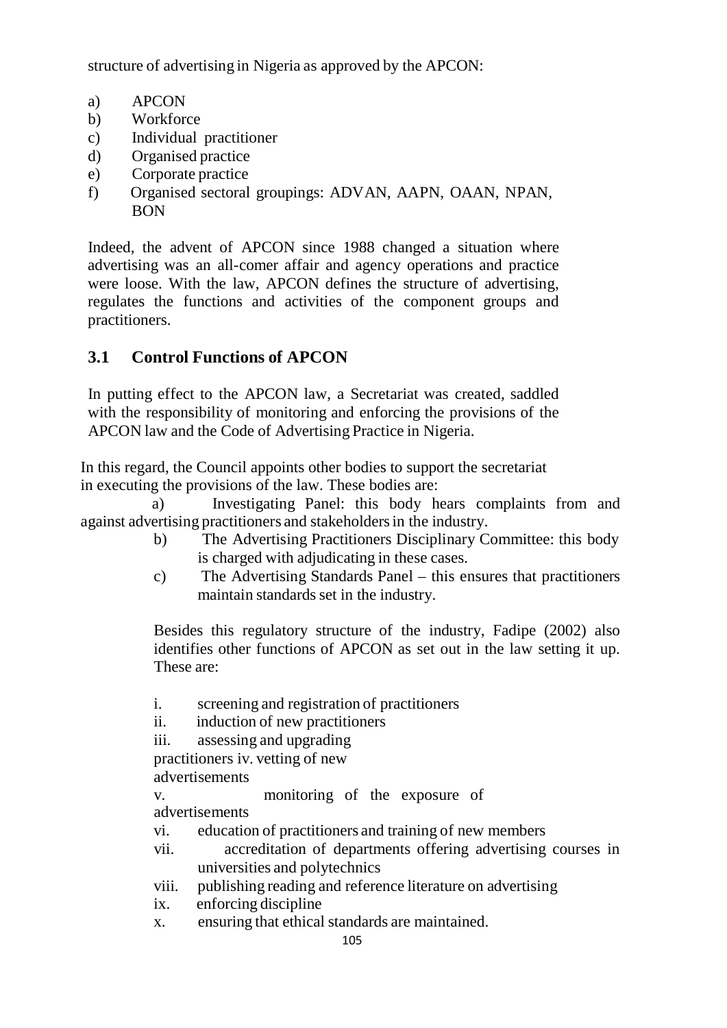structure of advertising in Nigeria as approved by the APCON:

- a) APCON
- b) Workforce
- c) Individual practitioner
- d) Organised practice
- e) Corporate practice
- f) Organised sectoral groupings: ADVAN, AAPN, OAAN, NPAN, BON

Indeed, the advent of APCON since 1988 changed a situation where advertising was an all-comer affair and agency operations and practice were loose. With the law, APCON defines the structure of advertising, regulates the functions and activities of the component groups and practitioners.

# **3.1 Control Functions of APCON**

In putting effect to the APCON law, a Secretariat was created, saddled with the responsibility of monitoring and enforcing the provisions of the APCON law and the Code of Advertising Practice in Nigeria.

In this regard, the Council appoints other bodies to support the secretariat in executing the provisions of the law. These bodies are:

 a) Investigating Panel: this body hears complaints from and against advertising practitioners and stakeholdersin the industry.

- b) The Advertising Practitioners Disciplinary Committee: this body is charged with adjudicating in these cases.
- c) The Advertising Standards Panel this ensures that practitioners maintain standards set in the industry.

Besides this regulatory structure of the industry, Fadipe (2002) also identifies other functions of APCON as set out in the law setting it up. These are:

i. screening and registration of practitioners

ii. induction of new practitioners

iii. assessing and upgrading

practitioners iv. vetting of new

advertisements

v. monitoring of the exposure of advertisements

vi. education of practitioners and training of new members

- vii. accreditation of departments offering advertising courses in universities and polytechnics
- viii. publishing reading and reference literature on advertising

ix. enforcing discipline

x. ensuring that ethical standards are maintained.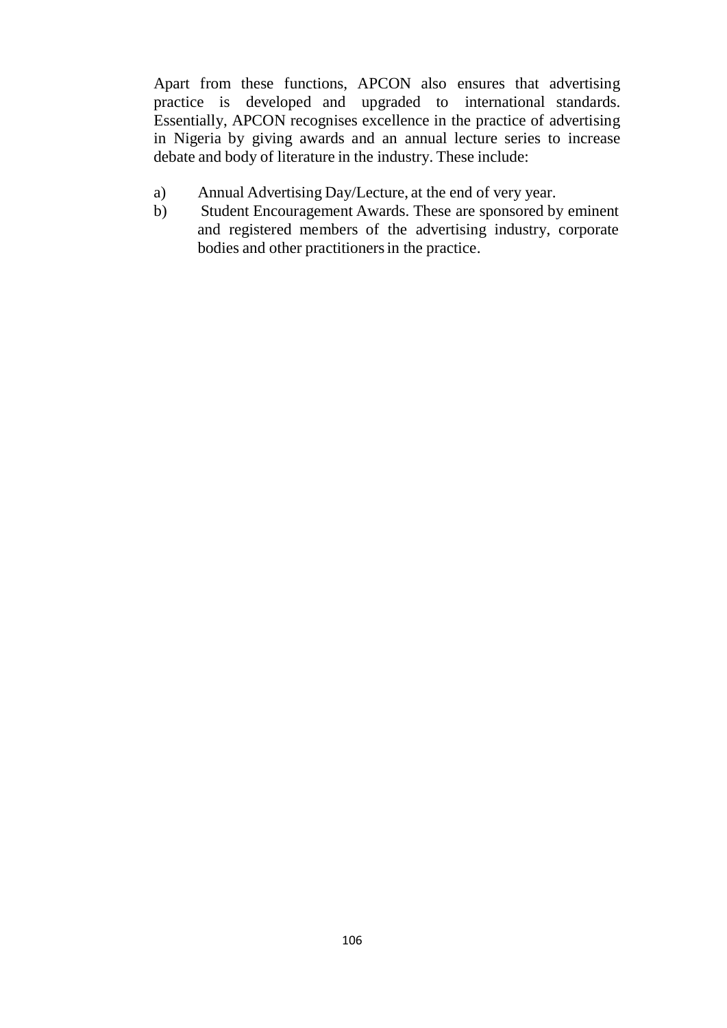Apart from these functions, APCON also ensures that advertising practice is developed and upgraded to international standards. Essentially, APCON recognises excellence in the practice of advertising in Nigeria by giving awards and an annual lecture series to increase debate and body of literature in the industry. These include:

- a) Annual Advertising Day/Lecture, at the end of very year.
- b) Student Encouragement Awards. These are sponsored by eminent and registered members of the advertising industry, corporate bodies and other practitioners in the practice.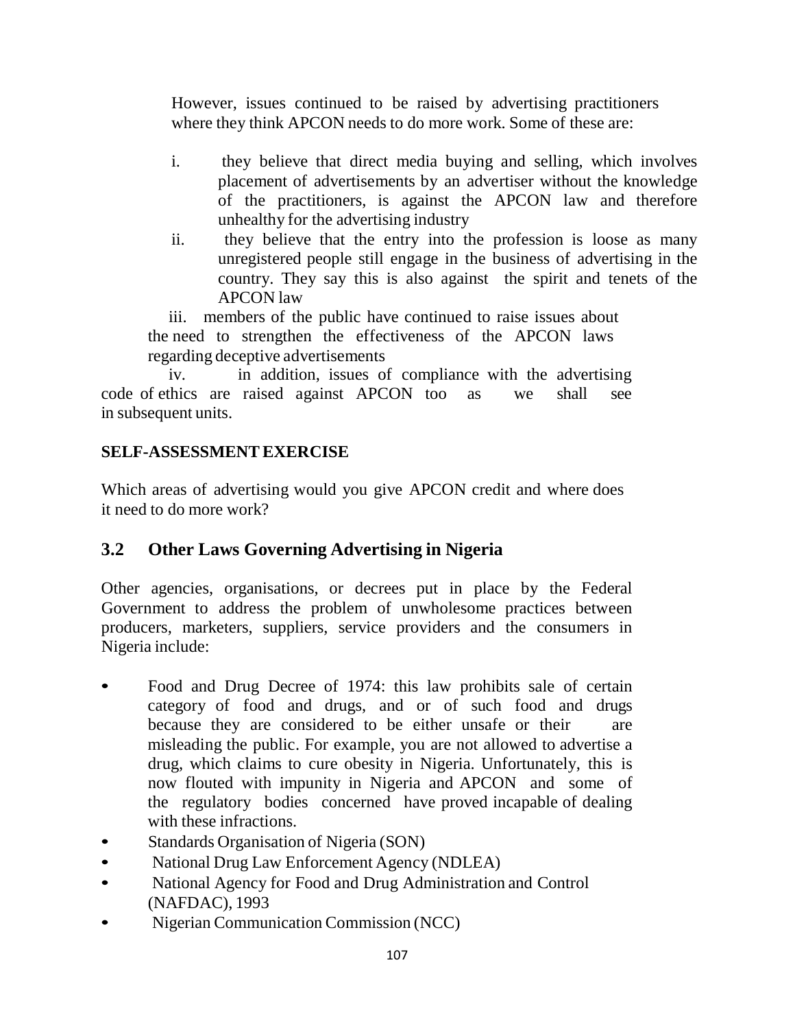However, issues continued to be raised by advertising practitioners where they think APCON needs to do more work. Some of these are:

- i. they believe that direct media buying and selling, which involves placement of advertisements by an advertiser without the knowledge of the practitioners, is against the APCON law and therefore unhealthy for the advertising industry
- ii. they believe that the entry into the profession is loose as many unregistered people still engage in the business of advertising in the country. They say this is also against the spirit and tenets of the APCON law

 iii. members of the public have continued to raise issues about the need to strengthen the effectiveness of the APCON laws regarding deceptive advertisements

 iv. in addition, issues of compliance with the advertising code of ethics are raised against APCON too as we shall see in subsequent units.

# **SELF-ASSESSMENTEXERCISE**

Which areas of advertising would you give APCON credit and where does it need to do more work?

# **3.2 Other Laws Governing Advertising in Nigeria**

Other agencies, organisations, or decrees put in place by the Federal Government to address the problem of unwholesome practices between producers, marketers, suppliers, service providers and the consumers in Nigeria include:

- Food and Drug Decree of 1974: this law prohibits sale of certain category of food and drugs, and or of such food and drugs because they are considered to be either unsafe or their are misleading the public. For example, you are not allowed to advertise a drug, which claims to cure obesity in Nigeria. Unfortunately, this is now flouted with impunity in Nigeria and APCON and some of the regulatory bodies concerned have proved incapable of dealing with these infractions.
- Standards Organisation of Nigeria (SON)
- National Drug Law Enforcement Agency (NDLEA)
- National Agency for Food and Drug Administration and Control (NAFDAC), 1993
- Nigerian Communication Commission (NCC)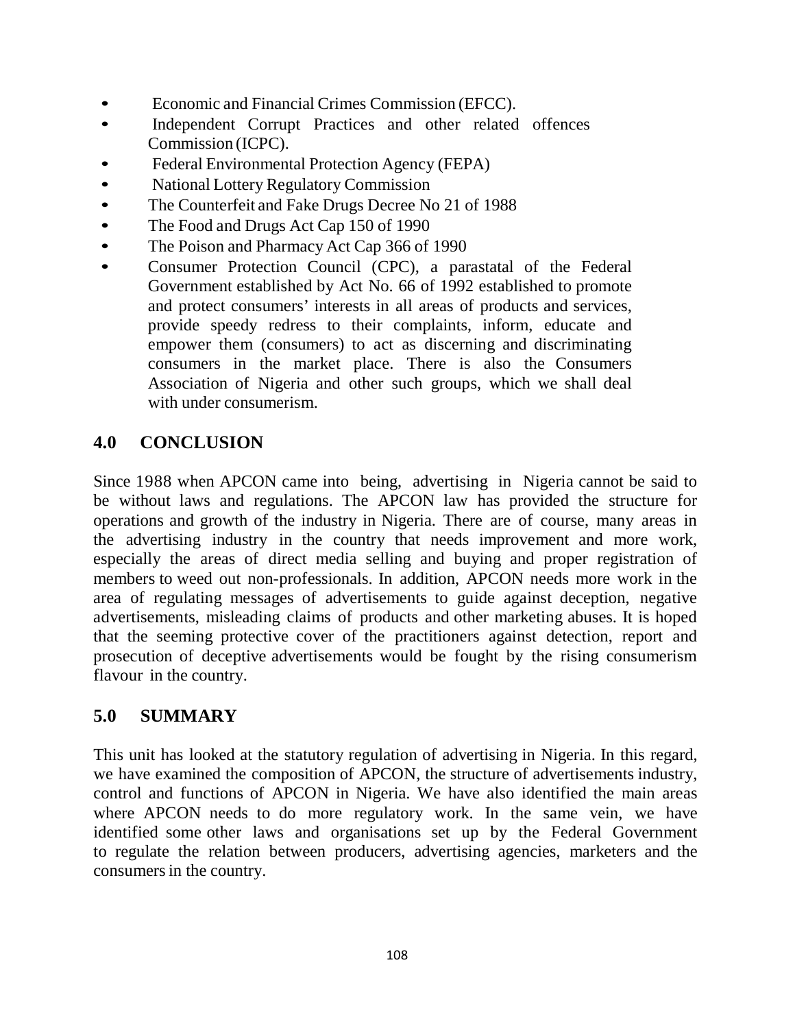- Economic and Financial Crimes Commission (EFCC).
- Independent Corrupt Practices and other related offences Commission (ICPC).
- Federal Environmental Protection Agency (FEPA)
- National Lottery Regulatory Commission
- The Counterfeit and Fake Drugs Decree No 21 of 1988
- The Food and Drugs Act Cap 150 of 1990
- The Poison and Pharmacy Act Cap 366 of 1990
- Consumer Protection Council (CPC), a parastatal of the Federal Government established by Act No. 66 of 1992 established to promote and protect consumers' interests in all areas of products and services, provide speedy redress to their complaints, inform, educate and empower them (consumers) to act as discerning and discriminating consumers in the market place. There is also the Consumers Association of Nigeria and other such groups, which we shall deal with under consumerism.

# **4.0 CONCLUSION**

Since 1988 when APCON came into being, advertising in Nigeria cannot be said to be without laws and regulations. The APCON law has provided the structure for operations and growth of the industry in Nigeria. There are of course, many areas in the advertising industry in the country that needs improvement and more work, especially the areas of direct media selling and buying and proper registration of members to weed out non-professionals. In addition, APCON needs more work in the area of regulating messages of advertisements to guide against deception, negative advertisements, misleading claims of products and other marketing abuses. It is hoped that the seeming protective cover of the practitioners against detection, report and prosecution of deceptive advertisements would be fought by the rising consumerism flavour in the country.

# **5.0 SUMMARY**

This unit has looked at the statutory regulation of advertising in Nigeria. In this regard, we have examined the composition of APCON, the structure of advertisements industry, control and functions of APCON in Nigeria. We have also identified the main areas where APCON needs to do more regulatory work. In the same vein, we have identified some other laws and organisations set up by the Federal Government to regulate the relation between producers, advertising agencies, marketers and the consumers in the country.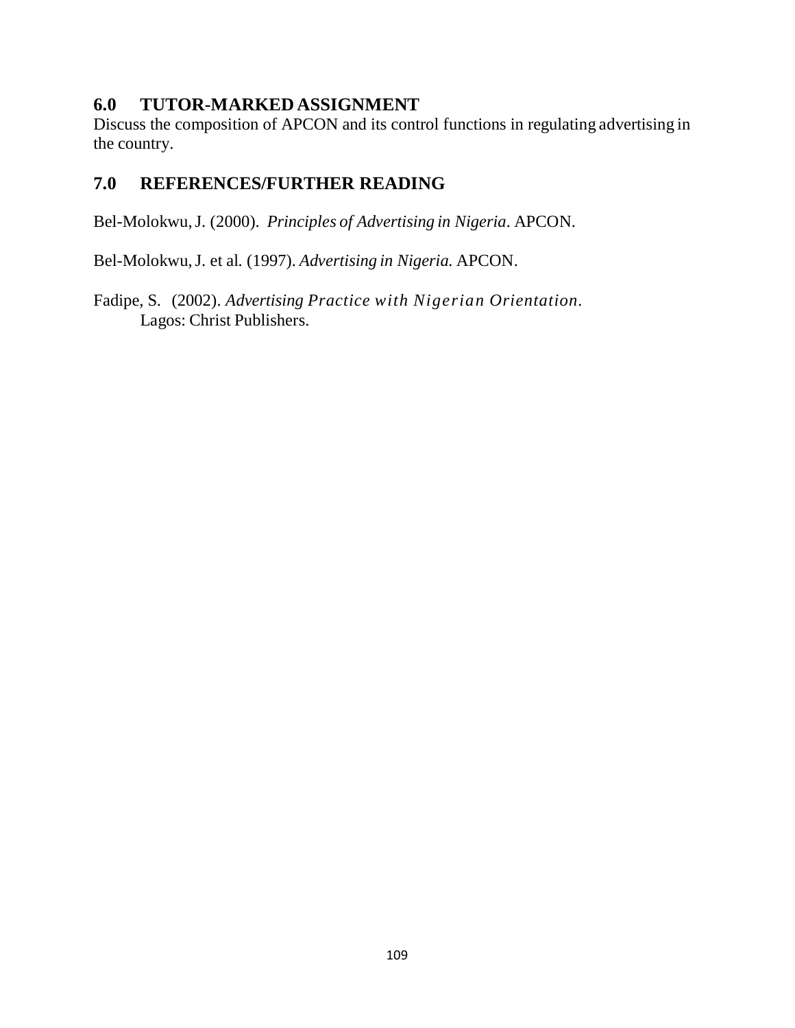## **6.0 TUTOR-MARKED ASSIGNMENT**

Discuss the composition of APCON and its control functions in regulating advertising in the country.

## **7.0 REFERENCES/FURTHER READING**

Bel-Molokwu,J. (2000). *Principles of Advertising in Nigeria*. APCON.

Bel-Molokwu,J. et al. (1997). *Advertising in Nigeria.* APCON.

Fadipe, S. (2002). *Advertising Practice with Nigerian Orientation.* Lagos: Christ Publishers.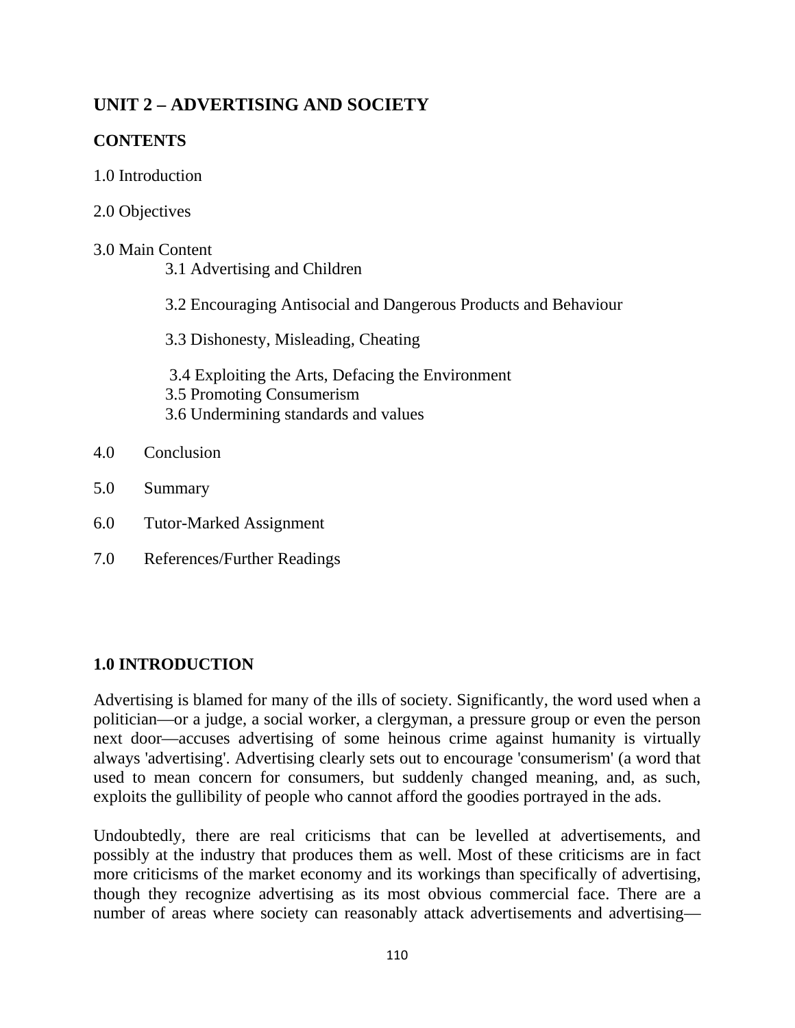# **UNIT 2 – ADVERTISING AND SOCIETY**

## **CONTENTS**

- 1.0 Introduction
- 2.0 Objectives

## 3.0 Main Content

- 3.1 Advertising and Children
- 3.2 Encouraging Antisocial and Dangerous Products and Behaviour
- 3.3 Dishonesty, Misleading, Cheating
- 3.4 Exploiting the Arts, Defacing the Environment 3.5 Promoting Consumerism 3.6 Undermining standards and values
- 4.0 Conclusion
- 5.0 Summary
- 6.0 Tutor-Marked Assignment
- 7.0 References/Further Readings

### **1.0 INTRODUCTION**

Advertising is blamed for many of the ills of society. Significantly, the word used when a politician—or a judge, a social worker, a clergyman, a pressure group or even the person next door—accuses advertising of some heinous crime against humanity is virtually always 'advertising'. Advertising clearly sets out to encourage 'consumerism' (a word that used to mean concern for consumers, but suddenly changed meaning, and, as such, exploits the gullibility of people who cannot afford the goodies portrayed in the ads.

Undoubtedly, there are real criticisms that can be levelled at advertisements, and possibly at the industry that produces them as well. Most of these criticisms are in fact more criticisms of the market economy and its workings than specifically of advertising, though they recognize advertising as its most obvious commercial face. There are a number of areas where society can reasonably attack advertisements and advertising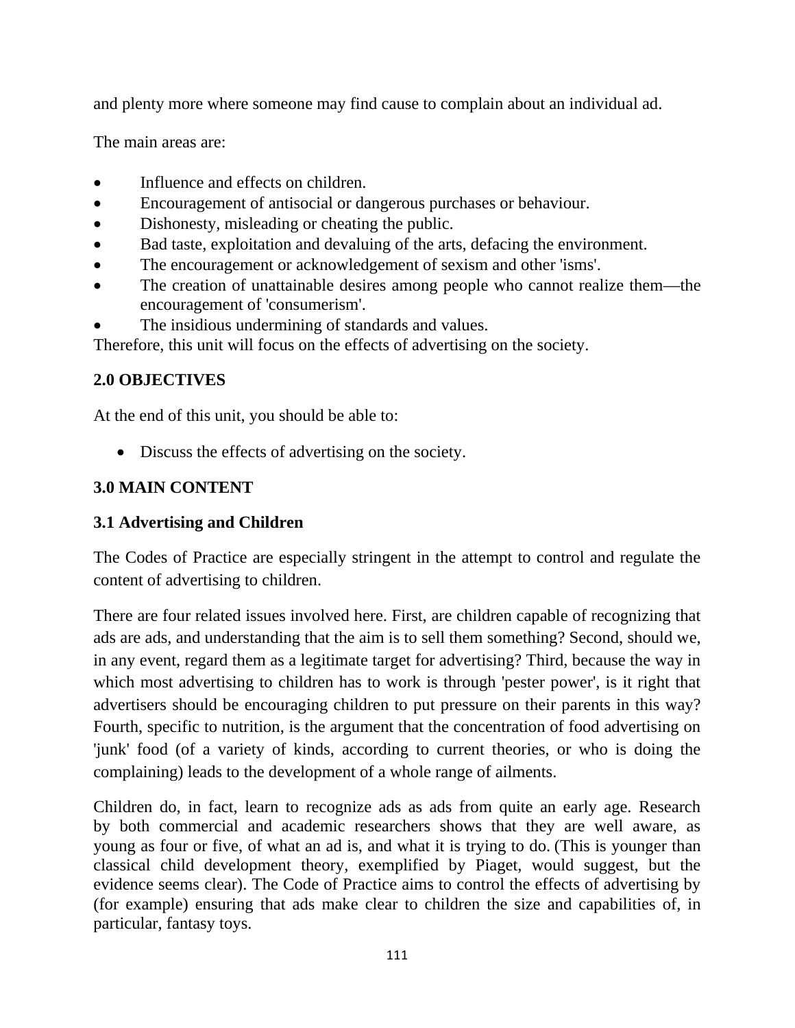and plenty more where someone may find cause to complain about an individual ad.

The main areas are:

- Influence and effects on children.
- Encouragement of antisocial or dangerous purchases or behaviour.
- Dishonesty, misleading or cheating the public.
- Bad taste, exploitation and devaluing of the arts, defacing the environment.
- The encouragement or acknowledgement of sexism and other 'isms'.
- The creation of unattainable desires among people who cannot realize them—the encouragement of 'consumerism'.
- The insidious undermining of standards and values.

Therefore, this unit will focus on the effects of advertising on the society.

# **2.0 OBJECTIVES**

At the end of this unit, you should be able to:

• Discuss the effects of advertising on the society.

# **3.0 MAIN CONTENT**

# **3.1 Advertising and Children**

The Codes of Practice are especially stringent in the attempt to control and regulate the content of advertising to children.

There are four related issues involved here. First, are children capable of recognizing that ads are ads, and understanding that the aim is to sell them something? Second, should we, in any event, regard them as a legitimate target for advertising? Third, because the way in which most advertising to children has to work is through 'pester power', is it right that advertisers should be encouraging children to put pressure on their parents in this way? Fourth, specific to nutrition, is the argument that the concentration of food advertising on 'junk' food (of a variety of kinds, according to current theories, or who is doing the complaining) leads to the development of a whole range of ailments.

Children do, in fact, learn to recognize ads as ads from quite an early age. Research by both commercial and academic researchers shows that they are well aware, as young as four or five, of what an ad is, and what it is trying to do. (This is younger than classical child development theory, exemplified by Piaget, would suggest, but the evidence seems clear). The Code of Practice aims to control the effects of advertising by (for example) ensuring that ads make clear to children the size and capabilities of, in particular, fantasy toys.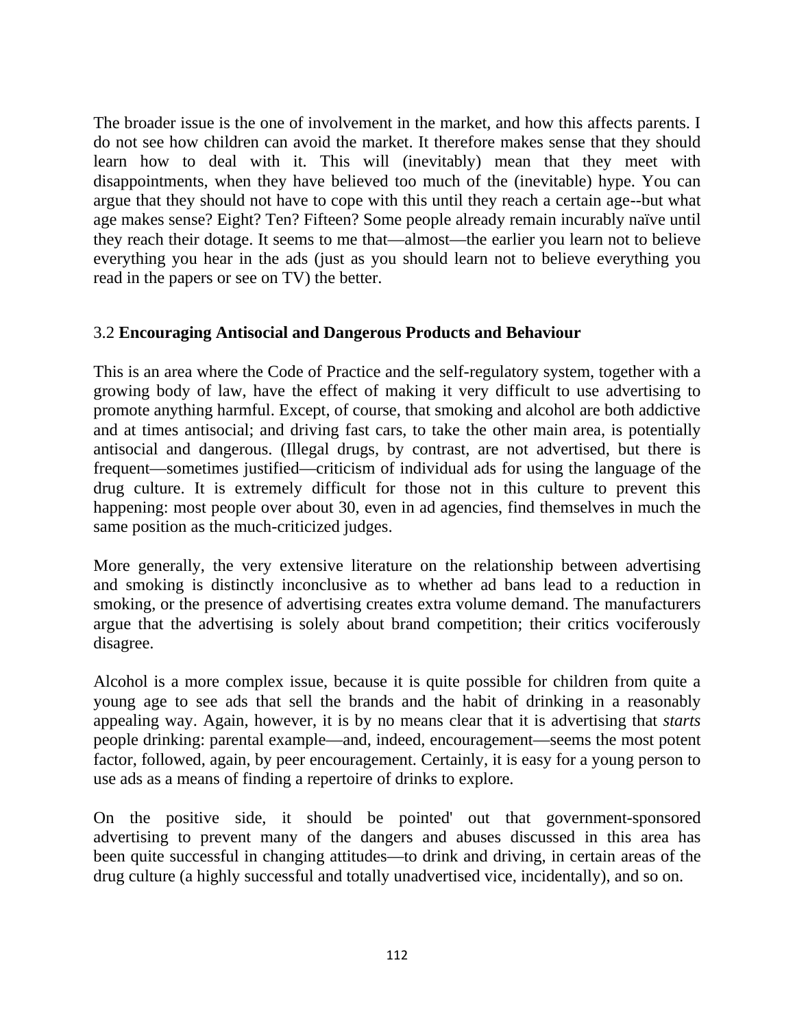The broader issue is the one of involvement in the market, and how this affects parents. I do not see how children can avoid the market. It therefore makes sense that they should learn how to deal with it. This will (inevitably) mean that they meet with disappointments, when they have believed too much of the (inevitable) hype. You can argue that they should not have to cope with this until they reach a certain age--but what age makes sense? Eight? Ten? Fifteen? Some people already remain incurably naïve until they reach their dotage. It seems to me that—almost—the earlier you learn not to believe everything you hear in the ads (just as you should learn not to believe everything you read in the papers or see on TV) the better.

#### 3.2 **Encouraging Antisocial and Dangerous Products and Behaviour**

This is an area where the Code of Practice and the self-regulatory system, together with a growing body of law, have the effect of making it very difficult to use advertising to promote anything harmful. Except, of course, that smoking and alcohol are both addictive and at times antisocial; and driving fast cars, to take the other main area, is potentially antisocial and dangerous. (Illegal drugs, by contrast, are not advertised, but there is frequent—sometimes justified—criticism of individual ads for using the language of the drug culture. It is extremely difficult for those not in this culture to prevent this happening: most people over about 30, even in ad agencies, find themselves in much the same position as the much-criticized judges.

More generally, the very extensive literature on the relationship between advertising and smoking is distinctly inconclusive as to whether ad bans lead to a reduction in smoking, or the presence of advertising creates extra volume demand. The manufacturers argue that the advertising is solely about brand competition; their critics vociferously disagree.

Alcohol is a more complex issue, because it is quite possible for children from quite a young age to see ads that sell the brands and the habit of drinking in a reasonably appealing way. Again, however, it is by no means clear that it is advertising that *starts*  people drinking: parental example—and, indeed, encouragement—seems the most potent factor, followed, again, by peer encouragement. Certainly, it is easy for a young person to use ads as a means of finding a repertoire of drinks to explore.

On the positive side, it should be pointed' out that government-sponsored advertising to prevent many of the dangers and abuses discussed in this area has been quite successful in changing attitudes—to drink and driving, in certain areas of the drug culture (a highly successful and totally unadvertised vice, incidentally), and so on.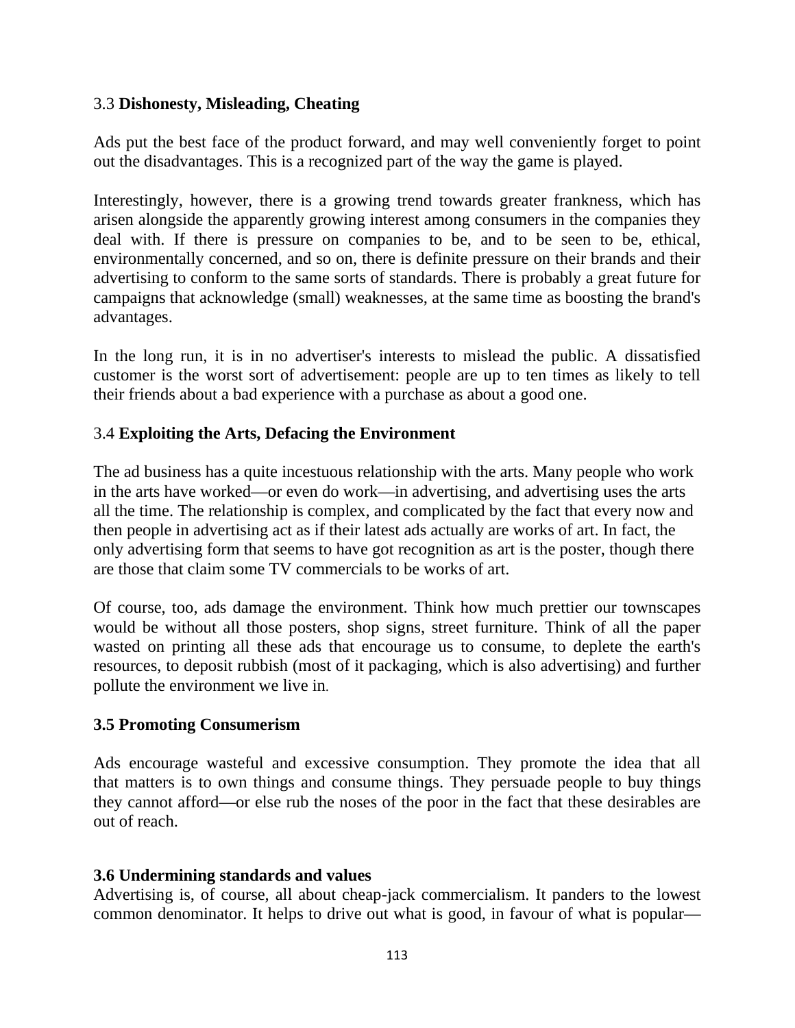#### 3.3 **Dishonesty, Misleading, Cheating**

Ads put the best face of the product forward, and may well conveniently forget to point out the disadvantages. This is a recognized part of the way the game is played.

Interestingly, however, there is a growing trend towards greater frankness, which has arisen alongside the apparently growing interest among consumers in the companies they deal with. If there is pressure on companies to be, and to be seen to be, ethical, environmentally concerned, and so on, there is definite pressure on their brands and their advertising to conform to the same sorts of standards. There is probably a great future for campaigns that acknowledge (small) weaknesses, at the same time as boosting the brand's advantages.

In the long run, it is in no advertiser's interests to mislead the public. A dissatisfied customer is the worst sort of advertisement: people are up to ten times as likely to tell their friends about a bad experience with a purchase as about a good one.

### 3.4 **Exploiting the Arts, Defacing the Environment**

The ad business has a quite incestuous relationship with the arts. Many people who work in the arts have worked—or even do work—in advertising, and advertising uses the arts all the time. The relationship is complex, and complicated by the fact that every now and then people in advertising act as if their latest ads actually are works of art. In fact, the only advertising form that seems to have got recognition as art is the poster, though there are those that claim some TV commercials to be works of art.

Of course, too, ads damage the environment. Think how much prettier our townscapes would be without all those posters, shop signs, street furniture. Think of all the paper wasted on printing all these ads that encourage us to consume, to deplete the earth's resources, to deposit rubbish (most of it packaging, which is also advertising) and further pollute the environment we live in.

### **3.5 Promoting Consumerism**

Ads encourage wasteful and excessive consumption. They promote the idea that all that matters is to own things and consume things. They persuade people to buy things they cannot afford—or else rub the noses of the poor in the fact that these desirables are out of reach.

#### **3.6 Undermining standards and values**

Advertising is, of course, all about cheap-jack commercialism. It panders to the lowest common denominator. It helps to drive out what is good, in favour of what is popular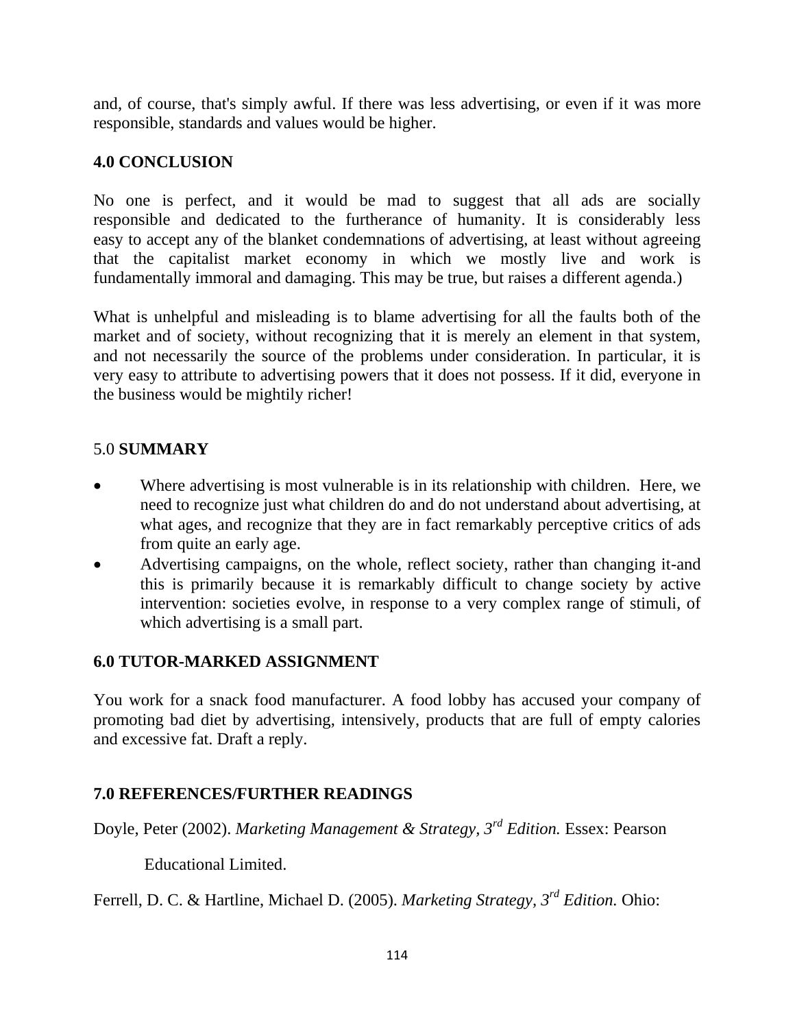and, of course, that's simply awful. If there was less advertising, or even if it was more responsible, standards and values would be higher.

## **4.0 CONCLUSION**

No one is perfect, and it would be mad to suggest that all ads are socially responsible and dedicated to the furtherance of humanity. It is considerably less easy to accept any of the blanket condemnations of advertising, at least without agreeing that the capitalist market economy in which we mostly live and work is fundamentally immoral and damaging. This may be true, but raises a different agenda.)

What is unhelpful and misleading is to blame advertising for all the faults both of the market and of society, without recognizing that it is merely an element in that system, and not necessarily the source of the problems under consideration. In particular, it is very easy to attribute to advertising powers that it does not possess. If it did, everyone in the business would be mightily richer!

### 5.0 **SUMMARY**

- Where advertising is most vulnerable is in its relationship with children. Here, we need to recognize just what children do and do not understand about advertising, at what ages, and recognize that they are in fact remarkably perceptive critics of ads from quite an early age.
- Advertising campaigns, on the whole, reflect society, rather than changing it-and this is primarily because it is remarkably difficult to change society by active intervention: societies evolve, in response to a very complex range of stimuli, of which advertising is a small part.

### **6.0 TUTOR-MARKED ASSIGNMENT**

You work for a snack food manufacturer. A food lobby has accused your company of promoting bad diet by advertising, intensively, products that are full of empty calories and excessive fat. Draft a reply.

### **7.0 REFERENCES/FURTHER READINGS**

Doyle, Peter (2002). *Marketing Management & Strategy, 3rd Edition.* Essex: Pearson

Educational Limited.

Ferrell, D. C. & Hartline, Michael D. (2005). *Marketing Strategy, 3rd Edition.* Ohio: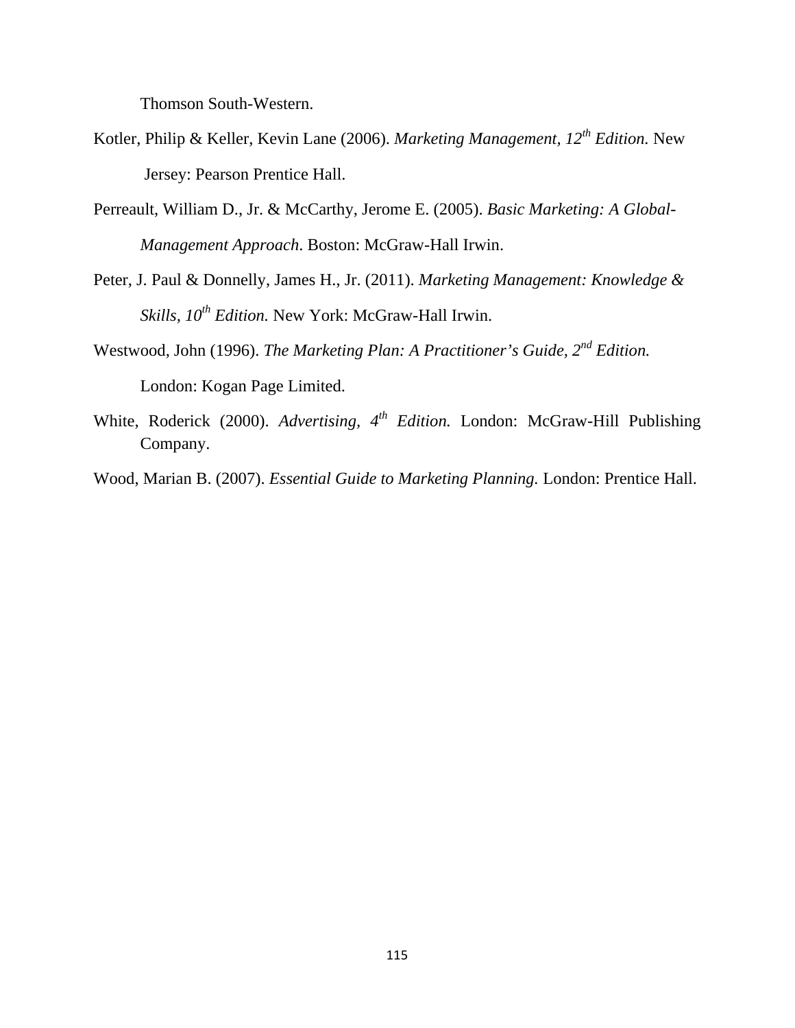Thomson South-Western.

- Kotler, Philip & Keller, Kevin Lane (2006). *Marketing Management, 12th Edition.* New Jersey: Pearson Prentice Hall.
- Perreault, William D., Jr. & McCarthy, Jerome E. (2005). *Basic Marketing: A Global-Management Approach*. Boston: McGraw-Hall Irwin.
- Peter, J. Paul & Donnelly, James H., Jr. (2011). *Marketing Management: Knowledge & Skills, 10th Edition.* New York: McGraw-Hall Irwin.
- Westwood, John (1996). *The Marketing Plan: A Practitioner's Guide, 2nd Edition.* London: Kogan Page Limited.
- White, Roderick (2000). *Advertising, 4th Edition.* London: McGraw-Hill Publishing Company.
- Wood, Marian B. (2007). *Essential Guide to Marketing Planning.* London: Prentice Hall.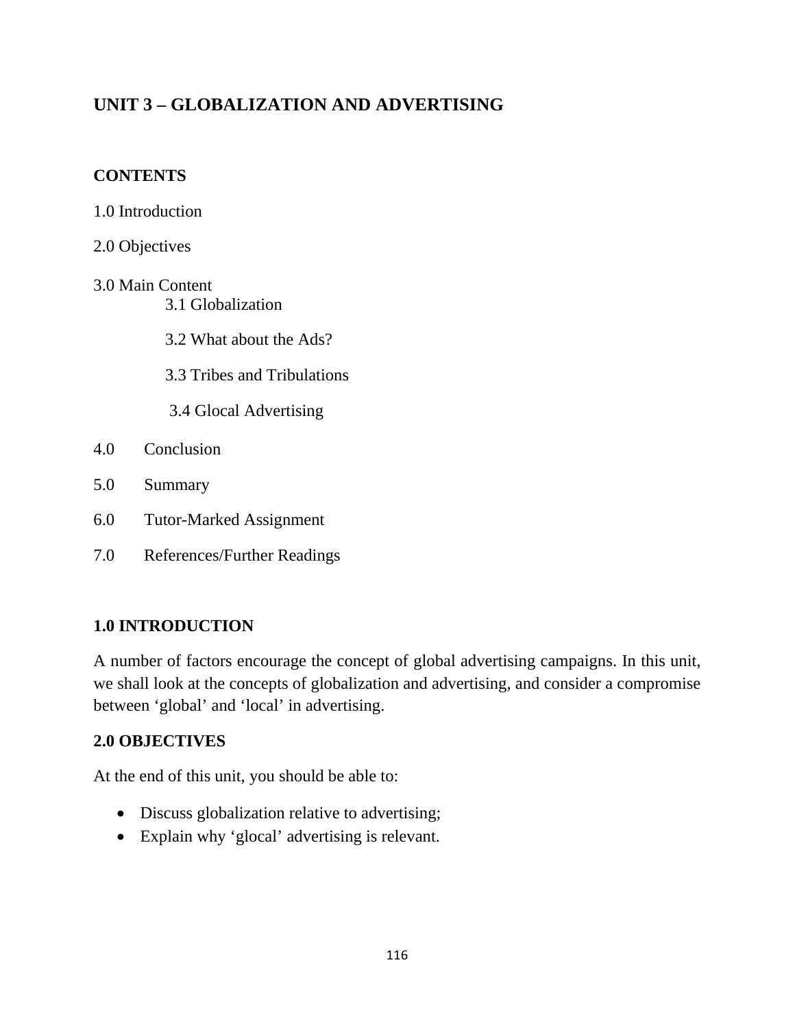# **UNIT 3 – GLOBALIZATION AND ADVERTISING**

### **CONTENTS**

- 1.0 Introduction
- 2.0 Objectives
- 3.0 Main Content 3.1 Globalization
	- 3.2 What about the Ads?
	- 3.3 Tribes and Tribulations
	- 3.4 Glocal Advertising
- 4.0 Conclusion
- 5.0 Summary
- 6.0 Tutor-Marked Assignment
- 7.0 References/Further Readings

### **1.0 INTRODUCTION**

A number of factors encourage the concept of global advertising campaigns. In this unit, we shall look at the concepts of globalization and advertising, and consider a compromise between 'global' and 'local' in advertising.

### **2.0 OBJECTIVES**

At the end of this unit, you should be able to:

- Discuss globalization relative to advertising;
- Explain why 'glocal' advertising is relevant.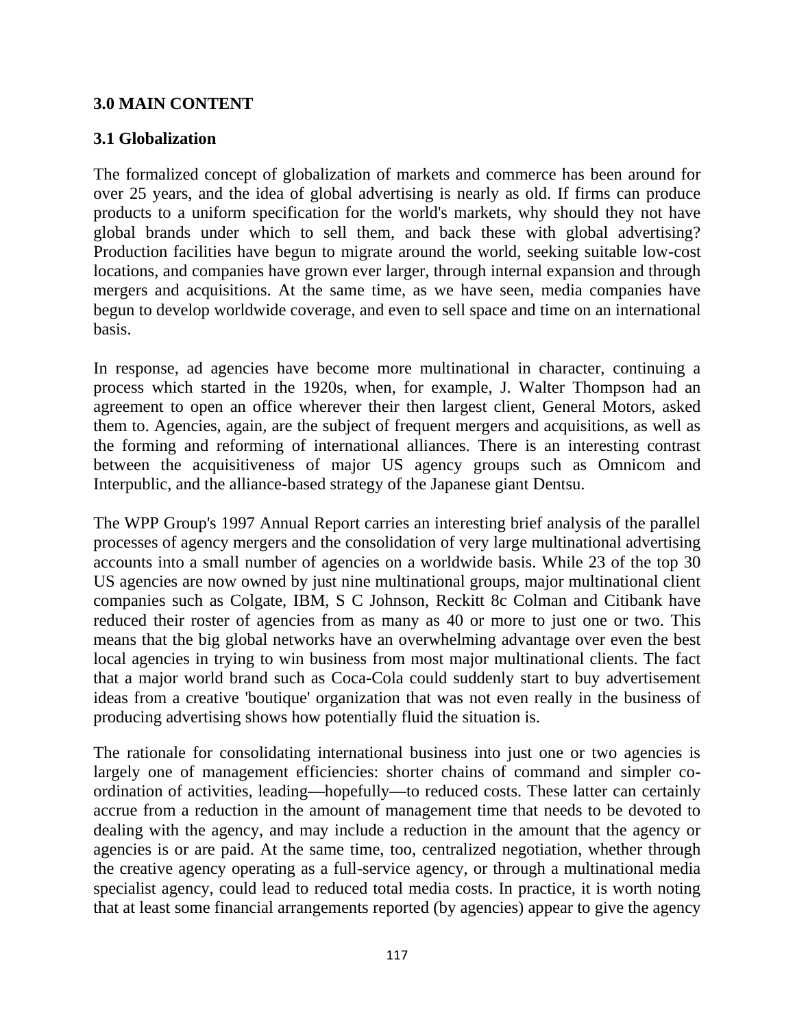### **3.0 MAIN CONTENT**

### **3.1 Globalization**

The formalized concept of globalization of markets and commerce has been around for over 25 years, and the idea of global advertising is nearly as old. If firms can produce products to a uniform specification for the world's markets, why should they not have global brands under which to sell them, and back these with global advertising? Production facilities have begun to migrate around the world, seeking suitable low-cost locations, and companies have grown ever larger, through internal expansion and through mergers and acquisitions. At the same time, as we have seen, media companies have begun to develop worldwide coverage, and even to sell space and time on an international basis.

In response, ad agencies have become more multinational in character, continuing a process which started in the 1920s, when, for example, J. Walter Thompson had an agreement to open an office wherever their then largest client, General Motors, asked them to. Agencies, again, are the subject of frequent mergers and acquisitions, as well as the forming and reforming of international alliances. There is an interesting contrast between the acquisitiveness of major US agency groups such as Omnicom and Interpublic, and the alliance-based strategy of the Japanese giant Dentsu.

The WPP Group's 1997 Annual Report carries an interesting brief analysis of the parallel processes of agency mergers and the consolidation of very large multinational advertising accounts into a small number of agencies on a worldwide basis. While 23 of the top 30 US agencies are now owned by just nine multinational groups, major multinational client companies such as Colgate, IBM, S C Johnson, Reckitt 8c Colman and Citibank have reduced their roster of agencies from as many as 40 or more to just one or two. This means that the big global networks have an overwhelming advantage over even the best local agencies in trying to win business from most major multinational clients. The fact that a major world brand such as Coca-Cola could suddenly start to buy advertisement ideas from a creative 'boutique' organization that was not even really in the business of producing advertising shows how potentially fluid the situation is.

The rationale for consolidating international business into just one or two agencies is largely one of management efficiencies: shorter chains of command and simpler coordination of activities, leading—hopefully—to reduced costs. These latter can certainly accrue from a reduction in the amount of management time that needs to be devoted to dealing with the agency, and may include a reduction in the amount that the agency or agencies is or are paid. At the same time, too, centralized negotiation, whether through the creative agency operating as a full-service agency, or through a multinational media specialist agency, could lead to reduced total media costs. In practice, it is worth noting that at least some financial arrangements reported (by agencies) appear to give the agency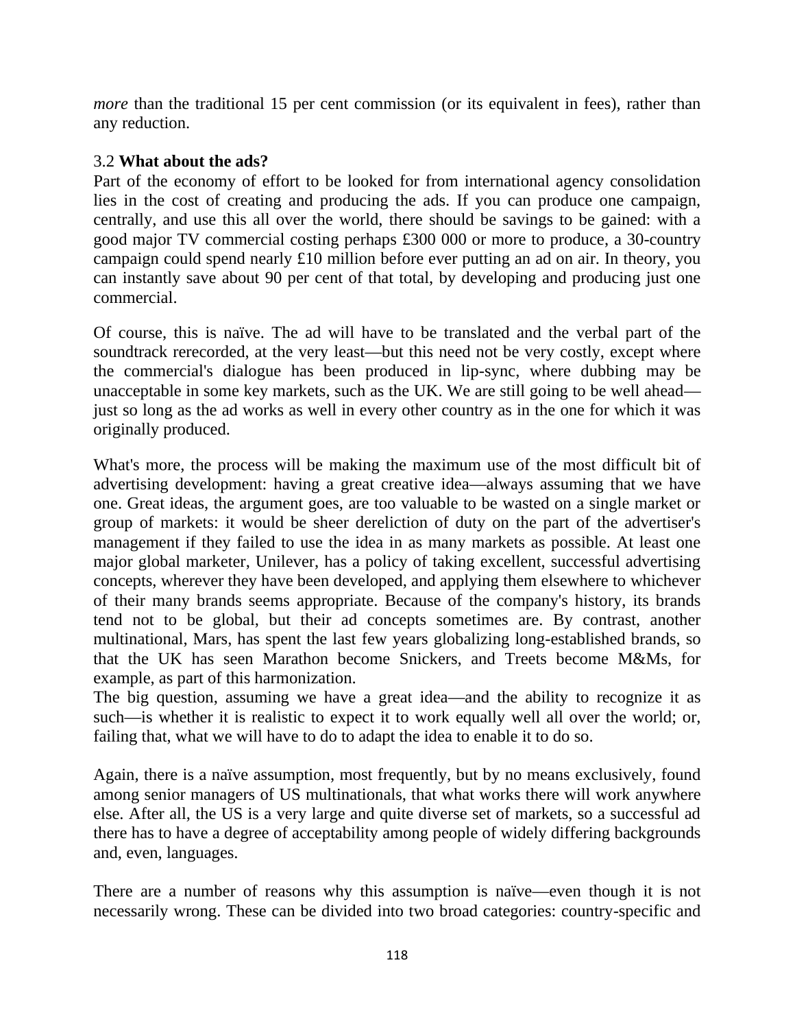*more* than the traditional 15 per cent commission (or its equivalent in fees), rather than any reduction.

### 3.2 **What about the ads?**

Part of the economy of effort to be looked for from international agency consolidation lies in the cost of creating and producing the ads. If you can produce one campaign, centrally, and use this all over the world, there should be savings to be gained: with a good major TV commercial costing perhaps £300 000 or more to produce, a 30-country campaign could spend nearly £10 million before ever putting an ad on air. In theory, you can instantly save about 90 per cent of that total, by developing and producing just one commercial.

Of course, this is naïve. The ad will have to be translated and the verbal part of the soundtrack rerecorded, at the very least—but this need not be very costly, except where the commercial's dialogue has been produced in lip-sync, where dubbing may be unacceptable in some key markets, such as the UK. We are still going to be well ahead just so long as the ad works as well in every other country as in the one for which it was originally produced.

What's more, the process will be making the maximum use of the most difficult bit of advertising development: having a great creative idea—always assuming that we have one. Great ideas, the argument goes, are too valuable to be wasted on a single market or group of markets: it would be sheer dereliction of duty on the part of the advertiser's management if they failed to use the idea in as many markets as possible. At least one major global marketer, Unilever, has a policy of taking excellent, successful advertising concepts, wherever they have been developed, and applying them elsewhere to whichever of their many brands seems appropriate. Because of the company's history, its brands tend not to be global, but their ad concepts sometimes are. By contrast, another multinational, Mars, has spent the last few years globalizing long-established brands, so that the UK has seen Marathon become Snickers, and Treets become M&Ms, for example, as part of this harmonization.

The big question, assuming we have a great idea—and the ability to recognize it as such—is whether it is realistic to expect it to work equally well all over the world; or, failing that, what we will have to do to adapt the idea to enable it to do so.

Again, there is a naïve assumption, most frequently, but by no means exclusively, found among senior managers of US multinationals, that what works there will work anywhere else. After all, the US is a very large and quite diverse set of markets, so a successful ad there has to have a degree of acceptability among people of widely differing backgrounds and, even, languages.

There are a number of reasons why this assumption is naïve—even though it is not necessarily wrong. These can be divided into two broad categories: country-specific and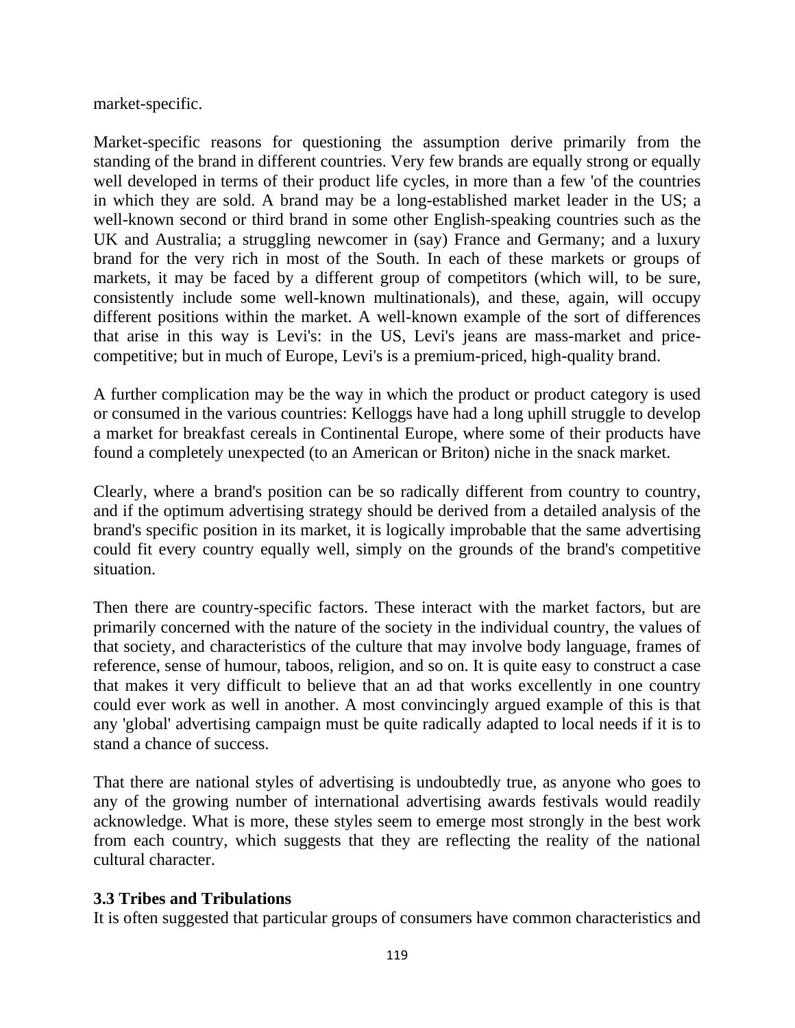market-specific.

Market-specific reasons for questioning the assumption derive primarily from the standing of the brand in different countries. Very few brands are equally strong or equally well developed in terms of their product life cycles, in more than a few 'of the countries in which they are sold. A brand may be a long-established market leader in the US; a well-known second or third brand in some other English-speaking countries such as the UK and Australia; a struggling newcomer in (say) France and Germany; and a luxury brand for the very rich in most of the South. In each of these markets or groups of markets, it may be faced by a different group of competitors (which will, to be sure, consistently include some well-known multinationals), and these, again, will occupy different positions within the market. A well-known example of the sort of differences that arise in this way is Levi's: in the US, Levi's jeans are mass-market and pricecompetitive; but in much of Europe, Levi's is a premium-priced, high-quality brand.

A further complication may be the way in which the product or product category is used or consumed in the various countries: Kelloggs have had a long uphill struggle to develop a market for breakfast cereals in Continental Europe, where some of their products have found a completely unexpected (to an American or Briton) niche in the snack market.

Clearly, where a brand's position can be so radically different from country to country, and if the optimum advertising strategy should be derived from a detailed analysis of the brand's specific position in its market, it is logically improbable that the same advertising could fit every country equally well, simply on the grounds of the brand's competitive situation.

Then there are country-specific factors. These interact with the market factors, but are primarily concerned with the nature of the society in the individual country, the values of that society, and characteristics of the culture that may involve body language, frames of reference, sense of humour, taboos, religion, and so on. It is quite easy to construct a case that makes it very difficult to believe that an ad that works excellently in one country could ever work as well in another. A most convincingly argued example of this is that any 'global' advertising campaign must be quite radically adapted to local needs if it is to stand a chance of success.

That there are national styles of advertising is undoubtedly true, as anyone who goes to any of the growing number of international advertising awards festivals would readily acknowledge. What is more, these styles seem to emerge most strongly in the best work from each country, which suggests that they are reflecting the reality of the national cultural character.

### **3.3 Tribes and Tribulations**

It is often suggested that particular groups of consumers have common characteristics and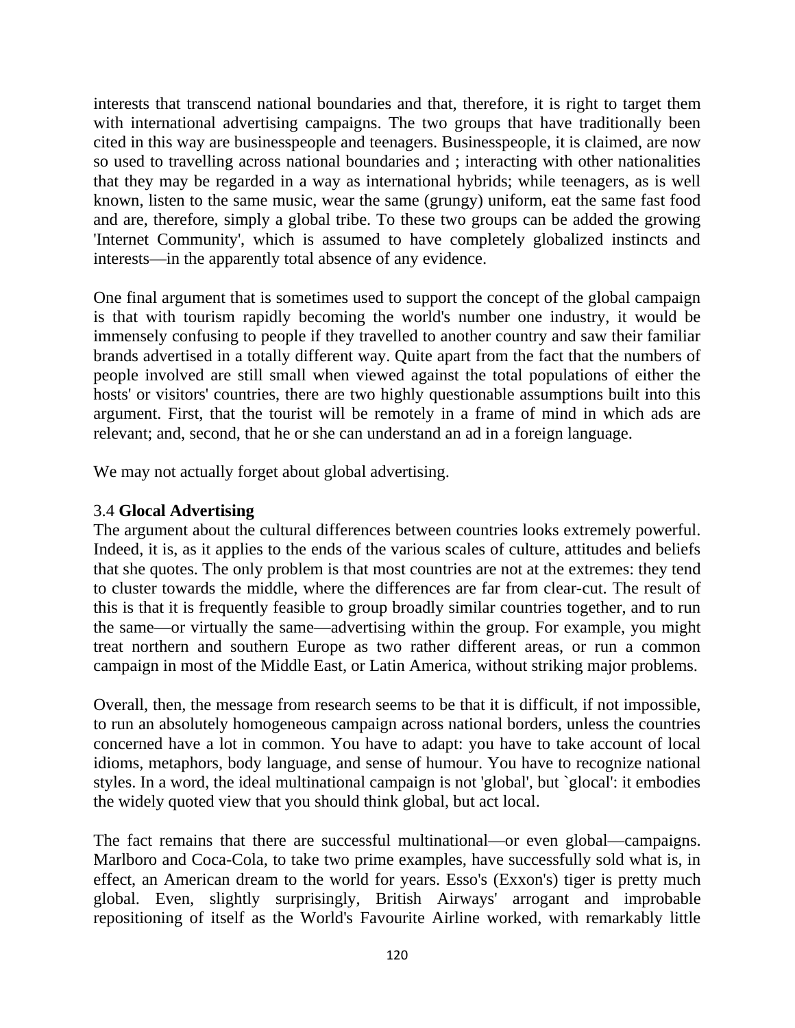interests that transcend national boundaries and that, therefore, it is right to target them with international advertising campaigns. The two groups that have traditionally been cited in this way are businesspeople and teenagers. Businesspeople, it is claimed, are now so used to travelling across national boundaries and ; interacting with other nationalities that they may be regarded in a way as international hybrids; while teenagers, as is well known, listen to the same music, wear the same (grungy) uniform, eat the same fast food and are, therefore, simply a global tribe. To these two groups can be added the growing 'Internet Community', which is assumed to have completely globalized instincts and interests—in the apparently total absence of any evidence.

One final argument that is sometimes used to support the concept of the global campaign is that with tourism rapidly becoming the world's number one industry, it would be immensely confusing to people if they travelled to another country and saw their familiar brands advertised in a totally different way. Quite apart from the fact that the numbers of people involved are still small when viewed against the total populations of either the hosts' or visitors' countries, there are two highly questionable assumptions built into this argument. First, that the tourist will be remotely in a frame of mind in which ads are relevant; and, second, that he or she can understand an ad in a foreign language.

We may not actually forget about global advertising.

### 3.4 **Glocal Advertising**

The argument about the cultural differences between countries looks extremely powerful. Indeed, it is, as it applies to the ends of the various scales of culture, attitudes and beliefs that she quotes. The only problem is that most countries are not at the extremes: they tend to cluster towards the middle, where the differences are far from clear-cut. The result of this is that it is frequently feasible to group broadly similar countries together, and to run the same—or virtually the same—advertising within the group. For example, you might treat northern and southern Europe as two rather different areas, or run a common campaign in most of the Middle East, or Latin America, without striking major problems.

Overall, then, the message from research seems to be that it is difficult, if not impossible, to run an absolutely homogeneous campaign across national borders, unless the countries concerned have a lot in common. You have to adapt: you have to take account of local idioms, metaphors, body language, and sense of humour. You have to recognize national styles. In a word, the ideal multinational campaign is not 'global', but `glocal': it embodies the widely quoted view that you should think global, but act local.

The fact remains that there are successful multinational—or even global—campaigns. Marlboro and Coca-Cola, to take two prime examples, have successfully sold what is, in effect, an American dream to the world for years. Esso's (Exxon's) tiger is pretty much global. Even, slightly surprisingly, British Airways' arrogant and improbable repositioning of itself as the World's Favourite Airline worked, with remarkably little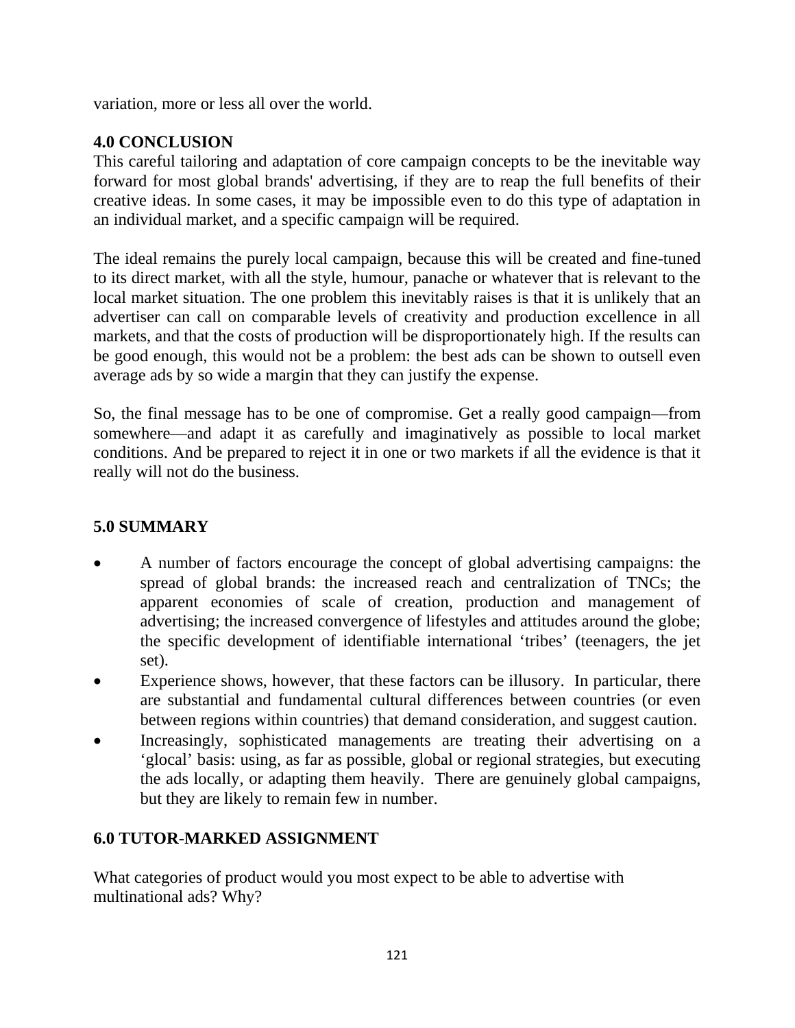variation, more or less all over the world.

### **4.0 CONCLUSION**

This careful tailoring and adaptation of core campaign concepts to be the inevitable way forward for most global brands' advertising, if they are to reap the full benefits of their creative ideas. In some cases, it may be impossible even to do this type of adaptation in an individual market, and a specific campaign will be required.

The ideal remains the purely local campaign, because this will be created and fine-tuned to its direct market, with all the style, humour, panache or whatever that is relevant to the local market situation. The one problem this inevitably raises is that it is unlikely that an advertiser can call on comparable levels of creativity and production excellence in all markets, and that the costs of production will be disproportionately high. If the results can be good enough, this would not be a problem: the best ads can be shown to outsell even average ads by so wide a margin that they can justify the expense.

So, the final message has to be one of compromise. Get a really good campaign—from somewhere—and adapt it as carefully and imaginatively as possible to local market conditions. And be prepared to reject it in one or two markets if all the evidence is that it really will not do the business.

### **5.0 SUMMARY**

- A number of factors encourage the concept of global advertising campaigns: the spread of global brands: the increased reach and centralization of TNCs; the apparent economies of scale of creation, production and management of advertising; the increased convergence of lifestyles and attitudes around the globe; the specific development of identifiable international 'tribes' (teenagers, the jet set).
- Experience shows, however, that these factors can be illusory. In particular, there are substantial and fundamental cultural differences between countries (or even between regions within countries) that demand consideration, and suggest caution.
- Increasingly, sophisticated managements are treating their advertising on a 'glocal' basis: using, as far as possible, global or regional strategies, but executing the ads locally, or adapting them heavily. There are genuinely global campaigns, but they are likely to remain few in number.

### **6.0 TUTOR-MARKED ASSIGNMENT**

What categories of product would you most expect to be able to advertise with multinational ads? Why?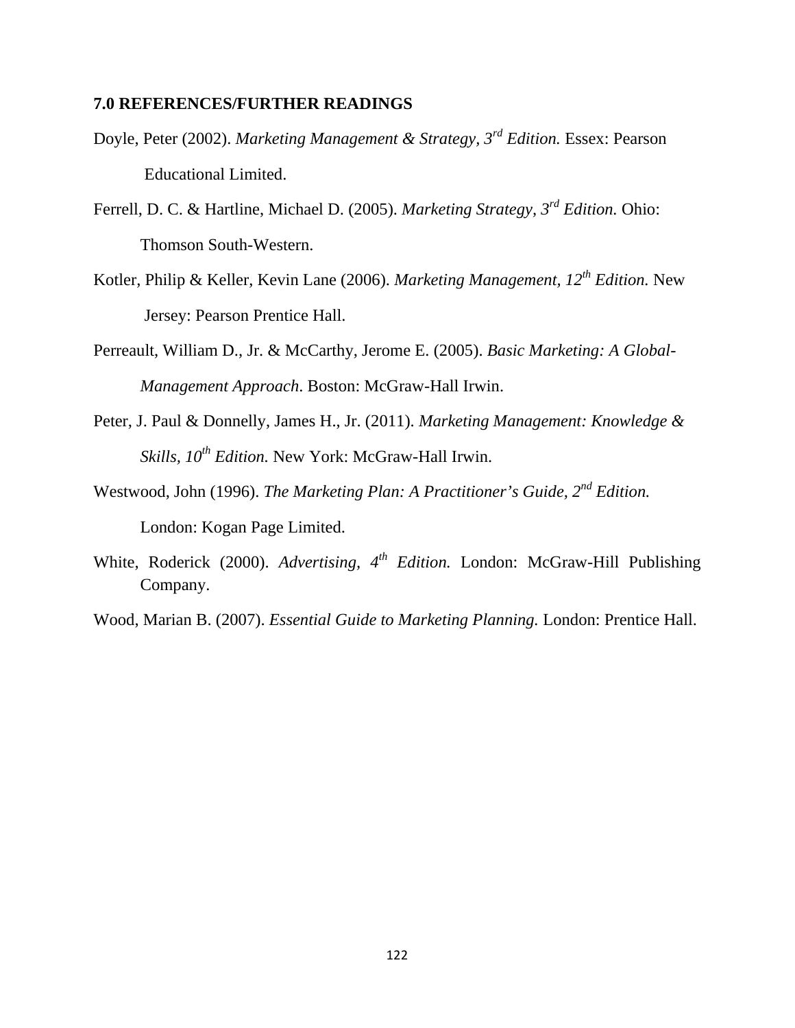#### **7.0 REFERENCES/FURTHER READINGS**

- Doyle, Peter (2002). *Marketing Management & Strategy, 3rd Edition.* Essex: Pearson Educational Limited.
- Ferrell, D. C. & Hartline, Michael D. (2005). *Marketing Strategy, 3rd Edition.* Ohio: Thomson South-Western.
- Kotler, Philip & Keller, Kevin Lane (2006). *Marketing Management, 12th Edition.* New Jersey: Pearson Prentice Hall.
- Perreault, William D., Jr. & McCarthy, Jerome E. (2005). *Basic Marketing: A Global-Management Approach*. Boston: McGraw-Hall Irwin.
- Peter, J. Paul & Donnelly, James H., Jr. (2011). *Marketing Management: Knowledge & Skills, 10th Edition.* New York: McGraw-Hall Irwin.
- Westwood, John (1996). *The Marketing Plan: A Practitioner's Guide, 2nd Edition.* London: Kogan Page Limited.
- White, Roderick (2000). *Advertising, 4th Edition.* London: McGraw-Hill Publishing Company.
- Wood, Marian B. (2007). *Essential Guide to Marketing Planning.* London: Prentice Hall.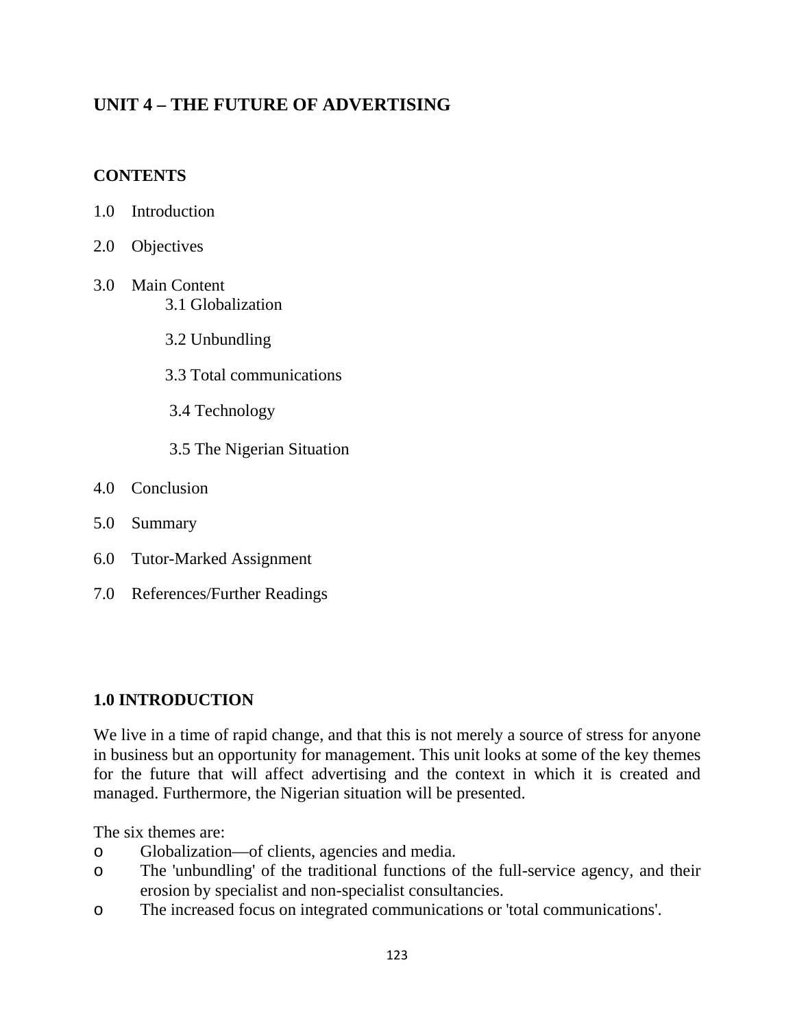## **UNIT 4 – THE FUTURE OF ADVERTISING**

### **CONTENTS**

- 1.0 Introduction
- 2.0 Objectives
- 3.0 Main Content 3.1 Globalization
	- 3.2 Unbundling
	- 3.3 Total communications
	- 3.4 Technology
	- 3.5 The Nigerian Situation
- 4.0 Conclusion
- 5.0 Summary
- 6.0 Tutor-Marked Assignment
- 7.0 References/Further Readings

### **1.0 INTRODUCTION**

We live in a time of rapid change, and that this is not merely a source of stress for anyone in business but an opportunity for management. This unit looks at some of the key themes for the future that will affect advertising and the context in which it is created and managed. Furthermore, the Nigerian situation will be presented.

The six themes are:

- o Globalization—of clients, agencies and media.
- o The 'unbundling' of the traditional functions of the full-service agency, and their erosion by specialist and non-specialist consultancies.
- o The increased focus on integrated communications or 'total communications'.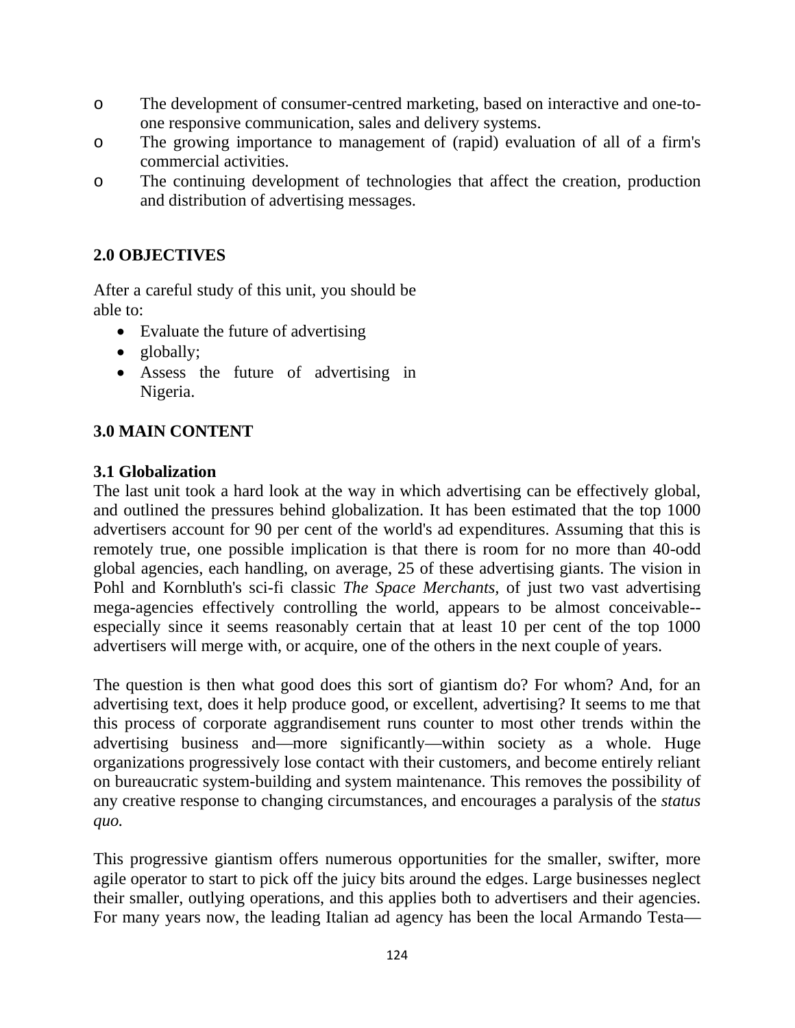- o The development of consumer-centred marketing, based on interactive and one-toone responsive communication, sales and delivery systems.
- o The growing importance to management of (rapid) evaluation of all of a firm's commercial activities.
- o The continuing development of technologies that affect the creation, production and distribution of advertising messages.

### **2.0 OBJECTIVES**

After a careful study of this unit, you should be able to:

- Evaluate the future of advertising
- globally;
- Assess the future of advertising in Nigeria.

### **3.0 MAIN CONTENT**

### **3.1 Globalization**

The last unit took a hard look at the way in which advertising can be effectively global, and outlined the pressures behind globalization. It has been estimated that the top 1000 advertisers account for 90 per cent of the world's ad expenditures. Assuming that this is remotely true, one possible implication is that there is room for no more than 40-odd global agencies, each handling, on average, 25 of these advertising giants. The vision in Pohl and Kornbluth's sci-fi classic *The Space Merchants,* of just two vast advertising mega-agencies effectively controlling the world, appears to be almost conceivable- especially since it seems reasonably certain that at least 10 per cent of the top 1000 advertisers will merge with, or acquire, one of the others in the next couple of years.

The question is then what good does this sort of giantism do? For whom? And, for an advertising text, does it help produce good, or excellent, advertising? It seems to me that this process of corporate aggrandisement runs counter to most other trends within the advertising business and—more significantly—within society as a whole. Huge organizations progressively lose contact with their customers, and become entirely reliant on bureaucratic system-building and system maintenance. This removes the possibility of any creative response to changing circumstances, and encourages a paralysis of the *status quo.*

This progressive giantism offers numerous opportunities for the smaller, swifter, more agile operator to start to pick off the juicy bits around the edges. Large businesses neglect their smaller, outlying operations, and this applies both to advertisers and their agencies. For many years now, the leading Italian ad agency has been the local Armando Testa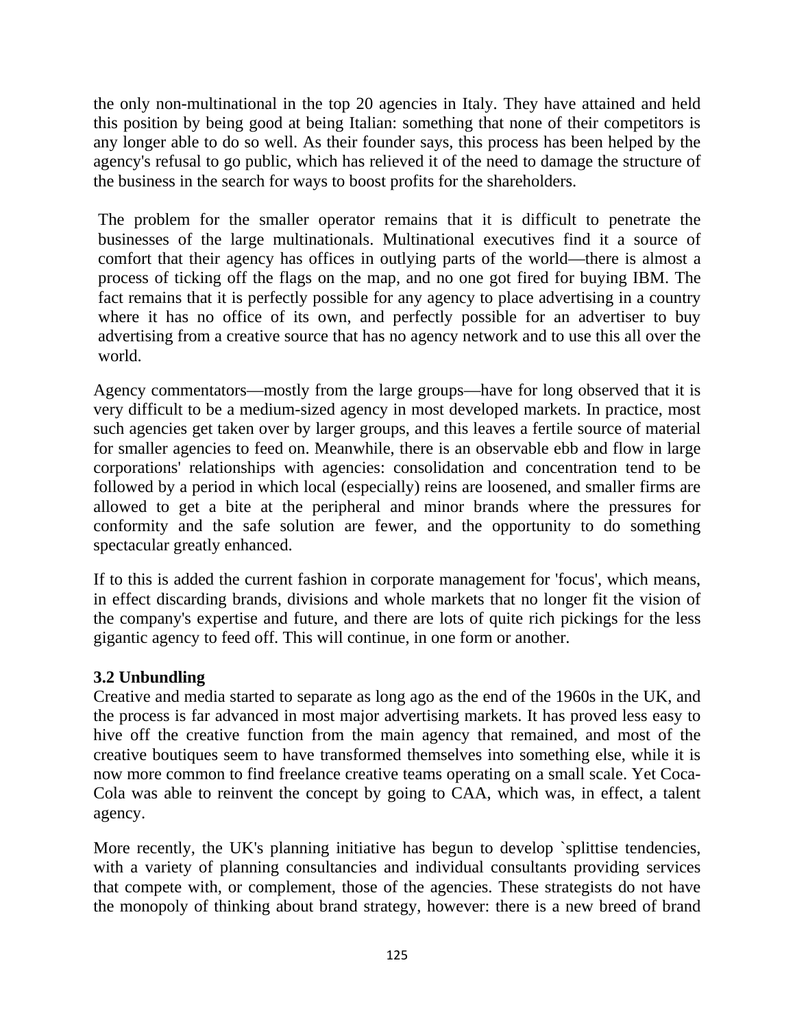the only non-multinational in the top 20 agencies in Italy. They have attained and held this position by being good at being Italian: something that none of their competitors is any longer able to do so well. As their founder says, this process has been helped by the agency's refusal to go public, which has relieved it of the need to damage the structure of the business in the search for ways to boost profits for the shareholders.

The problem for the smaller operator remains that it is difficult to penetrate the businesses of the large multinationals. Multinational executives find it a source of comfort that their agency has offices in outlying parts of the world—there is almost a process of ticking off the flags on the map, and no one got fired for buying IBM. The fact remains that it is perfectly possible for any agency to place advertising in a country where it has no office of its own, and perfectly possible for an advertiser to buy advertising from a creative source that has no agency network and to use this all over the world.

Agency commentators—mostly from the large groups—have for long observed that it is very difficult to be a medium-sized agency in most developed markets. In practice, most such agencies get taken over by larger groups, and this leaves a fertile source of material for smaller agencies to feed on. Meanwhile, there is an observable ebb and flow in large corporations' relationships with agencies: consolidation and concentration tend to be followed by a period in which local (especially) reins are loosened, and smaller firms are allowed to get a bite at the peripheral and minor brands where the pressures for conformity and the safe solution are fewer, and the opportunity to do something spectacular greatly enhanced.

If to this is added the current fashion in corporate management for 'focus', which means, in effect discarding brands, divisions and whole markets that no longer fit the vision of the company's expertise and future, and there are lots of quite rich pickings for the less gigantic agency to feed off. This will continue, in one form or another.

### **3.2 Unbundling**

Creative and media started to separate as long ago as the end of the 1960s in the UK, and the process is far advanced in most major advertising markets. It has proved less easy to hive off the creative function from the main agency that remained, and most of the creative boutiques seem to have transformed themselves into something else, while it is now more common to find freelance creative teams operating on a small scale. Yet Coca-Cola was able to reinvent the concept by going to CAA, which was, in effect, a talent agency.

More recently, the UK's planning initiative has begun to develop `splittise tendencies, with a variety of planning consultancies and individual consultants providing services that compete with, or complement, those of the agencies. These strategists do not have the monopoly of thinking about brand strategy, however: there is a new breed of brand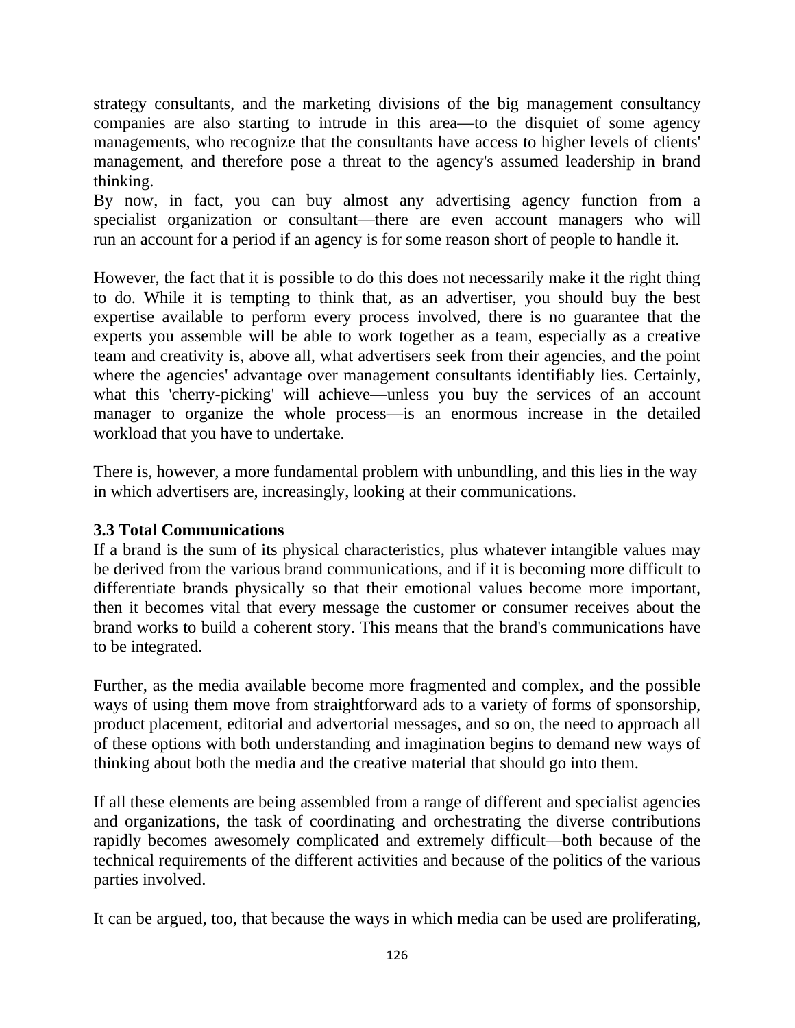strategy consultants, and the marketing divisions of the big management consultancy companies are also starting to intrude in this area—to the disquiet of some agency managements, who recognize that the consultants have access to higher levels of clients' management, and therefore pose a threat to the agency's assumed leadership in brand thinking.

By now, in fact, you can buy almost any advertising agency function from a specialist organization or consultant—there are even account managers who will run an account for a period if an agency is for some reason short of people to handle it.

However, the fact that it is possible to do this does not necessarily make it the right thing to do. While it is tempting to think that, as an advertiser, you should buy the best expertise available to perform every process involved, there is no guarantee that the experts you assemble will be able to work together as a team, especially as a creative team and creativity is, above all, what advertisers seek from their agencies, and the point where the agencies' advantage over management consultants identifiably lies. Certainly, what this 'cherry-picking' will achieve—unless you buy the services of an account manager to organize the whole process—is an enormous increase in the detailed workload that you have to undertake.

There is, however, a more fundamental problem with unbundling, and this lies in the way in which advertisers are, increasingly, looking at their communications.

### **3.3 Total Communications**

If a brand is the sum of its physical characteristics, plus whatever intangible values may be derived from the various brand communications, and if it is becoming more difficult to differentiate brands physically so that their emotional values become more important, then it becomes vital that every message the customer or consumer receives about the brand works to build a coherent story. This means that the brand's communications have to be integrated.

Further, as the media available become more fragmented and complex, and the possible ways of using them move from straightforward ads to a variety of forms of sponsorship, product placement, editorial and advertorial messages, and so on, the need to approach all of these options with both understanding and imagination begins to demand new ways of thinking about both the media and the creative material that should go into them.

If all these elements are being assembled from a range of different and specialist agencies and organizations, the task of coordinating and orchestrating the diverse contributions rapidly becomes awesomely complicated and extremely difficult—both because of the technical requirements of the different activities and because of the politics of the various parties involved.

It can be argued, too, that because the ways in which media can be used are proliferating,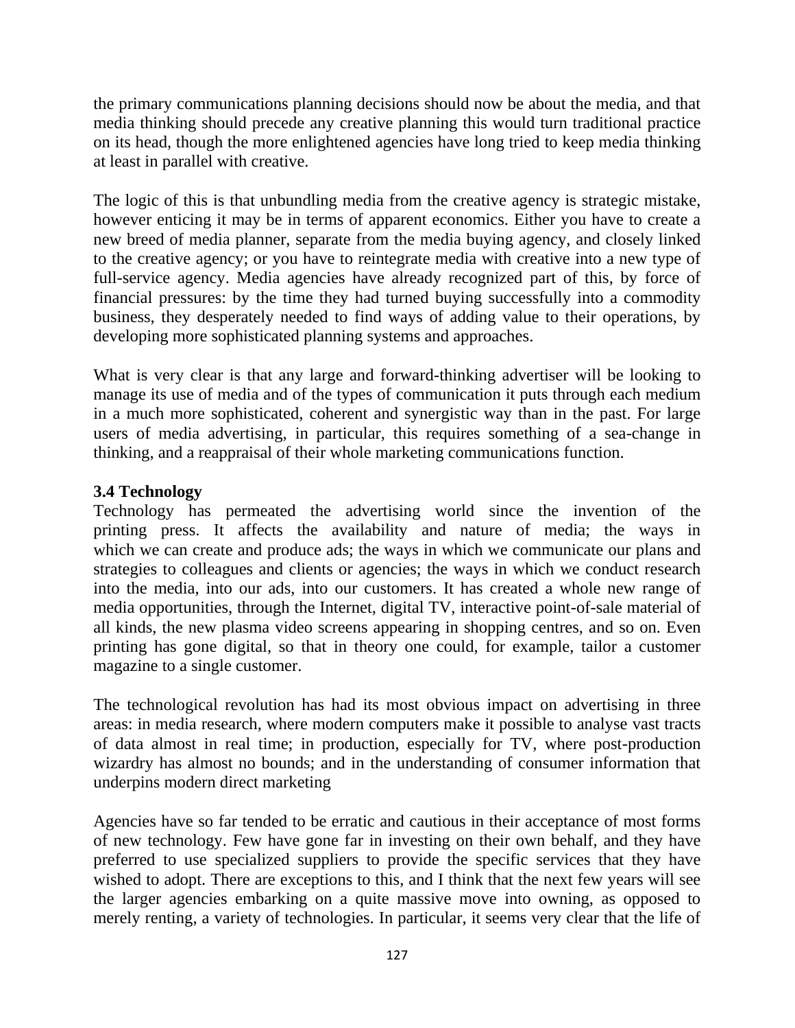the primary communications planning decisions should now be about the media, and that media thinking should precede any creative planning this would turn traditional practice on its head, though the more enlightened agencies have long tried to keep media thinking at least in parallel with creative.

The logic of this is that unbundling media from the creative agency is strategic mistake, however enticing it may be in terms of apparent economics. Either you have to create a new breed of media planner, separate from the media buying agency, and closely linked to the creative agency; or you have to reintegrate media with creative into a new type of full-service agency. Media agencies have already recognized part of this, by force of financial pressures: by the time they had turned buying successfully into a commodity business, they desperately needed to find ways of adding value to their operations, by developing more sophisticated planning systems and approaches.

What is very clear is that any large and forward-thinking advertiser will be looking to manage its use of media and of the types of communication it puts through each medium in a much more sophisticated, coherent and synergistic way than in the past. For large users of media advertising, in particular, this requires something of a sea-change in thinking, and a reappraisal of their whole marketing communications function.

### **3.4 Technology**

Technology has permeated the advertising world since the invention of the printing press. It affects the availability and nature of media; the ways in which we can create and produce ads; the ways in which we communicate our plans and strategies to colleagues and clients or agencies; the ways in which we conduct research into the media, into our ads, into our customers. It has created a whole new range of media opportunities, through the Internet, digital TV, interactive point-of-sale material of all kinds, the new plasma video screens appearing in shopping centres, and so on. Even printing has gone digital, so that in theory one could, for example, tailor a customer magazine to a single customer.

The technological revolution has had its most obvious impact on advertising in three areas: in media research, where modern computers make it possible to analyse vast tracts of data almost in real time; in production, especially for TV, where post-production wizardry has almost no bounds; and in the understanding of consumer information that underpins modern direct marketing

Agencies have so far tended to be erratic and cautious in their acceptance of most forms of new technology. Few have gone far in investing on their own behalf, and they have preferred to use specialized suppliers to provide the specific services that they have wished to adopt. There are exceptions to this, and I think that the next few years will see the larger agencies embarking on a quite massive move into owning, as opposed to merely renting, a variety of technologies. In particular, it seems very clear that the life of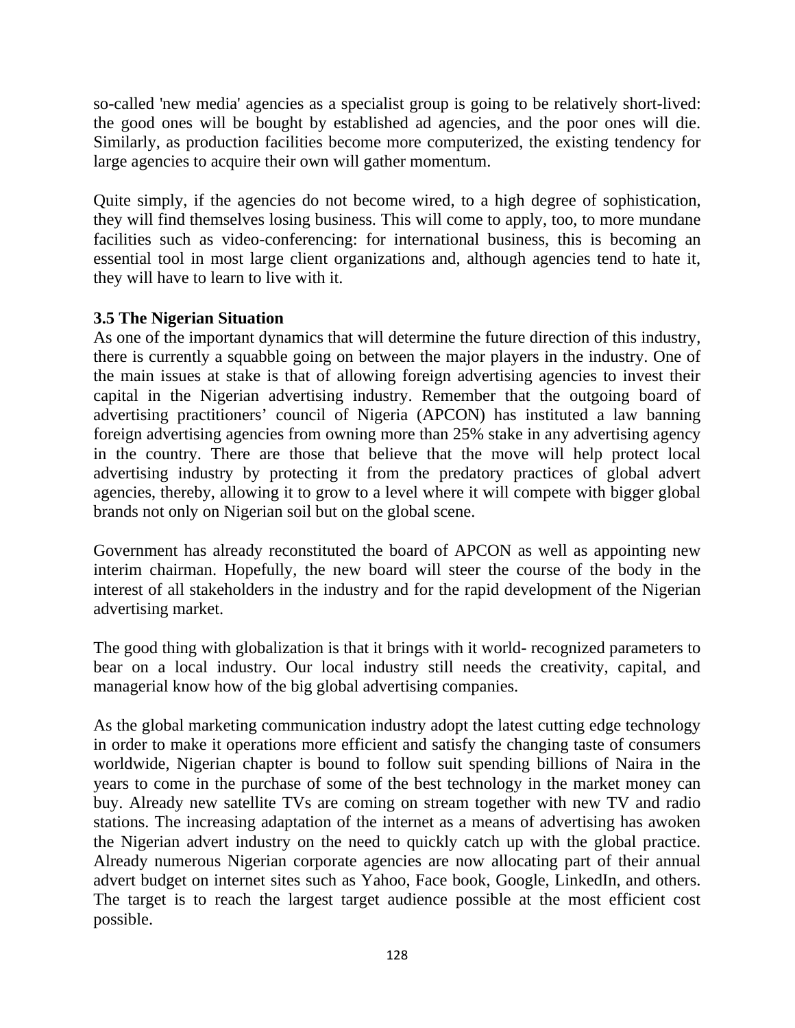so-called 'new media' agencies as a specialist group is going to be relatively short-lived: the good ones will be bought by established ad agencies, and the poor ones will die. Similarly, as production facilities become more computerized, the existing tendency for large agencies to acquire their own will gather momentum.

Quite simply, if the agencies do not become wired, to a high degree of sophistication, they will find themselves losing business. This will come to apply, too, to more mundane facilities such as video-conferencing: for international business, this is becoming an essential tool in most large client organizations and, although agencies tend to hate it, they will have to learn to live with it.

### **3.5 The Nigerian Situation**

As one of the important dynamics that will determine the future direction of this industry, there is currently a squabble going on between the major players in the industry. One of the main issues at stake is that of allowing foreign advertising agencies to invest their capital in the Nigerian advertising industry. Remember that the outgoing board of advertising practitioners' council of Nigeria (APCON) has instituted a law banning foreign advertising agencies from owning more than 25% stake in any advertising agency in the country. There are those that believe that the move will help protect local advertising industry by protecting it from the predatory practices of global advert agencies, thereby, allowing it to grow to a level where it will compete with bigger global brands not only on Nigerian soil but on the global scene.

Government has already reconstituted the board of APCON as well as appointing new interim chairman. Hopefully, the new board will steer the course of the body in the interest of all stakeholders in the industry and for the rapid development of the Nigerian advertising market.

The good thing with globalization is that it brings with it world- recognized parameters to bear on a local industry. Our local industry still needs the creativity, capital, and managerial know how of the big global advertising companies.

As the global marketing communication industry adopt the latest cutting edge technology in order to make it operations more efficient and satisfy the changing taste of consumers worldwide, Nigerian chapter is bound to follow suit spending billions of Naira in the years to come in the purchase of some of the best technology in the market money can buy. Already new satellite TVs are coming on stream together with new TV and radio stations. The increasing adaptation of the internet as a means of advertising has awoken the Nigerian advert industry on the need to quickly catch up with the global practice. Already numerous Nigerian corporate agencies are now allocating part of their annual advert budget on internet sites such as Yahoo, Face book, Google, LinkedIn, and others. The target is to reach the largest target audience possible at the most efficient cost possible.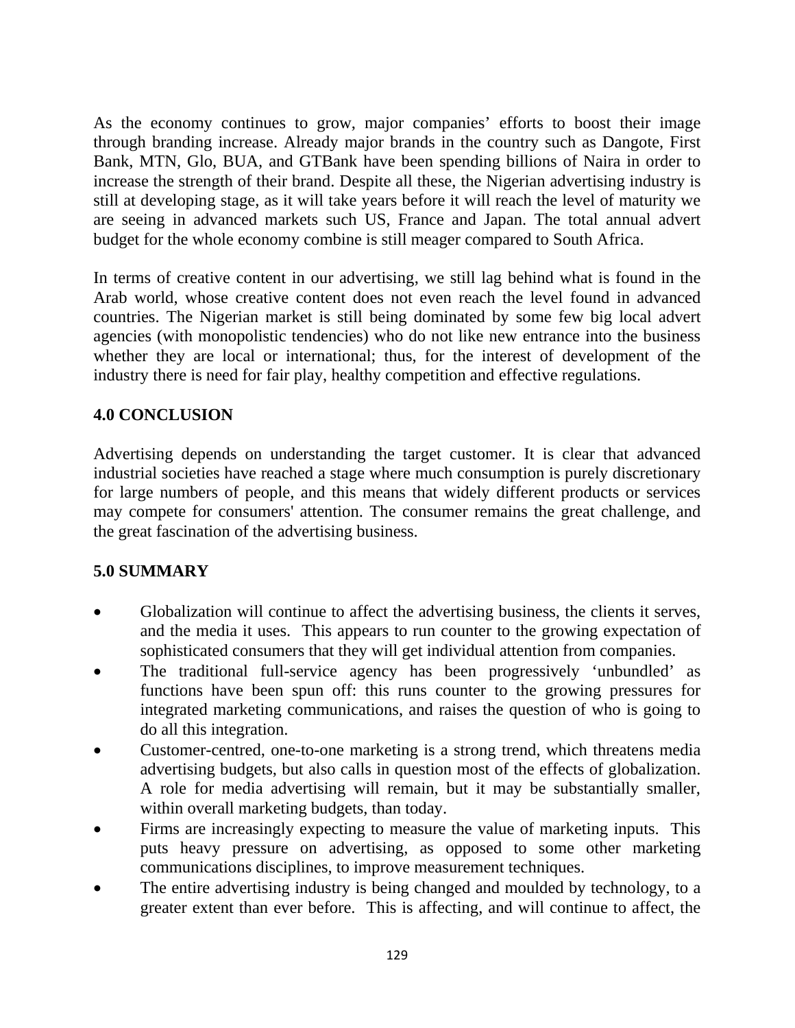As the economy continues to grow, major companies' efforts to boost their image through branding increase. Already major brands in the country such as Dangote, First Bank, MTN, Glo, BUA, and GTBank have been spending billions of Naira in order to increase the strength of their brand. Despite all these, the Nigerian advertising industry is still at developing stage, as it will take years before it will reach the level of maturity we are seeing in advanced markets such US, France and Japan. The total annual advert budget for the whole economy combine is still meager compared to South Africa.

In terms of creative content in our advertising, we still lag behind what is found in the Arab world, whose creative content does not even reach the level found in advanced countries. The Nigerian market is still being dominated by some few big local advert agencies (with monopolistic tendencies) who do not like new entrance into the business whether they are local or international; thus, for the interest of development of the industry there is need for fair play, healthy competition and effective regulations.

### **4.0 CONCLUSION**

Advertising depends on understanding the target customer. It is clear that advanced industrial societies have reached a stage where much consumption is purely discretionary for large numbers of people, and this means that widely different products or services may compete for consumers' attention. The consumer remains the great challenge, and the great fascination of the advertising business.

#### **5.0 SUMMARY**

- Globalization will continue to affect the advertising business, the clients it serves, and the media it uses. This appears to run counter to the growing expectation of sophisticated consumers that they will get individual attention from companies.
- The traditional full-service agency has been progressively 'unbundled' as functions have been spun off: this runs counter to the growing pressures for integrated marketing communications, and raises the question of who is going to do all this integration.
- Customer-centred, one-to-one marketing is a strong trend, which threatens media advertising budgets, but also calls in question most of the effects of globalization. A role for media advertising will remain, but it may be substantially smaller, within overall marketing budgets, than today.
- Firms are increasingly expecting to measure the value of marketing inputs. This puts heavy pressure on advertising, as opposed to some other marketing communications disciplines, to improve measurement techniques.
- The entire advertising industry is being changed and moulded by technology, to a greater extent than ever before. This is affecting, and will continue to affect, the